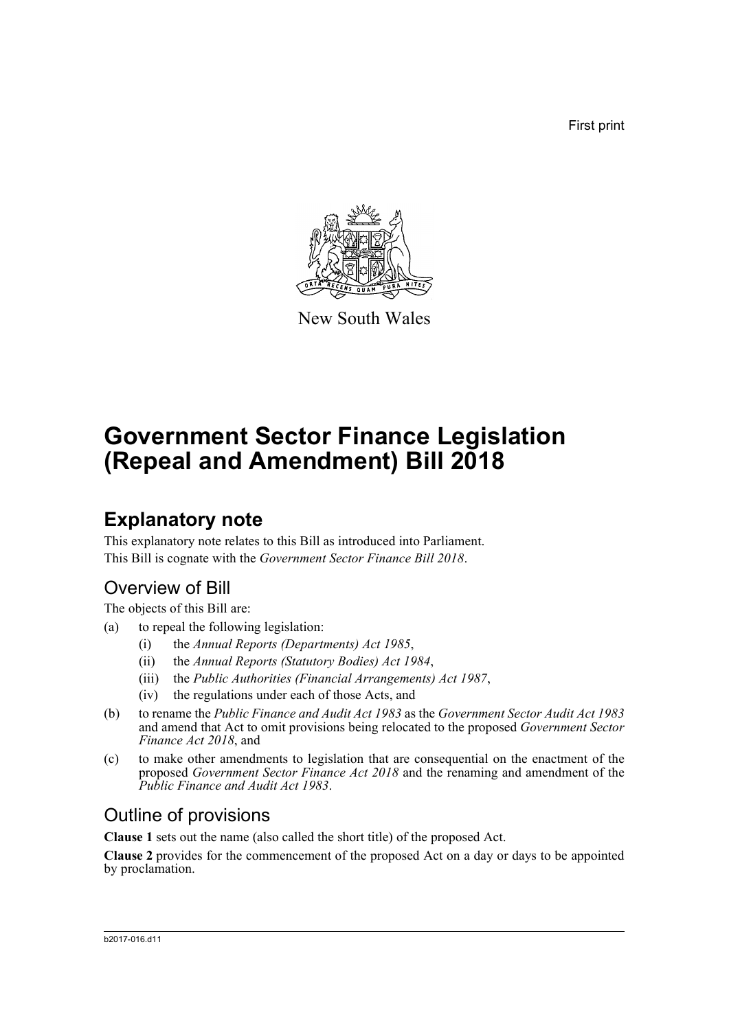First print



New South Wales

# **Government Sector Finance Legislation (Repeal and Amendment) Bill 2018**

## **Explanatory note**

This explanatory note relates to this Bill as introduced into Parliament. This Bill is cognate with the *Government Sector Finance Bill 2018*.

## Overview of Bill

The objects of this Bill are:

- (a) to repeal the following legislation:
	- (i) the *Annual Reports (Departments) Act 1985*,
	- (ii) the *Annual Reports (Statutory Bodies) Act 1984*,
	- (iii) the *Public Authorities (Financial Arrangements) Act 1987*,
	- (iv) the regulations under each of those Acts, and
- (b) to rename the *Public Finance and Audit Act 1983* as the *Government Sector Audit Act 1983* and amend that Act to omit provisions being relocated to the proposed *Government Sector Finance Act 2018*, and
- (c) to make other amendments to legislation that are consequential on the enactment of the proposed *Government Sector Finance Act 2018* and the renaming and amendment of the *Public Finance and Audit Act 1983*.

## Outline of provisions

**Clause 1** sets out the name (also called the short title) of the proposed Act.

**Clause 2** provides for the commencement of the proposed Act on a day or days to be appointed by proclamation.

#### b2017-016.d11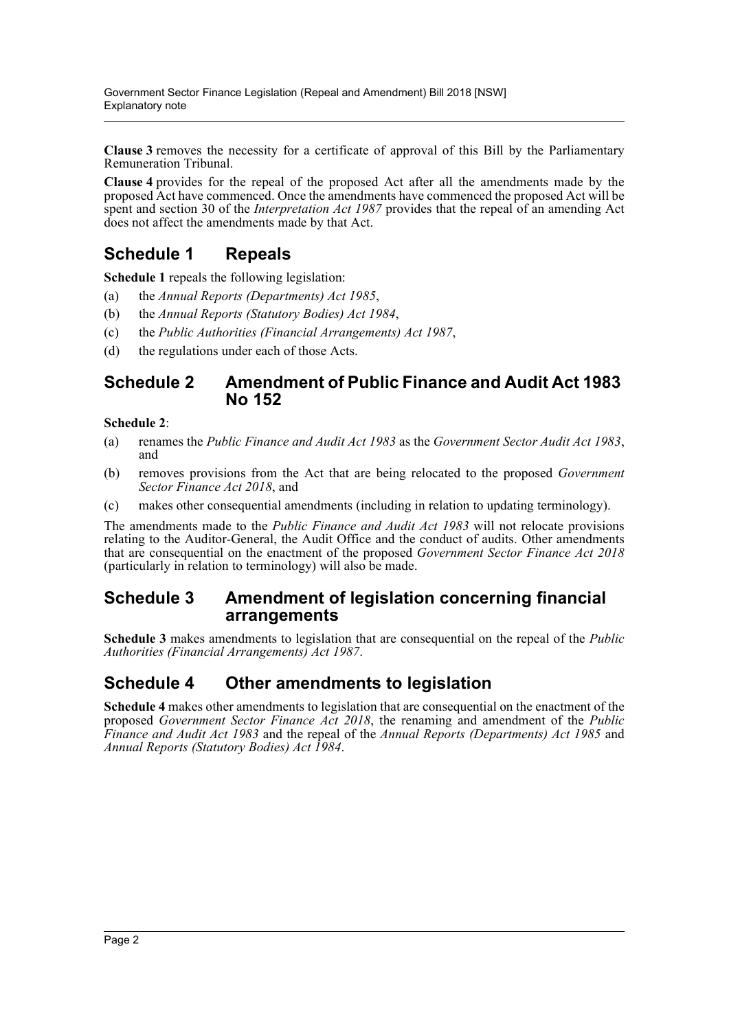**Clause 3** removes the necessity for a certificate of approval of this Bill by the Parliamentary Remuneration Tribunal.

**Clause 4** provides for the repeal of the proposed Act after all the amendments made by the proposed Act have commenced. Once the amendments have commenced the proposed Act will be spent and section 30 of the *Interpretation Act 1987* provides that the repeal of an amending Act does not affect the amendments made by that Act.

### **Schedule 1 Repeals**

**Schedule 1** repeals the following legislation:

- (a) the *Annual Reports (Departments) Act 1985*,
- (b) the *Annual Reports (Statutory Bodies) Act 1984*,
- (c) the *Public Authorities (Financial Arrangements) Act 1987*,
- (d) the regulations under each of those Acts.

#### **Schedule 2 Amendment of Public Finance and Audit Act 1983 No 152**

#### **Schedule 2**:

- (a) renames the *Public Finance and Audit Act 1983* as the *Government Sector Audit Act 1983*, and
- (b) removes provisions from the Act that are being relocated to the proposed *Government Sector Finance Act 2018*, and
- (c) makes other consequential amendments (including in relation to updating terminology).

The amendments made to the *Public Finance and Audit Act 1983* will not relocate provisions relating to the Auditor-General, the Audit Office and the conduct of audits. Other amendments that are consequential on the enactment of the proposed *Government Sector Finance Act 2018* (particularly in relation to terminology) will also be made.

### **Schedule 3 Amendment of legislation concerning financial arrangements**

**Schedule 3** makes amendments to legislation that are consequential on the repeal of the *Public Authorities (Financial Arrangements) Act 1987*.

### **Schedule 4 Other amendments to legislation**

**Schedule 4** makes other amendments to legislation that are consequential on the enactment of the proposed *Government Sector Finance Act 2018*, the renaming and amendment of the *Public Finance and Audit Act 1983* and the repeal of the *Annual Reports (Departments) Act 1985* and *Annual Reports (Statutory Bodies) Act 1984*.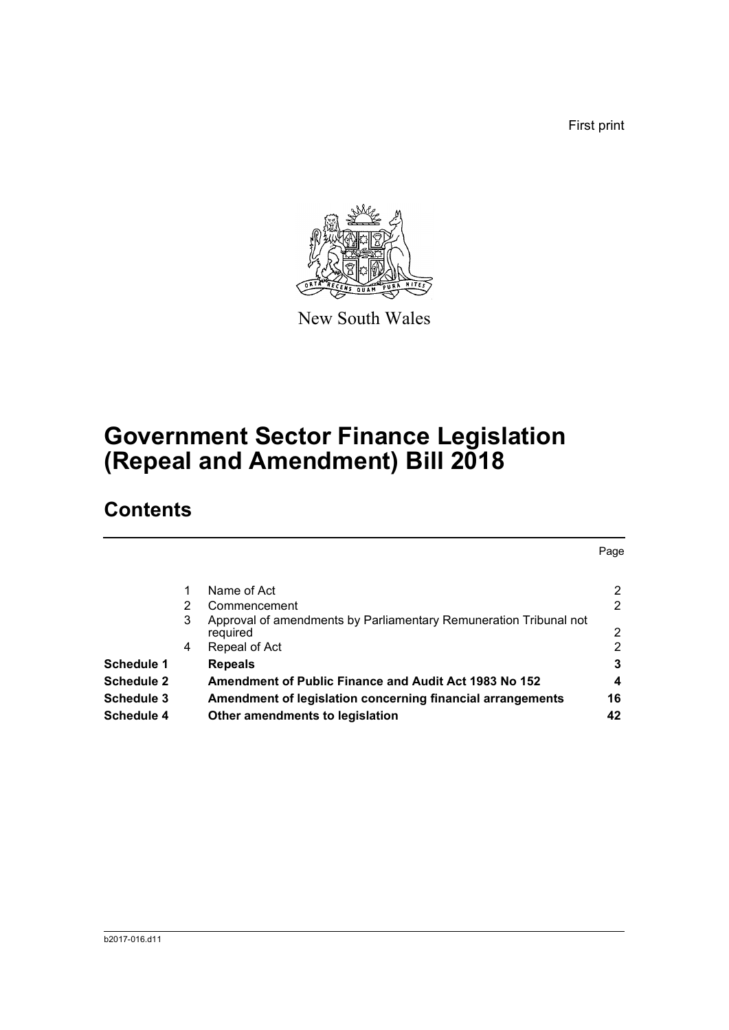First print



New South Wales

## **Government Sector Finance Legislation (Repeal and Amendment) Bill 2018**

## **Contents**

|                                                                                    | Page           |
|------------------------------------------------------------------------------------|----------------|
| Name of Act                                                                        | $\overline{2}$ |
| 2<br>Commencement                                                                  | 2              |
| Approval of amendments by Parliamentary Remuneration Tribunal not<br>3<br>required | 2              |
| Repeal of Act<br>4                                                                 | 2              |
| <b>Schedule 1</b><br><b>Repeals</b>                                                | 3              |
| Schedule 2<br>Amendment of Public Finance and Audit Act 1983 No 152                | 4              |
| <b>Schedule 3</b><br>Amendment of legislation concerning financial arrangements    | 16             |
| Schedule 4<br>Other amendments to legislation                                      | 42             |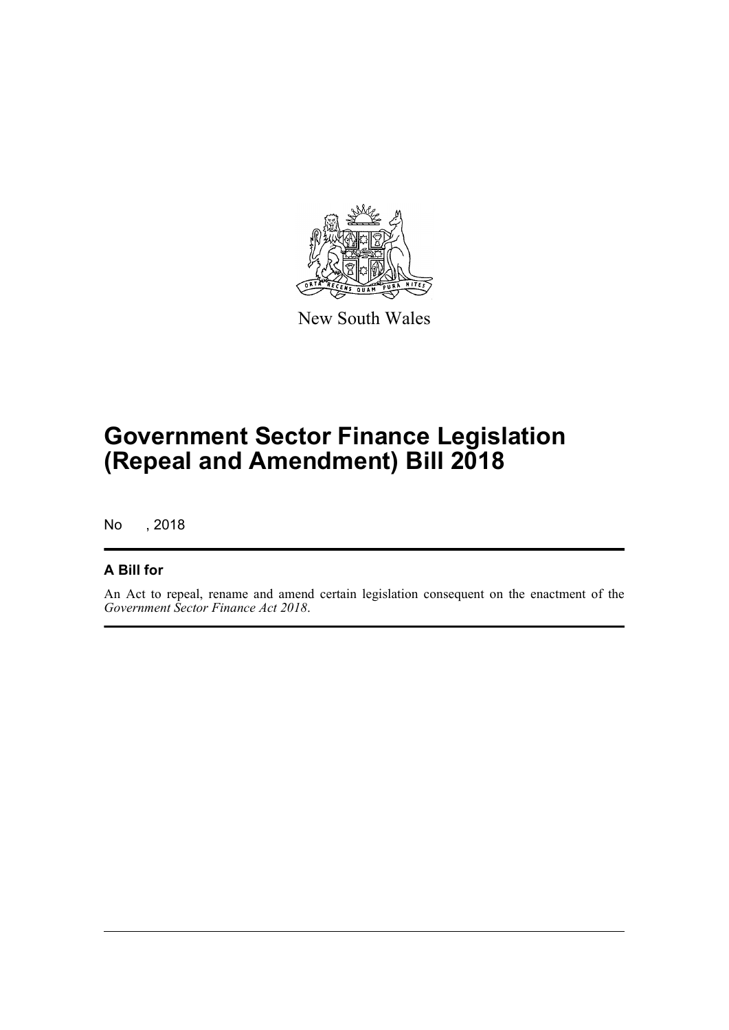

New South Wales

## **Government Sector Finance Legislation (Repeal and Amendment) Bill 2018**

No , 2018

#### **A Bill for**

An Act to repeal, rename and amend certain legislation consequent on the enactment of the *Government Sector Finance Act 2018*.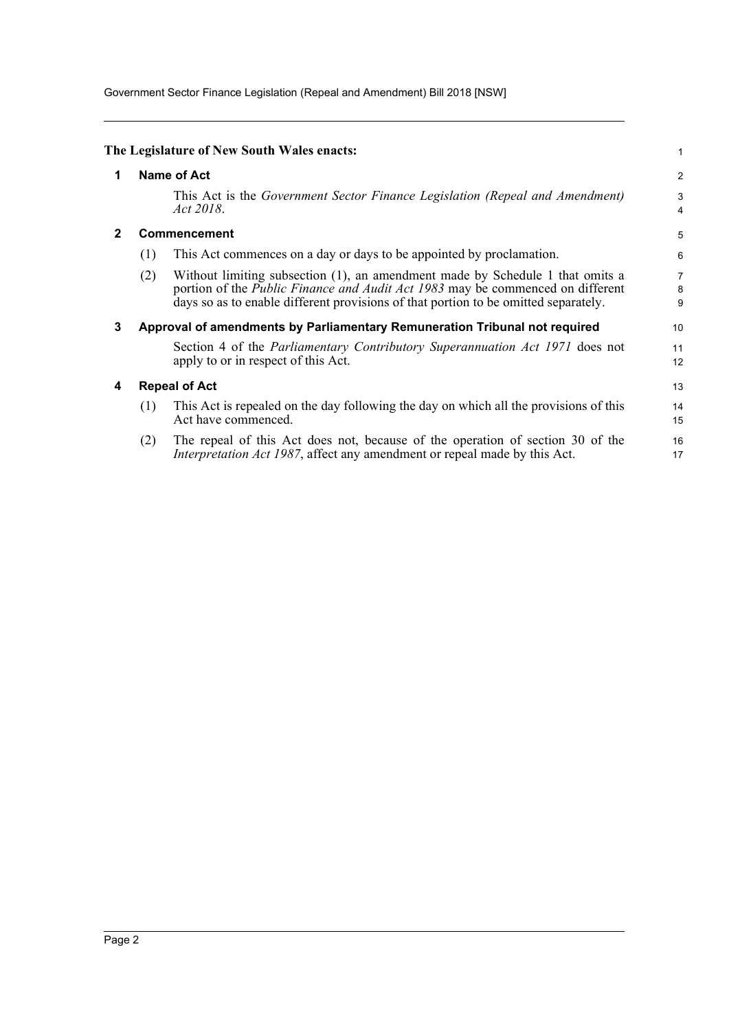Government Sector Finance Legislation (Repeal and Amendment) Bill 2018 [NSW]

<span id="page-4-3"></span><span id="page-4-2"></span><span id="page-4-1"></span><span id="page-4-0"></span>

|   |     | The Legislature of New South Wales enacts:                                                                                                                                                                                                                    | 1              |
|---|-----|---------------------------------------------------------------------------------------------------------------------------------------------------------------------------------------------------------------------------------------------------------------|----------------|
| 1 |     | Name of Act                                                                                                                                                                                                                                                   | $\overline{2}$ |
|   |     | This Act is the Government Sector Finance Legislation (Repeal and Amendment)<br>Act 2018.                                                                                                                                                                     | 3<br>4         |
| 2 |     | <b>Commencement</b>                                                                                                                                                                                                                                           | 5              |
|   | (1) | This Act commences on a day or days to be appointed by proclamation.                                                                                                                                                                                          | 6              |
|   | (2) | Without limiting subsection (1), an amendment made by Schedule 1 that omits a<br>portion of the <i>Public Finance and Audit Act 1983</i> may be commenced on different<br>days so as to enable different provisions of that portion to be omitted separately. | 7<br>8<br>9    |
| 3 |     | Approval of amendments by Parliamentary Remuneration Tribunal not required                                                                                                                                                                                    | 10             |
|   |     | Section 4 of the <i>Parliamentary Contributory Superannuation Act 1971</i> does not<br>apply to or in respect of this Act.                                                                                                                                    | 11<br>12       |
| 4 |     | <b>Repeal of Act</b>                                                                                                                                                                                                                                          | 13             |
|   | (1) | This Act is repealed on the day following the day on which all the provisions of this<br>Act have commenced.                                                                                                                                                  | 14<br>15       |
|   | (2) | The repeal of this Act does not, because of the operation of section 30 of the<br><i>Interpretation Act 1987</i> , affect any amendment or repeal made by this Act.                                                                                           | 16<br>17       |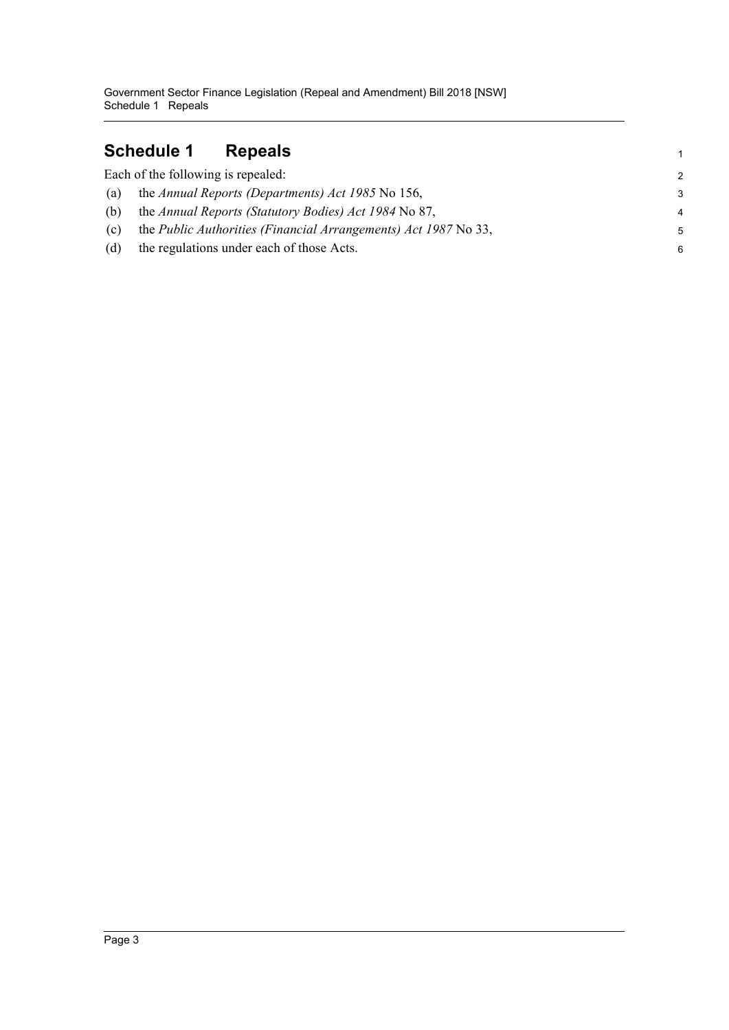## <span id="page-5-0"></span>**Schedule 1 Repeals**

|     | Each of the following is repealed:                              | $\mathcal{P}$  |
|-----|-----------------------------------------------------------------|----------------|
| (a) | the Annual Reports (Departments) Act 1985 No 156,               | 3              |
| (b) | the Annual Reports (Statutory Bodies) Act 1984 No 87,           | $\overline{4}$ |
| (c) | the Public Authorities (Financial Arrangements) Act 1987 No 33, | .5             |
| (d) | the regulations under each of those Acts.                       | 6              |

1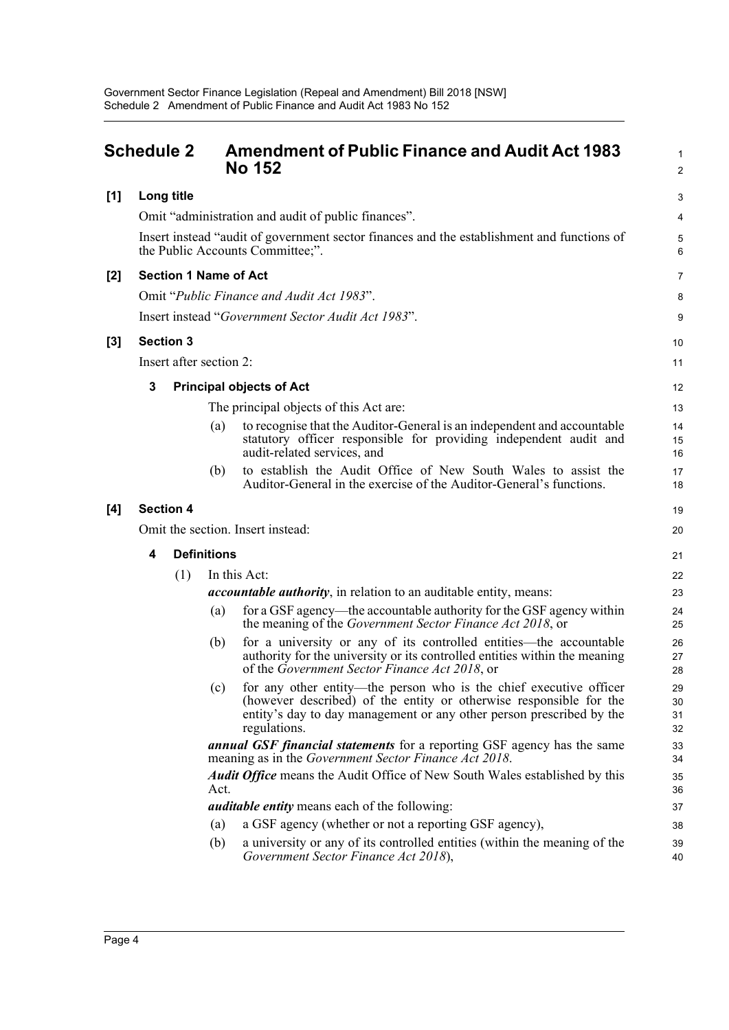#### <span id="page-6-0"></span>**Schedule 2 Amendment of Public Finance and Audit Act 1983 No 152 [1] Long title** Omit "administration and audit of public finances". Insert instead "audit of government sector finances and the establishment and functions of the Public Accounts Committee;". **[2] Section 1 Name of Act** Omit "*Public Finance and Audit Act 1983*". Insert instead "*Government Sector Audit Act 1983*". **[3] Section 3** Insert after section 2: **3 Principal objects of Act** The principal objects of this Act are: 10 11 12 13

(a) to recognise that the Auditor-General is an independent and accountable statutory officer responsible for providing independent audit and audit-related services, and

1  $\overline{2}$ 

19  $20$ 

21

(b) to establish the Audit Office of New South Wales to assist the Auditor-General in the exercise of the Auditor-General's functions.

#### **[4] Section 4**

Omit the section. Insert instead: **4 Definitions**

| (1) |      | In this Act:                                                                                                                                                                                                                     | 22                   |
|-----|------|----------------------------------------------------------------------------------------------------------------------------------------------------------------------------------------------------------------------------------|----------------------|
|     |      | <i>accountable authority</i> , in relation to an auditable entity, means:                                                                                                                                                        | 23                   |
|     | (a)  | for a GSF agency—the accountable authority for the GSF agency within<br>the meaning of the <i>Government Sector Finance Act 2018</i> , or                                                                                        | 24<br>25             |
|     | (b)  | for a university or any of its controlled entities—the accountable<br>authority for the university or its controlled entities within the meaning<br>of the Government Sector Finance Act 2018, or                                | 26<br>27<br>28       |
|     | (c)  | for any other entity—the person who is the chief executive officer<br>(however described) of the entity or otherwise responsible for the<br>entity's day to day management or any other person prescribed by the<br>regulations. | 29<br>30<br>31<br>32 |
|     |      | <b>annual GSF financial statements</b> for a reporting GSF agency has the same<br>meaning as in the Government Sector Finance Act 2018.                                                                                          | 33<br>34             |
|     | Act. | <b>Audit Office</b> means the Audit Office of New South Wales established by this                                                                                                                                                | 35<br>36             |
|     |      | <i>auditable entity</i> means each of the following:                                                                                                                                                                             | 37                   |
|     | (a)  | a GSF agency (whether or not a reporting GSF agency),                                                                                                                                                                            | 38                   |
|     | (b)  | a university or any of its controlled entities (within the meaning of the<br>Government Sector Finance Act 2018),                                                                                                                | 39<br>40             |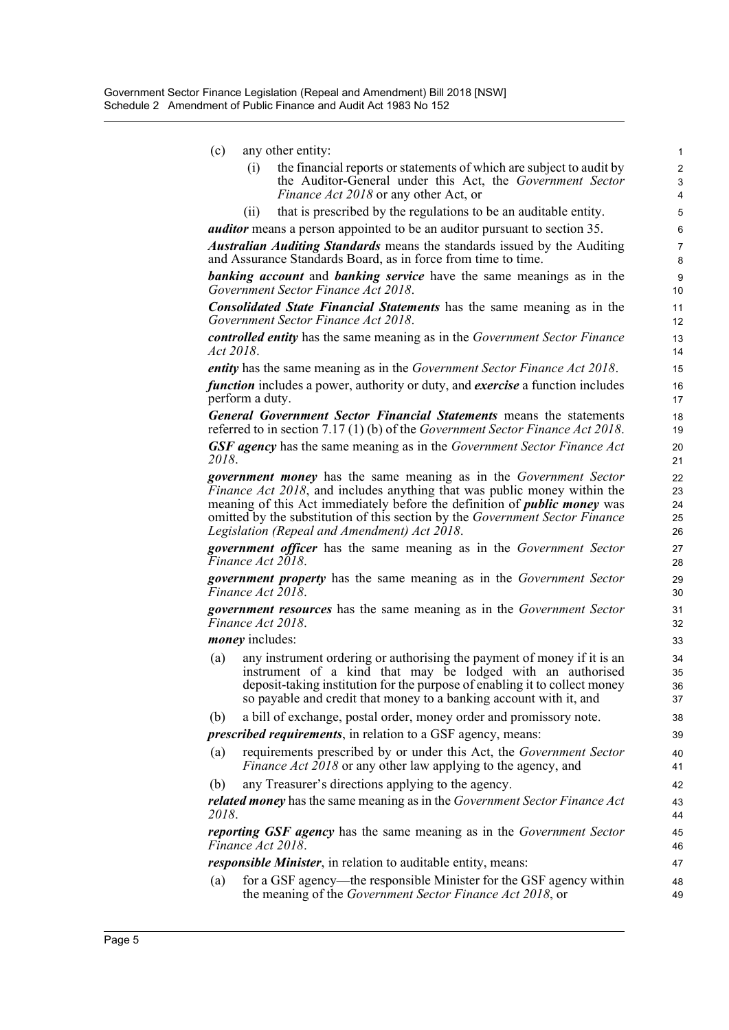| (c) |  |  | any other entity: |
|-----|--|--|-------------------|
|-----|--|--|-------------------|

| the financial reports or statements of which are subject to audit by |
|----------------------------------------------------------------------|
| the Auditor-General under this Act, the Government Sector            |
| <i>Finance Act 2018</i> or any other Act, or                         |

(ii) that is prescribed by the regulations to be an auditable entity.

*auditor* means a person appointed to be an auditor pursuant to section 35.

*Australian Auditing Standards* means the standards issued by the Auditing and Assurance Standards Board, as in force from time to time.

*banking account* and *banking service* have the same meanings as in the *Government Sector Finance Act 2018*.

*Consolidated State Financial Statements* has the same meaning as in the *Government Sector Finance Act 2018*.

*controlled entity* has the same meaning as in the *Government Sector Finance Act 2018*.

*entity* has the same meaning as in the *Government Sector Finance Act 2018*.

*function* includes a power, authority or duty, and *exercise* a function includes perform a duty.

*General Government Sector Financial Statements* means the statements referred to in section 7.17 (1) (b) of the *Government Sector Finance Act 2018*.

*GSF agency* has the same meaning as in the *Government Sector Finance Act 2018*.

*government money* has the same meaning as in the *Government Sector Finance Act 2018*, and includes anything that was public money within the meaning of this Act immediately before the definition of *public money* was omitted by the substitution of this section by the *Government Sector Finance Legislation (Repeal and Amendment) Act 2018*.

*government officer* has the same meaning as in the *Government Sector Finance Act 2018*.

*government property* has the same meaning as in the *Government Sector Finance Act 2018*.

*government resources* has the same meaning as in the *Government Sector Finance Act 2018*.

*money* includes:

- (a) any instrument ordering or authorising the payment of money if it is an instrument of a kind that may be lodged with an authorised deposit-taking institution for the purpose of enabling it to collect money so payable and credit that money to a banking account with it, and
- (b) a bill of exchange, postal order, money order and promissory note.

*prescribed requirements*, in relation to a GSF agency, means:

- (a) requirements prescribed by or under this Act, the *Government Sector Finance Act 2018* or any other law applying to the agency, and
- (b) any Treasurer's directions applying to the agency.

*related money* has the same meaning as in the *Government Sector Finance Act 2018*.

*reporting GSF agency* has the same meaning as in the *Government Sector Finance Act 2018*.

*responsible Minister*, in relation to auditable entity, means:

(a) for a GSF agency—the responsible Minister for the GSF agency within the meaning of the *Government Sector Finance Act 2018*, or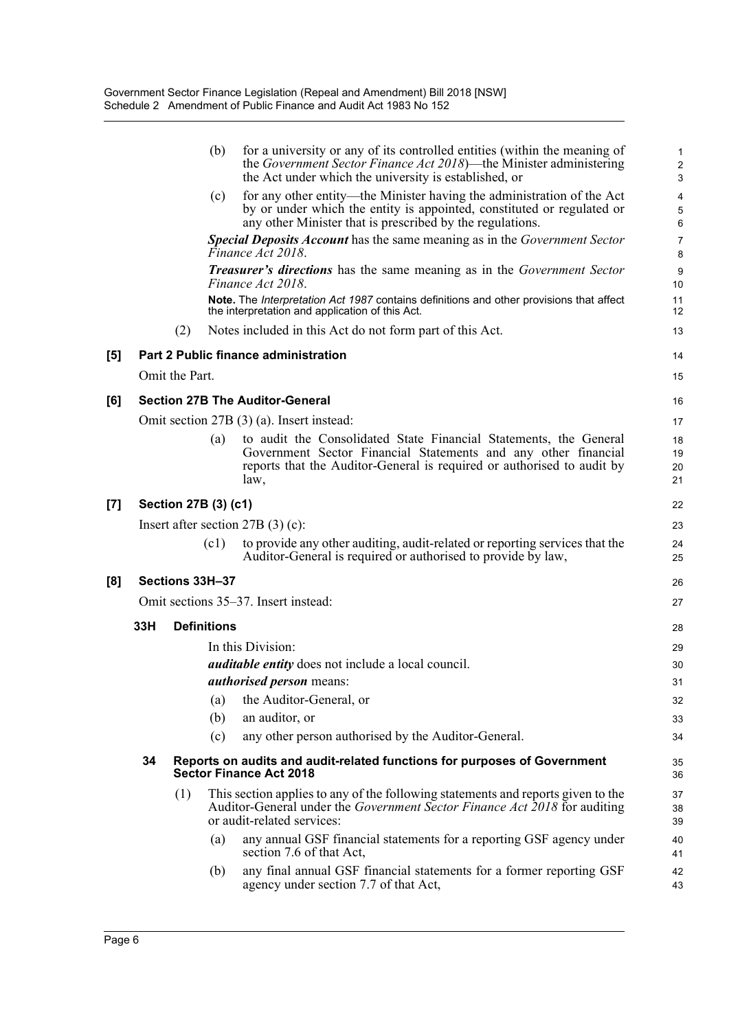|     |     |                      | (b)                | for a university or any of its controlled entities (within the meaning of<br>the Government Sector Finance Act 2018)—the Minister administering<br>the Act under which the university is established, or      | 1<br>$\overline{\mathbf{c}}$<br>3 |
|-----|-----|----------------------|--------------------|---------------------------------------------------------------------------------------------------------------------------------------------------------------------------------------------------------------|-----------------------------------|
|     |     |                      | (c)                | for any other entity—the Minister having the administration of the Act<br>by or under which the entity is appointed, constituted or regulated or<br>any other Minister that is prescribed by the regulations. | 4<br>5<br>6                       |
|     |     |                      |                    | Special Deposits Account has the same meaning as in the Government Sector<br>Finance Act 2018.                                                                                                                | 7<br>8                            |
|     |     |                      |                    | <b>Treasurer's directions</b> has the same meaning as in the Government Sector<br>Finance Act 2018.                                                                                                           | 9<br>10                           |
|     |     |                      |                    | Note. The Interpretation Act 1987 contains definitions and other provisions that affect<br>the interpretation and application of this Act.                                                                    | 11<br>12                          |
|     |     | (2)                  |                    | Notes included in this Act do not form part of this Act.                                                                                                                                                      | 13                                |
| [5] |     |                      |                    | Part 2 Public finance administration                                                                                                                                                                          | 14                                |
|     |     | Omit the Part.       |                    |                                                                                                                                                                                                               | 15                                |
| [6] |     |                      |                    | <b>Section 27B The Auditor-General</b>                                                                                                                                                                        | 16                                |
|     |     |                      |                    | Omit section 27B (3) (a). Insert instead:                                                                                                                                                                     | 17                                |
|     |     |                      | (a)                | to audit the Consolidated State Financial Statements, the General<br>Government Sector Financial Statements and any other financial<br>reports that the Auditor-General is required or authorised to audit by | 18<br>19<br>20                    |
|     |     |                      |                    | law,                                                                                                                                                                                                          | 21                                |
| [7] |     | Section 27B (3) (c1) |                    |                                                                                                                                                                                                               | 22                                |
|     |     |                      |                    | Insert after section $27B(3)(c)$ :                                                                                                                                                                            | 23                                |
|     |     |                      | (c1)               | to provide any other auditing, audit-related or reporting services that the<br>Auditor-General is required or authorised to provide by law,                                                                   | 24<br>25                          |
| [8] |     | Sections 33H-37      |                    |                                                                                                                                                                                                               | 26                                |
|     |     |                      |                    | Omit sections 35–37. Insert instead:                                                                                                                                                                          | 27                                |
|     | 33H |                      | <b>Definitions</b> |                                                                                                                                                                                                               | 28                                |
|     |     |                      |                    | In this Division:                                                                                                                                                                                             | 29                                |
|     |     |                      |                    | <i>auditable entity</i> does not include a local council.                                                                                                                                                     | 30                                |
|     |     |                      |                    | <i>authorised person</i> means:                                                                                                                                                                               | 31                                |
|     |     |                      | (a)                | the Auditor-General, or                                                                                                                                                                                       | 32                                |
|     |     |                      | (b)                | an auditor, or                                                                                                                                                                                                | 33                                |
|     |     |                      | (c)                | any other person authorised by the Auditor-General.                                                                                                                                                           | 34                                |
|     | 34  |                      |                    | Reports on audits and audit-related functions for purposes of Government<br><b>Sector Finance Act 2018</b>                                                                                                    | 35<br>36                          |
|     |     | (1)                  |                    | This section applies to any of the following statements and reports given to the<br>Auditor-General under the Government Sector Finance Act 2018 for auditing<br>or audit-related services:                   | 37<br>38<br>39                    |
|     |     |                      | (a)                | any annual GSF financial statements for a reporting GSF agency under<br>section 7.6 of that Act,                                                                                                              | 40<br>41                          |
|     |     |                      | (b)                | any final annual GSF financial statements for a former reporting GSF<br>agency under section 7.7 of that Act,                                                                                                 | 42<br>43                          |
|     |     |                      |                    |                                                                                                                                                                                                               |                                   |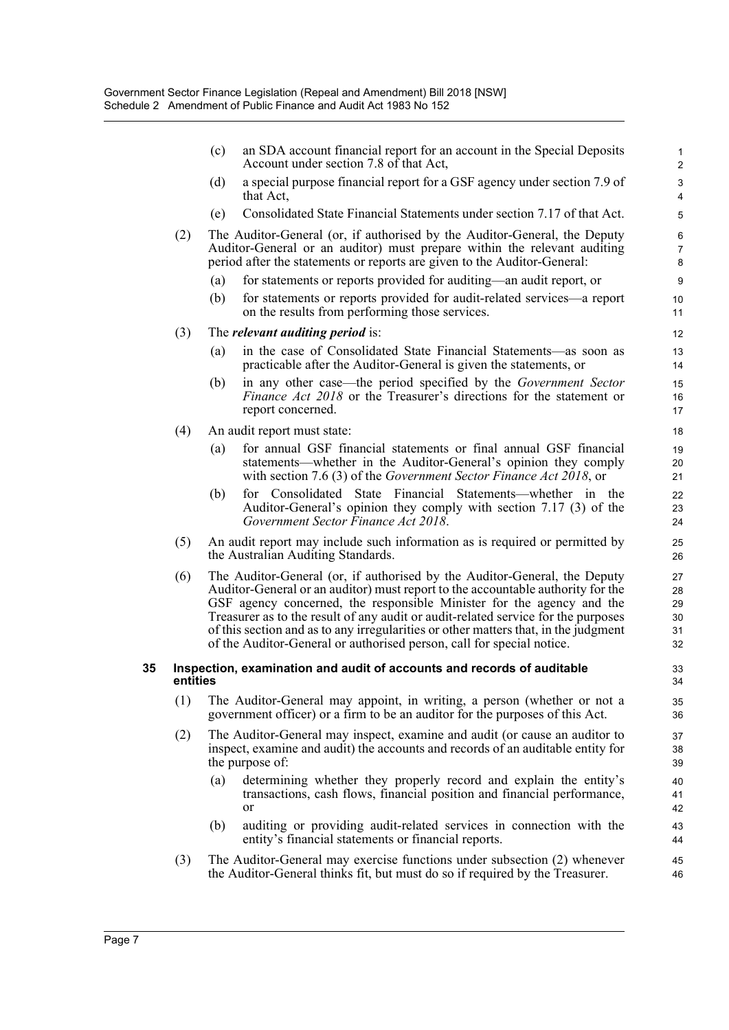|    |          | (c) | an SDA account financial report for an account in the Special Deposits<br>Account under section 7.8 of that Act,                                                                                                                                                                                                                                                                                                                                                                           | $\mathbf{1}$<br>$\overline{2}$   |
|----|----------|-----|--------------------------------------------------------------------------------------------------------------------------------------------------------------------------------------------------------------------------------------------------------------------------------------------------------------------------------------------------------------------------------------------------------------------------------------------------------------------------------------------|----------------------------------|
|    |          | (d) | a special purpose financial report for a GSF agency under section 7.9 of<br>that Act,                                                                                                                                                                                                                                                                                                                                                                                                      | 3<br>$\overline{4}$              |
|    |          | (e) | Consolidated State Financial Statements under section 7.17 of that Act.                                                                                                                                                                                                                                                                                                                                                                                                                    | 5                                |
|    | (2)      |     | The Auditor-General (or, if authorised by the Auditor-General, the Deputy<br>Auditor-General or an auditor) must prepare within the relevant auditing<br>period after the statements or reports are given to the Auditor-General:                                                                                                                                                                                                                                                          | 6<br>$\overline{7}$<br>8         |
|    |          | (a) | for statements or reports provided for auditing—an audit report, or                                                                                                                                                                                                                                                                                                                                                                                                                        | 9                                |
|    |          | (b) | for statements or reports provided for audit-related services—a report<br>on the results from performing those services.                                                                                                                                                                                                                                                                                                                                                                   | 10<br>11                         |
|    | (3)      |     | The <i>relevant auditing period</i> is:                                                                                                                                                                                                                                                                                                                                                                                                                                                    | 12                               |
|    |          | (a) | in the case of Consolidated State Financial Statements—as soon as<br>practicable after the Auditor-General is given the statements, or                                                                                                                                                                                                                                                                                                                                                     | 13<br>14                         |
|    |          | (b) | in any other case—the period specified by the Government Sector<br><i>Finance Act 2018</i> or the Treasurer's directions for the statement or<br>report concerned.                                                                                                                                                                                                                                                                                                                         | 15<br>16<br>17                   |
|    | (4)      |     | An audit report must state:                                                                                                                                                                                                                                                                                                                                                                                                                                                                | 18                               |
|    |          | (a) | for annual GSF financial statements or final annual GSF financial<br>statements—whether in the Auditor-General's opinion they comply<br>with section 7.6 (3) of the Government Sector Finance Act 2018, or                                                                                                                                                                                                                                                                                 | 19<br>20<br>21                   |
|    |          | (b) | for Consolidated State Financial Statements—whether in the<br>Auditor-General's opinion they comply with section 7.17 (3) of the<br>Government Sector Finance Act 2018.                                                                                                                                                                                                                                                                                                                    | 22<br>23<br>24                   |
|    | (5)      |     | An audit report may include such information as is required or permitted by<br>the Australian Auditing Standards.                                                                                                                                                                                                                                                                                                                                                                          | 25<br>26                         |
|    | (6)      |     | The Auditor-General (or, if authorised by the Auditor-General, the Deputy<br>Auditor-General or an auditor) must report to the accountable authority for the<br>GSF agency concerned, the responsible Minister for the agency and the<br>Treasurer as to the result of any audit or audit-related service for the purposes<br>of this section and as to any irregularities or other matters that, in the judgment<br>of the Auditor-General or authorised person, call for special notice. | 27<br>28<br>29<br>30<br>31<br>32 |
| 35 | entities |     | Inspection, examination and audit of accounts and records of auditable                                                                                                                                                                                                                                                                                                                                                                                                                     | 33<br>34                         |
|    | (1)      |     | The Auditor-General may appoint, in writing, a person (whether or not a<br>government officer) or a firm to be an auditor for the purposes of this Act.                                                                                                                                                                                                                                                                                                                                    | 35<br>36                         |
|    | (2)      |     | The Auditor-General may inspect, examine and audit (or cause an auditor to<br>inspect, examine and audit) the accounts and records of an auditable entity for<br>the purpose of:                                                                                                                                                                                                                                                                                                           | 37<br>38<br>39                   |
|    |          | (a) | determining whether they properly record and explain the entity's<br>transactions, cash flows, financial position and financial performance,<br>or                                                                                                                                                                                                                                                                                                                                         | 40<br>41<br>42                   |
|    |          | (b) | auditing or providing audit-related services in connection with the<br>entity's financial statements or financial reports.                                                                                                                                                                                                                                                                                                                                                                 | 43<br>44                         |
|    | (3)      |     | The Auditor-General may exercise functions under subsection (2) whenever<br>the Auditor-General thinks fit, but must do so if required by the Treasurer.                                                                                                                                                                                                                                                                                                                                   | 45<br>46                         |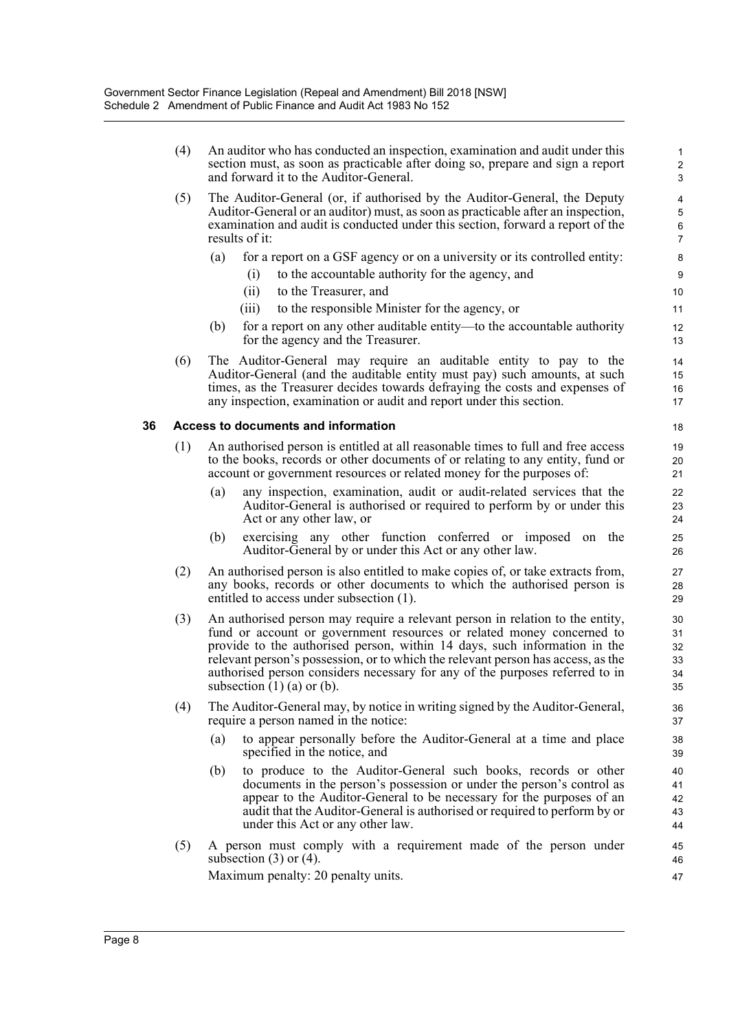| (5)<br>(6) | The Auditor-General (or, if authorised by the Auditor-General, the Deputy<br>Auditor-General or an auditor) must, as soon as practicable after an inspection,<br>examination and audit is conducted under this section, forward a report of the<br>results of it:<br>for a report on a GSF agency or on a university or its controlled entity:<br>(a)<br>to the accountable authority for the agency, and<br>(i)<br>to the Treasurer, and<br>(ii)<br>to the responsible Minister for the agency, or<br>(iii)<br>for a report on any other auditable entity—to the accountable authority<br>(b)<br>for the agency and the Treasurer.<br>The Auditor-General may require an auditable entity to pay to the<br>Auditor-General (and the auditable entity must pay) such amounts, at such<br>times, as the Treasurer decides towards defraying the costs and expenses of<br>any inspection, examination or audit and report under this section. | 4<br>5<br>6<br>7<br>8<br>9<br>10<br>11<br>12<br>13<br>14<br>15                                                                                                                                                                                                                                                 |
|------------|---------------------------------------------------------------------------------------------------------------------------------------------------------------------------------------------------------------------------------------------------------------------------------------------------------------------------------------------------------------------------------------------------------------------------------------------------------------------------------------------------------------------------------------------------------------------------------------------------------------------------------------------------------------------------------------------------------------------------------------------------------------------------------------------------------------------------------------------------------------------------------------------------------------------------------------------|----------------------------------------------------------------------------------------------------------------------------------------------------------------------------------------------------------------------------------------------------------------------------------------------------------------|
|            |                                                                                                                                                                                                                                                                                                                                                                                                                                                                                                                                                                                                                                                                                                                                                                                                                                                                                                                                             |                                                                                                                                                                                                                                                                                                                |
|            |                                                                                                                                                                                                                                                                                                                                                                                                                                                                                                                                                                                                                                                                                                                                                                                                                                                                                                                                             |                                                                                                                                                                                                                                                                                                                |
|            |                                                                                                                                                                                                                                                                                                                                                                                                                                                                                                                                                                                                                                                                                                                                                                                                                                                                                                                                             |                                                                                                                                                                                                                                                                                                                |
|            |                                                                                                                                                                                                                                                                                                                                                                                                                                                                                                                                                                                                                                                                                                                                                                                                                                                                                                                                             |                                                                                                                                                                                                                                                                                                                |
|            |                                                                                                                                                                                                                                                                                                                                                                                                                                                                                                                                                                                                                                                                                                                                                                                                                                                                                                                                             |                                                                                                                                                                                                                                                                                                                |
|            |                                                                                                                                                                                                                                                                                                                                                                                                                                                                                                                                                                                                                                                                                                                                                                                                                                                                                                                                             |                                                                                                                                                                                                                                                                                                                |
|            |                                                                                                                                                                                                                                                                                                                                                                                                                                                                                                                                                                                                                                                                                                                                                                                                                                                                                                                                             | 16<br>17                                                                                                                                                                                                                                                                                                       |
|            |                                                                                                                                                                                                                                                                                                                                                                                                                                                                                                                                                                                                                                                                                                                                                                                                                                                                                                                                             |                                                                                                                                                                                                                                                                                                                |
|            |                                                                                                                                                                                                                                                                                                                                                                                                                                                                                                                                                                                                                                                                                                                                                                                                                                                                                                                                             | 18                                                                                                                                                                                                                                                                                                             |
|            |                                                                                                                                                                                                                                                                                                                                                                                                                                                                                                                                                                                                                                                                                                                                                                                                                                                                                                                                             | 19                                                                                                                                                                                                                                                                                                             |
|            |                                                                                                                                                                                                                                                                                                                                                                                                                                                                                                                                                                                                                                                                                                                                                                                                                                                                                                                                             | 20<br>21                                                                                                                                                                                                                                                                                                       |
|            | any inspection, examination, audit or audit-related services that the<br>(a)<br>Auditor-General is authorised or required to perform by or under this                                                                                                                                                                                                                                                                                                                                                                                                                                                                                                                                                                                                                                                                                                                                                                                       | 22<br>23<br>24                                                                                                                                                                                                                                                                                                 |
|            | exercising any other function conferred or imposed on the<br>(b)<br>Auditor-General by or under this Act or any other law.                                                                                                                                                                                                                                                                                                                                                                                                                                                                                                                                                                                                                                                                                                                                                                                                                  | 25<br>26                                                                                                                                                                                                                                                                                                       |
| (2)        | An authorised person is also entitled to make copies of, or take extracts from,<br>any books, records or other documents to which the authorised person is<br>entitled to access under subsection (1).                                                                                                                                                                                                                                                                                                                                                                                                                                                                                                                                                                                                                                                                                                                                      | 27<br>28<br>29                                                                                                                                                                                                                                                                                                 |
| (3)        | An authorised person may require a relevant person in relation to the entity,<br>fund or account or government resources or related money concerned to<br>provide to the authorised person, within 14 days, such information in the<br>relevant person's possession, or to which the relevant person has access, as the<br>authorised person considers necessary for any of the purposes referred to in<br>subsection $(1)$ (a) or (b).                                                                                                                                                                                                                                                                                                                                                                                                                                                                                                     | 30<br>31<br>32<br>33<br>34<br>35                                                                                                                                                                                                                                                                               |
| (4)        | The Auditor-General may, by notice in writing signed by the Auditor-General,<br>require a person named in the notice:                                                                                                                                                                                                                                                                                                                                                                                                                                                                                                                                                                                                                                                                                                                                                                                                                       | 36<br>37                                                                                                                                                                                                                                                                                                       |
|            | to appear personally before the Auditor-General at a time and place<br>(a)<br>specified in the notice, and                                                                                                                                                                                                                                                                                                                                                                                                                                                                                                                                                                                                                                                                                                                                                                                                                                  | 38<br>39                                                                                                                                                                                                                                                                                                       |
|            | to produce to the Auditor-General such books, records or other<br>(b)<br>documents in the person's possession or under the person's control as<br>appear to the Auditor-General to be necessary for the purposes of an<br>audit that the Auditor-General is authorised or required to perform by or<br>under this Act or any other law.                                                                                                                                                                                                                                                                                                                                                                                                                                                                                                                                                                                                     | 40<br>41<br>42<br>43<br>44                                                                                                                                                                                                                                                                                     |
|            | A person must comply with a requirement made of the person under<br>subsection $(3)$ or $(4)$ .<br>Maximum penalty: 20 penalty units.                                                                                                                                                                                                                                                                                                                                                                                                                                                                                                                                                                                                                                                                                                                                                                                                       | 45<br>46<br>47                                                                                                                                                                                                                                                                                                 |
|            | (1)<br>(5)                                                                                                                                                                                                                                                                                                                                                                                                                                                                                                                                                                                                                                                                                                                                                                                                                                                                                                                                  | Access to documents and information<br>An authorised person is entitled at all reasonable times to full and free access<br>to the books, records or other documents of or relating to any entity, fund or<br>account or government resources or related money for the purposes of:<br>Act or any other law, or |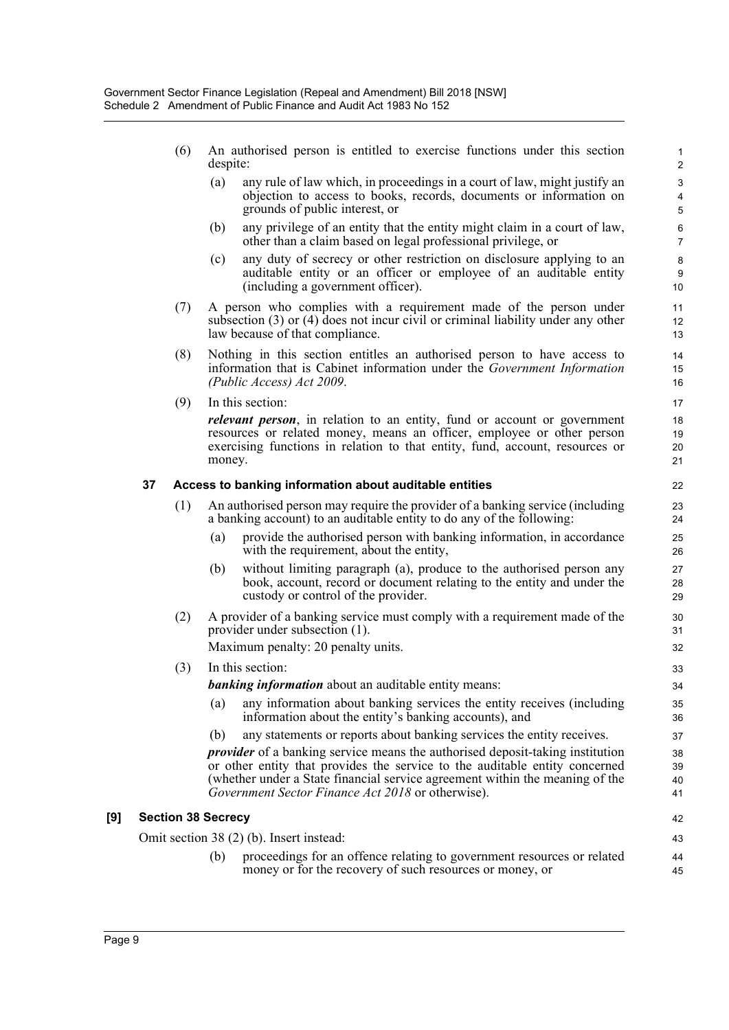- (6) An authorised person is entitled to exercise functions under this section despite:
	- (a) any rule of law which, in proceedings in a court of law, might justify an objection to access to books, records, documents or information on grounds of public interest, or

- (b) any privilege of an entity that the entity might claim in a court of law, other than a claim based on legal professional privilege, or
- (c) any duty of secrecy or other restriction on disclosure applying to an auditable entity or an officer or employee of an auditable entity (including a government officer).
- (7) A person who complies with a requirement made of the person under subsection (3) or (4) does not incur civil or criminal liability under any other law because of that compliance.
- (8) Nothing in this section entitles an authorised person to have access to information that is Cabinet information under the *Government Information (Public Access) Act 2009*.
- (9) In this section:

*relevant person*, in relation to an entity, fund or account or government resources or related money, means an officer, employee or other person exercising functions in relation to that entity, fund, account, resources or money.

#### **37 Access to banking information about auditable entities**

- (1) An authorised person may require the provider of a banking service (including a banking account) to an auditable entity to do any of the following:
	- (a) provide the authorised person with banking information, in accordance with the requirement, about the entity,
	- (b) without limiting paragraph (a), produce to the authorised person any book, account, record or document relating to the entity and under the custody or control of the provider.
- (2) A provider of a banking service must comply with a requirement made of the provider under subsection (1).

Maximum penalty: 20 penalty units.

(3) In this section:

*banking information* about an auditable entity means:

- (a) any information about banking services the entity receives (including information about the entity's banking accounts), and
- (b) any statements or reports about banking services the entity receives.

*provider* of a banking service means the authorised deposit-taking institution or other entity that provides the service to the auditable entity concerned (whether under a State financial service agreement within the meaning of the *Government Sector Finance Act 2018* or otherwise).

#### **[9] Section 38 Secrecy**

Omit section 38 (2) (b). Insert instead:

(b) proceedings for an offence relating to government resources or related money or for the recovery of such resources or money, or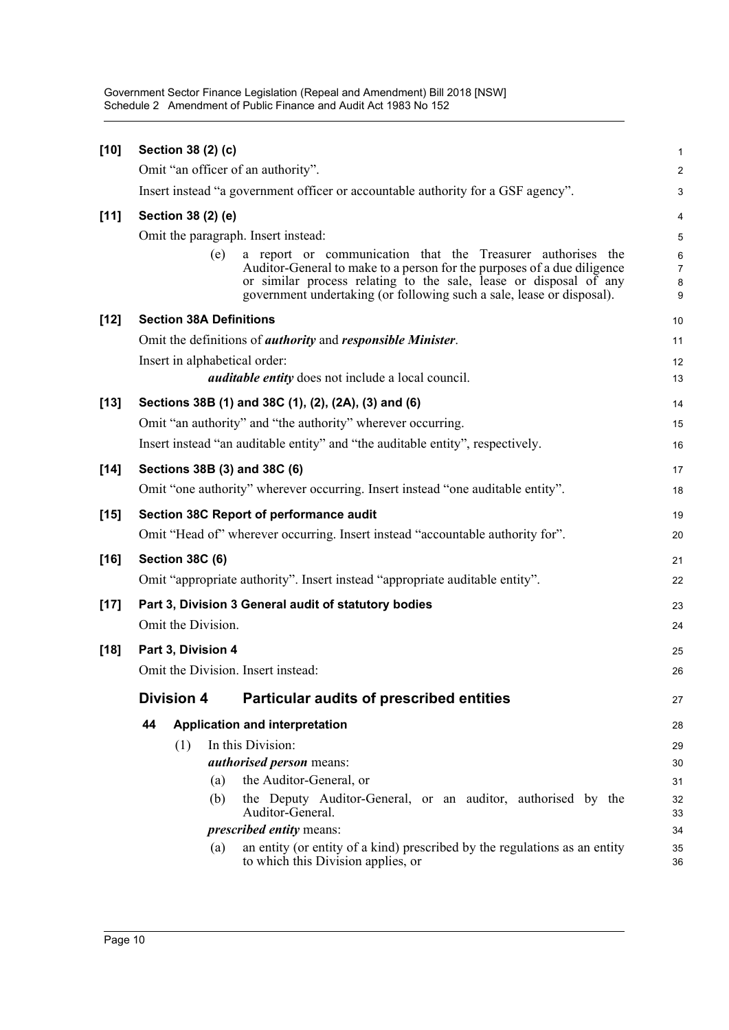Government Sector Finance Legislation (Repeal and Amendment) Bill 2018 [NSW] Schedule 2 Amendment of Public Finance and Audit Act 1983 No 152

| $[10]$ | Section 38 (2) (c)                      |                                                                                                                                                                                                                       | $\mathbf{1}$                 |
|--------|-----------------------------------------|-----------------------------------------------------------------------------------------------------------------------------------------------------------------------------------------------------------------------|------------------------------|
|        | Omit "an officer of an authority".      |                                                                                                                                                                                                                       | $\overline{c}$               |
|        |                                         | Insert instead "a government officer or accountable authority for a GSF agency".                                                                                                                                      | $\mathsf 3$                  |
| [11]   | Section 38 (2) (e)                      |                                                                                                                                                                                                                       | $\overline{\mathbf{4}}$      |
|        | Omit the paragraph. Insert instead:     |                                                                                                                                                                                                                       | $\overline{5}$               |
|        | (e)                                     | a report or communication that the Treasurer authorises the                                                                                                                                                           | 6                            |
|        |                                         | Auditor-General to make to a person for the purposes of a due diligence<br>or similar process relating to the sale, lease or disposal of any<br>government undertaking (or following such a sale, lease or disposal). | $\overline{7}$<br>8<br>$9\,$ |
| $[12]$ | <b>Section 38A Definitions</b>          |                                                                                                                                                                                                                       | 10                           |
|        |                                         | Omit the definitions of <i>authority</i> and <i>responsible Minister</i> .                                                                                                                                            | 11                           |
|        | Insert in alphabetical order:           |                                                                                                                                                                                                                       | 12                           |
|        |                                         | <i>auditable entity</i> does not include a local council.                                                                                                                                                             | 13                           |
| $[13]$ |                                         | Sections 38B (1) and 38C (1), (2), (2A), (3) and (6)                                                                                                                                                                  | 14                           |
|        |                                         | Omit "an authority" and "the authority" wherever occurring.                                                                                                                                                           | 15                           |
|        |                                         | Insert instead "an auditable entity" and "the auditable entity", respectively.                                                                                                                                        | 16                           |
| $[14]$ | Sections 38B (3) and 38C (6)            |                                                                                                                                                                                                                       | 17                           |
|        |                                         | Omit "one authority" wherever occurring. Insert instead "one auditable entity".                                                                                                                                       | 18                           |
| $[15]$ | Section 38C Report of performance audit |                                                                                                                                                                                                                       | 19                           |
|        |                                         | Omit "Head of" wherever occurring. Insert instead "accountable authority for".                                                                                                                                        | 20                           |
| $[16]$ | <b>Section 38C (6)</b>                  |                                                                                                                                                                                                                       | 21                           |
|        |                                         | Omit "appropriate authority". Insert instead "appropriate auditable entity".                                                                                                                                          | 22                           |
| $[17]$ |                                         | Part 3, Division 3 General audit of statutory bodies                                                                                                                                                                  | 23                           |
|        | Omit the Division.                      |                                                                                                                                                                                                                       | 24                           |
| $[18]$ | Part 3, Division 4                      |                                                                                                                                                                                                                       | 25                           |
|        | Omit the Division. Insert instead:      |                                                                                                                                                                                                                       | 26                           |
|        | <b>Division 4</b>                       | <b>Particular audits of prescribed entities</b>                                                                                                                                                                       | 27                           |
|        | Application and interpretation<br>44    |                                                                                                                                                                                                                       | 28                           |
|        | In this Division:<br>(1)                |                                                                                                                                                                                                                       | 29                           |
|        |                                         | authorised person means:                                                                                                                                                                                              | 30                           |
|        | (a)                                     | the Auditor-General, or                                                                                                                                                                                               | 31                           |
|        | (b)                                     | the Deputy Auditor-General, or an auditor, authorised by the<br>Auditor-General.                                                                                                                                      | 32<br>33                     |
|        |                                         | <i>prescribed entity means:</i>                                                                                                                                                                                       | 34                           |
|        | (a)                                     | an entity (or entity of a kind) prescribed by the regulations as an entity<br>to which this Division applies, or                                                                                                      | 35<br>36                     |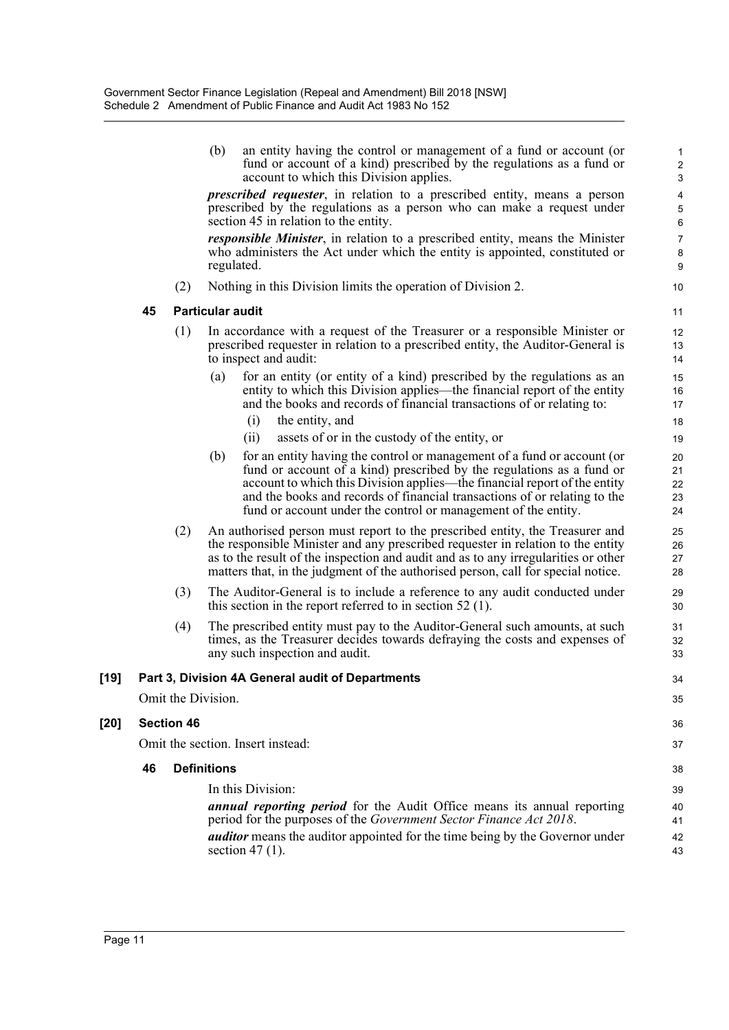|        |    |                    | (b)                     | an entity having the control or management of a fund or account (or<br>fund or account of a kind) prescribed by the regulations as a fund or<br>account to which this Division applies.                                                                                                                                                                                      | $\mathbf{1}$<br>$\overline{c}$<br>$\mathbf{3}$ |
|--------|----|--------------------|-------------------------|------------------------------------------------------------------------------------------------------------------------------------------------------------------------------------------------------------------------------------------------------------------------------------------------------------------------------------------------------------------------------|------------------------------------------------|
|        |    |                    |                         | <i>prescribed requester</i> , in relation to a prescribed entity, means a person<br>prescribed by the regulations as a person who can make a request under<br>section 45 in relation to the entity.                                                                                                                                                                          | $\overline{\mathbf{4}}$<br>5<br>$\,6$          |
|        |    |                    |                         | <i>responsible Minister</i> , in relation to a prescribed entity, means the Minister<br>who administers the Act under which the entity is appointed, constituted or<br>regulated.                                                                                                                                                                                            | $\boldsymbol{7}$<br>8<br>9                     |
|        |    | (2)                |                         | Nothing in this Division limits the operation of Division 2.                                                                                                                                                                                                                                                                                                                 | 10                                             |
|        | 45 |                    | <b>Particular audit</b> |                                                                                                                                                                                                                                                                                                                                                                              | 11                                             |
|        |    | (1)                |                         | In accordance with a request of the Treasurer or a responsible Minister or<br>prescribed requester in relation to a prescribed entity, the Auditor-General is<br>to inspect and audit:                                                                                                                                                                                       | 12<br>13<br>14                                 |
|        |    |                    | (a)                     | for an entity (or entity of a kind) prescribed by the regulations as an<br>entity to which this Division applies—the financial report of the entity<br>and the books and records of financial transactions of or relating to:                                                                                                                                                | 15<br>16<br>17                                 |
|        |    |                    |                         | the entity, and<br>(i)                                                                                                                                                                                                                                                                                                                                                       | 18                                             |
|        |    |                    |                         | assets of or in the custody of the entity, or<br>(i)                                                                                                                                                                                                                                                                                                                         | 19                                             |
|        |    |                    | (b)                     | for an entity having the control or management of a fund or account (or<br>fund or account of a kind) prescribed by the regulations as a fund or<br>account to which this Division applies—the financial report of the entity<br>and the books and records of financial transactions of or relating to the<br>fund or account under the control or management of the entity. | 20<br>21<br>22<br>23<br>24                     |
|        |    | (2)                |                         | An authorised person must report to the prescribed entity, the Treasurer and<br>the responsible Minister and any prescribed requester in relation to the entity<br>as to the result of the inspection and audit and as to any irregularities or other<br>matters that, in the judgment of the authorised person, call for special notice.                                    | 25<br>26<br>27<br>28                           |
|        |    | (3)                |                         | The Auditor-General is to include a reference to any audit conducted under<br>this section in the report referred to in section $52$ (1).                                                                                                                                                                                                                                    | 29<br>30                                       |
|        |    | (4)                |                         | The prescribed entity must pay to the Auditor-General such amounts, at such<br>times, as the Treasurer decides towards defraying the costs and expenses of<br>any such inspection and audit.                                                                                                                                                                                 | 31<br>32<br>33                                 |
| $[19]$ |    |                    |                         | Part 3, Division 4A General audit of Departments                                                                                                                                                                                                                                                                                                                             | 34                                             |
|        |    | Omit the Division. |                         |                                                                                                                                                                                                                                                                                                                                                                              | 35                                             |
| [20]   |    | <b>Section 46</b>  |                         |                                                                                                                                                                                                                                                                                                                                                                              | 36                                             |
|        |    |                    |                         | Omit the section. Insert instead:                                                                                                                                                                                                                                                                                                                                            | 37                                             |
|        | 46 |                    | <b>Definitions</b>      |                                                                                                                                                                                                                                                                                                                                                                              | 38                                             |
|        |    |                    |                         | In this Division:                                                                                                                                                                                                                                                                                                                                                            | 39                                             |
|        |    |                    |                         | <b>annual reporting period</b> for the Audit Office means its annual reporting<br>period for the purposes of the Government Sector Finance Act 2018.                                                                                                                                                                                                                         | 40<br>41                                       |
|        |    |                    |                         | <b>auditor</b> means the auditor appointed for the time being by the Governor under<br>section 47 $(1)$ .                                                                                                                                                                                                                                                                    | 42<br>43                                       |

43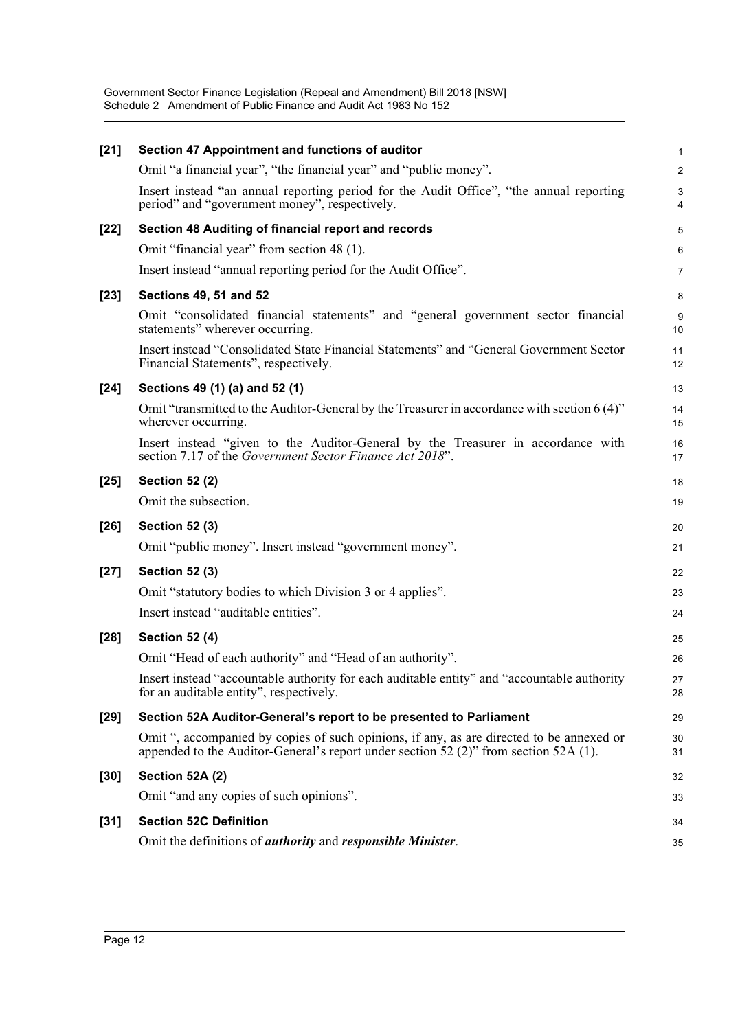| $[21]$ | Section 47 Appointment and functions of auditor                                                                                                                                  | 1              |
|--------|----------------------------------------------------------------------------------------------------------------------------------------------------------------------------------|----------------|
|        | Omit "a financial year", "the financial year" and "public money".                                                                                                                | $\overline{c}$ |
|        | Insert instead "an annual reporting period for the Audit Office", "the annual reporting<br>period" and "government money", respectively.                                         | 3<br>4         |
| $[22]$ | Section 48 Auditing of financial report and records                                                                                                                              | 5              |
|        | Omit "financial year" from section 48 (1).                                                                                                                                       | 6              |
|        | Insert instead "annual reporting period for the Audit Office".                                                                                                                   | 7              |
| $[23]$ | <b>Sections 49, 51 and 52</b>                                                                                                                                                    | 8              |
|        | Omit "consolidated financial statements" and "general government sector financial<br>statements" wherever occurring.                                                             | 9<br>10        |
|        | Insert instead "Consolidated State Financial Statements" and "General Government Sector<br>Financial Statements", respectively.                                                  | 11<br>12       |
| $[24]$ | Sections 49 (1) (a) and 52 (1)                                                                                                                                                   | 13             |
|        | Omit "transmitted to the Auditor-General by the Treasurer in accordance with section 6 (4)"<br>wherever occurring.                                                               | 14<br>15       |
|        | Insert instead "given to the Auditor-General by the Treasurer in accordance with<br>section 7.17 of the Government Sector Finance Act 2018".                                     | 16<br>17       |
| $[25]$ | <b>Section 52 (2)</b>                                                                                                                                                            | 18             |
|        | Omit the subsection.                                                                                                                                                             | 19             |
| $[26]$ | <b>Section 52 (3)</b>                                                                                                                                                            | 20             |
|        | Omit "public money". Insert instead "government money".                                                                                                                          | 21             |
| $[27]$ | <b>Section 52 (3)</b>                                                                                                                                                            | 22             |
|        | Omit "statutory bodies to which Division 3 or 4 applies".                                                                                                                        | 23             |
|        | Insert instead "auditable entities".                                                                                                                                             | 24             |
| $[28]$ | <b>Section 52 (4)</b>                                                                                                                                                            | 25             |
|        | Omit "Head of each authority" and "Head of an authority".                                                                                                                        | 26             |
|        | Insert instead "accountable authority for each auditable entity" and "accountable authority<br>for an auditable entity", respectively.                                           | 27<br>28       |
| $[29]$ | Section 52A Auditor-General's report to be presented to Parliament                                                                                                               | 29             |
|        | Omit ", accompanied by copies of such opinions, if any, as are directed to be annexed or<br>appended to the Auditor-General's report under section 52 (2)" from section 52A (1). | 30<br>31       |
| [30]   | Section 52A (2)                                                                                                                                                                  | 32             |
|        | Omit "and any copies of such opinions".                                                                                                                                          | 33             |
| $[31]$ | <b>Section 52C Definition</b>                                                                                                                                                    | 34             |
|        | Omit the definitions of <i>authority</i> and <i>responsible Minister</i> .                                                                                                       | 35             |
|        |                                                                                                                                                                                  |                |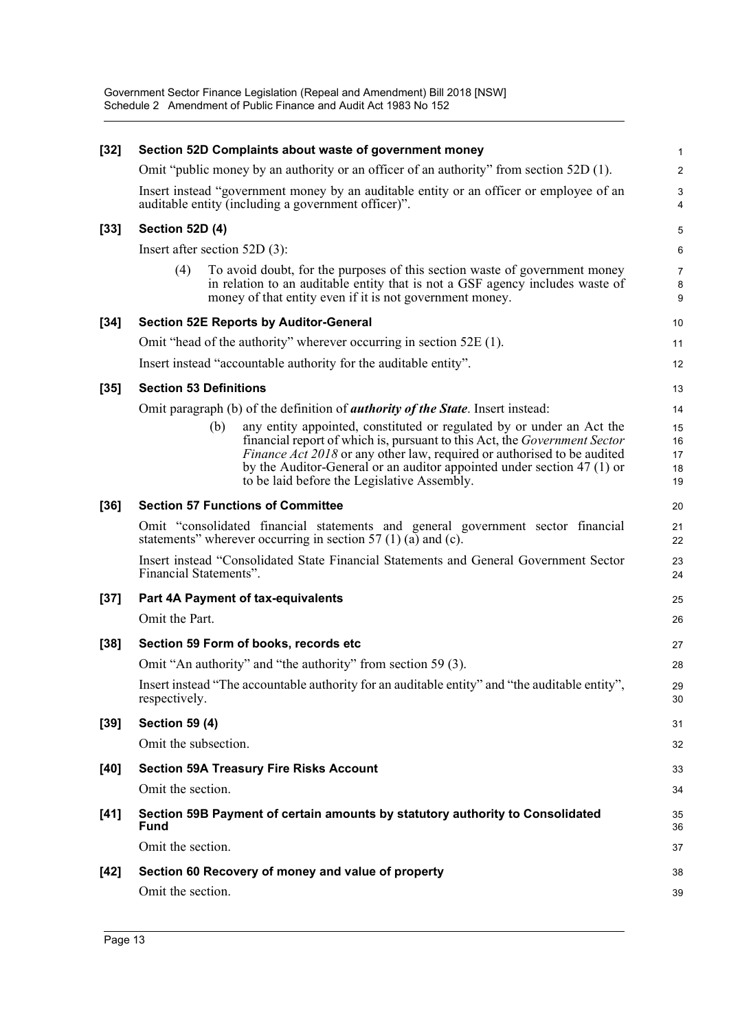| $[32]$ | Section 52D Complaints about waste of government money                                                                                                                                                                                                                                                                                                               | $\mathbf{1}$               |
|--------|----------------------------------------------------------------------------------------------------------------------------------------------------------------------------------------------------------------------------------------------------------------------------------------------------------------------------------------------------------------------|----------------------------|
|        | Omit "public money by an authority or an officer of an authority" from section 52D (1).                                                                                                                                                                                                                                                                              | $\overline{\mathbf{c}}$    |
|        | Insert instead "government money by an auditable entity or an officer or employee of an<br>auditable entity (including a government officer)".                                                                                                                                                                                                                       | 3<br>4                     |
| $[33]$ | Section 52D (4)                                                                                                                                                                                                                                                                                                                                                      | 5                          |
|        | Insert after section $52D(3)$ :                                                                                                                                                                                                                                                                                                                                      | 6                          |
|        | To avoid doubt, for the purposes of this section waste of government money<br>(4)<br>in relation to an auditable entity that is not a GSF agency includes waste of<br>money of that entity even if it is not government money.                                                                                                                                       | $\overline{7}$<br>8<br>9   |
| $[34]$ | <b>Section 52E Reports by Auditor-General</b>                                                                                                                                                                                                                                                                                                                        | 10                         |
|        | Omit "head of the authority" wherever occurring in section 52E (1).                                                                                                                                                                                                                                                                                                  | 11                         |
|        | Insert instead "accountable authority for the auditable entity".                                                                                                                                                                                                                                                                                                     | 12                         |
| $[35]$ | <b>Section 53 Definitions</b>                                                                                                                                                                                                                                                                                                                                        | 13                         |
|        | Omit paragraph (b) of the definition of <i>authority of the State</i> . Insert instead:                                                                                                                                                                                                                                                                              | 14                         |
|        | any entity appointed, constituted or regulated by or under an Act the<br>(b)<br>financial report of which is, pursuant to this Act, the Government Sector<br><i>Finance Act 2018</i> or any other law, required or authorised to be audited<br>by the Auditor-General or an auditor appointed under section 47 (1) or<br>to be laid before the Legislative Assembly. | 15<br>16<br>17<br>18<br>19 |
| $[36]$ | <b>Section 57 Functions of Committee</b>                                                                                                                                                                                                                                                                                                                             | 20                         |
|        | Omit "consolidated financial statements and general government sector financial<br>statements" wherever occurring in section 57 (1) (a) and (c).                                                                                                                                                                                                                     | 21<br>22                   |
|        | Insert instead "Consolidated State Financial Statements and General Government Sector<br>Financial Statements".                                                                                                                                                                                                                                                      | 23<br>24                   |
| $[37]$ | <b>Part 4A Payment of tax-equivalents</b>                                                                                                                                                                                                                                                                                                                            | 25                         |
|        | Omit the Part.                                                                                                                                                                                                                                                                                                                                                       | 26                         |
| $[38]$ | Section 59 Form of books, records etc                                                                                                                                                                                                                                                                                                                                | 27                         |
|        | Omit "An authority" and "the authority" from section 59 (3).                                                                                                                                                                                                                                                                                                         | 28                         |
|        | Insert instead "The accountable authority for an auditable entity" and "the auditable entity",<br>respectively.                                                                                                                                                                                                                                                      | 29<br>30                   |
| $[39]$ | <b>Section 59 (4)</b>                                                                                                                                                                                                                                                                                                                                                | 31                         |
|        | Omit the subsection.                                                                                                                                                                                                                                                                                                                                                 | 32                         |
| $[40]$ | <b>Section 59A Treasury Fire Risks Account</b>                                                                                                                                                                                                                                                                                                                       | 33                         |
|        | Omit the section.                                                                                                                                                                                                                                                                                                                                                    | 34                         |
| [41]   | Section 59B Payment of certain amounts by statutory authority to Consolidated<br>Fund                                                                                                                                                                                                                                                                                | 35<br>36                   |
|        | Omit the section.                                                                                                                                                                                                                                                                                                                                                    | 37                         |
| $[42]$ | Section 60 Recovery of money and value of property                                                                                                                                                                                                                                                                                                                   | 38                         |
|        | Omit the section.                                                                                                                                                                                                                                                                                                                                                    | 39                         |
|        |                                                                                                                                                                                                                                                                                                                                                                      |                            |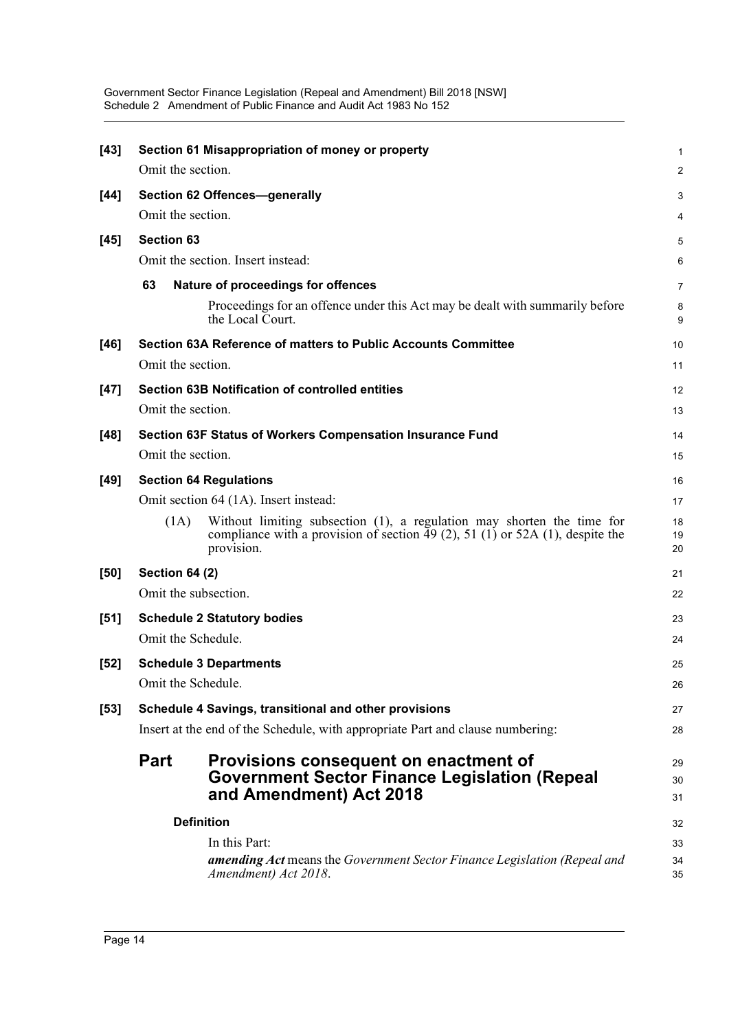| $[43]$ |                                       | Section 61 Misappropriation of money or property                                                                                                                      | $\mathbf{1}$   |  |  |  |  |
|--------|---------------------------------------|-----------------------------------------------------------------------------------------------------------------------------------------------------------------------|----------------|--|--|--|--|
|        | Omit the section.                     |                                                                                                                                                                       | 2              |  |  |  |  |
| [44]   |                                       | Section 62 Offences-generally                                                                                                                                         | 3              |  |  |  |  |
|        | Omit the section.                     |                                                                                                                                                                       | 4              |  |  |  |  |
| $[45]$ | <b>Section 63</b>                     |                                                                                                                                                                       | 5              |  |  |  |  |
|        |                                       | Omit the section. Insert instead:                                                                                                                                     | 6              |  |  |  |  |
|        | 63                                    | Nature of proceedings for offences                                                                                                                                    | $\overline{7}$ |  |  |  |  |
|        |                                       | Proceedings for an offence under this Act may be dealt with summarily before<br>the Local Court.                                                                      | 8<br>9         |  |  |  |  |
| [46]   |                                       | Section 63A Reference of matters to Public Accounts Committee                                                                                                         | 10             |  |  |  |  |
|        | Omit the section.                     |                                                                                                                                                                       | 11             |  |  |  |  |
| $[47]$ |                                       | <b>Section 63B Notification of controlled entities</b>                                                                                                                | 12             |  |  |  |  |
|        | Omit the section.                     |                                                                                                                                                                       | 13             |  |  |  |  |
| $[48]$ |                                       | Section 63F Status of Workers Compensation Insurance Fund                                                                                                             | 14             |  |  |  |  |
|        | Omit the section.                     |                                                                                                                                                                       | 15             |  |  |  |  |
| $[49]$ |                                       | <b>Section 64 Regulations</b>                                                                                                                                         | 16             |  |  |  |  |
|        | Omit section 64 (1A). Insert instead: |                                                                                                                                                                       |                |  |  |  |  |
|        | (1A)                                  | Without limiting subsection (1), a regulation may shorten the time for<br>compliance with a provision of section 49 (2), 51 (1) or 52A (1), despite the<br>provision. | 18<br>19<br>20 |  |  |  |  |
| [50]   | <b>Section 64 (2)</b>                 |                                                                                                                                                                       | 21             |  |  |  |  |
|        | Omit the subsection.                  |                                                                                                                                                                       | 22             |  |  |  |  |
| $[51]$ | <b>Schedule 2 Statutory bodies</b>    |                                                                                                                                                                       |                |  |  |  |  |
|        | Omit the Schedule.                    |                                                                                                                                                                       | 24             |  |  |  |  |
| $[52]$ |                                       | <b>Schedule 3 Departments</b>                                                                                                                                         | 25             |  |  |  |  |
|        | Omit the Schedule.                    |                                                                                                                                                                       | 26             |  |  |  |  |
| $[53]$ |                                       | Schedule 4 Savings, transitional and other provisions                                                                                                                 | 27             |  |  |  |  |
|        |                                       | Insert at the end of the Schedule, with appropriate Part and clause numbering:                                                                                        | 28             |  |  |  |  |
|        | <b>Part</b>                           | Provisions consequent on enactment of<br><b>Government Sector Finance Legislation (Repeal</b><br>and Amendment) Act 2018                                              | 29<br>30<br>31 |  |  |  |  |
|        |                                       | <b>Definition</b>                                                                                                                                                     | 32             |  |  |  |  |
|        |                                       | In this Part:<br><b>amending Act</b> means the Government Sector Finance Legislation (Repeal and<br>Amendment) Act 2018.                                              | 33<br>34<br>35 |  |  |  |  |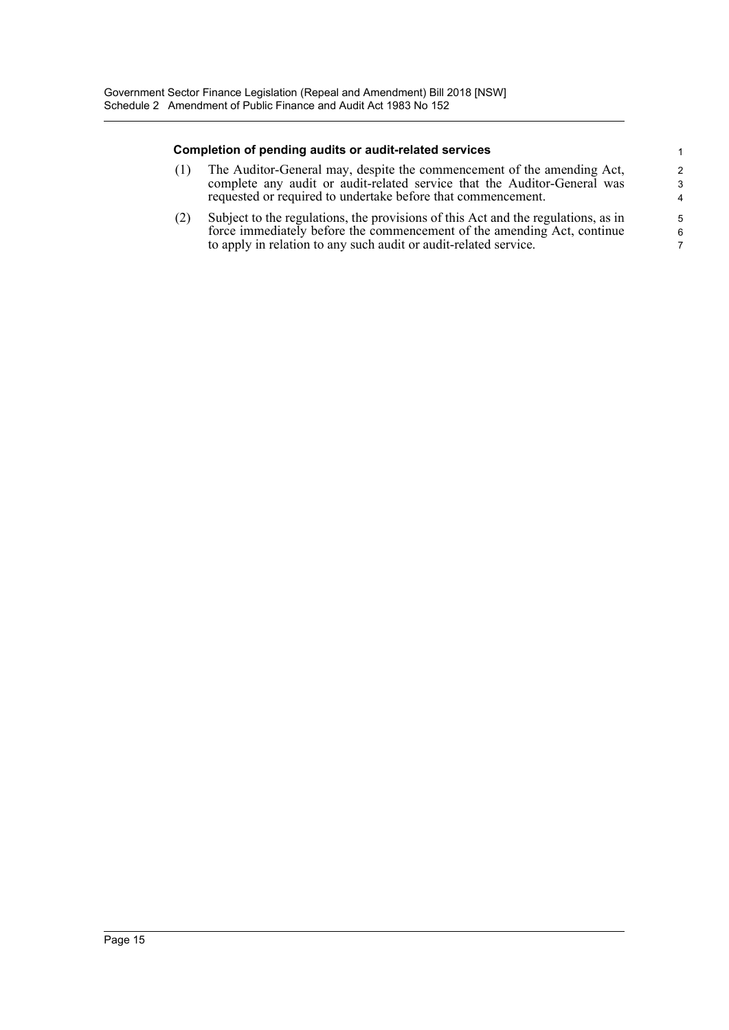#### **Completion of pending audits or audit-related services**

(1) The Auditor-General may, despite the commencement of the amending Act, complete any audit or audit-related service that the Auditor-General was requested or required to undertake before that commencement.

(2) Subject to the regulations, the provisions of this Act and the regulations, as in force immediately before the commencement of the amending Act, continue to apply in relation to any such audit or audit-related service.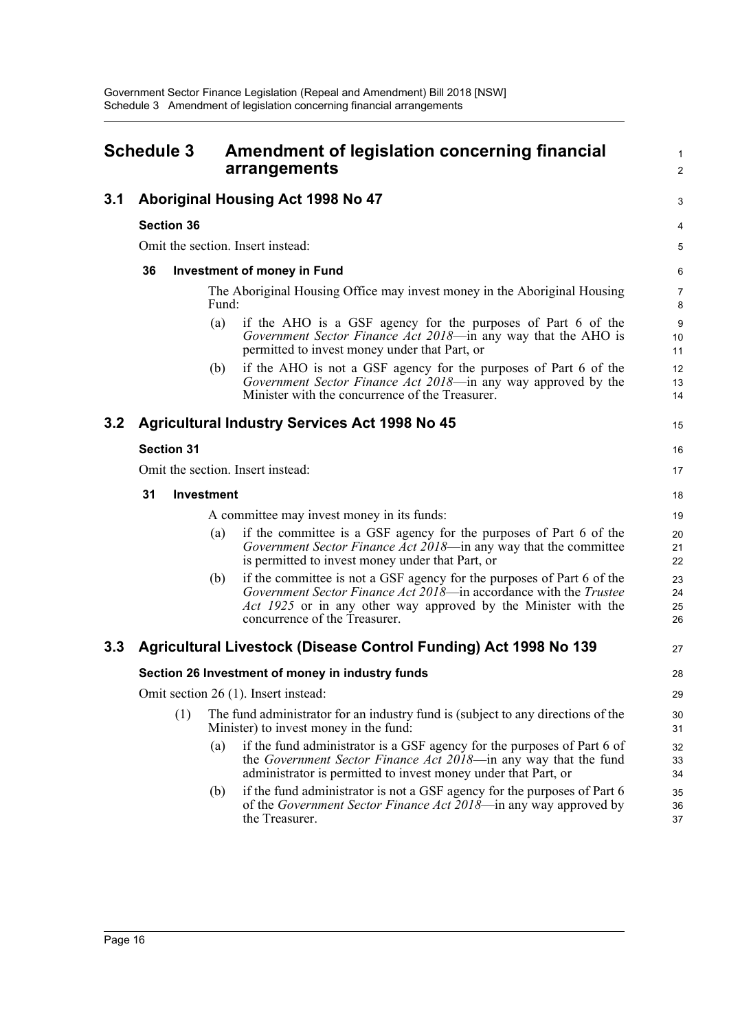<span id="page-18-0"></span>

|     | <b>Schedule 3</b>                 |                   | Amendment of legislation concerning financial<br>arrangements                                                                                                                                                                                  | 1<br>$\overline{\mathbf{c}}$ |
|-----|-----------------------------------|-------------------|------------------------------------------------------------------------------------------------------------------------------------------------------------------------------------------------------------------------------------------------|------------------------------|
| 3.1 |                                   |                   | Aboriginal Housing Act 1998 No 47                                                                                                                                                                                                              | 3                            |
|     | <b>Section 36</b>                 |                   |                                                                                                                                                                                                                                                | 4                            |
|     |                                   |                   | Omit the section. Insert instead:                                                                                                                                                                                                              | 5                            |
|     | 36                                |                   | <b>Investment of money in Fund</b>                                                                                                                                                                                                             | 6                            |
|     |                                   | Fund:             | The Aboriginal Housing Office may invest money in the Aboriginal Housing                                                                                                                                                                       | 7<br>8                       |
|     |                                   | (a)               | if the AHO is a GSF agency for the purposes of Part 6 of the<br>Government Sector Finance Act 2018-in any way that the AHO is<br>permitted to invest money under that Part, or                                                                 | 9<br>10<br>11                |
|     |                                   | (b)               | if the AHO is not a GSF agency for the purposes of Part 6 of the<br>Government Sector Finance Act 2018-in any way approved by the<br>Minister with the concurrence of the Treasurer.                                                           | 12<br>13<br>14               |
| 3.2 |                                   |                   | <b>Agricultural Industry Services Act 1998 No 45</b>                                                                                                                                                                                           | 15                           |
|     | <b>Section 31</b>                 |                   |                                                                                                                                                                                                                                                | 16                           |
|     | Omit the section. Insert instead: |                   |                                                                                                                                                                                                                                                |                              |
|     | 31                                | <b>Investment</b> |                                                                                                                                                                                                                                                | 18                           |
|     |                                   |                   | A committee may invest money in its funds:                                                                                                                                                                                                     | 19                           |
|     |                                   | (a)               | if the committee is a GSF agency for the purposes of Part 6 of the<br>Government Sector Finance Act 2018-in any way that the committee<br>is permitted to invest money under that Part, or                                                     | 20<br>21<br>22               |
|     |                                   | (b)               | if the committee is not a GSF agency for the purposes of Part 6 of the<br>Government Sector Finance Act 2018—in accordance with the Trustee<br>Act 1925 or in any other way approved by the Minister with the<br>concurrence of the Treasurer. | 23<br>24<br>25<br>26         |
| 3.3 |                                   |                   | Agricultural Livestock (Disease Control Funding) Act 1998 No 139                                                                                                                                                                               | 27                           |
|     |                                   |                   | Section 26 Investment of money in industry funds                                                                                                                                                                                               | 28                           |
|     |                                   |                   | Omit section 26 (1). Insert instead:                                                                                                                                                                                                           | 29                           |
|     | (1)                               |                   | The fund administrator for an industry fund is (subject to any directions of the<br>Minister) to invest money in the fund:                                                                                                                     | 30<br>31                     |
|     |                                   | (a)               | if the fund administrator is a GSF agency for the purposes of Part 6 of<br>the Government Sector Finance Act 2018-in any way that the fund<br>administrator is permitted to invest money under that Part, or                                   | 32<br>33<br>34               |
|     |                                   | (b)               | if the fund administrator is not a GSF agency for the purposes of Part 6<br>of the <i>Government Sector Finance Act 2018</i> —in any way approved by<br>the Treasurer.                                                                         | 35<br>36<br>37               |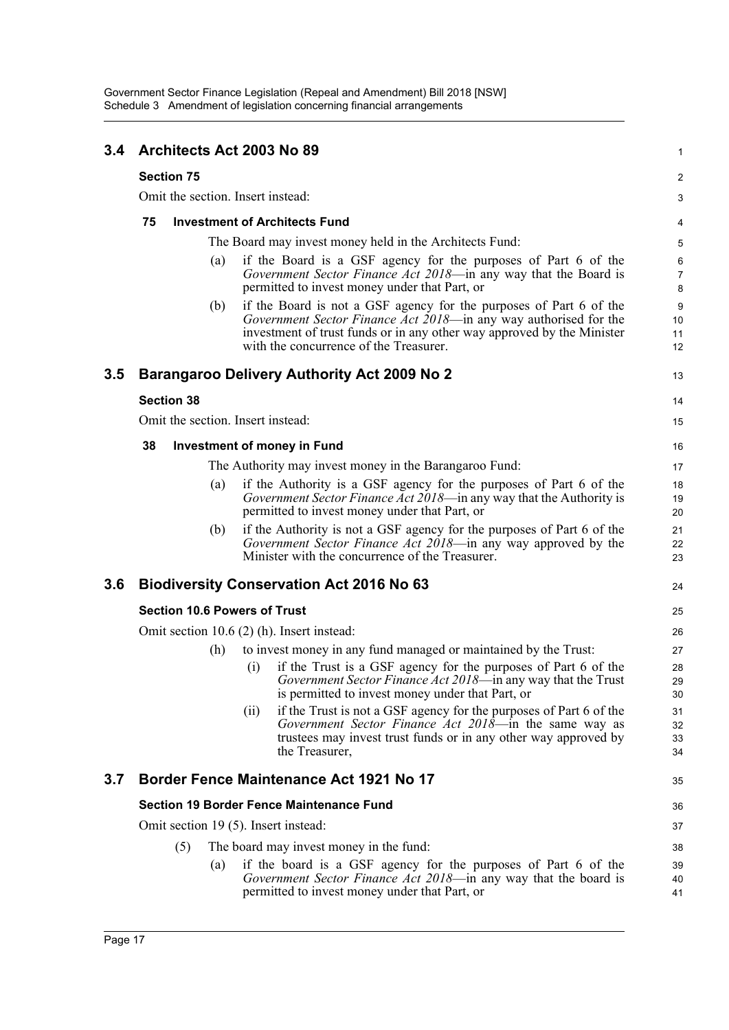| 3.4 |                                                        |     | Architects Act 2003 No 89                                                                                                                                                                                                                                  | 1                        |  |  |  |  |  |
|-----|--------------------------------------------------------|-----|------------------------------------------------------------------------------------------------------------------------------------------------------------------------------------------------------------------------------------------------------------|--------------------------|--|--|--|--|--|
|     | <b>Section 75</b><br>Omit the section. Insert instead: |     |                                                                                                                                                                                                                                                            |                          |  |  |  |  |  |
|     |                                                        |     |                                                                                                                                                                                                                                                            | 3                        |  |  |  |  |  |
|     | 75                                                     |     | <b>Investment of Architects Fund</b>                                                                                                                                                                                                                       | 4                        |  |  |  |  |  |
|     |                                                        |     | The Board may invest money held in the Architects Fund:                                                                                                                                                                                                    | 5                        |  |  |  |  |  |
|     |                                                        | (a) | if the Board is a GSF agency for the purposes of Part 6 of the<br>Government Sector Finance Act 2018-in any way that the Board is<br>permitted to invest money under that Part, or                                                                         | 6<br>$\overline{7}$<br>8 |  |  |  |  |  |
|     |                                                        | (b) | if the Board is not a GSF agency for the purposes of Part 6 of the<br>Government Sector Finance Act 2018—in any way authorised for the<br>investment of trust funds or in any other way approved by the Minister<br>with the concurrence of the Treasurer. | 9<br>10<br>11<br>12      |  |  |  |  |  |
| 3.5 |                                                        |     | <b>Barangaroo Delivery Authority Act 2009 No 2</b>                                                                                                                                                                                                         | 13                       |  |  |  |  |  |
|     | <b>Section 38</b>                                      |     |                                                                                                                                                                                                                                                            | 14                       |  |  |  |  |  |
|     |                                                        |     | Omit the section. Insert instead:                                                                                                                                                                                                                          | 15                       |  |  |  |  |  |
|     | 38                                                     |     | <b>Investment of money in Fund</b>                                                                                                                                                                                                                         | 16                       |  |  |  |  |  |
|     |                                                        |     | The Authority may invest money in the Barangaroo Fund:                                                                                                                                                                                                     | 17                       |  |  |  |  |  |
|     |                                                        | (a) | if the Authority is a GSF agency for the purposes of Part 6 of the<br>Government Sector Finance Act 2018—in any way that the Authority is<br>permitted to invest money under that Part, or                                                                 | 18<br>19<br>20           |  |  |  |  |  |
|     |                                                        | (b) | if the Authority is not a GSF agency for the purposes of Part 6 of the<br>Government Sector Finance Act 2018—in any way approved by the<br>Minister with the concurrence of the Treasurer.                                                                 | 21<br>22<br>23           |  |  |  |  |  |
| 3.6 |                                                        |     | <b>Biodiversity Conservation Act 2016 No 63</b>                                                                                                                                                                                                            | 24                       |  |  |  |  |  |
|     |                                                        |     | <b>Section 10.6 Powers of Trust</b>                                                                                                                                                                                                                        | 25                       |  |  |  |  |  |
|     | Omit section $10.6$ (2) (h). Insert instead:           |     |                                                                                                                                                                                                                                                            |                          |  |  |  |  |  |
|     |                                                        | (h) | to invest money in any fund managed or maintained by the Trust:                                                                                                                                                                                            | 27                       |  |  |  |  |  |
|     |                                                        |     | if the Trust is a GSF agency for the purposes of Part 6 of the<br>$\left( 1\right)$<br>Government Sector Finance Act 2018-in any way that the Trust<br>is permitted to invest money under that Part, or                                                    | 28<br>29<br>30           |  |  |  |  |  |
|     |                                                        |     | if the Trust is not a GSF agency for the purposes of Part 6 of the<br>(ii)<br>Government Sector Finance Act 2018—in the same way as<br>trustees may invest trust funds or in any other way approved by<br>the Treasurer,                                   | 31<br>32<br>33<br>34     |  |  |  |  |  |
| 3.7 |                                                        |     | <b>Border Fence Maintenance Act 1921 No 17</b>                                                                                                                                                                                                             | 35                       |  |  |  |  |  |
|     |                                                        |     | <b>Section 19 Border Fence Maintenance Fund</b>                                                                                                                                                                                                            | 36                       |  |  |  |  |  |
|     |                                                        |     | Omit section 19 (5). Insert instead:                                                                                                                                                                                                                       | 37                       |  |  |  |  |  |
|     |                                                        | (5) | The board may invest money in the fund:                                                                                                                                                                                                                    | 38                       |  |  |  |  |  |
|     |                                                        | (a) | if the board is a GSF agency for the purposes of Part 6 of the<br><i>Government Sector Finance Act 2018</i> —in any way that the board is<br>permitted to invest money under that Part, or                                                                 | 39<br>40<br>41           |  |  |  |  |  |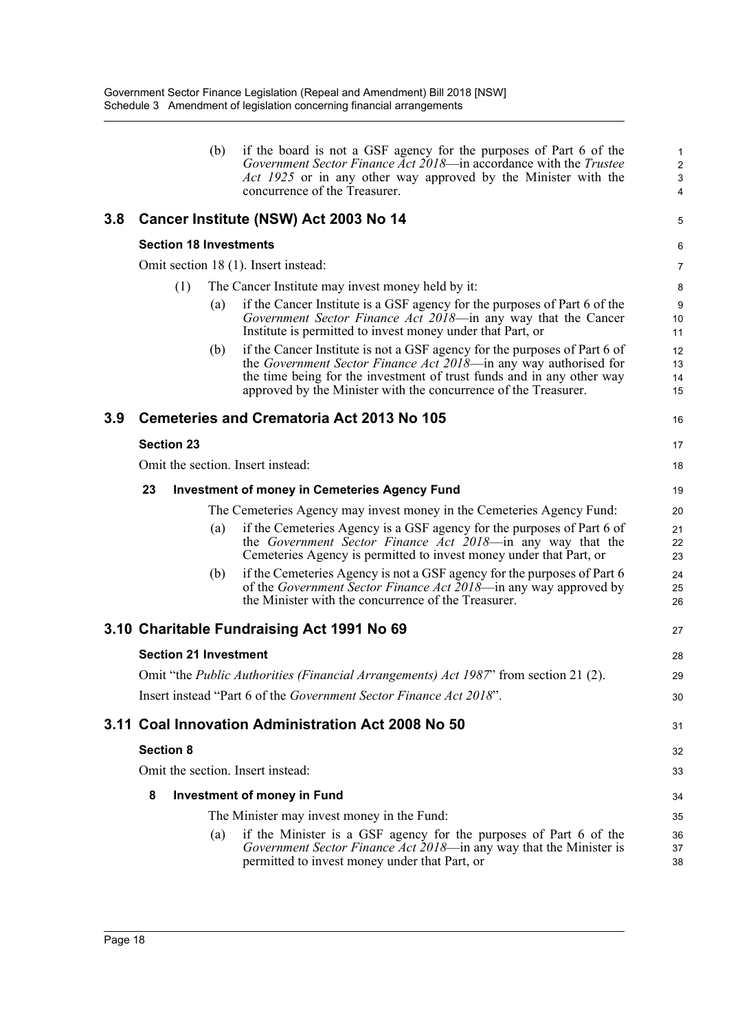|     |                   |     | (b) | if the board is not a GSF agency for the purposes of Part 6 of the<br>Government Sector Finance Act 2018—in accordance with the Trustee<br>Act 1925 or in any other way approved by the Minister with the<br>concurrence of the Treasurer.                                                | 1<br>$\overline{2}$<br>$\sqrt{3}$<br>4 |
|-----|-------------------|-----|-----|-------------------------------------------------------------------------------------------------------------------------------------------------------------------------------------------------------------------------------------------------------------------------------------------|----------------------------------------|
| 3.8 |                   |     |     | Cancer Institute (NSW) Act 2003 No 14                                                                                                                                                                                                                                                     | 5                                      |
|     |                   |     |     | <b>Section 18 Investments</b>                                                                                                                                                                                                                                                             | 6                                      |
|     |                   |     |     | Omit section 18 (1). Insert instead:                                                                                                                                                                                                                                                      | 7                                      |
|     |                   | (1) |     | The Cancer Institute may invest money held by it:                                                                                                                                                                                                                                         | 8                                      |
|     |                   |     | (a) | if the Cancer Institute is a GSF agency for the purposes of Part 6 of the<br>Government Sector Finance Act 2018-in any way that the Cancer<br>Institute is permitted to invest money under that Part, or                                                                                  | 9<br>10<br>11                          |
|     |                   |     | (b) | if the Cancer Institute is not a GSF agency for the purposes of Part 6 of<br>the Government Sector Finance Act 2018—in any way authorised for<br>the time being for the investment of trust funds and in any other way<br>approved by the Minister with the concurrence of the Treasurer. | 12<br>13<br>14<br>15                   |
| 3.9 |                   |     |     | <b>Cemeteries and Crematoria Act 2013 No 105</b>                                                                                                                                                                                                                                          | 16                                     |
|     | <b>Section 23</b> |     |     |                                                                                                                                                                                                                                                                                           | 17                                     |
|     |                   |     |     | Omit the section. Insert instead:                                                                                                                                                                                                                                                         | 18                                     |
|     | 23                |     |     | <b>Investment of money in Cemeteries Agency Fund</b>                                                                                                                                                                                                                                      | 19                                     |
|     |                   |     |     | The Cemeteries Agency may invest money in the Cemeteries Agency Fund:                                                                                                                                                                                                                     | 20                                     |
|     |                   |     | (a) | if the Cemeteries Agency is a GSF agency for the purposes of Part 6 of<br>the Government Sector Finance Act 2018—in any way that the<br>Cemeteries Agency is permitted to invest money under that Part, or                                                                                | 21<br>22<br>23                         |
|     |                   |     | (b) | if the Cemeteries Agency is not a GSF agency for the purposes of Part 6<br>of the Government Sector Finance Act 2018—in any way approved by<br>the Minister with the concurrence of the Treasurer.                                                                                        | 24<br>25<br>26                         |
|     |                   |     |     | 3.10 Charitable Fundraising Act 1991 No 69                                                                                                                                                                                                                                                | 27                                     |
|     |                   |     |     | <b>Section 21 Investment</b>                                                                                                                                                                                                                                                              | 28                                     |
|     |                   |     |     | Omit "the <i>Public Authorities (Financial Arrangements) Act 1987</i> " from section 21 (2).                                                                                                                                                                                              | 29                                     |
|     |                   |     |     | Insert instead "Part 6 of the <i>Government Sector Finance Act 2018</i> ".                                                                                                                                                                                                                | 30                                     |
|     |                   |     |     | 3.11 Coal Innovation Administration Act 2008 No 50                                                                                                                                                                                                                                        | 31                                     |
|     | <b>Section 8</b>  |     |     |                                                                                                                                                                                                                                                                                           | 32                                     |
|     |                   |     |     | Omit the section. Insert instead:                                                                                                                                                                                                                                                         | 33                                     |
|     | 8                 |     |     | Investment of money in Fund                                                                                                                                                                                                                                                               | 34                                     |
|     |                   |     |     | The Minister may invest money in the Fund:                                                                                                                                                                                                                                                | 35                                     |
|     |                   |     | (a) | if the Minister is a GSF agency for the purposes of Part 6 of the<br>Government Sector Finance Act 2018-in any way that the Minister is<br>permitted to invest money under that Part, or                                                                                                  | 36<br>37<br>38                         |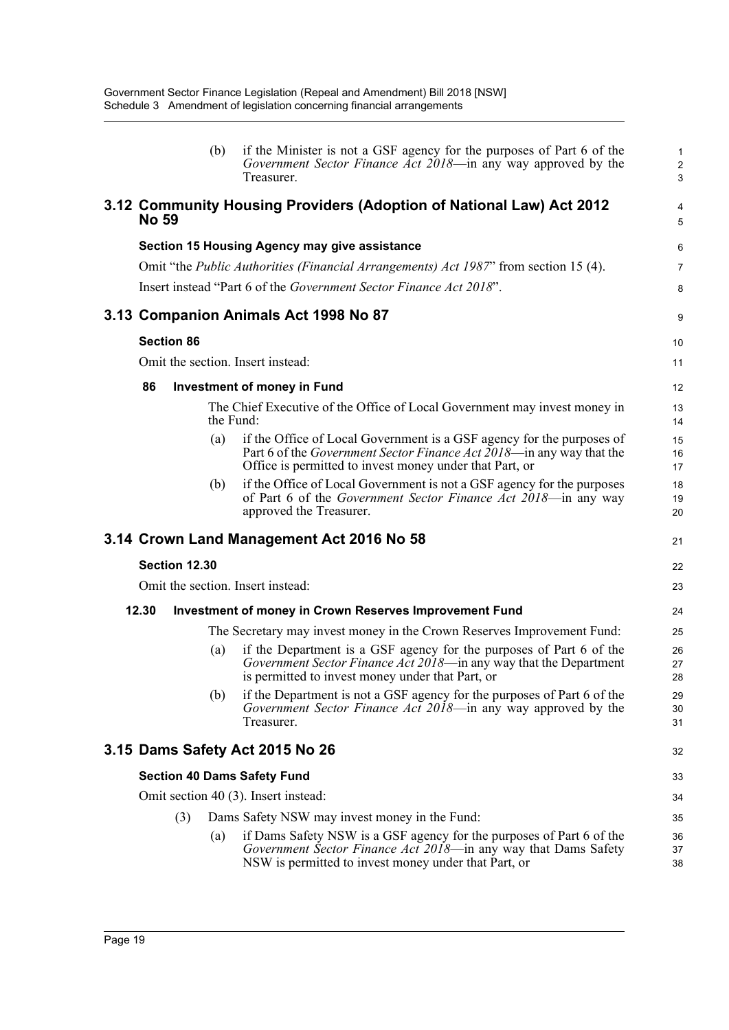|              |                   | (b)       | if the Minister is not a GSF agency for the purposes of Part 6 of the<br>Government Sector Finance Act 2018—in any way approved by the<br>Treasurer.                                                            | 1<br>$\overline{c}$<br>3 |
|--------------|-------------------|-----------|-----------------------------------------------------------------------------------------------------------------------------------------------------------------------------------------------------------------|--------------------------|
| <b>No 59</b> |                   |           | 3.12 Community Housing Providers (Adoption of National Law) Act 2012                                                                                                                                            | 4<br>5                   |
|              |                   |           | Section 15 Housing Agency may give assistance                                                                                                                                                                   | $6\phantom{1}6$          |
|              |                   |           | Omit "the <i>Public Authorities (Financial Arrangements) Act 1987</i> " from section 15 (4).                                                                                                                    | $\overline{7}$           |
|              |                   |           | Insert instead "Part 6 of the Government Sector Finance Act 2018".                                                                                                                                              | 8                        |
|              |                   |           | 3.13 Companion Animals Act 1998 No 87                                                                                                                                                                           | 9                        |
|              | <b>Section 86</b> |           |                                                                                                                                                                                                                 | 10                       |
|              |                   |           | Omit the section. Insert instead:                                                                                                                                                                               | 11                       |
| 86           |                   |           | <b>Investment of money in Fund</b>                                                                                                                                                                              | 12                       |
|              |                   | the Fund: | The Chief Executive of the Office of Local Government may invest money in                                                                                                                                       | 13<br>14                 |
|              |                   | (a)       | if the Office of Local Government is a GSF agency for the purposes of<br>Part 6 of the <i>Government Sector Finance Act</i> 2018—in any way that the<br>Office is permitted to invest money under that Part, or | 15<br>16<br>17           |
|              |                   | (b)       | if the Office of Local Government is not a GSF agency for the purposes<br>of Part 6 of the <i>Government Sector Finance Act 2018</i> —in any way<br>approved the Treasurer.                                     | 18<br>19<br>20           |
|              |                   |           | 3.14 Crown Land Management Act 2016 No 58                                                                                                                                                                       | 21                       |
|              | Section 12.30     |           |                                                                                                                                                                                                                 | 22                       |
|              |                   |           | Omit the section. Insert instead:                                                                                                                                                                               | 23                       |
| 12.30        |                   |           | <b>Investment of money in Crown Reserves Improvement Fund</b>                                                                                                                                                   | 24                       |
|              |                   |           | The Secretary may invest money in the Crown Reserves Improvement Fund:                                                                                                                                          | 25                       |
|              |                   | (a)       | if the Department is a GSF agency for the purposes of Part 6 of the<br>Government Sector Finance Act 2018-in any way that the Department<br>is permitted to invest money under that Part, or                    | 26<br>27<br>28           |
|              |                   | (b)       | if the Department is not a GSF agency for the purposes of Part 6 of the<br>Government Sector Finance Act 2018—in any way approved by the<br>Treasurer.                                                          | 29<br>30<br>31           |
|              |                   |           | 3.15 Dams Safety Act 2015 No 26                                                                                                                                                                                 | 32                       |
|              |                   |           | <b>Section 40 Dams Safety Fund</b>                                                                                                                                                                              | 33                       |
|              |                   |           | Omit section 40 (3). Insert instead:                                                                                                                                                                            | 34                       |
|              | (3)               |           | Dams Safety NSW may invest money in the Fund:                                                                                                                                                                   | 35                       |
|              |                   | (a)       | if Dams Safety NSW is a GSF agency for the purposes of Part 6 of the<br>Government Sector Finance Act 2018-in any way that Dams Safety<br>NSW is permitted to invest money under that Part, or                  | 36<br>37<br>38           |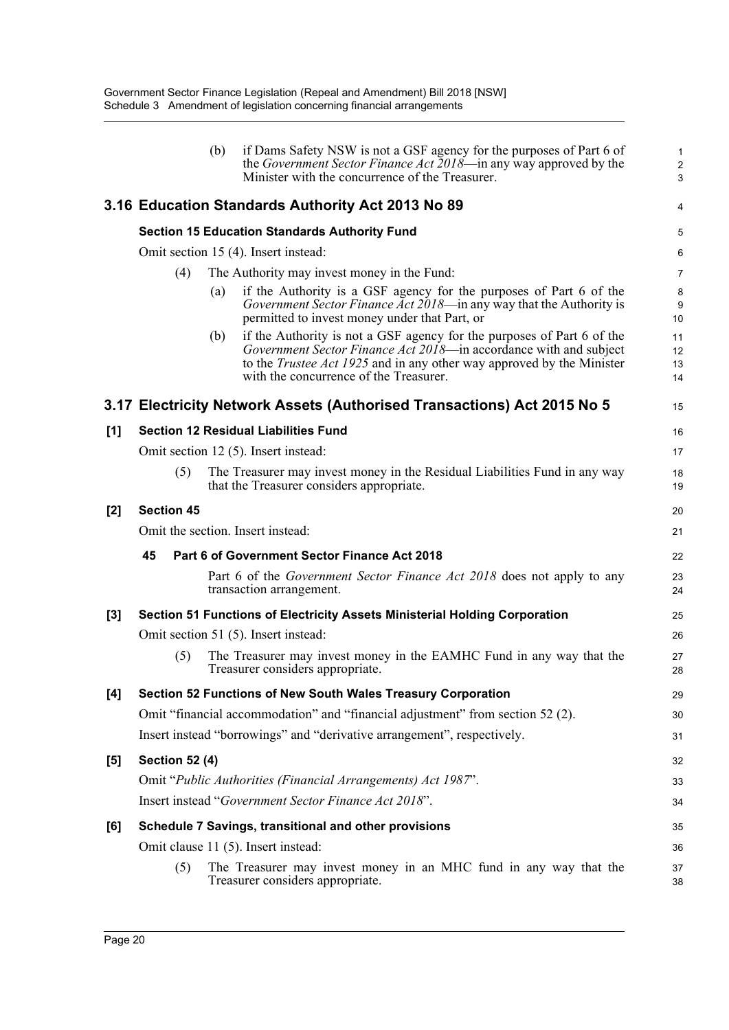|       |                       | (b) | if Dams Safety NSW is not a GSF agency for the purposes of Part 6 of<br>the Government Sector Finance Act 2018—in any way approved by the<br>Minister with the concurrence of the Treasurer.                                                                          | $\mathbf{1}$<br>$\overline{2}$<br>3 |
|-------|-----------------------|-----|-----------------------------------------------------------------------------------------------------------------------------------------------------------------------------------------------------------------------------------------------------------------------|-------------------------------------|
|       |                       |     | 3.16 Education Standards Authority Act 2013 No 89                                                                                                                                                                                                                     | 4                                   |
|       |                       |     | <b>Section 15 Education Standards Authority Fund</b>                                                                                                                                                                                                                  | 5                                   |
|       |                       |     | Omit section 15 (4). Insert instead:                                                                                                                                                                                                                                  | 6                                   |
|       | (4)                   |     | The Authority may invest money in the Fund:                                                                                                                                                                                                                           | 7                                   |
|       |                       | (a) | if the Authority is a GSF agency for the purposes of Part 6 of the<br>Government Sector Finance Act 2018-in any way that the Authority is<br>permitted to invest money under that Part, or                                                                            | 8<br>9<br>10                        |
|       |                       | (b) | if the Authority is not a GSF agency for the purposes of Part 6 of the<br>Government Sector Finance Act 2018—in accordance with and subject<br>to the <i>Trustee Act 1925</i> and in any other way approved by the Minister<br>with the concurrence of the Treasurer. | 11<br>12<br>13<br>14                |
|       |                       |     | 3.17 Electricity Network Assets (Authorised Transactions) Act 2015 No 5                                                                                                                                                                                               | 15                                  |
| [1]   |                       |     | <b>Section 12 Residual Liabilities Fund</b>                                                                                                                                                                                                                           | 16                                  |
|       |                       |     | Omit section 12 (5). Insert instead:                                                                                                                                                                                                                                  | 17                                  |
|       | (5)                   |     | The Treasurer may invest money in the Residual Liabilities Fund in any way<br>that the Treasurer considers appropriate.                                                                                                                                               | 18<br>19                            |
| $[2]$ | <b>Section 45</b>     |     |                                                                                                                                                                                                                                                                       | 20                                  |
|       |                       |     | Omit the section. Insert instead:                                                                                                                                                                                                                                     | 21                                  |
|       | 45                    |     | Part 6 of Government Sector Finance Act 2018                                                                                                                                                                                                                          | 22                                  |
|       |                       |     | Part 6 of the <i>Government Sector Finance Act 2018</i> does not apply to any<br>transaction arrangement.                                                                                                                                                             | 23<br>24                            |
| $[3]$ |                       |     | Section 51 Functions of Electricity Assets Ministerial Holding Corporation                                                                                                                                                                                            | 25                                  |
|       |                       |     | Omit section 51 (5). Insert instead:                                                                                                                                                                                                                                  | 26                                  |
|       | (5)                   |     | The Treasurer may invest money in the EAMHC Fund in any way that the<br>Treasurer considers appropriate.                                                                                                                                                              | 27<br>28                            |
| [4]   |                       |     | Section 52 Functions of New South Wales Treasury Corporation                                                                                                                                                                                                          | 29                                  |
|       |                       |     | Omit "financial accommodation" and "financial adjustment" from section 52 (2).                                                                                                                                                                                        | 30                                  |
|       |                       |     | Insert instead "borrowings" and "derivative arrangement", respectively.                                                                                                                                                                                               | 31                                  |
| [5]   | <b>Section 52 (4)</b> |     |                                                                                                                                                                                                                                                                       | 32                                  |
|       |                       |     | Omit "Public Authorities (Financial Arrangements) Act 1987".                                                                                                                                                                                                          | 33                                  |
|       |                       |     | Insert instead "Government Sector Finance Act 2018".                                                                                                                                                                                                                  | 34                                  |
| [6]   |                       |     | Schedule 7 Savings, transitional and other provisions                                                                                                                                                                                                                 | 35                                  |
|       |                       |     | Omit clause 11 (5). Insert instead:                                                                                                                                                                                                                                   | 36                                  |
|       | (5)                   |     | The Treasurer may invest money in an MHC fund in any way that the<br>Treasurer considers appropriate.                                                                                                                                                                 | 37<br>38                            |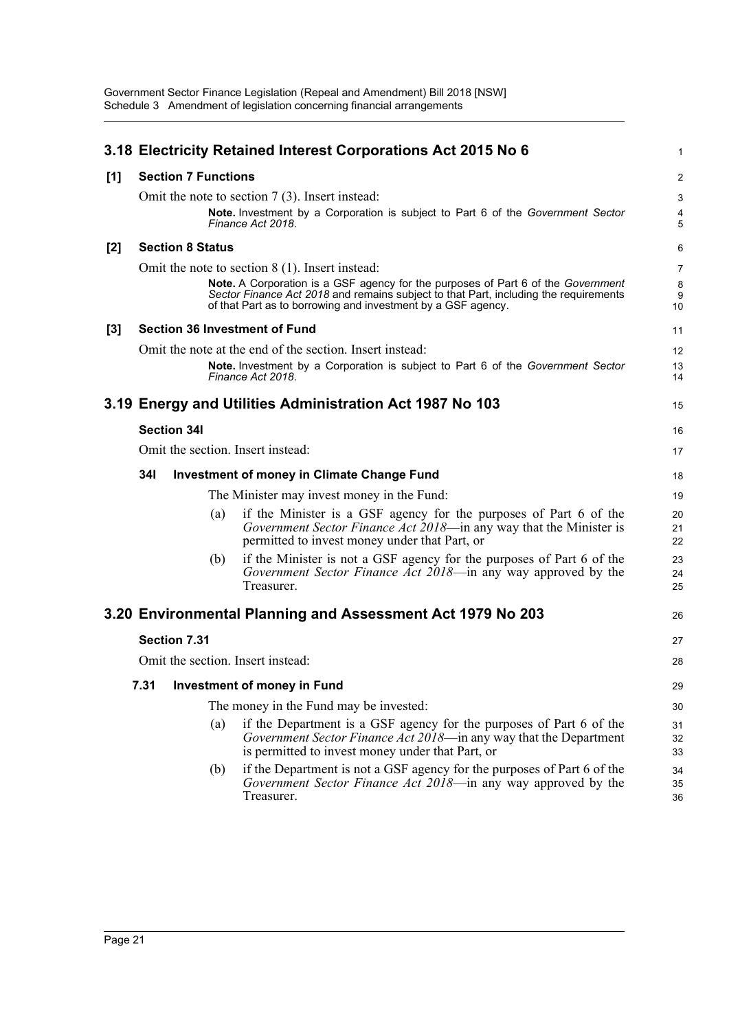|       |                            |     | 3.18 Electricity Retained Interest Corporations Act 2015 No 6                                                                                                                                                                                                                                 | $\mathbf{1}$                   |
|-------|----------------------------|-----|-----------------------------------------------------------------------------------------------------------------------------------------------------------------------------------------------------------------------------------------------------------------------------------------------|--------------------------------|
| [1]   | <b>Section 7 Functions</b> |     |                                                                                                                                                                                                                                                                                               | $\overline{2}$                 |
|       |                            |     | Omit the note to section $7(3)$ . Insert instead:<br>Note. Investment by a Corporation is subject to Part 6 of the Government Sector<br>Finance Act 2018.                                                                                                                                     | 3<br>4<br>5                    |
| $[2]$ | <b>Section 8 Status</b>    |     |                                                                                                                                                                                                                                                                                               | 6                              |
|       |                            |     | Omit the note to section $8(1)$ . Insert instead:<br>Note. A Corporation is a GSF agency for the purposes of Part 6 of the Government<br>Sector Finance Act 2018 and remains subject to that Part, including the requirements<br>of that Part as to borrowing and investment by a GSF agency. | $\overline{7}$<br>8<br>9<br>10 |
| [3]   |                            |     | <b>Section 36 Investment of Fund</b>                                                                                                                                                                                                                                                          | 11                             |
|       |                            |     | Omit the note at the end of the section. Insert instead:<br>Note. Investment by a Corporation is subject to Part 6 of the Government Sector<br>Finance Act 2018.                                                                                                                              | 12<br>13<br>14                 |
|       |                            |     | 3.19 Energy and Utilities Administration Act 1987 No 103                                                                                                                                                                                                                                      | 15                             |
|       | <b>Section 34I</b>         |     |                                                                                                                                                                                                                                                                                               | 16                             |
|       |                            |     | Omit the section. Insert instead:                                                                                                                                                                                                                                                             | 17                             |
|       | 34I                        |     | <b>Investment of money in Climate Change Fund</b>                                                                                                                                                                                                                                             | 18                             |
|       |                            |     | The Minister may invest money in the Fund:                                                                                                                                                                                                                                                    | 19                             |
|       |                            | (a) | if the Minister is a GSF agency for the purposes of Part 6 of the<br>Government Sector Finance Act 2018—in any way that the Minister is<br>permitted to invest money under that Part, or                                                                                                      | 20<br>21<br>22                 |
|       |                            | (b) | if the Minister is not a GSF agency for the purposes of Part 6 of the<br>Government Sector Finance Act 2018—in any way approved by the<br>Treasurer.                                                                                                                                          | 23<br>24<br>25                 |
|       |                            |     | 3.20 Environmental Planning and Assessment Act 1979 No 203                                                                                                                                                                                                                                    | 26                             |
|       | Section 7.31               |     |                                                                                                                                                                                                                                                                                               | 27                             |
|       |                            |     | Omit the section. Insert instead:                                                                                                                                                                                                                                                             | 28                             |
|       |                            |     | 7.31 Investment of money in Fund                                                                                                                                                                                                                                                              | 29                             |
|       |                            |     | The money in the Fund may be invested:                                                                                                                                                                                                                                                        | 30                             |
|       |                            | (a) | if the Department is a GSF agency for the purposes of Part 6 of the<br>Government Sector Finance Act 2018-in any way that the Department<br>is permitted to invest money under that Part, or                                                                                                  | 31<br>32<br>33                 |
|       |                            | (b) | if the Department is not a GSF agency for the purposes of Part 6 of the<br>Government Sector Finance Act 2018—in any way approved by the<br>Treasurer.                                                                                                                                        | 34<br>35<br>36                 |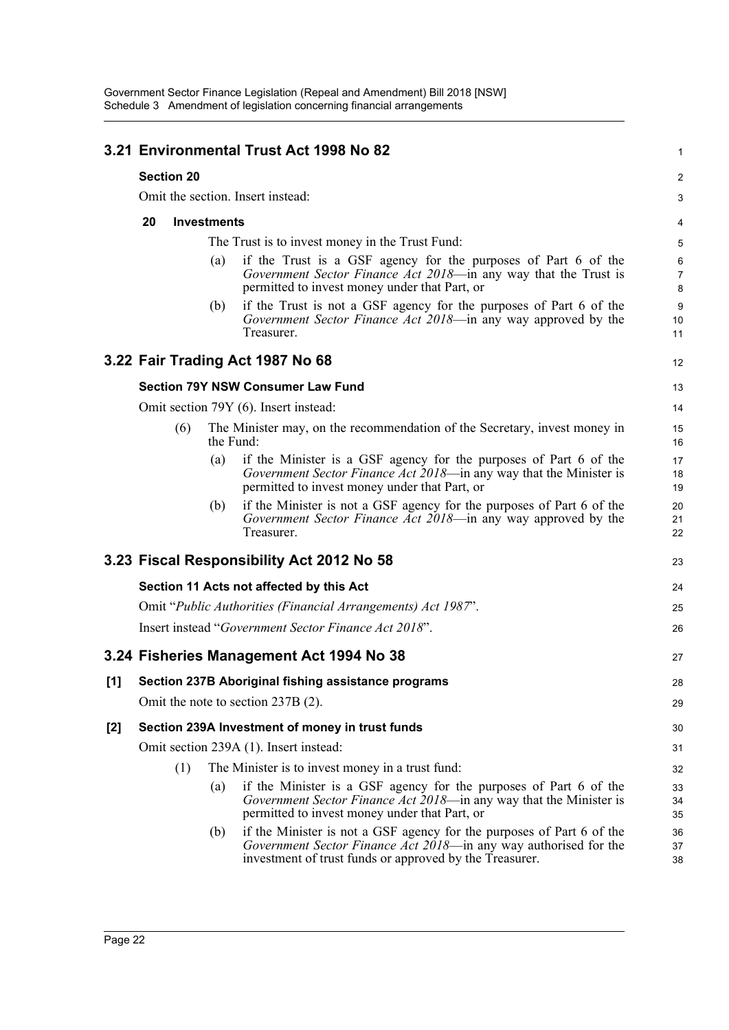|                |                                                        |     |           | 3.21 Environmental Trust Act 1998 No 82                                                                                                                                                              | 1                        |  |  |  |  |  |
|----------------|--------------------------------------------------------|-----|-----------|------------------------------------------------------------------------------------------------------------------------------------------------------------------------------------------------------|--------------------------|--|--|--|--|--|
|                | <b>Section 20</b><br>Omit the section. Insert instead: |     |           |                                                                                                                                                                                                      |                          |  |  |  |  |  |
|                |                                                        |     |           |                                                                                                                                                                                                      | 3                        |  |  |  |  |  |
|                | 20<br><b>Investments</b>                               |     |           |                                                                                                                                                                                                      |                          |  |  |  |  |  |
|                |                                                        |     |           | The Trust is to invest money in the Trust Fund:                                                                                                                                                      | 5                        |  |  |  |  |  |
|                |                                                        |     | (a)       | if the Trust is a GSF agency for the purposes of Part 6 of the<br>Government Sector Finance Act 2018—in any way that the Trust is<br>permitted to invest money under that Part, or                   | 6<br>$\overline{7}$<br>8 |  |  |  |  |  |
|                |                                                        |     | (b)       | if the Trust is not a GSF agency for the purposes of Part 6 of the<br>Government Sector Finance Act 2018—in any way approved by the<br>Treasurer.                                                    | 9<br>10<br>11            |  |  |  |  |  |
|                |                                                        |     |           | 3.22 Fair Trading Act 1987 No 68                                                                                                                                                                     | 12                       |  |  |  |  |  |
|                |                                                        |     |           | <b>Section 79Y NSW Consumer Law Fund</b>                                                                                                                                                             | 13                       |  |  |  |  |  |
|                |                                                        |     |           | Omit section 79Y (6). Insert instead:                                                                                                                                                                | 14                       |  |  |  |  |  |
|                |                                                        | (6) | the Fund: | The Minister may, on the recommendation of the Secretary, invest money in                                                                                                                            | 15<br>16                 |  |  |  |  |  |
|                |                                                        |     | (a)       | if the Minister is a GSF agency for the purposes of Part 6 of the<br>Government Sector Finance Act 2018—in any way that the Minister is<br>permitted to invest money under that Part, or             | 17<br>18<br>19           |  |  |  |  |  |
|                |                                                        |     | (b)       | if the Minister is not a GSF agency for the purposes of Part 6 of the<br>Government Sector Finance Act 2018—in any way approved by the<br>Treasurer.                                                 | 20<br>21<br>22           |  |  |  |  |  |
|                |                                                        |     |           | 3.23 Fiscal Responsibility Act 2012 No 58                                                                                                                                                            | 23                       |  |  |  |  |  |
|                |                                                        |     |           | Section 11 Acts not affected by this Act                                                                                                                                                             | 24                       |  |  |  |  |  |
|                |                                                        |     |           | Omit "Public Authorities (Financial Arrangements) Act 1987".                                                                                                                                         | 25                       |  |  |  |  |  |
|                |                                                        |     |           | Insert instead "Government Sector Finance Act 2018".                                                                                                                                                 | 26                       |  |  |  |  |  |
|                |                                                        |     |           | 3.24 Fisheries Management Act 1994 No 38                                                                                                                                                             | 27                       |  |  |  |  |  |
| $\mathbf{[1]}$ |                                                        |     |           | Section 237B Aboriginal fishing assistance programs                                                                                                                                                  | 28                       |  |  |  |  |  |
|                |                                                        |     |           | Omit the note to section 237B (2).                                                                                                                                                                   | 29                       |  |  |  |  |  |
| $[2]$          |                                                        |     |           | Section 239A Investment of money in trust funds                                                                                                                                                      | 30                       |  |  |  |  |  |
|                |                                                        |     |           | Omit section 239A (1). Insert instead:                                                                                                                                                               | 31                       |  |  |  |  |  |
|                |                                                        | (1) |           | The Minister is to invest money in a trust fund:                                                                                                                                                     | 32                       |  |  |  |  |  |
|                |                                                        |     | (a)       | if the Minister is a GSF agency for the purposes of Part 6 of the<br>Government Sector Finance Act 2018—in any way that the Minister is<br>permitted to invest money under that Part, or             | 33<br>34<br>35           |  |  |  |  |  |
|                |                                                        |     | (b)       | if the Minister is not a GSF agency for the purposes of Part 6 of the<br>Government Sector Finance Act 2018—in any way authorised for the<br>investment of trust funds or approved by the Treasurer. | 36<br>37<br>38           |  |  |  |  |  |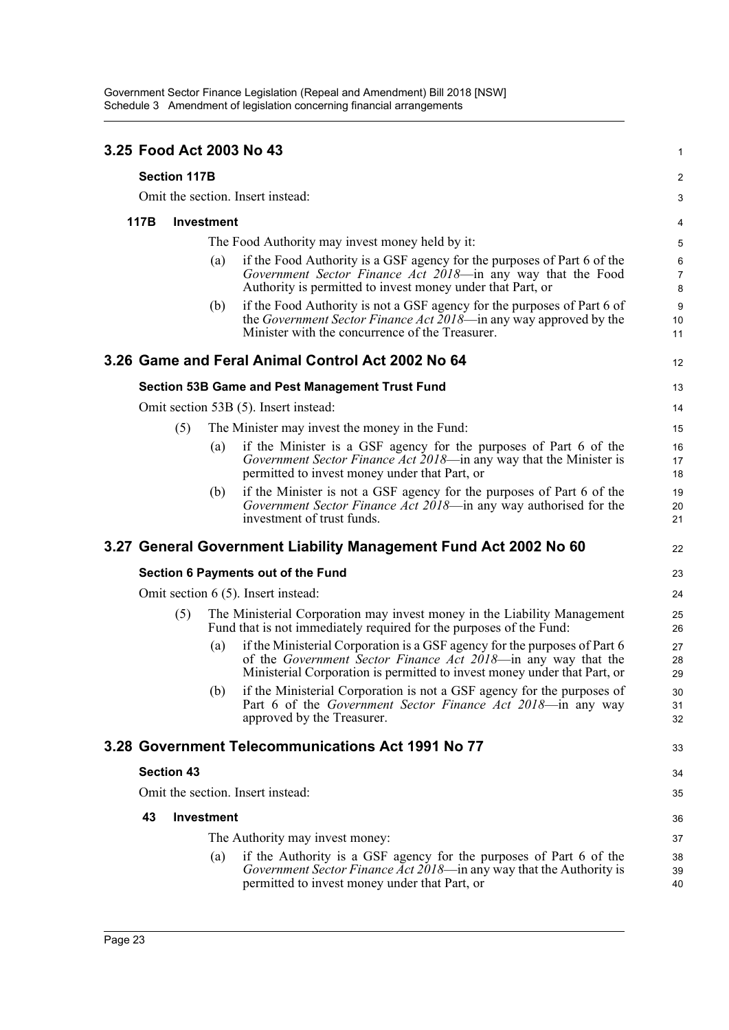|      |                     |                   | 3.25 Food Act 2003 No 43                                                                                                                                                                                               | 1                        |  |  |
|------|---------------------|-------------------|------------------------------------------------------------------------------------------------------------------------------------------------------------------------------------------------------------------------|--------------------------|--|--|
|      | <b>Section 117B</b> |                   |                                                                                                                                                                                                                        |                          |  |  |
|      |                     |                   | Omit the section. Insert instead:                                                                                                                                                                                      | 3                        |  |  |
| 117B |                     | Investment        |                                                                                                                                                                                                                        | 4                        |  |  |
|      |                     |                   | The Food Authority may invest money held by it:                                                                                                                                                                        | 5                        |  |  |
|      |                     | (a)               | if the Food Authority is a GSF agency for the purposes of Part 6 of the<br>Government Sector Finance Act 2018-in any way that the Food<br>Authority is permitted to invest money under that Part, or                   | 6<br>$\overline{7}$<br>8 |  |  |
|      |                     | (b)               | if the Food Authority is not a GSF agency for the purposes of Part 6 of<br>the <i>Government Sector Finance Act 2018</i> —in any way approved by the<br>Minister with the concurrence of the Treasurer.                | 9<br>10<br>11            |  |  |
|      |                     |                   | 3.26 Game and Feral Animal Control Act 2002 No 64                                                                                                                                                                      | 12                       |  |  |
|      |                     |                   | <b>Section 53B Game and Pest Management Trust Fund</b>                                                                                                                                                                 | 13                       |  |  |
|      |                     |                   | Omit section 53B (5). Insert instead:                                                                                                                                                                                  | 14                       |  |  |
|      | (5)                 |                   | The Minister may invest the money in the Fund:                                                                                                                                                                         | 15                       |  |  |
|      |                     | (a)               | if the Minister is a GSF agency for the purposes of Part 6 of the<br>Government Sector Finance Act 2018—in any way that the Minister is<br>permitted to invest money under that Part, or                               | 16<br>17<br>18           |  |  |
|      |                     | (b)               | if the Minister is not a GSF agency for the purposes of Part 6 of the<br>Government Sector Finance Act 2018-in any way authorised for the<br>investment of trust funds.                                                | 19<br>20<br>21           |  |  |
|      |                     |                   | 3.27 General Government Liability Management Fund Act 2002 No 60                                                                                                                                                       | 22                       |  |  |
|      |                     |                   | Section 6 Payments out of the Fund                                                                                                                                                                                     | 23                       |  |  |
|      |                     |                   | Omit section 6 (5). Insert instead:                                                                                                                                                                                    | 24                       |  |  |
|      | (5)                 |                   | The Ministerial Corporation may invest money in the Liability Management<br>Fund that is not immediately required for the purposes of the Fund:                                                                        | 25<br>26                 |  |  |
|      |                     | (a)               | if the Ministerial Corporation is a GSF agency for the purposes of Part 6<br>of the Government Sector Finance Act 2018—in any way that the<br>Ministerial Corporation is permitted to invest money under that Part, or | 27<br>28<br>29           |  |  |
|      |                     | (b)               | if the Ministerial Corporation is not a GSF agency for the purposes of<br>Part 6 of the Government Sector Finance Act 2018-in any way<br>approved by the Treasurer.                                                    | 30<br>31<br>32           |  |  |
|      |                     |                   | 3.28 Government Telecommunications Act 1991 No 77                                                                                                                                                                      | 33                       |  |  |
|      | <b>Section 43</b>   |                   |                                                                                                                                                                                                                        | 34                       |  |  |
|      |                     |                   | Omit the section. Insert instead:                                                                                                                                                                                      | 35                       |  |  |
| 43   |                     | <b>Investment</b> |                                                                                                                                                                                                                        | 36                       |  |  |
|      |                     |                   | The Authority may invest money:                                                                                                                                                                                        | 37                       |  |  |
|      |                     | (a)               | if the Authority is a GSF agency for the purposes of Part 6 of the<br>Government Sector Finance Act 2018—in any way that the Authority is<br>permitted to invest money under that Part, or                             | 38<br>39<br>40           |  |  |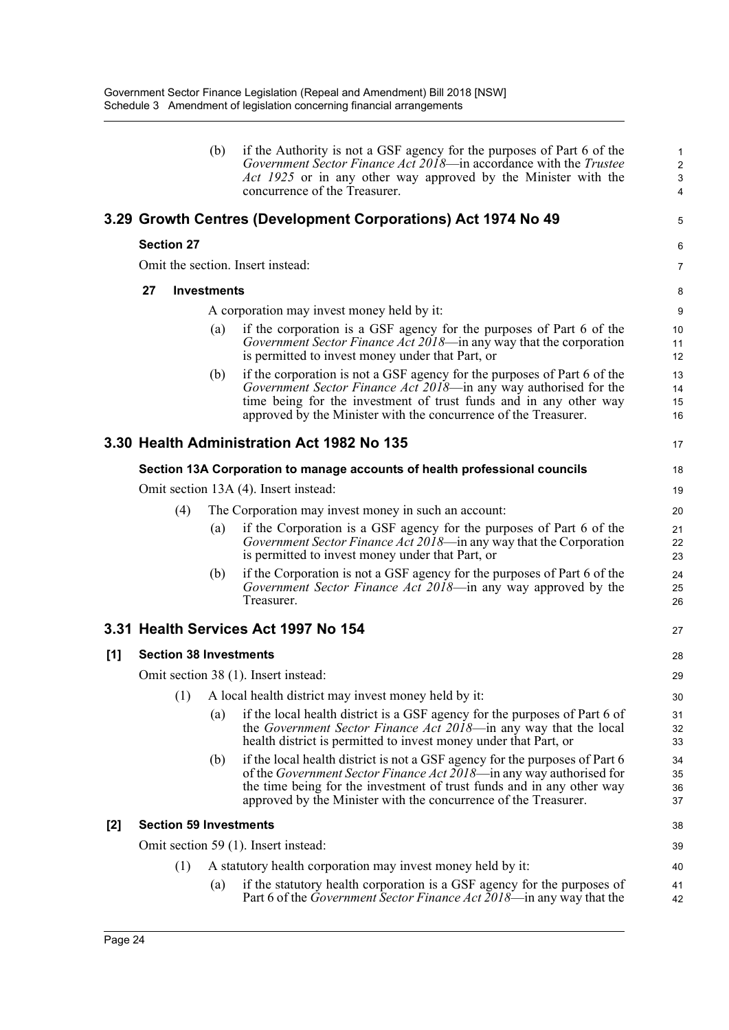|     |                                       |     | (b)                                                  | if the Authority is not a GSF agency for the purposes of Part 6 of the<br>Government Sector Finance Act 2018—in accordance with the Trustee<br>Act 1925 or in any other way approved by the Minister with the<br>concurrence of the Treasurer.                                                         | 1<br>$\overline{2}$<br>$\mathbf{3}$<br>4 |  |  |
|-----|---------------------------------------|-----|------------------------------------------------------|--------------------------------------------------------------------------------------------------------------------------------------------------------------------------------------------------------------------------------------------------------------------------------------------------------|------------------------------------------|--|--|
|     |                                       |     |                                                      | 3.29 Growth Centres (Development Corporations) Act 1974 No 49                                                                                                                                                                                                                                          | 5                                        |  |  |
|     | <b>Section 27</b>                     |     |                                                      |                                                                                                                                                                                                                                                                                                        | 6                                        |  |  |
|     |                                       |     |                                                      | Omit the section. Insert instead:                                                                                                                                                                                                                                                                      | $\overline{7}$                           |  |  |
|     | 27                                    |     | <b>Investments</b>                                   |                                                                                                                                                                                                                                                                                                        | 8                                        |  |  |
|     |                                       |     |                                                      | A corporation may invest money held by it:                                                                                                                                                                                                                                                             | 9                                        |  |  |
|     |                                       |     | (a)                                                  | if the corporation is a GSF agency for the purposes of Part 6 of the<br><i>Government Sector Finance Act 2018</i> —in any way that the corporation<br>is permitted to invest money under that Part, or                                                                                                 | 10<br>11<br>12                           |  |  |
|     |                                       |     | (b)                                                  | if the corporation is not a GSF agency for the purposes of Part 6 of the<br>Government Sector Finance Act 2018—in any way authorised for the<br>time being for the investment of trust funds and in any other way<br>approved by the Minister with the concurrence of the Treasurer.                   | 13<br>14<br>15<br>16                     |  |  |
|     |                                       |     |                                                      | 3.30 Health Administration Act 1982 No 135                                                                                                                                                                                                                                                             | 17                                       |  |  |
|     |                                       |     |                                                      | Section 13A Corporation to manage accounts of health professional councils                                                                                                                                                                                                                             | 18                                       |  |  |
|     | Omit section 13A (4). Insert instead: |     |                                                      |                                                                                                                                                                                                                                                                                                        |                                          |  |  |
|     |                                       | (4) | The Corporation may invest money in such an account: |                                                                                                                                                                                                                                                                                                        |                                          |  |  |
|     |                                       |     | (a)                                                  | if the Corporation is a GSF agency for the purposes of Part 6 of the<br>Government Sector Finance Act 2018—in any way that the Corporation<br>is permitted to invest money under that Part, or                                                                                                         | 21<br>22<br>23                           |  |  |
|     |                                       |     | (b)                                                  | if the Corporation is not a GSF agency for the purposes of Part 6 of the<br>Government Sector Finance Act 2018—in any way approved by the<br>Treasurer.                                                                                                                                                | 24<br>25<br>26                           |  |  |
|     |                                       |     |                                                      | 3.31 Health Services Act 1997 No 154                                                                                                                                                                                                                                                                   | 27                                       |  |  |
| [1] |                                       |     |                                                      | <b>Section 38 Investments</b>                                                                                                                                                                                                                                                                          | 28                                       |  |  |
|     |                                       |     |                                                      | Omit section 38 (1). Insert instead:                                                                                                                                                                                                                                                                   | 29                                       |  |  |
|     |                                       | (1) |                                                      | A local health district may invest money held by it:                                                                                                                                                                                                                                                   | 30                                       |  |  |
|     |                                       |     | (a)                                                  | if the local health district is a GSF agency for the purposes of Part 6 of<br>the Government Sector Finance Act 2018-in any way that the local<br>health district is permitted to invest money under that Part, or                                                                                     | 31<br>32<br>33                           |  |  |
|     |                                       |     | (b)                                                  | if the local health district is not a GSF agency for the purposes of Part 6<br>of the <i>Government Sector Finance Act 2018</i> —in any way authorised for<br>the time being for the investment of trust funds and in any other way<br>approved by the Minister with the concurrence of the Treasurer. | 34<br>35<br>36<br>37                     |  |  |
| [2] |                                       |     |                                                      | <b>Section 59 Investments</b>                                                                                                                                                                                                                                                                          | 38                                       |  |  |
|     |                                       |     |                                                      | Omit section 59 (1). Insert instead:                                                                                                                                                                                                                                                                   | 39                                       |  |  |
|     |                                       | (1) |                                                      | A statutory health corporation may invest money held by it:                                                                                                                                                                                                                                            | 40                                       |  |  |
|     |                                       |     | (a)                                                  | if the statutory health corporation is a GSF agency for the purposes of<br>Part 6 of the <i>Government Sector Finance Act 2018</i> —in any way that the                                                                                                                                                | 41<br>42                                 |  |  |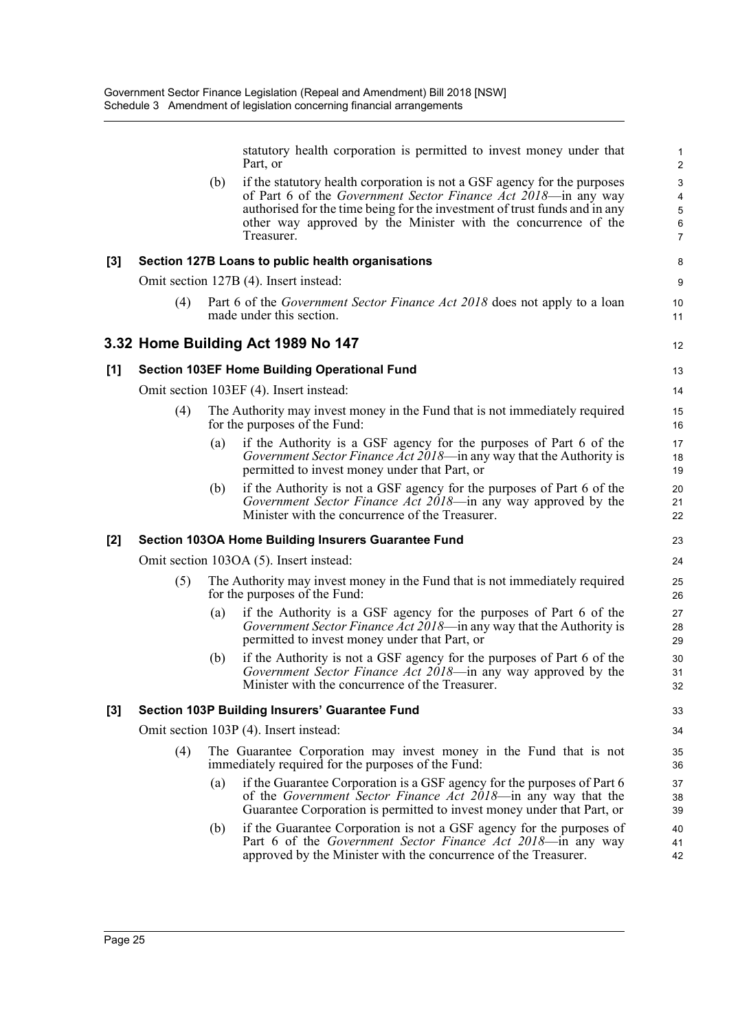statutory health corporation is permitted to invest money under that Part, or

12

(b) if the statutory health corporation is not a GSF agency for the purposes of Part 6 of the *Government Sector Finance Act 2018*—in any way authorised for the time being for the investment of trust funds and in any other way approved by the Minister with the concurrence of the Treasurer.

#### **[3] Section 127B Loans to public health organisations**

Omit section 127B (4). Insert instead:

(4) Part 6 of the *Government Sector Finance Act 2018* does not apply to a loan made under this section.

#### **3.32 Home Building Act 1989 No 147**

#### **[1] Section 103EF Home Building Operational Fund**

Omit section 103EF (4). Insert instead:

- (4) The Authority may invest money in the Fund that is not immediately required for the purposes of the Fund:
	- (a) if the Authority is a GSF agency for the purposes of Part 6 of the *Government Sector Finance Act 2018*—in any way that the Authority is permitted to invest money under that Part, or
	- (b) if the Authority is not a GSF agency for the purposes of Part 6 of the *Government Sector Finance Act 2018*—in any way approved by the Minister with the concurrence of the Treasurer.

#### **[2] Section 103OA Home Building Insurers Guarantee Fund**

Omit section 103OA (5). Insert instead:

- (5) The Authority may invest money in the Fund that is not immediately required for the purposes of the Fund:
	- (a) if the Authority is a GSF agency for the purposes of Part 6 of the *Government Sector Finance Act 2018*—in any way that the Authority is permitted to invest money under that Part, or
	- (b) if the Authority is not a GSF agency for the purposes of Part 6 of the *Government Sector Finance Act 2018*—in any way approved by the Minister with the concurrence of the Treasurer.

#### **[3] Section 103P Building Insurers' Guarantee Fund**

Omit section 103P (4). Insert instead:

- (4) The Guarantee Corporation may invest money in the Fund that is not immediately required for the purposes of the Fund:
	- (a) if the Guarantee Corporation is a GSF agency for the purposes of Part 6 of the *Government Sector Finance Act 2018*—in any way that the Guarantee Corporation is permitted to invest money under that Part, or
	- (b) if the Guarantee Corporation is not a GSF agency for the purposes of Part 6 of the *Government Sector Finance Act 2018*—in any way approved by the Minister with the concurrence of the Treasurer.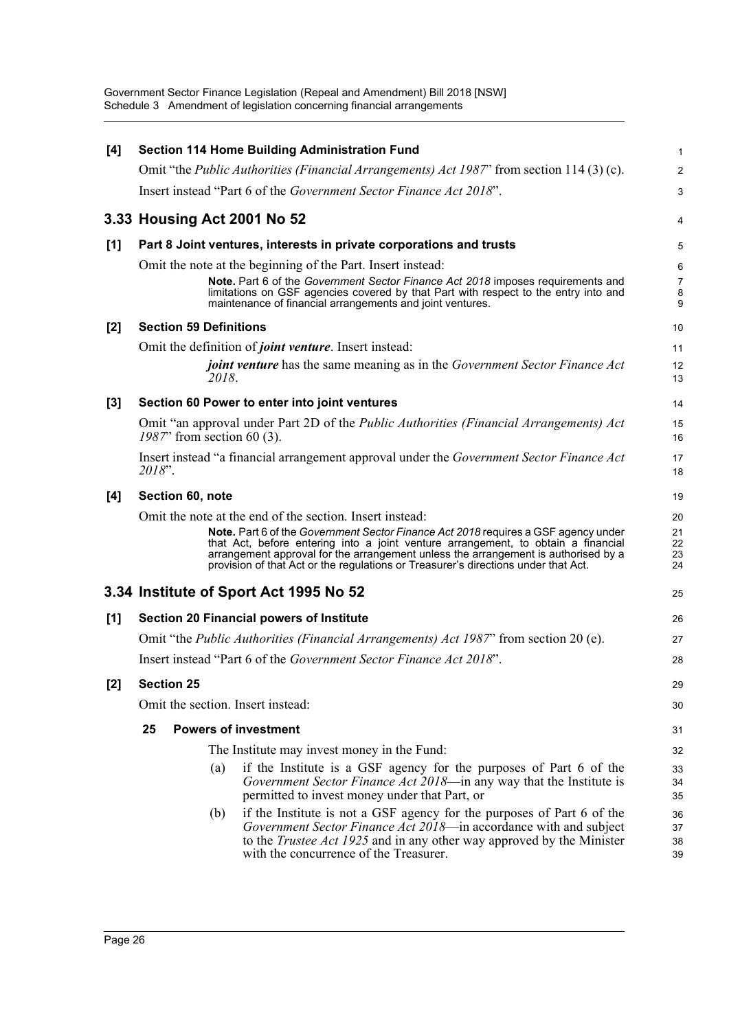| [4]   | <b>Section 114 Home Building Administration Fund</b>                                                                                                                                                                                                                                                                                                | 1                    |
|-------|-----------------------------------------------------------------------------------------------------------------------------------------------------------------------------------------------------------------------------------------------------------------------------------------------------------------------------------------------------|----------------------|
|       | Omit "the <i>Public Authorities (Financial Arrangements) Act 1987</i> " from section 114 (3) (c).                                                                                                                                                                                                                                                   | $\overline{2}$       |
|       | Insert instead "Part 6 of the <i>Government Sector Finance Act 2018</i> ".                                                                                                                                                                                                                                                                          | 3                    |
|       | 3.33 Housing Act 2001 No 52                                                                                                                                                                                                                                                                                                                         | 4                    |
| [1]   | Part 8 Joint ventures, interests in private corporations and trusts                                                                                                                                                                                                                                                                                 | 5                    |
|       | Omit the note at the beginning of the Part. Insert instead:                                                                                                                                                                                                                                                                                         | 6                    |
|       | Note. Part 6 of the Government Sector Finance Act 2018 imposes requirements and<br>limitations on GSF agencies covered by that Part with respect to the entry into and<br>maintenance of financial arrangements and joint ventures.                                                                                                                 | 7<br>8<br>9          |
| $[2]$ | <b>Section 59 Definitions</b>                                                                                                                                                                                                                                                                                                                       | 10                   |
|       | Omit the definition of <i>joint venture</i> . Insert instead:                                                                                                                                                                                                                                                                                       | 11                   |
|       | <i>joint venture</i> has the same meaning as in the <i>Government Sector Finance Act</i><br>2018.                                                                                                                                                                                                                                                   | 12<br>13             |
| [3]   | Section 60 Power to enter into joint ventures                                                                                                                                                                                                                                                                                                       | 14                   |
|       | Omit "an approval under Part 2D of the <i>Public Authorities (Financial Arrangements) Act</i><br>$1987$ " from section 60 (3).                                                                                                                                                                                                                      | 15<br>16             |
|       | Insert instead "a financial arrangement approval under the Government Sector Finance Act<br>2018".                                                                                                                                                                                                                                                  | 17<br>18             |
| [4]   | Section 60, note                                                                                                                                                                                                                                                                                                                                    | 19                   |
|       | Omit the note at the end of the section. Insert instead:                                                                                                                                                                                                                                                                                            | 20                   |
|       | Note. Part 6 of the Government Sector Finance Act 2018 requires a GSF agency under<br>that Act, before entering into a joint venture arrangement, to obtain a financial<br>arrangement approval for the arrangement unless the arrangement is authorised by a<br>provision of that Act or the regulations or Treasurer's directions under that Act. | 21<br>22<br>23<br>24 |
|       | 3.34 Institute of Sport Act 1995 No 52                                                                                                                                                                                                                                                                                                              | 25                   |
| [1]   | <b>Section 20 Financial powers of Institute</b>                                                                                                                                                                                                                                                                                                     | 26                   |
|       | Omit "the <i>Public Authorities (Financial Arrangements) Act 1987</i> " from section 20 (e).                                                                                                                                                                                                                                                        | 27                   |
|       | Insert instead "Part 6 of the Government Sector Finance Act 2018".                                                                                                                                                                                                                                                                                  | 28                   |
| [2]   | <b>Section 25</b>                                                                                                                                                                                                                                                                                                                                   | 29                   |
|       | Omit the section. Insert instead:                                                                                                                                                                                                                                                                                                                   | 30                   |
|       | <b>Powers of investment</b><br>25                                                                                                                                                                                                                                                                                                                   | 31                   |
|       | The Institute may invest money in the Fund:                                                                                                                                                                                                                                                                                                         | 32                   |
|       | if the Institute is a GSF agency for the purposes of Part 6 of the<br>(a)<br>Government Sector Finance Act 2018—in any way that the Institute is<br>permitted to invest money under that Part, or                                                                                                                                                   | 33<br>34<br>35       |
|       | if the Institute is not a GSF agency for the purposes of Part 6 of the<br>(b)<br>Government Sector Finance Act 2018—in accordance with and subject<br>to the <i>Trustee Act 1925</i> and in any other way approved by the Minister<br>with the concurrence of the Treasurer.                                                                        | 36<br>37<br>38<br>39 |
|       |                                                                                                                                                                                                                                                                                                                                                     |                      |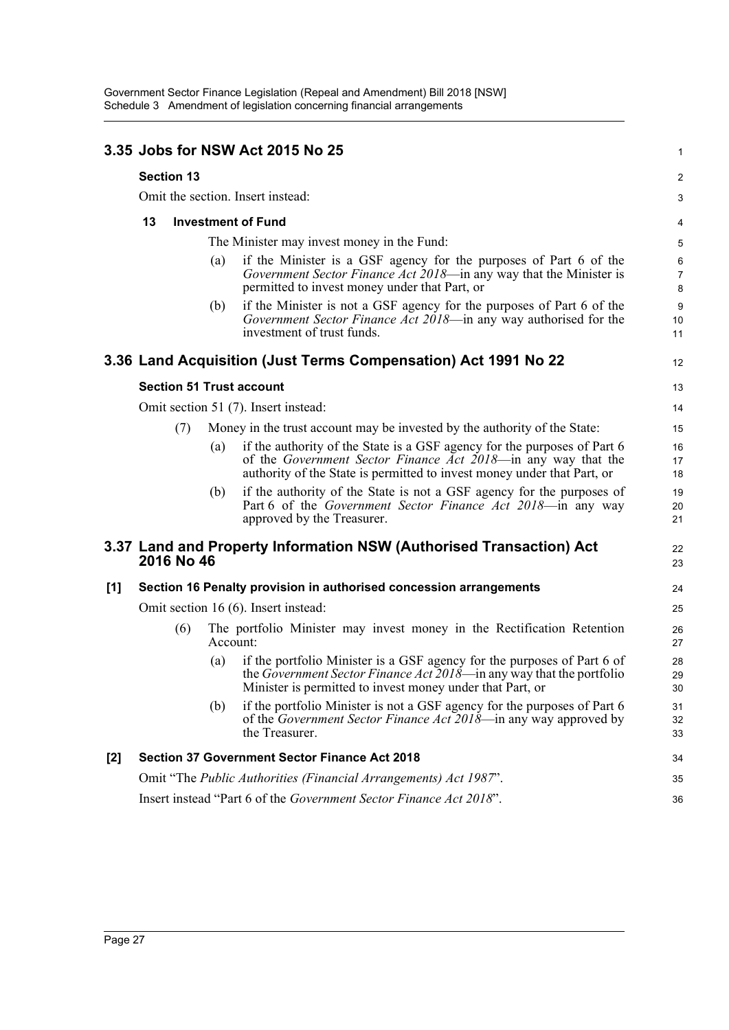|       |                                 |                   |          | 3.35 Jobs for NSW Act 2015 No 25                                                                                                                                                                                     | 1                        |
|-------|---------------------------------|-------------------|----------|----------------------------------------------------------------------------------------------------------------------------------------------------------------------------------------------------------------------|--------------------------|
|       |                                 | <b>Section 13</b> |          |                                                                                                                                                                                                                      | 2                        |
|       |                                 |                   |          | Omit the section. Insert instead:                                                                                                                                                                                    | 3                        |
|       | <b>Investment of Fund</b><br>13 |                   |          |                                                                                                                                                                                                                      |                          |
|       |                                 |                   |          | The Minister may invest money in the Fund:                                                                                                                                                                           | 4<br>5                   |
|       |                                 |                   | (a)      | if the Minister is a GSF agency for the purposes of Part 6 of the<br>Government Sector Finance Act 2018-in any way that the Minister is<br>permitted to invest money under that Part, or                             | 6<br>$\overline{7}$<br>8 |
|       |                                 |                   | (b)      | if the Minister is not a GSF agency for the purposes of Part 6 of the<br>Government Sector Finance Act 2018—in any way authorised for the<br>investment of trust funds.                                              | $9\,$<br>10<br>11        |
|       |                                 |                   |          | 3.36 Land Acquisition (Just Terms Compensation) Act 1991 No 22                                                                                                                                                       | 12                       |
|       |                                 |                   |          | <b>Section 51 Trust account</b>                                                                                                                                                                                      | 13                       |
|       |                                 |                   |          | Omit section 51 (7). Insert instead:                                                                                                                                                                                 | 14                       |
|       |                                 | (7)               |          | Money in the trust account may be invested by the authority of the State:                                                                                                                                            | 15                       |
|       |                                 |                   | (a)      | if the authority of the State is a GSF agency for the purposes of Part 6<br>of the Government Sector Finance Act 2018—in any way that the<br>authority of the State is permitted to invest money under that Part, or | 16<br>17<br>18           |
|       |                                 |                   | (b)      | if the authority of the State is not a GSF agency for the purposes of<br>Part 6 of the Government Sector Finance Act 2018—in any way<br>approved by the Treasurer.                                                   | 19<br>20<br>21           |
|       |                                 | 2016 No 46        |          | 3.37 Land and Property Information NSW (Authorised Transaction) Act                                                                                                                                                  | 22<br>23                 |
| $[1]$ |                                 |                   |          | Section 16 Penalty provision in authorised concession arrangements                                                                                                                                                   | 24                       |
|       |                                 |                   |          | Omit section 16 (6). Insert instead:                                                                                                                                                                                 | 25                       |
|       | (6)                             |                   | Account: | The portfolio Minister may invest money in the Rectification Retention                                                                                                                                               | 26<br>27                 |
|       |                                 |                   | (a)      | if the portfolio Minister is a GSF agency for the purposes of Part 6 of<br>the Government Sector Finance Act 2018—in any way that the portfolio<br>Minister is permitted to invest money under that Part, or         | 28<br>29<br>30           |
|       |                                 |                   | (b)      | if the portfolio Minister is not a GSF agency for the purposes of Part 6<br>of the Government Sector Finance Act 2018-in any way approved by<br>the Treasurer.                                                       | 31<br>32<br>33           |
| $[2]$ |                                 |                   |          | <b>Section 37 Government Sector Finance Act 2018</b>                                                                                                                                                                 | 34                       |
|       |                                 |                   |          | Omit "The Public Authorities (Financial Arrangements) Act 1987".                                                                                                                                                     | 35                       |
|       |                                 |                   |          | Insert instead "Part 6 of the Government Sector Finance Act 2018".                                                                                                                                                   | 36                       |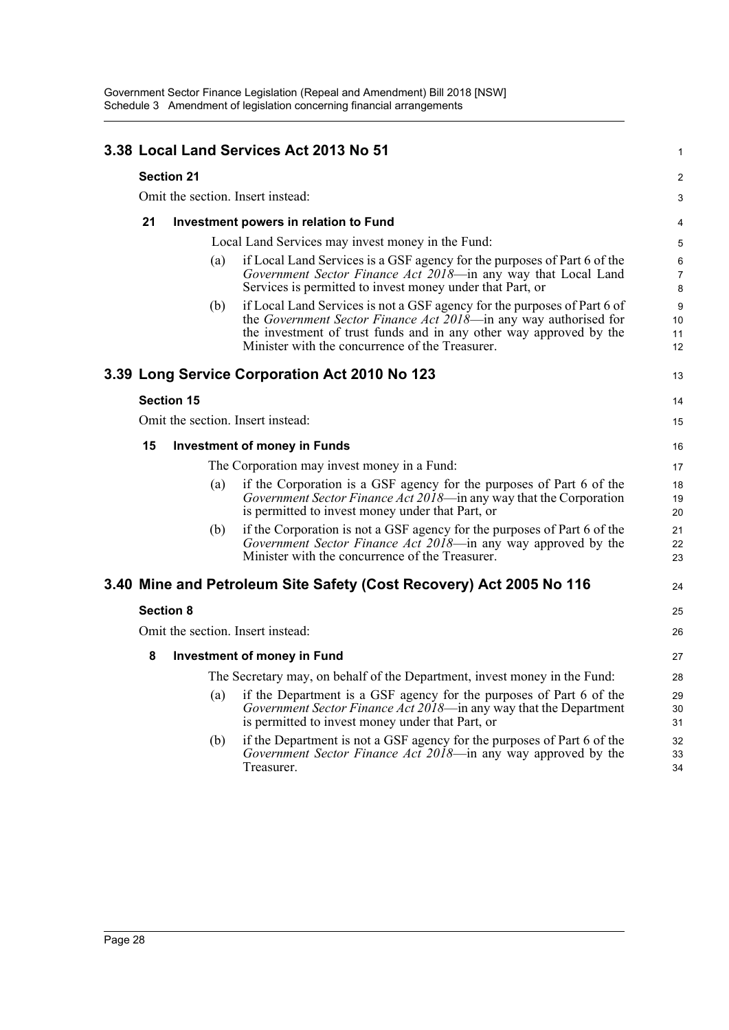|    |                   | 3.38 Local Land Services Act 2013 No 51                                                                                                                                                                                                                               | $\mathbf{1}$             |
|----|-------------------|-----------------------------------------------------------------------------------------------------------------------------------------------------------------------------------------------------------------------------------------------------------------------|--------------------------|
|    | <b>Section 21</b> |                                                                                                                                                                                                                                                                       | 2                        |
|    |                   | Omit the section. Insert instead:                                                                                                                                                                                                                                     | 3                        |
| 21 |                   | Investment powers in relation to Fund                                                                                                                                                                                                                                 | 4                        |
|    |                   | Local Land Services may invest money in the Fund:                                                                                                                                                                                                                     | 5                        |
|    | (a)               | if Local Land Services is a GSF agency for the purposes of Part 6 of the<br>Government Sector Finance Act 2018—in any way that Local Land<br>Services is permitted to invest money under that Part, or                                                                | 6<br>$\overline{7}$<br>8 |
|    | (b)               | if Local Land Services is not a GSF agency for the purposes of Part 6 of<br>the Government Sector Finance Act 2018—in any way authorised for<br>the investment of trust funds and in any other way approved by the<br>Minister with the concurrence of the Treasurer. | 9<br>10<br>11<br>12      |
|    |                   | 3.39 Long Service Corporation Act 2010 No 123                                                                                                                                                                                                                         | 13                       |
|    | <b>Section 15</b> |                                                                                                                                                                                                                                                                       | 14                       |
|    |                   | Omit the section. Insert instead:                                                                                                                                                                                                                                     | 15                       |
| 15 |                   | <b>Investment of money in Funds</b>                                                                                                                                                                                                                                   | 16                       |
|    |                   | The Corporation may invest money in a Fund:                                                                                                                                                                                                                           | 17                       |
|    | (a)               | if the Corporation is a GSF agency for the purposes of Part 6 of the<br>Government Sector Finance Act 2018—in any way that the Corporation<br>is permitted to invest money under that Part, or                                                                        | 18<br>19<br>20           |
|    | (b)               | if the Corporation is not a GSF agency for the purposes of Part 6 of the<br>Government Sector Finance Act 2018—in any way approved by the<br>Minister with the concurrence of the Treasurer.                                                                          | 21<br>22<br>23           |
|    |                   | 3.40 Mine and Petroleum Site Safety (Cost Recovery) Act 2005 No 116                                                                                                                                                                                                   | 24                       |
|    | <b>Section 8</b>  |                                                                                                                                                                                                                                                                       | 25                       |
|    |                   | Omit the section. Insert instead:                                                                                                                                                                                                                                     | 26                       |
| 8  |                   | <b>Investment of money in Fund</b>                                                                                                                                                                                                                                    | 27                       |
|    |                   | The Secretary may, on behalf of the Department, invest money in the Fund:                                                                                                                                                                                             | 28                       |
|    | (a)               | if the Department is a GSF agency for the purposes of Part 6 of the<br>Government Sector Finance Act 2018-in any way that the Department<br>is permitted to invest money under that Part, or                                                                          | 29<br>30<br>31           |
|    | (b)               | if the Department is not a GSF agency for the purposes of Part 6 of the<br>Government Sector Finance Act 2018—in any way approved by the<br>Treasurer.                                                                                                                | 32<br>33<br>34           |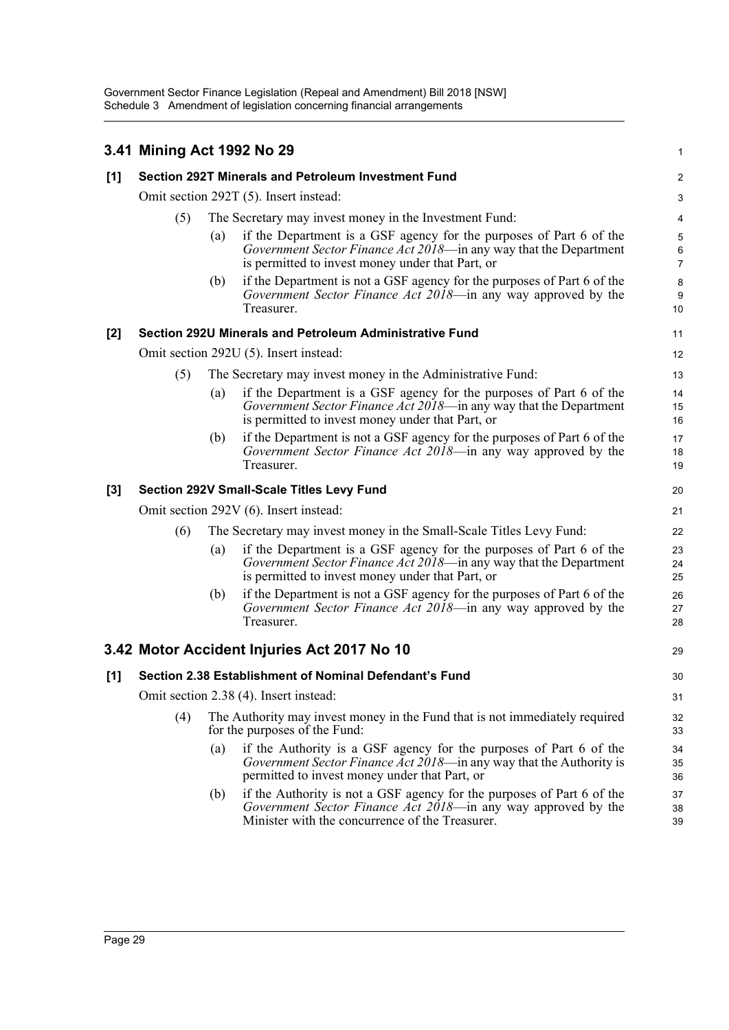|                  | 3.41 Mining Act 1992 No 29             |                                                                                                              |                                                                                                                                                                                              | 1                        |  |  |
|------------------|----------------------------------------|--------------------------------------------------------------------------------------------------------------|----------------------------------------------------------------------------------------------------------------------------------------------------------------------------------------------|--------------------------|--|--|
| [1]              |                                        |                                                                                                              | <b>Section 292T Minerals and Petroleum Investment Fund</b>                                                                                                                                   | $\overline{2}$           |  |  |
|                  | Omit section 292T (5). Insert instead: |                                                                                                              |                                                                                                                                                                                              |                          |  |  |
|                  | (5)                                    | The Secretary may invest money in the Investment Fund:                                                       |                                                                                                                                                                                              |                          |  |  |
|                  |                                        | $\left( a\right)$                                                                                            | if the Department is a GSF agency for the purposes of Part 6 of the<br>Government Sector Finance Act 2018—in any way that the Department<br>is permitted to invest money under that Part, or | 5<br>6<br>$\overline{7}$ |  |  |
|                  |                                        | (b)                                                                                                          | if the Department is not a GSF agency for the purposes of Part 6 of the<br>Government Sector Finance Act 2018—in any way approved by the<br>Treasurer.                                       | $\bf 8$<br>9<br>10       |  |  |
| $[2]$            |                                        |                                                                                                              | Section 292U Minerals and Petroleum Administrative Fund                                                                                                                                      | 11                       |  |  |
|                  | Omit section 292U (5). Insert instead: |                                                                                                              |                                                                                                                                                                                              |                          |  |  |
|                  | (5)                                    | The Secretary may invest money in the Administrative Fund:                                                   |                                                                                                                                                                                              |                          |  |  |
|                  |                                        | (a)                                                                                                          | if the Department is a GSF agency for the purposes of Part 6 of the<br>Government Sector Finance Act 2018—in any way that the Department<br>is permitted to invest money under that Part, or | 14<br>15<br>16           |  |  |
|                  |                                        | (b)                                                                                                          | if the Department is not a GSF agency for the purposes of Part 6 of the<br>Government Sector Finance Act 2018—in any way approved by the<br>Treasurer.                                       | 17<br>18<br>19           |  |  |
| $\left[3\right]$ |                                        |                                                                                                              | <b>Section 292V Small-Scale Titles Levy Fund</b>                                                                                                                                             | 20                       |  |  |
|                  | Omit section 292V (6). Insert instead: |                                                                                                              |                                                                                                                                                                                              |                          |  |  |
|                  | (6)                                    |                                                                                                              | The Secretary may invest money in the Small-Scale Titles Levy Fund:                                                                                                                          | 22                       |  |  |
|                  |                                        | (a)                                                                                                          | if the Department is a GSF agency for the purposes of Part 6 of the<br>Government Sector Finance Act 2018—in any way that the Department<br>is permitted to invest money under that Part, or | 23<br>24<br>25           |  |  |
|                  |                                        | (b)                                                                                                          | if the Department is not a GSF agency for the purposes of Part 6 of the<br>Government Sector Finance Act 2018-in any way approved by the<br>Treasurer.                                       | 26<br>27<br>28           |  |  |
|                  |                                        |                                                                                                              | 3.42 Motor Accident Injuries Act 2017 No 10                                                                                                                                                  | 29                       |  |  |
| [1]              |                                        |                                                                                                              | Section 2.38 Establishment of Nominal Defendant's Fund                                                                                                                                       | 30                       |  |  |
|                  |                                        |                                                                                                              | Omit section 2.38 (4). Insert instead:                                                                                                                                                       | 31                       |  |  |
|                  | (4)                                    | The Authority may invest money in the Fund that is not immediately required<br>for the purposes of the Fund: |                                                                                                                                                                                              |                          |  |  |
|                  |                                        | (a)                                                                                                          | if the Authority is a GSF agency for the purposes of Part 6 of the<br>Government Sector Finance Act 2018—in any way that the Authority is<br>permitted to invest money under that Part, or   | 34<br>35<br>36           |  |  |
|                  |                                        | (b)                                                                                                          | if the Authority is not a GSF agency for the purposes of Part 6 of the<br>Government Sector Finance Act 2018-in any way approved by the<br>Minister with the concurrence of the Treasurer.   | 37<br>38<br>39           |  |  |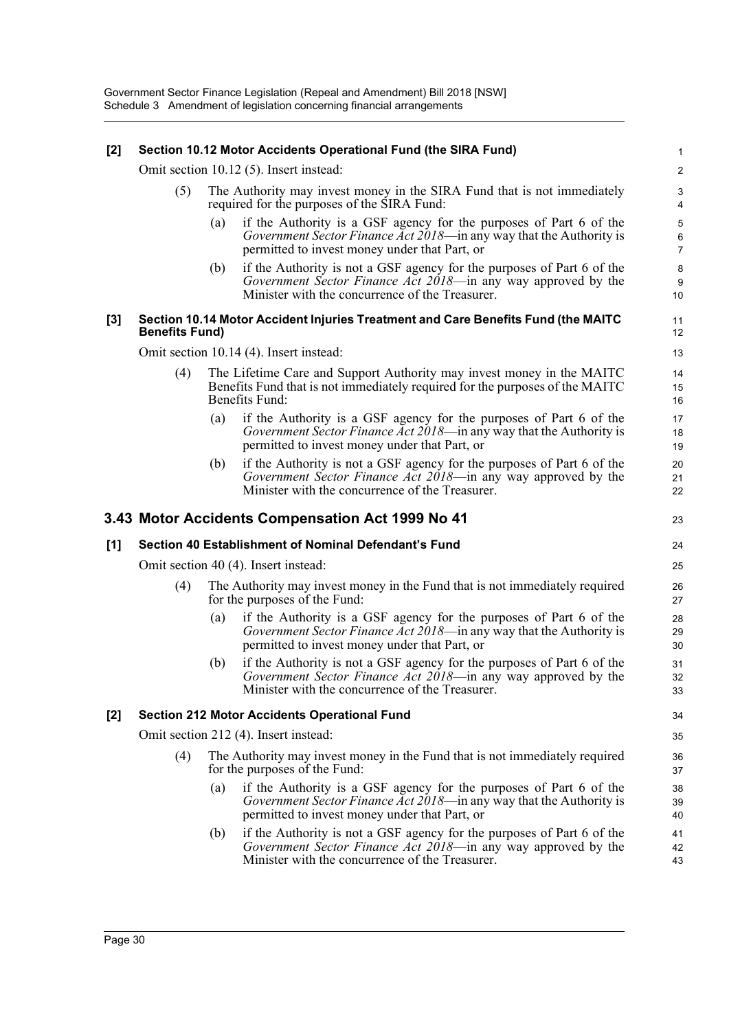#### **[2] Section 10.12 Motor Accidents Operational Fund (the SIRA Fund)**

Omit section 10.12 (5). Insert instead:

- (5) The Authority may invest money in the SIRA Fund that is not immediately required for the purposes of the SIRA Fund:
	- (a) if the Authority is a GSF agency for the purposes of Part 6 of the *Government Sector Finance Act 2018*—in any way that the Authority is permitted to invest money under that Part, or
	- (b) if the Authority is not a GSF agency for the purposes of Part 6 of the *Government Sector Finance Act 2018*—in any way approved by the Minister with the concurrence of the Treasurer.

#### **[3] Section 10.14 Motor Accident Injuries Treatment and Care Benefits Fund (the MAITC Benefits Fund)**

11 12 13

23

Omit section 10.14 (4). Insert instead:

- (4) The Lifetime Care and Support Authority may invest money in the MAITC Benefits Fund that is not immediately required for the purposes of the MAITC Benefits Fund:
	- (a) if the Authority is a GSF agency for the purposes of Part 6 of the *Government Sector Finance Act 2018*—in any way that the Authority is permitted to invest money under that Part, or
	- (b) if the Authority is not a GSF agency for the purposes of Part 6 of the *Government Sector Finance Act 2018*—in any way approved by the Minister with the concurrence of the Treasurer.

#### **3.43 Motor Accidents Compensation Act 1999 No 41**

# **[1] Section 40 Establishment of Nominal Defendant's Fund**

Omit section 40 (4). Insert instead:

- (4) The Authority may invest money in the Fund that is not immediately required for the purposes of the Fund:
	- (a) if the Authority is a GSF agency for the purposes of Part 6 of the *Government Sector Finance Act 2018*—in any way that the Authority is permitted to invest money under that Part, or
	- (b) if the Authority is not a GSF agency for the purposes of Part 6 of the *Government Sector Finance Act 2018*—in any way approved by the Minister with the concurrence of the Treasurer.

#### **[2] Section 212 Motor Accidents Operational Fund**

Omit section 212 (4). Insert instead:

- (4) The Authority may invest money in the Fund that is not immediately required for the purposes of the Fund:
	- (a) if the Authority is a GSF agency for the purposes of Part 6 of the *Government Sector Finance Act 2018*—in any way that the Authority is permitted to invest money under that Part, or
	- (b) if the Authority is not a GSF agency for the purposes of Part 6 of the *Government Sector Finance Act 2018*—in any way approved by the Minister with the concurrence of the Treasurer.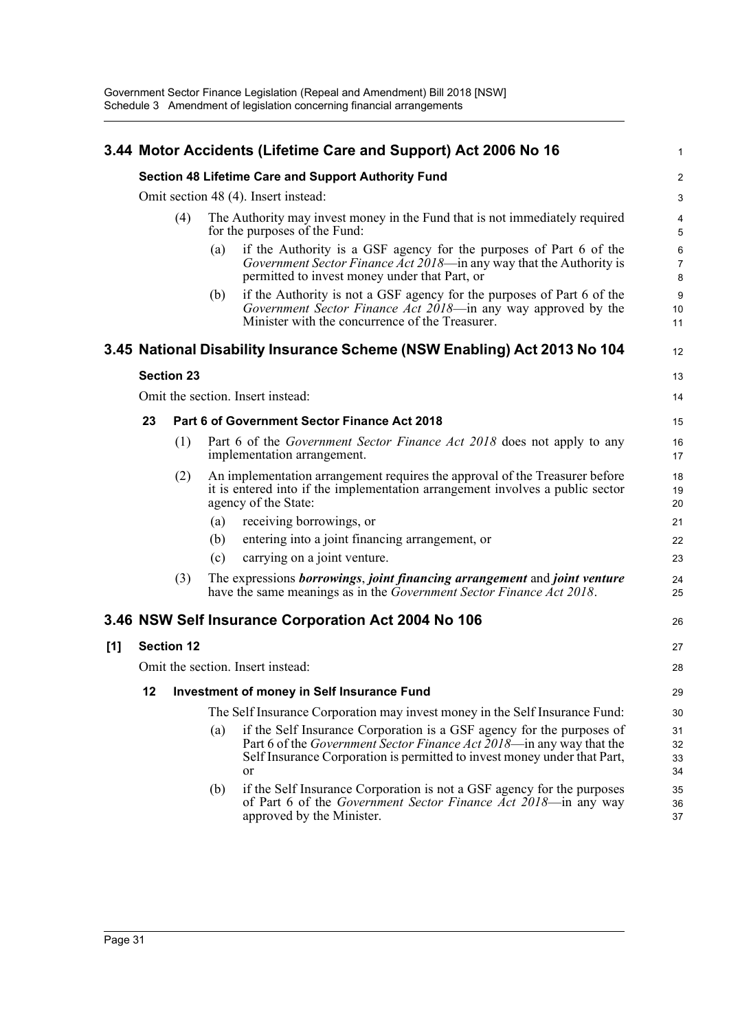|     |    |                   |     | 3.44 Motor Accidents (Lifetime Care and Support) Act 2006 No 16                                                                                                                                                                         | $\mathbf{1}$             |
|-----|----|-------------------|-----|-----------------------------------------------------------------------------------------------------------------------------------------------------------------------------------------------------------------------------------------|--------------------------|
|     |    |                   |     | Section 48 Lifetime Care and Support Authority Fund                                                                                                                                                                                     | 2                        |
|     |    |                   |     | Omit section 48 (4). Insert instead:                                                                                                                                                                                                    | 3                        |
|     |    | (4)               |     | The Authority may invest money in the Fund that is not immediately required<br>for the purposes of the Fund:                                                                                                                            | 4<br>5                   |
|     |    |                   | (a) | if the Authority is a GSF agency for the purposes of Part 6 of the<br>Government Sector Finance Act 2018—in any way that the Authority is<br>permitted to invest money under that Part, or                                              | 6<br>$\overline{7}$<br>8 |
|     |    |                   | (b) | if the Authority is not a GSF agency for the purposes of Part 6 of the<br>Government Sector Finance Act 2018—in any way approved by the<br>Minister with the concurrence of the Treasurer.                                              | $9\,$<br>10<br>11        |
|     |    |                   |     | 3.45 National Disability Insurance Scheme (NSW Enabling) Act 2013 No 104                                                                                                                                                                | 12                       |
|     |    | <b>Section 23</b> |     |                                                                                                                                                                                                                                         | 13                       |
|     |    |                   |     | Omit the section. Insert instead:                                                                                                                                                                                                       | 14                       |
|     | 23 |                   |     | Part 6 of Government Sector Finance Act 2018                                                                                                                                                                                            | 15                       |
|     |    | (1)               |     | Part 6 of the <i>Government Sector Finance Act 2018</i> does not apply to any<br>implementation arrangement.                                                                                                                            | 16<br>17                 |
|     |    | (2)               |     | An implementation arrangement requires the approval of the Treasurer before<br>it is entered into if the implementation arrangement involves a public sector<br>agency of the State:                                                    | 18<br>19<br>20           |
|     |    |                   | (a) | receiving borrowings, or                                                                                                                                                                                                                | 21                       |
|     |    |                   | (b) | entering into a joint financing arrangement, or                                                                                                                                                                                         | 22                       |
|     |    |                   | (c) | carrying on a joint venture.                                                                                                                                                                                                            | 23                       |
|     |    | (3)               |     | The expressions borrowings, joint financing arrangement and joint venture<br>have the same meanings as in the <i>Government Sector Finance Act 2018</i> .                                                                               | 24<br>25                 |
|     |    |                   |     | 3.46 NSW Self Insurance Corporation Act 2004 No 106                                                                                                                                                                                     | 26                       |
| [1] |    | <b>Section 12</b> |     |                                                                                                                                                                                                                                         | 27                       |
|     |    |                   |     | Omit the section. Insert instead:                                                                                                                                                                                                       | 28                       |
|     | 12 |                   |     | <b>Investment of money in Self Insurance Fund</b>                                                                                                                                                                                       | 29                       |
|     |    |                   |     | The Self Insurance Corporation may invest money in the Self Insurance Fund:                                                                                                                                                             | 30                       |
|     |    |                   | (a) | if the Self Insurance Corporation is a GSF agency for the purposes of<br>Part 6 of the <i>Government Sector Finance Act 2018</i> —in any way that the<br>Self Insurance Corporation is permitted to invest money under that Part,<br>or | 31<br>32<br>33<br>34     |
|     |    |                   | (b) | if the Self Insurance Corporation is not a GSF agency for the purposes<br>of Part 6 of the Government Sector Finance Act 2018-in any way<br>approved by the Minister.                                                                   | 35<br>36<br>37           |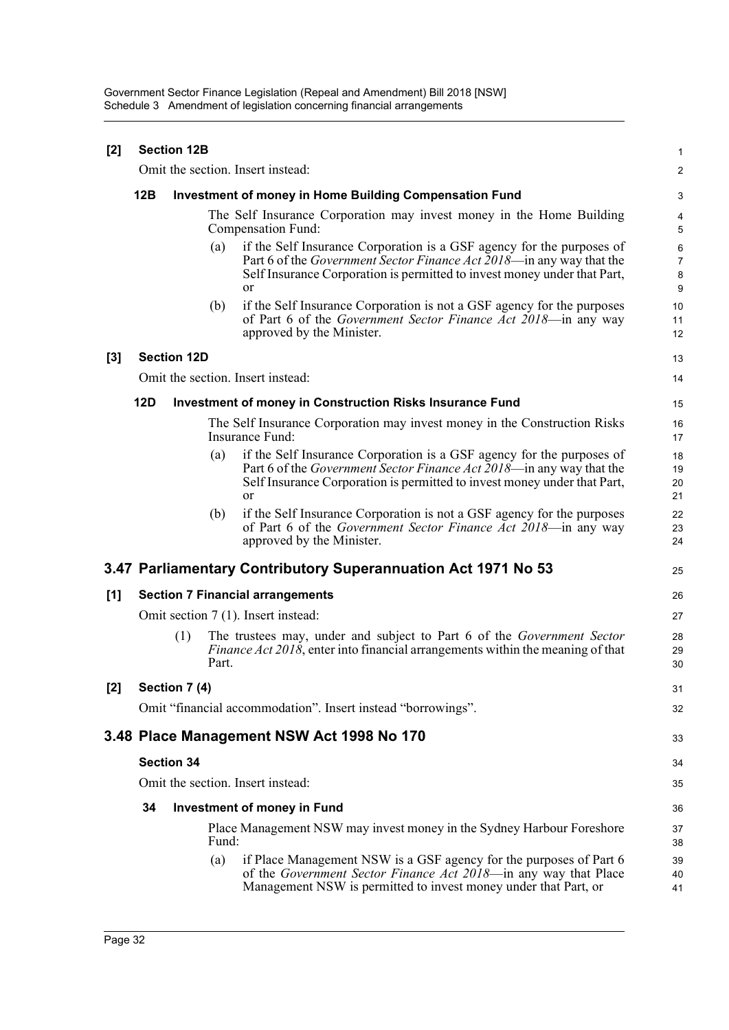| [2]   |                                                                                            | <b>Section 12B</b> |       |                                                                                                                                                                                                                                         | 1                             |  |  |
|-------|--------------------------------------------------------------------------------------------|--------------------|-------|-----------------------------------------------------------------------------------------------------------------------------------------------------------------------------------------------------------------------------------------|-------------------------------|--|--|
|       | Omit the section. Insert instead:                                                          |                    |       |                                                                                                                                                                                                                                         |                               |  |  |
|       | 12B                                                                                        |                    |       | <b>Investment of money in Home Building Compensation Fund</b>                                                                                                                                                                           | 3                             |  |  |
|       | The Self Insurance Corporation may invest money in the Home Building<br>Compensation Fund: |                    |       |                                                                                                                                                                                                                                         |                               |  |  |
|       |                                                                                            |                    | (a)   | if the Self Insurance Corporation is a GSF agency for the purposes of<br>Part 6 of the <i>Government Sector Finance Act 2018</i> —in any way that the<br>Self Insurance Corporation is permitted to invest money under that Part,<br>or | 6<br>$\overline{7}$<br>8<br>9 |  |  |
|       |                                                                                            |                    | (b)   | if the Self Insurance Corporation is not a GSF agency for the purposes<br>of Part 6 of the Government Sector Finance Act 2018-in any way<br>approved by the Minister.                                                                   | 10<br>11<br>12                |  |  |
| $[3]$ |                                                                                            | <b>Section 12D</b> |       |                                                                                                                                                                                                                                         | 13                            |  |  |
|       | Omit the section. Insert instead:                                                          |                    |       |                                                                                                                                                                                                                                         |                               |  |  |
|       | <b>12D</b>                                                                                 |                    |       | <b>Investment of money in Construction Risks Insurance Fund</b>                                                                                                                                                                         | 15                            |  |  |
|       |                                                                                            |                    |       | The Self Insurance Corporation may invest money in the Construction Risks<br>Insurance Fund:                                                                                                                                            | 16<br>17                      |  |  |
|       |                                                                                            |                    | (a)   | if the Self Insurance Corporation is a GSF agency for the purposes of<br>Part 6 of the <i>Government Sector Finance Act 2018</i> —in any way that the<br>Self Insurance Corporation is permitted to invest money under that Part,<br>or | 18<br>19<br>20<br>21          |  |  |
|       |                                                                                            |                    | (b)   | if the Self Insurance Corporation is not a GSF agency for the purposes<br>of Part 6 of the <i>Government Sector Finance Act 2018</i> —in any way<br>approved by the Minister.                                                           | 22<br>23<br>24                |  |  |
|       |                                                                                            |                    |       | 3.47 Parliamentary Contributory Superannuation Act 1971 No 53                                                                                                                                                                           | 25                            |  |  |
| [1]   | <b>Section 7 Financial arrangements</b>                                                    |                    |       |                                                                                                                                                                                                                                         |                               |  |  |
|       | Omit section 7 (1). Insert instead:                                                        |                    |       |                                                                                                                                                                                                                                         |                               |  |  |
|       |                                                                                            | (1)                | Part. | The trustees may, under and subject to Part 6 of the Government Sector<br><i>Finance Act 2018</i> , enter into financial arrangements within the meaning of that                                                                        | 28<br>29<br>30                |  |  |
| [2]   |                                                                                            | Section 7 (4)      |       |                                                                                                                                                                                                                                         | 31                            |  |  |
|       |                                                                                            |                    |       | Omit "financial accommodation". Insert instead "borrowings".                                                                                                                                                                            | 32                            |  |  |
|       |                                                                                            |                    |       | 3.48 Place Management NSW Act 1998 No 170                                                                                                                                                                                               | 33                            |  |  |
|       | <b>Section 34</b>                                                                          |                    |       |                                                                                                                                                                                                                                         |                               |  |  |
|       | Omit the section. Insert instead:                                                          |                    |       |                                                                                                                                                                                                                                         |                               |  |  |
|       | 34                                                                                         |                    |       | <b>Investment of money in Fund</b>                                                                                                                                                                                                      | 36                            |  |  |
|       |                                                                                            |                    | Fund: | Place Management NSW may invest money in the Sydney Harbour Foreshore                                                                                                                                                                   | 37<br>38                      |  |  |
|       |                                                                                            |                    | (a)   | if Place Management NSW is a GSF agency for the purposes of Part 6<br>of the Government Sector Finance Act 2018—in any way that Place<br>Management NSW is permitted to invest money under that Part, or                                | 39<br>40<br>41                |  |  |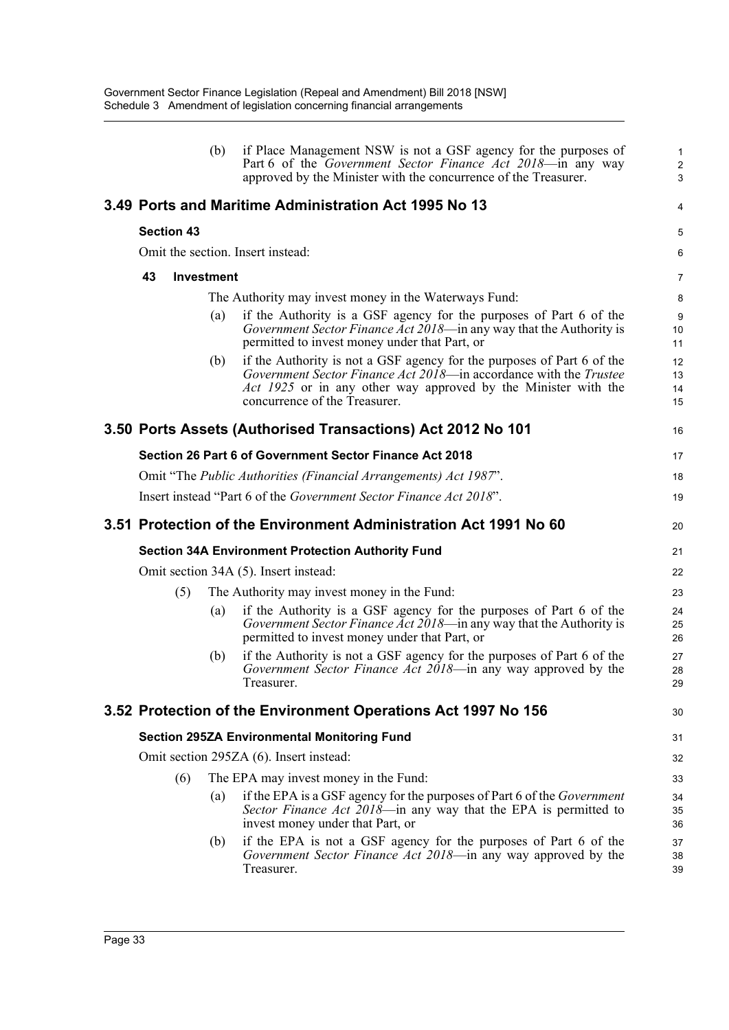|                   |                   | (b) | if Place Management NSW is not a GSF agency for the purposes of<br>Part 6 of the Government Sector Finance Act 2018-in any way<br>approved by the Minister with the concurrence of the Treasurer.                                              | 1<br>$\overline{a}$<br>3 |
|-------------------|-------------------|-----|------------------------------------------------------------------------------------------------------------------------------------------------------------------------------------------------------------------------------------------------|--------------------------|
|                   |                   |     | 3.49 Ports and Maritime Administration Act 1995 No 13                                                                                                                                                                                          | 4                        |
| <b>Section 43</b> |                   |     |                                                                                                                                                                                                                                                | 5                        |
|                   |                   |     | Omit the section. Insert instead:                                                                                                                                                                                                              | 6                        |
| 43                | <b>Investment</b> |     |                                                                                                                                                                                                                                                | 7                        |
|                   |                   |     | The Authority may invest money in the Waterways Fund:                                                                                                                                                                                          | 8                        |
|                   |                   | (a) | if the Authority is a GSF agency for the purposes of Part 6 of the<br><i>Government Sector Finance Act 2018</i> —in any way that the Authority is<br>permitted to invest money under that Part, or                                             | 9<br>10<br>11            |
|                   |                   | (b) | if the Authority is not a GSF agency for the purposes of Part 6 of the<br>Government Sector Finance Act 2018—in accordance with the Trustee<br>Act 1925 or in any other way approved by the Minister with the<br>concurrence of the Treasurer. | 12<br>13<br>14<br>15     |
|                   |                   |     | 3.50 Ports Assets (Authorised Transactions) Act 2012 No 101                                                                                                                                                                                    | 16                       |
|                   |                   |     | Section 26 Part 6 of Government Sector Finance Act 2018                                                                                                                                                                                        | 17                       |
|                   |                   |     | Omit "The Public Authorities (Financial Arrangements) Act 1987".                                                                                                                                                                               | 18                       |
|                   |                   |     | Insert instead "Part 6 of the Government Sector Finance Act 2018".                                                                                                                                                                             | 19                       |
|                   |                   |     | 3.51 Protection of the Environment Administration Act 1991 No 60                                                                                                                                                                               | 20                       |
|                   |                   |     | <b>Section 34A Environment Protection Authority Fund</b>                                                                                                                                                                                       | 21                       |
|                   |                   |     | Omit section 34A (5). Insert instead:                                                                                                                                                                                                          | 22                       |
|                   | (5)               |     | The Authority may invest money in the Fund:                                                                                                                                                                                                    | 23                       |
|                   |                   |     |                                                                                                                                                                                                                                                |                          |
|                   |                   | (a) | if the Authority is a GSF agency for the purposes of Part 6 of the<br>Government Sector Finance Act 2018—in any way that the Authority is<br>permitted to invest money under that Part, or                                                     | 24<br>25<br>26           |
|                   |                   | (b) | if the Authority is not a GSF agency for the purposes of Part 6 of the<br>Government Sector Finance Act 2018—in any way approved by the<br>Treasurer.                                                                                          | 27<br>28<br>29           |
|                   |                   |     | 3.52 Protection of the Environment Operations Act 1997 No 156                                                                                                                                                                                  | 30                       |
|                   |                   |     | <b>Section 295ZA Environmental Monitoring Fund</b>                                                                                                                                                                                             | 31                       |
|                   |                   |     | Omit section 295ZA (6). Insert instead:                                                                                                                                                                                                        | 32                       |
|                   | (6)               |     | The EPA may invest money in the Fund:                                                                                                                                                                                                          | 33                       |
|                   |                   | (a) | if the EPA is a GSF agency for the purposes of Part 6 of the <i>Government</i><br>Sector Finance Act 2018—in any way that the EPA is permitted to<br>invest money under that Part, or                                                          | 34<br>35<br>36           |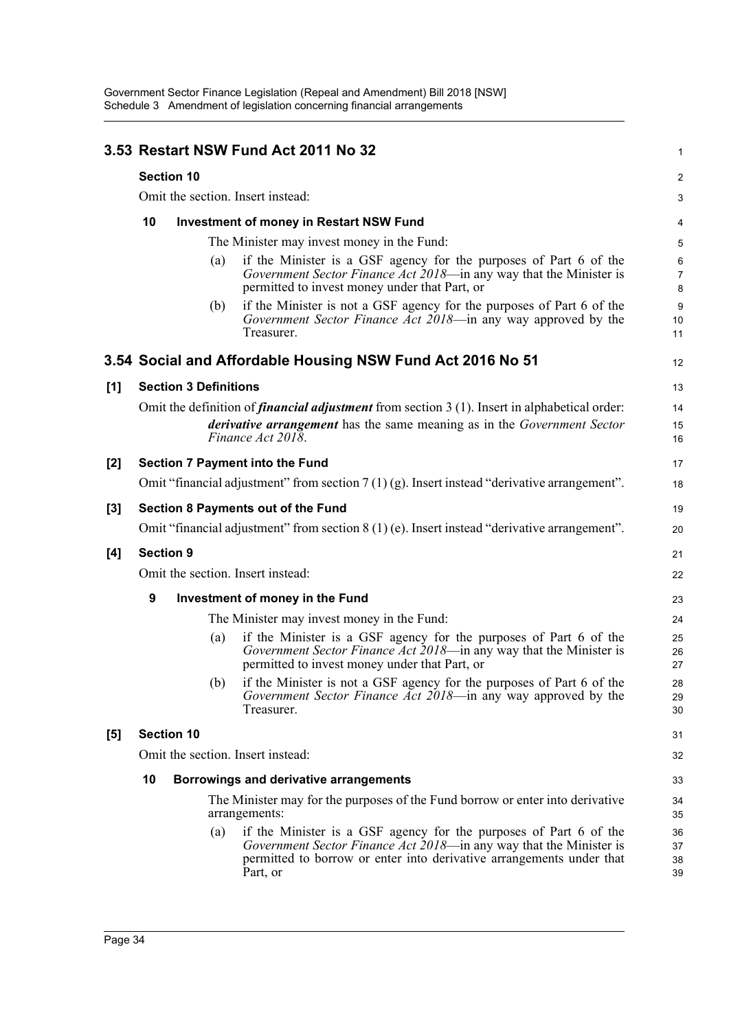|       |                                   |                              |     | 3.53 Restart NSW Fund Act 2011 No 32                                                                                                                                                                                        | $\mathbf{1}$                 |  |  |
|-------|-----------------------------------|------------------------------|-----|-----------------------------------------------------------------------------------------------------------------------------------------------------------------------------------------------------------------------------|------------------------------|--|--|
|       | <b>Section 10</b>                 |                              |     |                                                                                                                                                                                                                             |                              |  |  |
|       | Omit the section. Insert instead: |                              |     |                                                                                                                                                                                                                             |                              |  |  |
|       | 10                                |                              |     | <b>Investment of money in Restart NSW Fund</b>                                                                                                                                                                              | 4                            |  |  |
|       |                                   |                              |     | The Minister may invest money in the Fund:                                                                                                                                                                                  | 5                            |  |  |
|       |                                   |                              | (a) | if the Minister is a GSF agency for the purposes of Part 6 of the<br>Government Sector Finance Act 2018-in any way that the Minister is<br>permitted to invest money under that Part, or                                    | $\,6$<br>$\overline{7}$<br>8 |  |  |
|       |                                   |                              | (b) | if the Minister is not a GSF agency for the purposes of Part 6 of the<br>Government Sector Finance Act 2018—in any way approved by the<br>Treasurer.                                                                        | $9\,$<br>10<br>11            |  |  |
|       |                                   |                              |     | 3.54 Social and Affordable Housing NSW Fund Act 2016 No 51                                                                                                                                                                  | 12                           |  |  |
| [1]   |                                   | <b>Section 3 Definitions</b> |     |                                                                                                                                                                                                                             | 13                           |  |  |
|       |                                   |                              |     | Omit the definition of <i>financial adjustment</i> from section 3 (1). Insert in alphabetical order:                                                                                                                        | 14                           |  |  |
|       |                                   |                              |     | <i>derivative arrangement</i> has the same meaning as in the <i>Government Sector</i><br>Finance Act 2018.                                                                                                                  | 15<br>16                     |  |  |
| $[2]$ |                                   |                              |     | <b>Section 7 Payment into the Fund</b>                                                                                                                                                                                      | 17                           |  |  |
|       |                                   |                              |     | Omit "financial adjustment" from section $7(1)(g)$ . Insert instead "derivative arrangement".                                                                                                                               | 18                           |  |  |
| $[3]$ |                                   |                              |     | <b>Section 8 Payments out of the Fund</b>                                                                                                                                                                                   | 19                           |  |  |
|       |                                   |                              |     | Omit "financial adjustment" from section $8(1)$ (e). Insert instead "derivative arrangement".                                                                                                                               | 20                           |  |  |
| [4]   |                                   | <b>Section 9</b>             |     |                                                                                                                                                                                                                             | 21                           |  |  |
|       |                                   |                              |     | Omit the section. Insert instead:                                                                                                                                                                                           | 22                           |  |  |
|       | 9                                 |                              |     | Investment of money in the Fund                                                                                                                                                                                             | 23                           |  |  |
|       |                                   |                              |     | The Minister may invest money in the Fund:                                                                                                                                                                                  | 24                           |  |  |
|       |                                   |                              | (a) | if the Minister is a GSF agency for the purposes of Part 6 of the<br>Government Sector Finance Act 2018—in any way that the Minister is<br>permitted to invest money under that Part, or                                    | 25<br>26<br>27               |  |  |
|       |                                   |                              |     | (b) if the Minister is not a GSF agency for the purposes of Part 6 of the<br>Government Sector Finance Act 2018—in any way approved by the<br>Treasurer.                                                                    | 28<br>29<br>30               |  |  |
| [5]   |                                   | <b>Section 10</b>            |     |                                                                                                                                                                                                                             | 31                           |  |  |
|       |                                   |                              |     | Omit the section. Insert instead:                                                                                                                                                                                           | 32                           |  |  |
|       | 10                                |                              |     | Borrowings and derivative arrangements                                                                                                                                                                                      | 33                           |  |  |
|       |                                   |                              |     | The Minister may for the purposes of the Fund borrow or enter into derivative<br>arrangements:                                                                                                                              | 34<br>35                     |  |  |
|       |                                   |                              | (a) | if the Minister is a GSF agency for the purposes of Part 6 of the<br>Government Sector Finance Act 2018—in any way that the Minister is<br>permitted to borrow or enter into derivative arrangements under that<br>Part, or | 36<br>37<br>38<br>39         |  |  |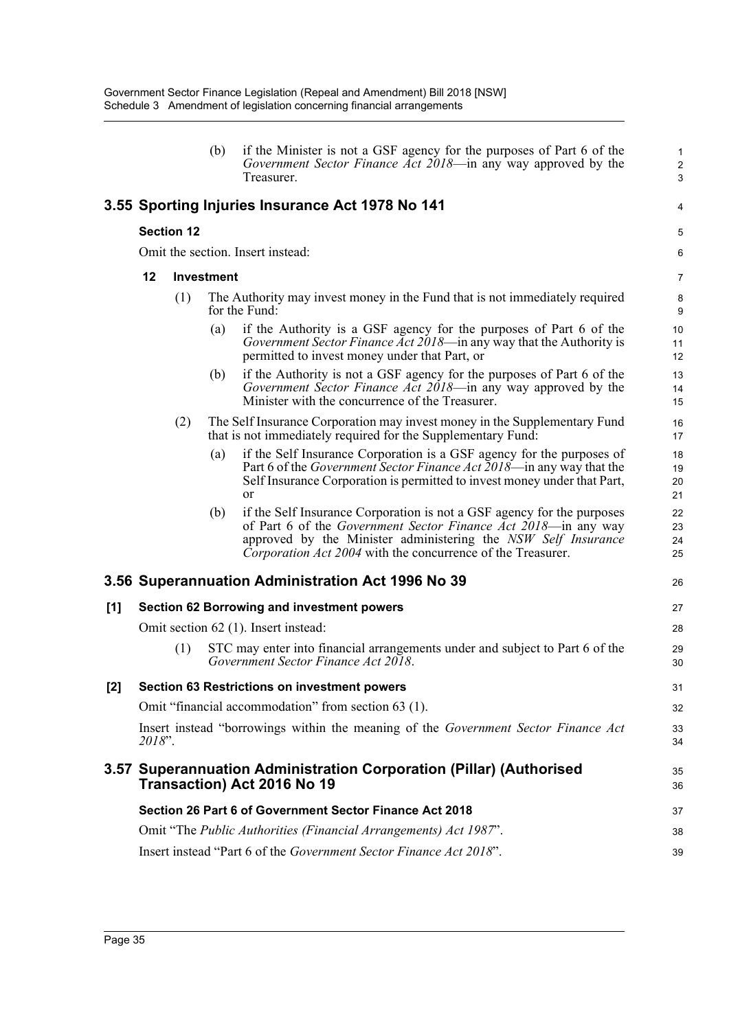|     |        |                   | (b)               | if the Minister is not a GSF agency for the purposes of Part 6 of the<br>Government Sector Finance Act 2018-in any way approved by the<br>Treasurer.                                                                                                                             | $\mathbf{1}$<br>$\overline{2}$<br>3 |
|-----|--------|-------------------|-------------------|----------------------------------------------------------------------------------------------------------------------------------------------------------------------------------------------------------------------------------------------------------------------------------|-------------------------------------|
|     |        |                   |                   | 3.55 Sporting Injuries Insurance Act 1978 No 141                                                                                                                                                                                                                                 | 4                                   |
|     |        | <b>Section 12</b> |                   |                                                                                                                                                                                                                                                                                  | 5                                   |
|     |        |                   |                   | Omit the section. Insert instead:                                                                                                                                                                                                                                                | 6                                   |
|     | 12     |                   | <b>Investment</b> |                                                                                                                                                                                                                                                                                  | 7                                   |
|     |        | (1)               |                   | The Authority may invest money in the Fund that is not immediately required<br>for the Fund:                                                                                                                                                                                     | 8<br>$9\,$                          |
|     |        |                   | (a)               | if the Authority is a GSF agency for the purposes of Part 6 of the<br>Government Sector Finance Act 2018-in any way that the Authority is<br>permitted to invest money under that Part, or                                                                                       | 10<br>11<br>12                      |
|     |        |                   | (b)               | if the Authority is not a GSF agency for the purposes of Part 6 of the<br>Government Sector Finance Act 2018—in any way approved by the<br>Minister with the concurrence of the Treasurer.                                                                                       | 13<br>14<br>15                      |
|     |        | (2)               |                   | The Self Insurance Corporation may invest money in the Supplementary Fund<br>that is not immediately required for the Supplementary Fund:                                                                                                                                        | 16<br>17                            |
|     |        |                   | (a)               | if the Self Insurance Corporation is a GSF agency for the purposes of<br>Part 6 of the <i>Government Sector Finance Act</i> 2018—in any way that the<br>Self Insurance Corporation is permitted to invest money under that Part,<br>or                                           | 18<br>19<br>20<br>21                |
|     |        |                   | (b)               | if the Self Insurance Corporation is not a GSF agency for the purposes<br>of Part 6 of the <i>Government Sector Finance Act 2018</i> —in any way<br>approved by the Minister administering the NSW Self Insurance<br>Corporation Act 2004 with the concurrence of the Treasurer. | 22<br>23<br>24<br>25                |
|     |        |                   |                   | 3.56 Superannuation Administration Act 1996 No 39                                                                                                                                                                                                                                | 26                                  |
| [1] |        |                   |                   | <b>Section 62 Borrowing and investment powers</b>                                                                                                                                                                                                                                | 27                                  |
|     |        |                   |                   | Omit section 62 (1). Insert instead:                                                                                                                                                                                                                                             | 28                                  |
|     |        | (1)               |                   | STC may enter into financial arrangements under and subject to Part 6 of the<br>Government Sector Finance Act 2018.                                                                                                                                                              | 29<br>30                            |
| [2] |        |                   |                   | <b>Section 63 Restrictions on investment powers</b>                                                                                                                                                                                                                              | 31                                  |
|     |        |                   |                   | Omit "financial accommodation" from section 63 (1).                                                                                                                                                                                                                              | 32                                  |
|     | 2018". |                   |                   | Insert instead "borrowings within the meaning of the Government Sector Finance Act                                                                                                                                                                                               | 33<br>34                            |
|     |        |                   |                   | 3.57 Superannuation Administration Corporation (Pillar) (Authorised<br>Transaction) Act 2016 No 19                                                                                                                                                                               | 35<br>36                            |
|     |        |                   |                   | Section 26 Part 6 of Government Sector Finance Act 2018                                                                                                                                                                                                                          | 37                                  |
|     |        |                   |                   | Omit "The Public Authorities (Financial Arrangements) Act 1987".                                                                                                                                                                                                                 | 38                                  |
|     |        |                   |                   | Insert instead "Part 6 of the Government Sector Finance Act 2018".                                                                                                                                                                                                               | 39                                  |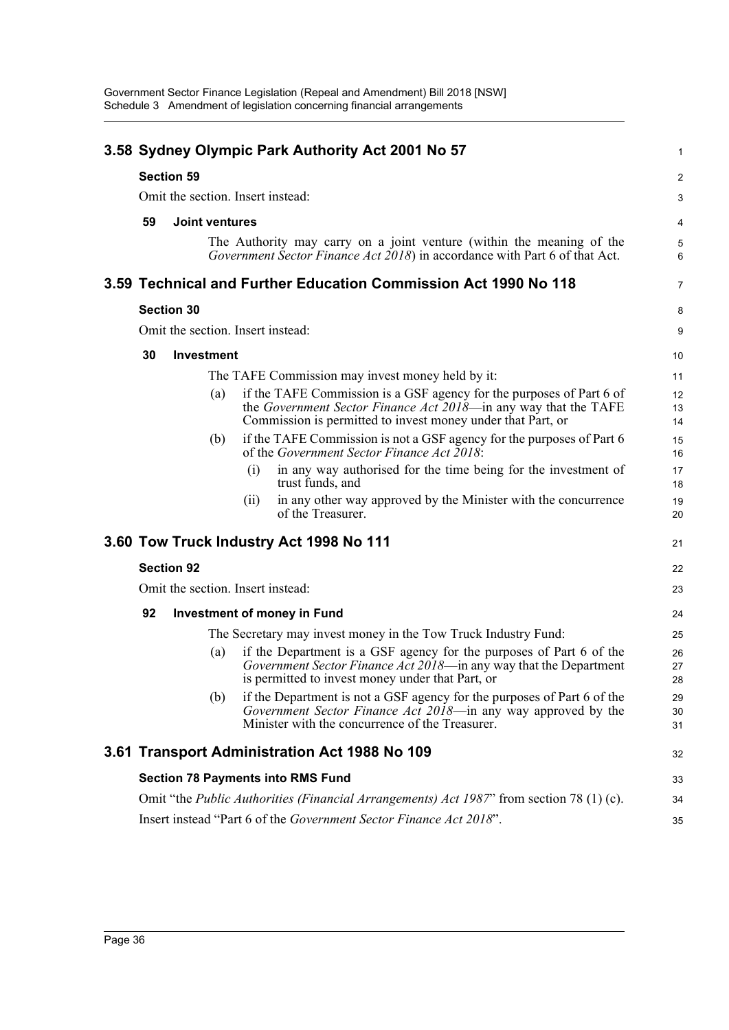|                                   |                       |     |      | 3.58 Sydney Olympic Park Authority Act 2001 No 57                                                                                                                                                      | 1              |  |  |  |
|-----------------------------------|-----------------------|-----|------|--------------------------------------------------------------------------------------------------------------------------------------------------------------------------------------------------------|----------------|--|--|--|
|                                   | <b>Section 59</b>     |     |      |                                                                                                                                                                                                        | 2              |  |  |  |
| Omit the section. Insert instead: |                       |     |      |                                                                                                                                                                                                        |                |  |  |  |
| 59                                | <b>Joint ventures</b> |     |      |                                                                                                                                                                                                        | 4              |  |  |  |
|                                   |                       |     |      | The Authority may carry on a joint venture (within the meaning of the<br>Government Sector Finance Act 2018) in accordance with Part 6 of that Act.                                                    | 5<br>6         |  |  |  |
|                                   |                       |     |      | 3.59 Technical and Further Education Commission Act 1990 No 118                                                                                                                                        | $\overline{7}$ |  |  |  |
|                                   | <b>Section 30</b>     |     |      |                                                                                                                                                                                                        | 8              |  |  |  |
|                                   |                       |     |      | Omit the section. Insert instead:                                                                                                                                                                      | 9              |  |  |  |
| 30                                | Investment            |     |      |                                                                                                                                                                                                        | 10             |  |  |  |
|                                   |                       |     |      | The TAFE Commission may invest money held by it:                                                                                                                                                       | 11             |  |  |  |
|                                   |                       | (a) |      | if the TAFE Commission is a GSF agency for the purposes of Part 6 of<br>the Government Sector Finance Act 2018—in any way that the TAFE<br>Commission is permitted to invest money under that Part, or | 12<br>13<br>14 |  |  |  |
|                                   |                       | (b) |      | if the TAFE Commission is not a GSF agency for the purposes of Part 6<br>of the Government Sector Finance Act $2018$ .                                                                                 | 15<br>16       |  |  |  |
|                                   |                       |     | (i)  | in any way authorised for the time being for the investment of<br>trust funds, and                                                                                                                     | 17<br>18       |  |  |  |
|                                   |                       |     | (11) | in any other way approved by the Minister with the concurrence<br>of the Treasurer.                                                                                                                    | 19<br>20       |  |  |  |
|                                   |                       |     |      | 3.60 Tow Truck Industry Act 1998 No 111                                                                                                                                                                | 21             |  |  |  |
|                                   | <b>Section 92</b>     |     |      |                                                                                                                                                                                                        | 22             |  |  |  |
|                                   |                       |     |      | Omit the section. Insert instead:                                                                                                                                                                      | 23             |  |  |  |
| 92                                |                       |     |      | <b>Investment of money in Fund</b>                                                                                                                                                                     | 24             |  |  |  |
|                                   |                       |     |      | The Secretary may invest money in the Tow Truck Industry Fund:                                                                                                                                         | 25             |  |  |  |
|                                   |                       | (a) |      | if the Department is a GSF agency for the purposes of Part 6 of the<br>Government Sector Finance Act 2018—in any way that the Department<br>is permitted to invest money under that Part, or           | 26<br>27<br>28 |  |  |  |
|                                   |                       | (b) |      | if the Department is not a GSF agency for the purposes of Part 6 of the<br>Government Sector Finance Act 2018—in any way approved by the<br>Minister with the concurrence of the Treasurer.            | 29<br>30<br>31 |  |  |  |
|                                   |                       |     |      | 3.61 Transport Administration Act 1988 No 109                                                                                                                                                          | 32             |  |  |  |
|                                   |                       |     |      | <b>Section 78 Payments into RMS Fund</b>                                                                                                                                                               | 33             |  |  |  |
|                                   |                       |     |      | Omit "the <i>Public Authorities (Financial Arrangements) Act 1987</i> " from section 78 (1) (c).                                                                                                       | 34             |  |  |  |
|                                   |                       |     |      | Insert instead "Part 6 of the Government Sector Finance Act 2018".                                                                                                                                     | 35             |  |  |  |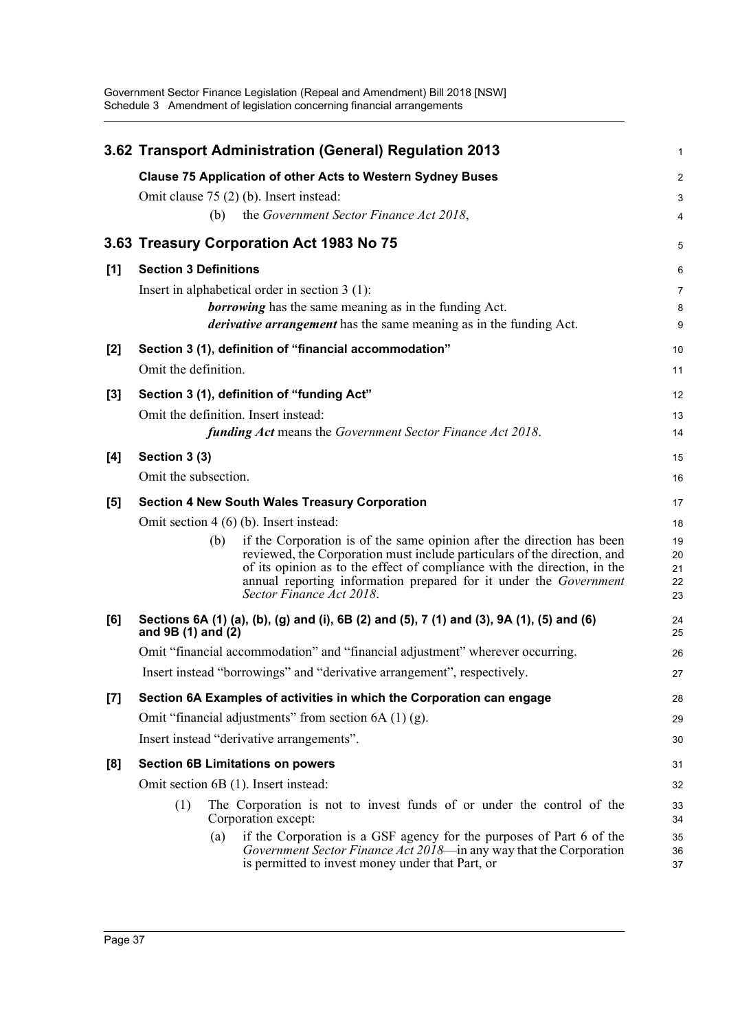Government Sector Finance Legislation (Repeal and Amendment) Bill 2018 [NSW] Schedule 3 Amendment of legislation concerning financial arrangements

|       | 3.62 Transport Administration (General) Regulation 2013                                                                                                                                                                                                                                                                                | 1                          |
|-------|----------------------------------------------------------------------------------------------------------------------------------------------------------------------------------------------------------------------------------------------------------------------------------------------------------------------------------------|----------------------------|
|       | <b>Clause 75 Application of other Acts to Western Sydney Buses</b>                                                                                                                                                                                                                                                                     | $\boldsymbol{2}$           |
|       | Omit clause 75 (2) (b). Insert instead:                                                                                                                                                                                                                                                                                                | 3                          |
|       | the Government Sector Finance Act 2018,<br>(b)                                                                                                                                                                                                                                                                                         | $\overline{4}$             |
|       | 3.63 Treasury Corporation Act 1983 No 75                                                                                                                                                                                                                                                                                               | 5                          |
| [1]   | <b>Section 3 Definitions</b>                                                                                                                                                                                                                                                                                                           | 6                          |
|       | Insert in alphabetical order in section $3(1)$ :                                                                                                                                                                                                                                                                                       | $\overline{7}$             |
|       | <b>borrowing</b> has the same meaning as in the funding Act.                                                                                                                                                                                                                                                                           | 8                          |
|       | <i>derivative arrangement</i> has the same meaning as in the funding Act.                                                                                                                                                                                                                                                              | 9                          |
| $[2]$ | Section 3 (1), definition of "financial accommodation"                                                                                                                                                                                                                                                                                 | 10                         |
|       | Omit the definition.                                                                                                                                                                                                                                                                                                                   | 11                         |
| $[3]$ | Section 3 (1), definition of "funding Act"                                                                                                                                                                                                                                                                                             | 12                         |
|       | Omit the definition. Insert instead:                                                                                                                                                                                                                                                                                                   | 13                         |
|       | <b>funding Act</b> means the Government Sector Finance Act 2018.                                                                                                                                                                                                                                                                       | 14                         |
| [4]   | Section 3 (3)                                                                                                                                                                                                                                                                                                                          | 15                         |
|       | Omit the subsection.                                                                                                                                                                                                                                                                                                                   | 16                         |
| [5]   | <b>Section 4 New South Wales Treasury Corporation</b>                                                                                                                                                                                                                                                                                  | 17                         |
|       | Omit section 4 (6) (b). Insert instead:                                                                                                                                                                                                                                                                                                | 18                         |
|       | if the Corporation is of the same opinion after the direction has been<br>(b)<br>reviewed, the Corporation must include particulars of the direction, and<br>of its opinion as to the effect of compliance with the direction, in the<br>annual reporting information prepared for it under the Government<br>Sector Finance Act 2018. | 19<br>20<br>21<br>22<br>23 |
| [6]   | Sections 6A (1) (a), (b), (g) and (i), 6B (2) and (5), 7 (1) and (3), 9A (1), (5) and (6)<br>and $9B(1)$ and $(2)$                                                                                                                                                                                                                     | 24<br>25                   |
|       | Omit "financial accommodation" and "financial adjustment" wherever occurring.                                                                                                                                                                                                                                                          | 26                         |
|       | Insert instead "borrowings" and "derivative arrangement", respectively.                                                                                                                                                                                                                                                                | 27                         |
| [7]   | Section 6A Examples of activities in which the Corporation can engage                                                                                                                                                                                                                                                                  | 28                         |
|       | Omit "financial adjustments" from section $6A(1)(g)$ .                                                                                                                                                                                                                                                                                 | 29                         |
|       | Insert instead "derivative arrangements".                                                                                                                                                                                                                                                                                              | 30                         |
| [8]   | <b>Section 6B Limitations on powers</b>                                                                                                                                                                                                                                                                                                | 31                         |
|       | Omit section 6B (1). Insert instead:                                                                                                                                                                                                                                                                                                   | 32                         |
|       | The Corporation is not to invest funds of or under the control of the<br>(1)<br>Corporation except:                                                                                                                                                                                                                                    | 33<br>34                   |
|       | if the Corporation is a GSF agency for the purposes of Part 6 of the<br>(a)<br><i>Government Sector Finance Act 2018</i> —in any way that the Corporation<br>is permitted to invest money under that Part, or                                                                                                                          | 35<br>36<br>37             |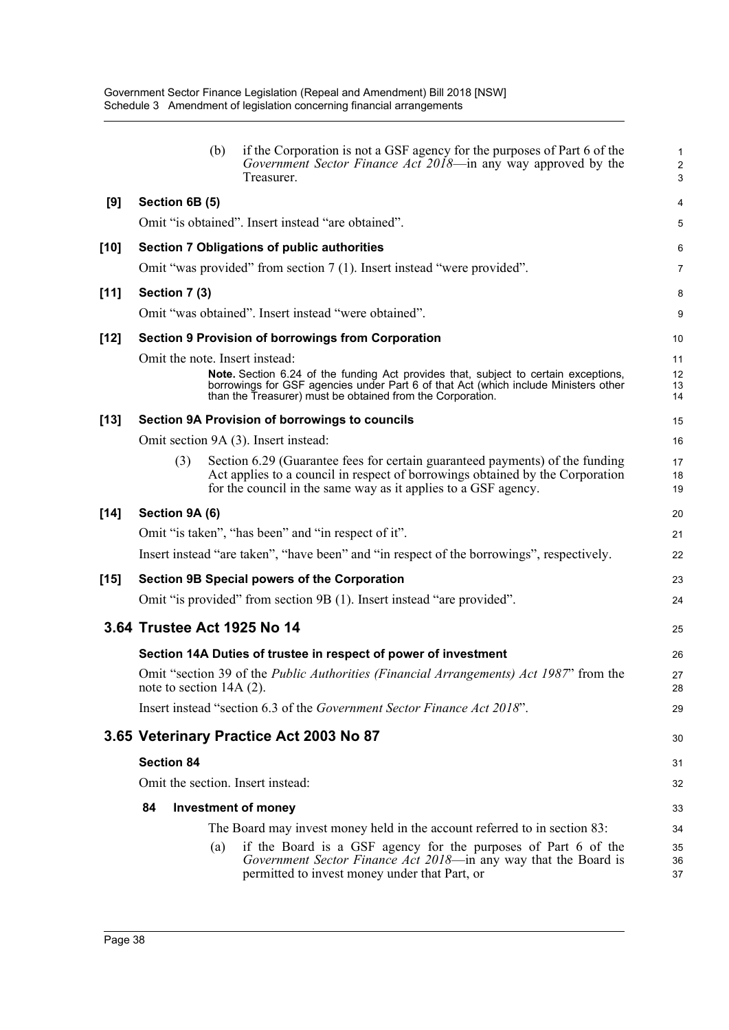|                   | if the Corporation is not a GSF agency for the purposes of Part 6 of the<br>Government Sector Finance Act 2018—in any way approved by the<br>Treasurer.                            | $\mathbf{1}$<br>$\sqrt{2}$<br>3                                                                                                                                                                                                                                                                                                                                                                                                                                                                                                                                                                                                                                                                                                                                                                                                                                                                                                                                                                                                                                                                                                                                                                                                                                                                                                                                                                                                                                                                                                                                                                                                                                                                                                      |
|-------------------|------------------------------------------------------------------------------------------------------------------------------------------------------------------------------------|--------------------------------------------------------------------------------------------------------------------------------------------------------------------------------------------------------------------------------------------------------------------------------------------------------------------------------------------------------------------------------------------------------------------------------------------------------------------------------------------------------------------------------------------------------------------------------------------------------------------------------------------------------------------------------------------------------------------------------------------------------------------------------------------------------------------------------------------------------------------------------------------------------------------------------------------------------------------------------------------------------------------------------------------------------------------------------------------------------------------------------------------------------------------------------------------------------------------------------------------------------------------------------------------------------------------------------------------------------------------------------------------------------------------------------------------------------------------------------------------------------------------------------------------------------------------------------------------------------------------------------------------------------------------------------------------------------------------------------------|
| Section 6B (5)    |                                                                                                                                                                                    | 4                                                                                                                                                                                                                                                                                                                                                                                                                                                                                                                                                                                                                                                                                                                                                                                                                                                                                                                                                                                                                                                                                                                                                                                                                                                                                                                                                                                                                                                                                                                                                                                                                                                                                                                                    |
|                   |                                                                                                                                                                                    | 5                                                                                                                                                                                                                                                                                                                                                                                                                                                                                                                                                                                                                                                                                                                                                                                                                                                                                                                                                                                                                                                                                                                                                                                                                                                                                                                                                                                                                                                                                                                                                                                                                                                                                                                                    |
|                   |                                                                                                                                                                                    | 6                                                                                                                                                                                                                                                                                                                                                                                                                                                                                                                                                                                                                                                                                                                                                                                                                                                                                                                                                                                                                                                                                                                                                                                                                                                                                                                                                                                                                                                                                                                                                                                                                                                                                                                                    |
|                   |                                                                                                                                                                                    | 7                                                                                                                                                                                                                                                                                                                                                                                                                                                                                                                                                                                                                                                                                                                                                                                                                                                                                                                                                                                                                                                                                                                                                                                                                                                                                                                                                                                                                                                                                                                                                                                                                                                                                                                                    |
| Section 7 (3)     |                                                                                                                                                                                    | 8                                                                                                                                                                                                                                                                                                                                                                                                                                                                                                                                                                                                                                                                                                                                                                                                                                                                                                                                                                                                                                                                                                                                                                                                                                                                                                                                                                                                                                                                                                                                                                                                                                                                                                                                    |
|                   |                                                                                                                                                                                    | 9                                                                                                                                                                                                                                                                                                                                                                                                                                                                                                                                                                                                                                                                                                                                                                                                                                                                                                                                                                                                                                                                                                                                                                                                                                                                                                                                                                                                                                                                                                                                                                                                                                                                                                                                    |
|                   |                                                                                                                                                                                    | 10                                                                                                                                                                                                                                                                                                                                                                                                                                                                                                                                                                                                                                                                                                                                                                                                                                                                                                                                                                                                                                                                                                                                                                                                                                                                                                                                                                                                                                                                                                                                                                                                                                                                                                                                   |
|                   |                                                                                                                                                                                    | 11                                                                                                                                                                                                                                                                                                                                                                                                                                                                                                                                                                                                                                                                                                                                                                                                                                                                                                                                                                                                                                                                                                                                                                                                                                                                                                                                                                                                                                                                                                                                                                                                                                                                                                                                   |
|                   |                                                                                                                                                                                    | 12<br>13<br>14                                                                                                                                                                                                                                                                                                                                                                                                                                                                                                                                                                                                                                                                                                                                                                                                                                                                                                                                                                                                                                                                                                                                                                                                                                                                                                                                                                                                                                                                                                                                                                                                                                                                                                                       |
|                   |                                                                                                                                                                                    | 15                                                                                                                                                                                                                                                                                                                                                                                                                                                                                                                                                                                                                                                                                                                                                                                                                                                                                                                                                                                                                                                                                                                                                                                                                                                                                                                                                                                                                                                                                                                                                                                                                                                                                                                                   |
|                   |                                                                                                                                                                                    | 16                                                                                                                                                                                                                                                                                                                                                                                                                                                                                                                                                                                                                                                                                                                                                                                                                                                                                                                                                                                                                                                                                                                                                                                                                                                                                                                                                                                                                                                                                                                                                                                                                                                                                                                                   |
| (3)               |                                                                                                                                                                                    | 17<br>18<br>19                                                                                                                                                                                                                                                                                                                                                                                                                                                                                                                                                                                                                                                                                                                                                                                                                                                                                                                                                                                                                                                                                                                                                                                                                                                                                                                                                                                                                                                                                                                                                                                                                                                                                                                       |
| Section 9A (6)    |                                                                                                                                                                                    | 20                                                                                                                                                                                                                                                                                                                                                                                                                                                                                                                                                                                                                                                                                                                                                                                                                                                                                                                                                                                                                                                                                                                                                                                                                                                                                                                                                                                                                                                                                                                                                                                                                                                                                                                                   |
|                   |                                                                                                                                                                                    | 21                                                                                                                                                                                                                                                                                                                                                                                                                                                                                                                                                                                                                                                                                                                                                                                                                                                                                                                                                                                                                                                                                                                                                                                                                                                                                                                                                                                                                                                                                                                                                                                                                                                                                                                                   |
|                   |                                                                                                                                                                                    | 22                                                                                                                                                                                                                                                                                                                                                                                                                                                                                                                                                                                                                                                                                                                                                                                                                                                                                                                                                                                                                                                                                                                                                                                                                                                                                                                                                                                                                                                                                                                                                                                                                                                                                                                                   |
|                   |                                                                                                                                                                                    | 23                                                                                                                                                                                                                                                                                                                                                                                                                                                                                                                                                                                                                                                                                                                                                                                                                                                                                                                                                                                                                                                                                                                                                                                                                                                                                                                                                                                                                                                                                                                                                                                                                                                                                                                                   |
|                   |                                                                                                                                                                                    | 24                                                                                                                                                                                                                                                                                                                                                                                                                                                                                                                                                                                                                                                                                                                                                                                                                                                                                                                                                                                                                                                                                                                                                                                                                                                                                                                                                                                                                                                                                                                                                                                                                                                                                                                                   |
|                   |                                                                                                                                                                                    | 25                                                                                                                                                                                                                                                                                                                                                                                                                                                                                                                                                                                                                                                                                                                                                                                                                                                                                                                                                                                                                                                                                                                                                                                                                                                                                                                                                                                                                                                                                                                                                                                                                                                                                                                                   |
|                   |                                                                                                                                                                                    | 26                                                                                                                                                                                                                                                                                                                                                                                                                                                                                                                                                                                                                                                                                                                                                                                                                                                                                                                                                                                                                                                                                                                                                                                                                                                                                                                                                                                                                                                                                                                                                                                                                                                                                                                                   |
|                   |                                                                                                                                                                                    | 27<br>28                                                                                                                                                                                                                                                                                                                                                                                                                                                                                                                                                                                                                                                                                                                                                                                                                                                                                                                                                                                                                                                                                                                                                                                                                                                                                                                                                                                                                                                                                                                                                                                                                                                                                                                             |
|                   |                                                                                                                                                                                    | 29                                                                                                                                                                                                                                                                                                                                                                                                                                                                                                                                                                                                                                                                                                                                                                                                                                                                                                                                                                                                                                                                                                                                                                                                                                                                                                                                                                                                                                                                                                                                                                                                                                                                                                                                   |
|                   |                                                                                                                                                                                    | 30                                                                                                                                                                                                                                                                                                                                                                                                                                                                                                                                                                                                                                                                                                                                                                                                                                                                                                                                                                                                                                                                                                                                                                                                                                                                                                                                                                                                                                                                                                                                                                                                                                                                                                                                   |
| <b>Section 84</b> |                                                                                                                                                                                    | 31                                                                                                                                                                                                                                                                                                                                                                                                                                                                                                                                                                                                                                                                                                                                                                                                                                                                                                                                                                                                                                                                                                                                                                                                                                                                                                                                                                                                                                                                                                                                                                                                                                                                                                                                   |
|                   |                                                                                                                                                                                    | 32                                                                                                                                                                                                                                                                                                                                                                                                                                                                                                                                                                                                                                                                                                                                                                                                                                                                                                                                                                                                                                                                                                                                                                                                                                                                                                                                                                                                                                                                                                                                                                                                                                                                                                                                   |
| 84                |                                                                                                                                                                                    | 33                                                                                                                                                                                                                                                                                                                                                                                                                                                                                                                                                                                                                                                                                                                                                                                                                                                                                                                                                                                                                                                                                                                                                                                                                                                                                                                                                                                                                                                                                                                                                                                                                                                                                                                                   |
|                   |                                                                                                                                                                                    | 34                                                                                                                                                                                                                                                                                                                                                                                                                                                                                                                                                                                                                                                                                                                                                                                                                                                                                                                                                                                                                                                                                                                                                                                                                                                                                                                                                                                                                                                                                                                                                                                                                                                                                                                                   |
|                   | if the Board is a GSF agency for the purposes of Part 6 of the<br>Government Sector Finance Act 2018-in any way that the Board is<br>permitted to invest money under that Part, or | 35<br>36<br>37                                                                                                                                                                                                                                                                                                                                                                                                                                                                                                                                                                                                                                                                                                                                                                                                                                                                                                                                                                                                                                                                                                                                                                                                                                                                                                                                                                                                                                                                                                                                                                                                                                                                                                                       |
|                   |                                                                                                                                                                                    | (b)<br>Omit "is obtained". Insert instead "are obtained".<br><b>Section 7 Obligations of public authorities</b><br>Omit "was provided" from section 7 (1). Insert instead "were provided".<br>Omit "was obtained". Insert instead "were obtained".<br><b>Section 9 Provision of borrowings from Corporation</b><br>Omit the note. Insert instead:<br>Note. Section 6.24 of the funding Act provides that, subject to certain exceptions,<br>borrowings for GSF agencies under Part 6 of that Act (which include Ministers other<br>than the Treasurer) must be obtained from the Corporation.<br><b>Section 9A Provision of borrowings to councils</b><br>Omit section 9A (3). Insert instead:<br>Section 6.29 (Guarantee fees for certain guaranteed payments) of the funding<br>Act applies to a council in respect of borrowings obtained by the Corporation<br>for the council in the same way as it applies to a GSF agency.<br>Omit "is taken", "has been" and "in respect of it".<br>Insert instead "are taken", "have been" and "in respect of the borrowings", respectively.<br>Section 9B Special powers of the Corporation<br>Omit "is provided" from section 9B (1). Insert instead "are provided".<br>3.64 Trustee Act 1925 No 14<br>Section 14A Duties of trustee in respect of power of investment<br>Omit "section 39 of the <i>Public Authorities (Financial Arrangements) Act 1987</i> " from the<br>note to section 14A (2).<br>Insert instead "section 6.3 of the <i>Government Sector Finance Act 2018</i> ".<br>3.65 Veterinary Practice Act 2003 No 87<br>Omit the section. Insert instead:<br><b>Investment of money</b><br>The Board may invest money held in the account referred to in section 83:<br>(a) |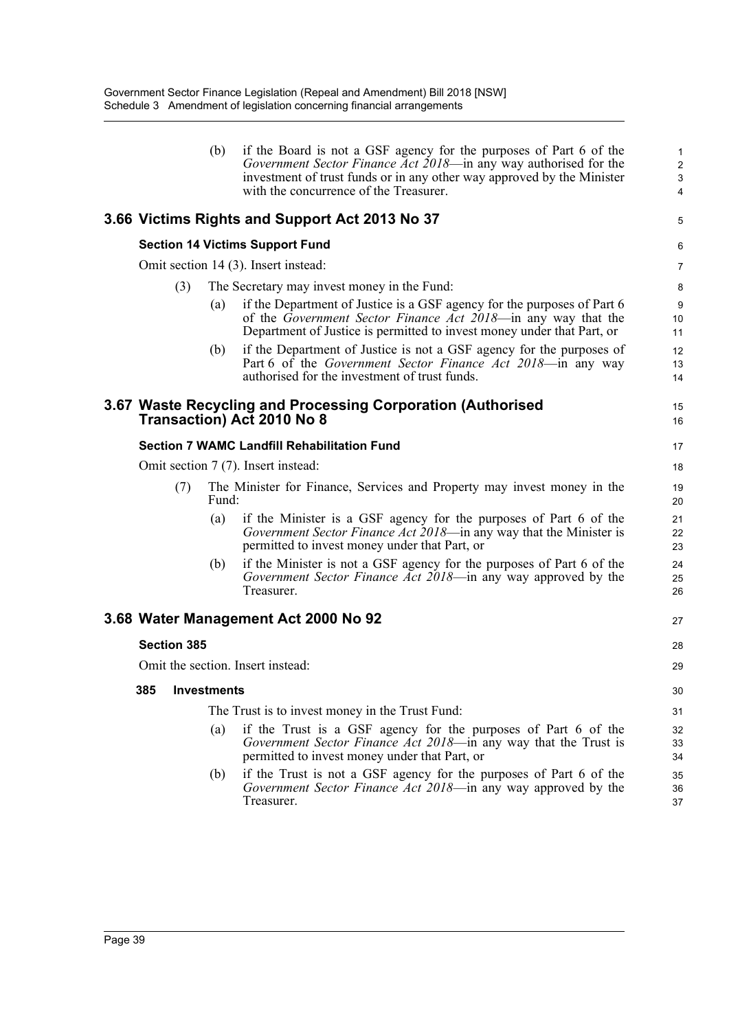|                    | (b)   | if the Board is not a GSF agency for the purposes of Part 6 of the<br>Government Sector Finance Act 2018—in any way authorised for the<br>investment of trust funds or in any other way approved by the Minister<br>with the concurrence of the Treasurer. | $\mathbf{1}$<br>$\overline{c}$<br>3<br>$\overline{4}$ |
|--------------------|-------|------------------------------------------------------------------------------------------------------------------------------------------------------------------------------------------------------------------------------------------------------------|-------------------------------------------------------|
|                    |       | 3.66 Victims Rights and Support Act 2013 No 37                                                                                                                                                                                                             | 5                                                     |
|                    |       | <b>Section 14 Victims Support Fund</b>                                                                                                                                                                                                                     | 6                                                     |
|                    |       | Omit section 14 (3). Insert instead:                                                                                                                                                                                                                       | $\overline{7}$                                        |
| (3)                |       | The Secretary may invest money in the Fund:                                                                                                                                                                                                                | 8                                                     |
|                    | (a)   | if the Department of Justice is a GSF agency for the purposes of Part 6<br>of the Government Sector Finance Act 2018—in any way that the<br>Department of Justice is permitted to invest money under that Part, or                                         | 9<br>10<br>11                                         |
|                    | (b)   | if the Department of Justice is not a GSF agency for the purposes of<br>Part 6 of the <i>Government Sector Finance Act 2018</i> —in any way<br>authorised for the investment of trust funds.                                                               | 12<br>13<br>14                                        |
|                    |       | 3.67 Waste Recycling and Processing Corporation (Authorised<br><b>Transaction) Act 2010 No 8</b>                                                                                                                                                           | 15<br>16                                              |
|                    |       | <b>Section 7 WAMC Landfill Rehabilitation Fund</b>                                                                                                                                                                                                         | 17                                                    |
|                    |       | Omit section 7 (7). Insert instead:                                                                                                                                                                                                                        | 18                                                    |
| (7)                | Fund: | The Minister for Finance, Services and Property may invest money in the                                                                                                                                                                                    | 19<br>20                                              |
|                    | (a)   | if the Minister is a GSF agency for the purposes of Part 6 of the<br>Government Sector Finance Act 2018-in any way that the Minister is<br>permitted to invest money under that Part, or                                                                   | 21<br>22<br>23                                        |
|                    | (b)   | if the Minister is not a GSF agency for the purposes of Part 6 of the<br>Government Sector Finance Act 2018—in any way approved by the<br>Treasurer.                                                                                                       | 24<br>25<br>26                                        |
|                    |       | 3.68 Water Management Act 2000 No 92                                                                                                                                                                                                                       | 27                                                    |
| <b>Section 385</b> |       |                                                                                                                                                                                                                                                            | 28                                                    |
|                    |       | Omit the section. Insert instead:                                                                                                                                                                                                                          | 29                                                    |
| 385 Investments    |       |                                                                                                                                                                                                                                                            | 30                                                    |
|                    |       | The Trust is to invest money in the Trust Fund:                                                                                                                                                                                                            | 31                                                    |
|                    | (a)   | if the Trust is a GSF agency for the purposes of Part 6 of the<br>Government Sector Finance Act 2018—in any way that the Trust is<br>permitted to invest money under that Part, or                                                                         | 32<br>33<br>34                                        |
|                    | (b)   | if the Trust is not a GSF agency for the purposes of Part 6 of the<br><i>Government Sector Finance Act 2018</i> —in any way approved by the<br>Treasurer.                                                                                                  | 35<br>36<br>37                                        |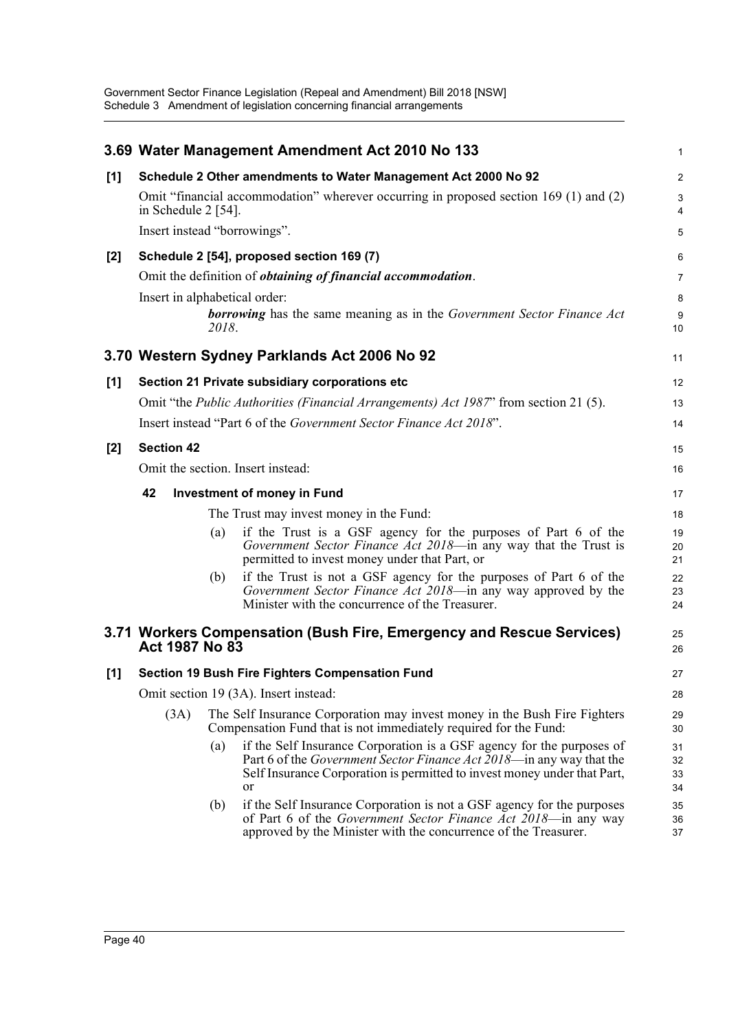|       |                               |       | 3.69 Water Management Amendment Act 2010 No 133                                                                                                                                                                                         | 1                                       |
|-------|-------------------------------|-------|-----------------------------------------------------------------------------------------------------------------------------------------------------------------------------------------------------------------------------------------|-----------------------------------------|
| [1]   |                               |       | Schedule 2 Other amendments to Water Management Act 2000 No 92                                                                                                                                                                          | 2                                       |
|       | in Schedule $2$ [54].         |       | Omit "financial accommodation" wherever occurring in proposed section 169 (1) and (2)                                                                                                                                                   | $\mathbf{3}$<br>$\overline{\mathbf{4}}$ |
|       | Insert instead "borrowings".  |       |                                                                                                                                                                                                                                         | 5                                       |
| [2]   |                               |       | Schedule 2 [54], proposed section 169 (7)                                                                                                                                                                                               | 6                                       |
|       |                               |       | Omit the definition of <i>obtaining of financial accommodation</i> .                                                                                                                                                                    | 7                                       |
|       | Insert in alphabetical order: |       |                                                                                                                                                                                                                                         | 8                                       |
|       |                               | 2018. | <b>borrowing</b> has the same meaning as in the Government Sector Finance Act                                                                                                                                                           | 9<br>10                                 |
|       |                               |       | 3.70 Western Sydney Parklands Act 2006 No 92                                                                                                                                                                                            | 11                                      |
| [1]   |                               |       | Section 21 Private subsidiary corporations etc                                                                                                                                                                                          | 12                                      |
|       |                               |       | Omit "the <i>Public Authorities (Financial Arrangements) Act 1987</i> " from section 21 (5).                                                                                                                                            | 13                                      |
|       |                               |       | Insert instead "Part 6 of the Government Sector Finance Act 2018".                                                                                                                                                                      | 14                                      |
| $[2]$ | <b>Section 42</b>             |       |                                                                                                                                                                                                                                         | 15                                      |
|       |                               |       | Omit the section. Insert instead:                                                                                                                                                                                                       | 16                                      |
|       | 42                            |       | <b>Investment of money in Fund</b>                                                                                                                                                                                                      | 17                                      |
|       |                               |       | The Trust may invest money in the Fund:                                                                                                                                                                                                 | 18                                      |
|       |                               | (a)   | if the Trust is a GSF agency for the purposes of Part 6 of the<br>Government Sector Finance Act 2018-in any way that the Trust is<br>permitted to invest money under that Part, or                                                      | 19<br>20<br>21                          |
|       |                               | (b)   | if the Trust is not a GSF agency for the purposes of Part 6 of the<br>Government Sector Finance Act 2018—in any way approved by the<br>Minister with the concurrence of the Treasurer.                                                  | 22<br>23<br>24                          |
|       | Act 1987 No 83                |       | 3.71 Workers Compensation (Bush Fire, Emergency and Rescue Services)                                                                                                                                                                    | 25<br>26                                |
| [1]   |                               |       | <b>Section 19 Bush Fire Fighters Compensation Fund</b>                                                                                                                                                                                  | 27                                      |
|       |                               |       | Omit section 19 (3A). Insert instead:                                                                                                                                                                                                   | 28                                      |
|       | (3A)                          |       | The Self Insurance Corporation may invest money in the Bush Fire Fighters<br>Compensation Fund that is not immediately required for the Fund:                                                                                           | 29<br>30                                |
|       |                               | (a)   | if the Self Insurance Corporation is a GSF agency for the purposes of<br>Part 6 of the <i>Government Sector Finance Act 2018</i> —in any way that the<br>Self Insurance Corporation is permitted to invest money under that Part,<br>or | 31<br>32<br>33<br>34                    |
|       |                               | (b)   | if the Self Insurance Corporation is not a GSF agency for the purposes<br>of Part 6 of the <i>Government Sector Finance Act 2018</i> —in any way<br>approved by the Minister with the concurrence of the Treasurer.                     | 35<br>36<br>37                          |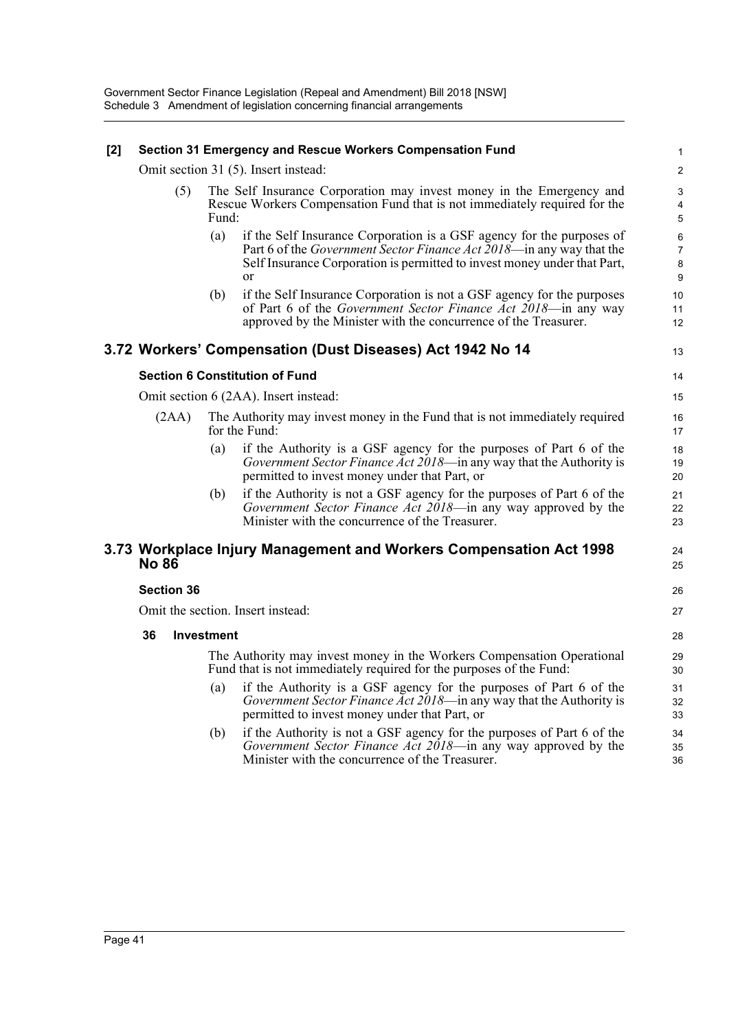#### **[2] Section 31 Emergency and Rescue Workers Compensation Fund**

Omit section 31 (5). Insert instead:

| (5) | The Self Insurance Corporation may invest money in the Emergency and               |
|-----|------------------------------------------------------------------------------------|
|     | Rescue Workers Compensation Fund that is not immediately required for the<br>Fund: |

- (a) if the Self Insurance Corporation is a GSF agency for the purposes of Part 6 of the *Government Sector Finance Act 2018*—in any way that the Self Insurance Corporation is permitted to invest money under that Part, or
- (b) if the Self Insurance Corporation is not a GSF agency for the purposes of Part 6 of the *Government Sector Finance Act 2018*—in any way approved by the Minister with the concurrence of the Treasurer.

# **3.72 Workers' Compensation (Dust Diseases) Act 1942 No 14**

13 14

> 24 25

> 26 27

## **Section 6 Constitution of Fund**

Omit section 6 (2AA). Insert instead:

- (2AA) The Authority may invest money in the Fund that is not immediately required for the Fund:
	- (a) if the Authority is a GSF agency for the purposes of Part 6 of the *Government Sector Finance Act 2018*—in any way that the Authority is permitted to invest money under that Part, or
	- (b) if the Authority is not a GSF agency for the purposes of Part 6 of the *Government Sector Finance Act 2018*—in any way approved by the Minister with the concurrence of the Treasurer.

## **3.73 Workplace Injury Management and Workers Compensation Act 1998 No 86**

#### **Section 36**

Omit the section. Insert instead:

#### **36 Investment**

The Authority may invest money in the Workers Compensation Operational Fund that is not immediately required for the purposes of the Fund:

- (a) if the Authority is a GSF agency for the purposes of Part 6 of the *Government Sector Finance Act 2018*—in any way that the Authority is permitted to invest money under that Part, or
- (b) if the Authority is not a GSF agency for the purposes of Part 6 of the *Government Sector Finance Act 2018*—in any way approved by the Minister with the concurrence of the Treasurer.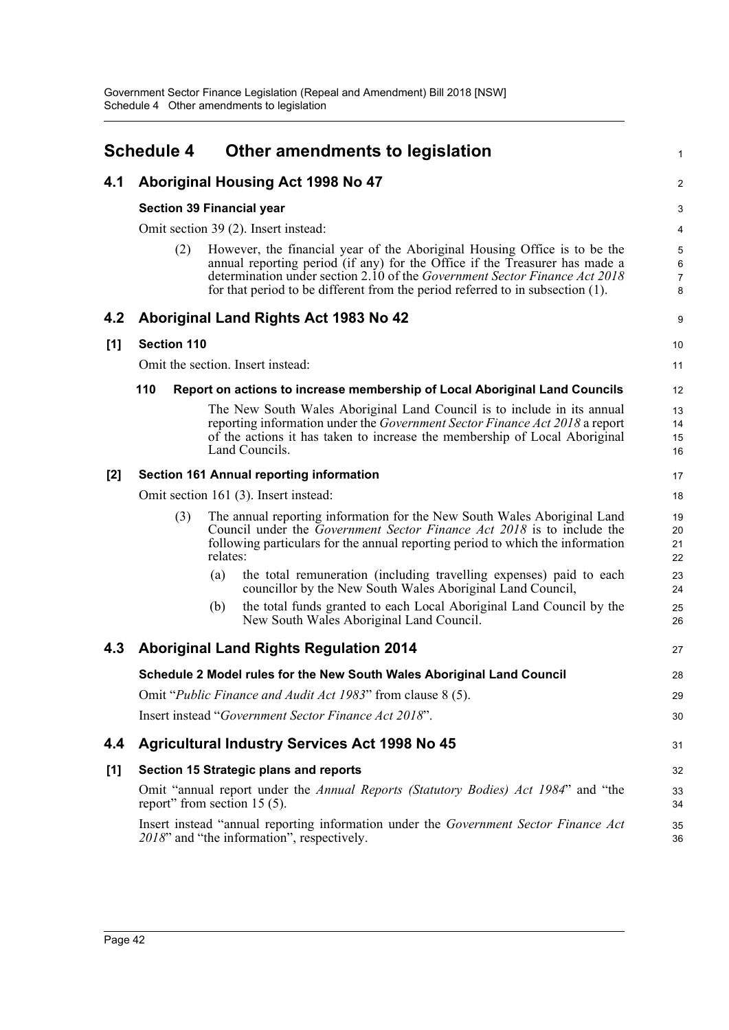|     | <b>Schedule 4</b>  | Other amendments to legislation                                                                                                                                                                                                                                                                                                 | $\mathbf{1}$                               |  |  |  |  |  |
|-----|--------------------|---------------------------------------------------------------------------------------------------------------------------------------------------------------------------------------------------------------------------------------------------------------------------------------------------------------------------------|--------------------------------------------|--|--|--|--|--|
| 4.1 |                    | Aboriginal Housing Act 1998 No 47                                                                                                                                                                                                                                                                                               | $\overline{2}$                             |  |  |  |  |  |
|     |                    | <b>Section 39 Financial year</b>                                                                                                                                                                                                                                                                                                | 3                                          |  |  |  |  |  |
|     |                    | Omit section 39 (2). Insert instead:                                                                                                                                                                                                                                                                                            |                                            |  |  |  |  |  |
|     | (2)                | However, the financial year of the Aboriginal Housing Office is to be the<br>annual reporting period (if any) for the Office if the Treasurer has made a<br>determination under section 2.10 of the <i>Government Sector Finance Act 2018</i><br>for that period to be different from the period referred to in subsection (1). | $\overline{5}$<br>6<br>$\overline{7}$<br>8 |  |  |  |  |  |
| 4.2 |                    | Aboriginal Land Rights Act 1983 No 42                                                                                                                                                                                                                                                                                           | 9                                          |  |  |  |  |  |
| [1] | <b>Section 110</b> |                                                                                                                                                                                                                                                                                                                                 | 10                                         |  |  |  |  |  |
|     |                    | Omit the section. Insert instead:                                                                                                                                                                                                                                                                                               | 11                                         |  |  |  |  |  |
|     | 110                | Report on actions to increase membership of Local Aboriginal Land Councils                                                                                                                                                                                                                                                      | 12                                         |  |  |  |  |  |
|     |                    | The New South Wales Aboriginal Land Council is to include in its annual<br>reporting information under the <i>Government Sector Finance Act 2018</i> a report<br>of the actions it has taken to increase the membership of Local Aboriginal<br>Land Councils.                                                                   | 13<br>14<br>15<br>16                       |  |  |  |  |  |
| [2] |                    | <b>Section 161 Annual reporting information</b>                                                                                                                                                                                                                                                                                 | 17                                         |  |  |  |  |  |
|     |                    | Omit section 161 (3). Insert instead:                                                                                                                                                                                                                                                                                           | 18                                         |  |  |  |  |  |
|     | (3)                | The annual reporting information for the New South Wales Aboriginal Land<br>Council under the Government Sector Finance Act 2018 is to include the<br>following particulars for the annual reporting period to which the information<br>relates:                                                                                | 19<br>20<br>21<br>22                       |  |  |  |  |  |
|     |                    | the total remuneration (including travelling expenses) paid to each<br>(a)<br>councillor by the New South Wales Aboriginal Land Council,                                                                                                                                                                                        | 23<br>24                                   |  |  |  |  |  |
|     |                    | the total funds granted to each Local Aboriginal Land Council by the<br>(b)<br>New South Wales Aboriginal Land Council.                                                                                                                                                                                                         | 25<br>26                                   |  |  |  |  |  |
| 4.3 |                    | <b>Aboriginal Land Rights Regulation 2014</b>                                                                                                                                                                                                                                                                                   | 27                                         |  |  |  |  |  |
|     |                    | Schedule 2 Model rules for the New South Wales Aboriginal Land Council                                                                                                                                                                                                                                                          | 28                                         |  |  |  |  |  |
|     |                    | Omit "Public Finance and Audit Act 1983" from clause 8 (5).                                                                                                                                                                                                                                                                     | 29                                         |  |  |  |  |  |
|     |                    | Insert instead "Government Sector Finance Act 2018".                                                                                                                                                                                                                                                                            | 30                                         |  |  |  |  |  |
| 4.4 |                    | <b>Agricultural Industry Services Act 1998 No 45</b>                                                                                                                                                                                                                                                                            | 31                                         |  |  |  |  |  |
| [1] |                    | Section 15 Strategic plans and reports                                                                                                                                                                                                                                                                                          | 32                                         |  |  |  |  |  |
|     |                    | Omit "annual report under the Annual Reports (Statutory Bodies) Act 1984" and "the<br>report" from section 15 (5).                                                                                                                                                                                                              | 33<br>34                                   |  |  |  |  |  |
|     |                    | Insert instead "annual reporting information under the Government Sector Finance Act<br>2018" and "the information", respectively.                                                                                                                                                                                              | 35<br>36                                   |  |  |  |  |  |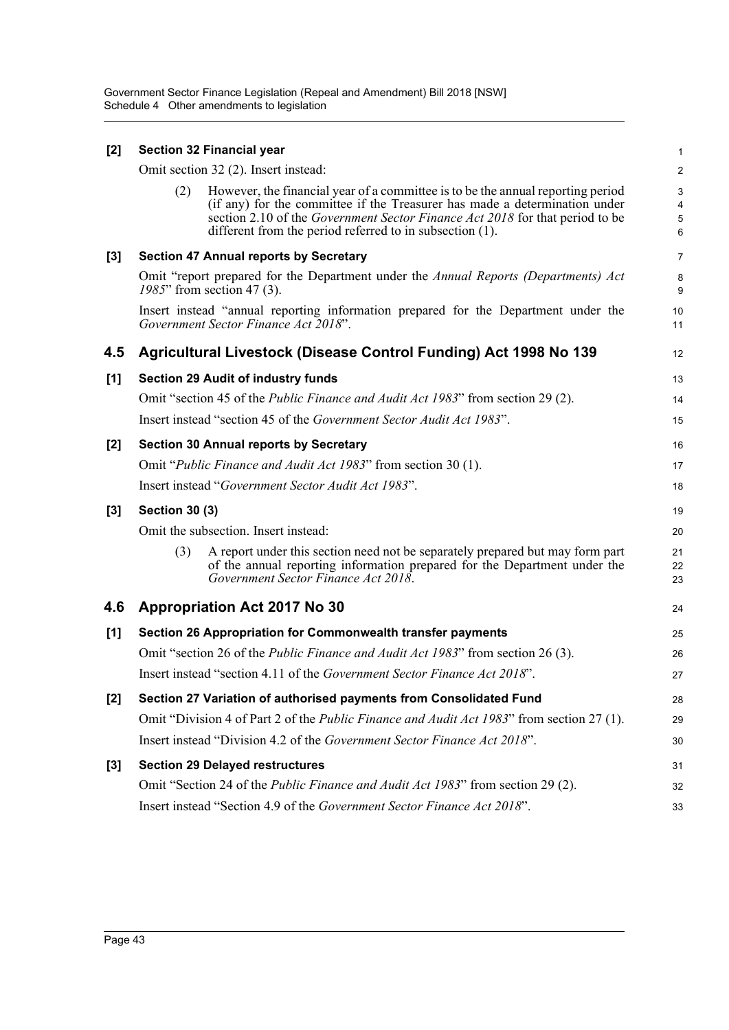| $[2]$ |                       | <b>Section 32 Financial year</b>                                                                                                                                                                                                                                                                          | $\mathbf{1}$                             |
|-------|-----------------------|-----------------------------------------------------------------------------------------------------------------------------------------------------------------------------------------------------------------------------------------------------------------------------------------------------------|------------------------------------------|
|       |                       | Omit section 32 (2). Insert instead:                                                                                                                                                                                                                                                                      | $\overline{c}$                           |
|       | (2)                   | However, the financial year of a committee is to be the annual reporting period<br>(if any) for the committee if the Treasurer has made a determination under<br>section 2.10 of the Government Sector Finance Act 2018 for that period to be<br>different from the period referred to in subsection (1). | 3<br>4<br>$\mathbf 5$<br>$6\phantom{1}6$ |
| $[3]$ |                       | <b>Section 47 Annual reports by Secretary</b>                                                                                                                                                                                                                                                             | $\overline{7}$                           |
|       |                       | Omit "report prepared for the Department under the Annual Reports (Departments) Act<br>1985" from section 47 (3).                                                                                                                                                                                         | 8<br>9                                   |
|       |                       | Insert instead "annual reporting information prepared for the Department under the<br>Government Sector Finance Act 2018".                                                                                                                                                                                | 10<br>11                                 |
| 4.5   |                       | Agricultural Livestock (Disease Control Funding) Act 1998 No 139                                                                                                                                                                                                                                          | 12                                       |
| [1]   |                       | <b>Section 29 Audit of industry funds</b>                                                                                                                                                                                                                                                                 | 13                                       |
|       |                       | Omit "section 45 of the Public Finance and Audit Act 1983" from section 29 (2).                                                                                                                                                                                                                           | 14                                       |
|       |                       | Insert instead "section 45 of the Government Sector Audit Act 1983".                                                                                                                                                                                                                                      | 15                                       |
| [2]   |                       | <b>Section 30 Annual reports by Secretary</b>                                                                                                                                                                                                                                                             | 16                                       |
|       |                       | Omit "Public Finance and Audit Act 1983" from section 30 (1).                                                                                                                                                                                                                                             | 17                                       |
|       |                       | Insert instead "Government Sector Audit Act 1983".                                                                                                                                                                                                                                                        | 18                                       |
| $[3]$ | <b>Section 30 (3)</b> |                                                                                                                                                                                                                                                                                                           | 19                                       |
|       |                       | Omit the subsection. Insert instead:                                                                                                                                                                                                                                                                      | 20                                       |
|       | (3)                   | A report under this section need not be separately prepared but may form part<br>of the annual reporting information prepared for the Department under the<br>Government Sector Finance Act 2018.                                                                                                         | 21<br>22<br>23                           |
| 4.6   |                       | <b>Appropriation Act 2017 No 30</b>                                                                                                                                                                                                                                                                       | 24                                       |
| [1]   |                       | Section 26 Appropriation for Commonwealth transfer payments                                                                                                                                                                                                                                               | 25                                       |
|       |                       | Omit "section 26 of the <i>Public Finance and Audit Act 1983</i> " from section 26 (3).                                                                                                                                                                                                                   | 26                                       |
|       |                       | Insert instead "section 4.11 of the Government Sector Finance Act 2018".                                                                                                                                                                                                                                  | 27                                       |
| $[2]$ |                       | Section 27 Variation of authorised payments from Consolidated Fund                                                                                                                                                                                                                                        | 28                                       |
|       |                       | Omit "Division 4 of Part 2 of the <i>Public Finance and Audit Act 1983</i> " from section 27 (1).                                                                                                                                                                                                         | 29                                       |
|       |                       | Insert instead "Division 4.2 of the Government Sector Finance Act 2018".                                                                                                                                                                                                                                  | 30                                       |
| $[3]$ |                       | <b>Section 29 Delayed restructures</b>                                                                                                                                                                                                                                                                    | 31                                       |
|       |                       | Omit "Section 24 of the Public Finance and Audit Act 1983" from section 29 (2).                                                                                                                                                                                                                           | 32                                       |
|       |                       | Insert instead "Section 4.9 of the Government Sector Finance Act 2018".                                                                                                                                                                                                                                   | 33                                       |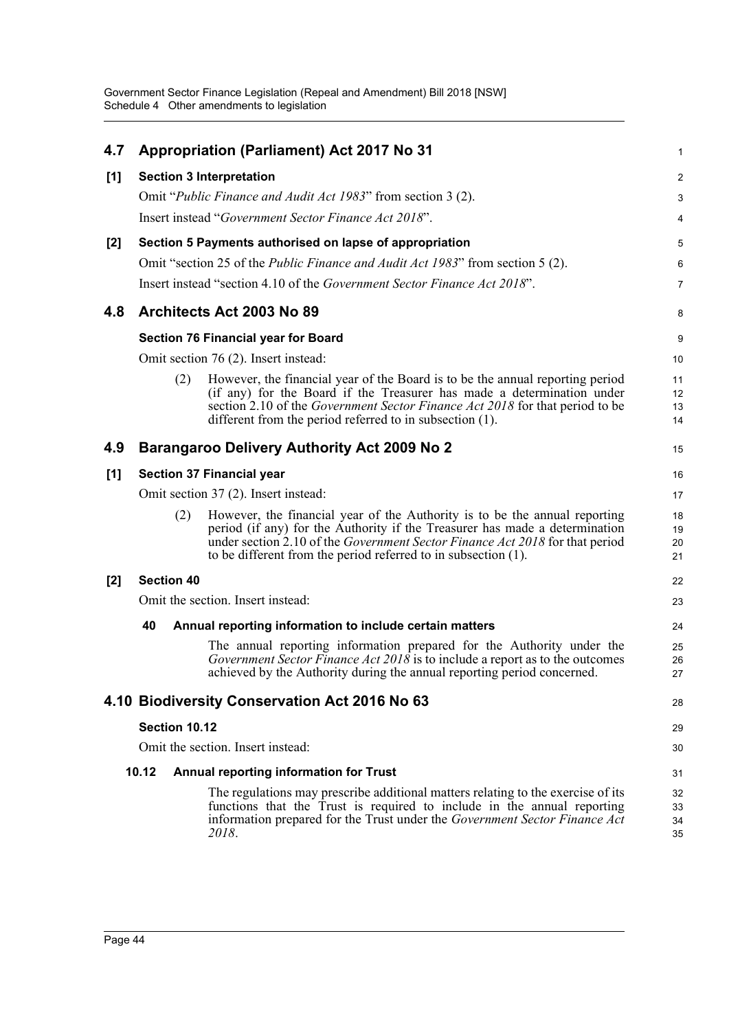| 4.7   |                   | <b>Appropriation (Parliament) Act 2017 No 31</b>                                                                                                                                                                                                                                                            | 1                    |
|-------|-------------------|-------------------------------------------------------------------------------------------------------------------------------------------------------------------------------------------------------------------------------------------------------------------------------------------------------------|----------------------|
| [1]   |                   | <b>Section 3 Interpretation</b>                                                                                                                                                                                                                                                                             | $\overline{c}$       |
|       |                   | Omit "Public Finance and Audit Act 1983" from section 3 (2).                                                                                                                                                                                                                                                | 3                    |
|       |                   | Insert instead "Government Sector Finance Act 2018".                                                                                                                                                                                                                                                        | 4                    |
| [2]   |                   | Section 5 Payments authorised on lapse of appropriation                                                                                                                                                                                                                                                     | 5                    |
|       |                   | Omit "section 25 of the <i>Public Finance and Audit Act 1983</i> " from section 5 (2).                                                                                                                                                                                                                      | 6                    |
|       |                   | Insert instead "section 4.10 of the Government Sector Finance Act 2018".                                                                                                                                                                                                                                    | 7                    |
| 4.8   |                   | Architects Act 2003 No 89                                                                                                                                                                                                                                                                                   | 8                    |
|       |                   | <b>Section 76 Financial year for Board</b>                                                                                                                                                                                                                                                                  | 9                    |
|       |                   | Omit section 76 (2). Insert instead:                                                                                                                                                                                                                                                                        | 10                   |
|       | (2)               | However, the financial year of the Board is to be the annual reporting period<br>(if any) for the Board if the Treasurer has made a determination under<br>section 2.10 of the <i>Government Sector Finance Act 2018</i> for that period to be<br>different from the period referred to in subsection (1).  | 11<br>12<br>13<br>14 |
| 4.9   |                   | <b>Barangaroo Delivery Authority Act 2009 No 2</b>                                                                                                                                                                                                                                                          | 15                   |
| [1]   |                   | <b>Section 37 Financial year</b>                                                                                                                                                                                                                                                                            | 16                   |
|       |                   | Omit section 37 (2). Insert instead:                                                                                                                                                                                                                                                                        | 17                   |
|       | (2)               | However, the financial year of the Authority is to be the annual reporting<br>period (if any) for the Authority if the Treasurer has made a determination<br>under section 2.10 of the Government Sector Finance Act 2018 for that period<br>to be different from the period referred to in subsection (1). | 18<br>19<br>20<br>21 |
| $[2]$ | <b>Section 40</b> |                                                                                                                                                                                                                                                                                                             | 22                   |
|       |                   | Omit the section. Insert instead:                                                                                                                                                                                                                                                                           | 23                   |
|       | 40                | Annual reporting information to include certain matters                                                                                                                                                                                                                                                     | 24                   |
|       |                   | The annual reporting information prepared for the Authority under the<br>Government Sector Finance Act 2018 is to include a report as to the outcomes<br>achieved by the Authority during the annual reporting period concerned.                                                                            | 25<br>26<br>27       |
|       |                   | 4.10 Biodiversity Conservation Act 2016 No 63                                                                                                                                                                                                                                                               | 28                   |
|       | Section 10.12     |                                                                                                                                                                                                                                                                                                             | 29                   |
|       |                   | Omit the section. Insert instead:                                                                                                                                                                                                                                                                           | 30                   |
|       | 10.12             | Annual reporting information for Trust                                                                                                                                                                                                                                                                      | 31                   |
|       |                   | The regulations may prescribe additional matters relating to the exercise of its<br>functions that the Trust is required to include in the annual reporting<br>information prepared for the Trust under the Government Sector Finance Act<br>2018.                                                          | 32<br>33<br>34<br>35 |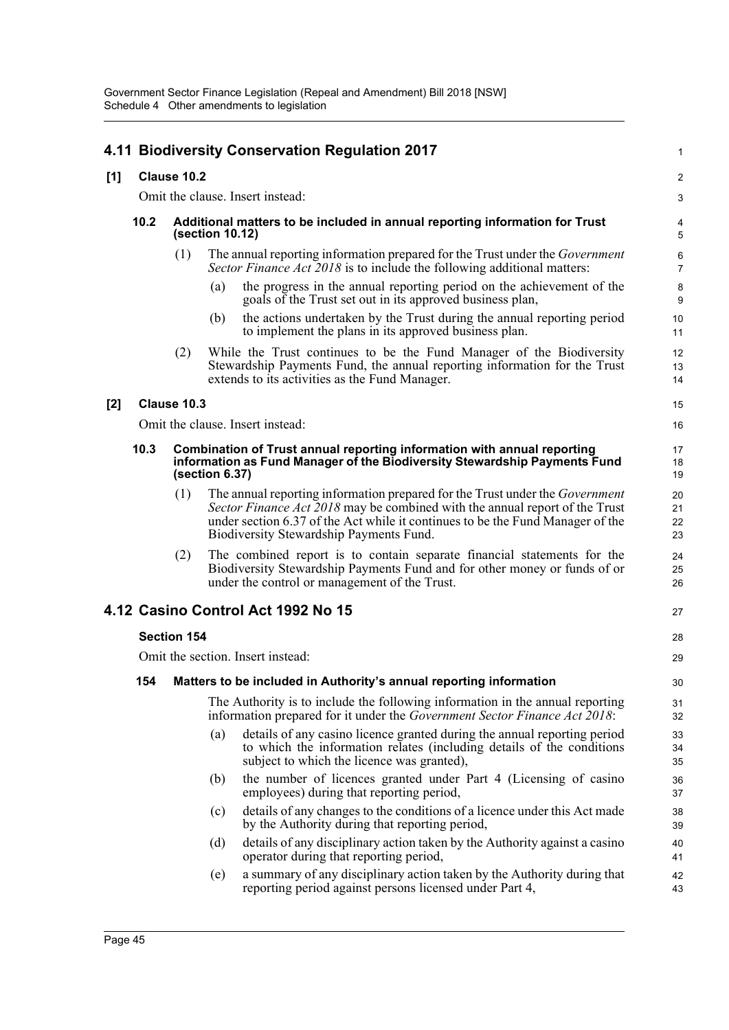| 4.11 Biodiversity Conservation Regulation 2017<br>1 |                                                                                                                                                                                |                                                                                                |     |                                                                                                                                                                                                                                                                                                 |                      |  |  |
|-----------------------------------------------------|--------------------------------------------------------------------------------------------------------------------------------------------------------------------------------|------------------------------------------------------------------------------------------------|-----|-------------------------------------------------------------------------------------------------------------------------------------------------------------------------------------------------------------------------------------------------------------------------------------------------|----------------------|--|--|
| $[1]$                                               |                                                                                                                                                                                | Clause 10.2                                                                                    |     |                                                                                                                                                                                                                                                                                                 |                      |  |  |
|                                                     |                                                                                                                                                                                |                                                                                                |     | Omit the clause. Insert instead:                                                                                                                                                                                                                                                                | 3                    |  |  |
|                                                     | 10.2                                                                                                                                                                           | Additional matters to be included in annual reporting information for Trust<br>(section 10.12) |     |                                                                                                                                                                                                                                                                                                 |                      |  |  |
|                                                     |                                                                                                                                                                                | (1)                                                                                            |     | The annual reporting information prepared for the Trust under the <i>Government</i><br>Sector Finance Act 2018 is to include the following additional matters:                                                                                                                                  | 6<br>$\overline{7}$  |  |  |
|                                                     |                                                                                                                                                                                |                                                                                                | (a) | the progress in the annual reporting period on the achievement of the<br>goals of the Trust set out in its approved business plan,                                                                                                                                                              | 8<br>9               |  |  |
|                                                     |                                                                                                                                                                                |                                                                                                | (b) | the actions undertaken by the Trust during the annual reporting period<br>to implement the plans in its approved business plan.                                                                                                                                                                 | 10<br>11             |  |  |
|                                                     |                                                                                                                                                                                | (2)                                                                                            |     | While the Trust continues to be the Fund Manager of the Biodiversity<br>Stewardship Payments Fund, the annual reporting information for the Trust<br>extends to its activities as the Fund Manager.                                                                                             | 12<br>13<br>14       |  |  |
| [2]                                                 |                                                                                                                                                                                | Clause 10.3                                                                                    |     |                                                                                                                                                                                                                                                                                                 | 15                   |  |  |
|                                                     |                                                                                                                                                                                |                                                                                                |     | Omit the clause. Insert instead:                                                                                                                                                                                                                                                                | 16                   |  |  |
|                                                     | 10.3<br>Combination of Trust annual reporting information with annual reporting<br>information as Fund Manager of the Biodiversity Stewardship Payments Fund<br>(section 6.37) |                                                                                                |     |                                                                                                                                                                                                                                                                                                 |                      |  |  |
|                                                     |                                                                                                                                                                                | (1)                                                                                            |     | The annual reporting information prepared for the Trust under the <i>Government</i><br>Sector Finance Act 2018 may be combined with the annual report of the Trust<br>under section 6.37 of the Act while it continues to be the Fund Manager of the<br>Biodiversity Stewardship Payments Fund. | 20<br>21<br>22<br>23 |  |  |
|                                                     |                                                                                                                                                                                | (2)                                                                                            |     | The combined report is to contain separate financial statements for the<br>Biodiversity Stewardship Payments Fund and for other money or funds of or<br>under the control or management of the Trust.                                                                                           | 24<br>25<br>26       |  |  |
|                                                     |                                                                                                                                                                                |                                                                                                |     | 4.12 Casino Control Act 1992 No 15                                                                                                                                                                                                                                                              | 27                   |  |  |
|                                                     |                                                                                                                                                                                | <b>Section 154</b>                                                                             |     |                                                                                                                                                                                                                                                                                                 | 28                   |  |  |
|                                                     |                                                                                                                                                                                |                                                                                                |     | Omit the section. Insert instead:                                                                                                                                                                                                                                                               | 29                   |  |  |
|                                                     | 154                                                                                                                                                                            |                                                                                                |     | Matters to be included in Authority's annual reporting information                                                                                                                                                                                                                              | 30                   |  |  |
|                                                     |                                                                                                                                                                                |                                                                                                |     | The Authority is to include the following information in the annual reporting<br>information prepared for it under the Government Sector Finance Act 2018:                                                                                                                                      | 31<br>32             |  |  |
|                                                     |                                                                                                                                                                                |                                                                                                | (a) | details of any casino licence granted during the annual reporting period<br>to which the information relates (including details of the conditions<br>subject to which the licence was granted),                                                                                                 | 33<br>34<br>35       |  |  |
|                                                     |                                                                                                                                                                                |                                                                                                | (b) | the number of licences granted under Part 4 (Licensing of casino<br>employees) during that reporting period,                                                                                                                                                                                    | 36<br>37             |  |  |
|                                                     |                                                                                                                                                                                |                                                                                                | (c) | details of any changes to the conditions of a licence under this Act made<br>by the Authority during that reporting period,                                                                                                                                                                     | 38<br>39             |  |  |
|                                                     |                                                                                                                                                                                |                                                                                                | (d) | details of any disciplinary action taken by the Authority against a casino<br>operator during that reporting period,                                                                                                                                                                            | 40<br>41             |  |  |
|                                                     |                                                                                                                                                                                |                                                                                                | (e) | a summary of any disciplinary action taken by the Authority during that<br>reporting period against persons licensed under Part 4,                                                                                                                                                              | 42<br>43             |  |  |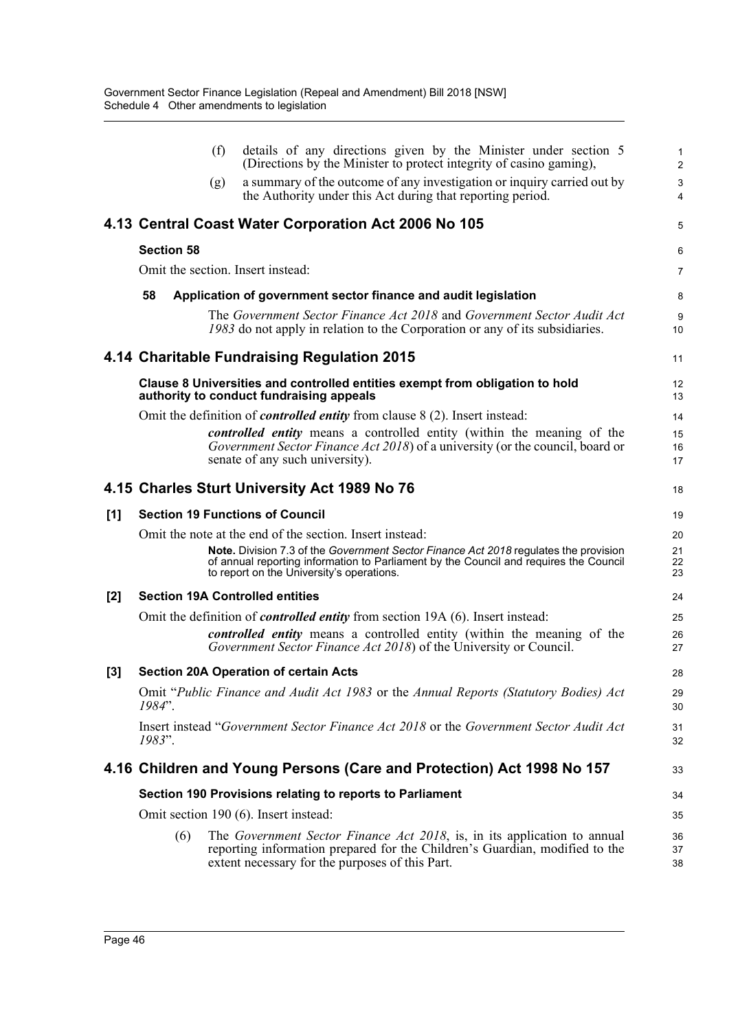|     |                                                                                       | (f) | details of any directions given by the Minister under section 5<br>(Directions by the Minister to protect integrity of casino gaming),                                                                                     | $\mathbf{1}$<br>2   |  |  |  |
|-----|---------------------------------------------------------------------------------------|-----|----------------------------------------------------------------------------------------------------------------------------------------------------------------------------------------------------------------------------|---------------------|--|--|--|
|     |                                                                                       | (g) | a summary of the outcome of any investigation or inquiry carried out by<br>the Authority under this Act during that reporting period.                                                                                      | 3<br>$\overline{4}$ |  |  |  |
|     |                                                                                       |     | 4.13 Central Coast Water Corporation Act 2006 No 105                                                                                                                                                                       | 5                   |  |  |  |
|     | <b>Section 58</b>                                                                     |     |                                                                                                                                                                                                                            | 6                   |  |  |  |
|     |                                                                                       |     | Omit the section. Insert instead:                                                                                                                                                                                          | $\overline{7}$      |  |  |  |
|     | 58                                                                                    |     | Application of government sector finance and audit legislation                                                                                                                                                             | 8                   |  |  |  |
|     |                                                                                       |     | The Government Sector Finance Act 2018 and Government Sector Audit Act<br>1983 do not apply in relation to the Corporation or any of its subsidiaries.                                                                     | 9<br>10             |  |  |  |
|     |                                                                                       |     | 4.14 Charitable Fundraising Regulation 2015                                                                                                                                                                                | 11                  |  |  |  |
|     |                                                                                       |     | Clause 8 Universities and controlled entities exempt from obligation to hold<br>authority to conduct fundraising appeals                                                                                                   | 12<br>13            |  |  |  |
|     |                                                                                       |     | Omit the definition of <i>controlled entity</i> from clause 8 (2). Insert instead:                                                                                                                                         | 14                  |  |  |  |
|     |                                                                                       |     | controlled entity means a controlled entity (within the meaning of the<br>Government Sector Finance Act 2018) of a university (or the council, board or                                                                    | 15<br>16            |  |  |  |
|     |                                                                                       |     | senate of any such university).                                                                                                                                                                                            | 17                  |  |  |  |
|     |                                                                                       |     | 4.15 Charles Sturt University Act 1989 No 76                                                                                                                                                                               | 18                  |  |  |  |
| [1] |                                                                                       |     | <b>Section 19 Functions of Council</b>                                                                                                                                                                                     | 19                  |  |  |  |
|     |                                                                                       |     | Omit the note at the end of the section. Insert instead:                                                                                                                                                                   | 20                  |  |  |  |
|     |                                                                                       |     | Note. Division 7.3 of the Government Sector Finance Act 2018 regulates the provision<br>of annual reporting information to Parliament by the Council and requires the Council<br>to report on the University's operations. | 21<br>22<br>23      |  |  |  |
| [2] | <b>Section 19A Controlled entities</b>                                                |     |                                                                                                                                                                                                                            |                     |  |  |  |
|     | Omit the definition of <i>controlled entity</i> from section 19A (6). Insert instead: |     |                                                                                                                                                                                                                            |                     |  |  |  |
|     |                                                                                       |     | controlled entity means a controlled entity (within the meaning of the<br>Government Sector Finance Act 2018) of the University or Council.                                                                                | 26<br>27            |  |  |  |
| [3] |                                                                                       |     | <b>Section 20A Operation of certain Acts</b>                                                                                                                                                                               | 28                  |  |  |  |
|     | $1984"$ .                                                                             |     | Omit "Public Finance and Audit Act 1983 or the Annual Reports (Statutory Bodies) Act                                                                                                                                       | 29<br>30            |  |  |  |
|     | 1983".                                                                                |     | Insert instead "Government Sector Finance Act 2018 or the Government Sector Audit Act                                                                                                                                      | 31<br>32            |  |  |  |
|     |                                                                                       |     | 4.16 Children and Young Persons (Care and Protection) Act 1998 No 157                                                                                                                                                      | 33                  |  |  |  |
|     |                                                                                       |     | Section 190 Provisions relating to reports to Parliament                                                                                                                                                                   | 34                  |  |  |  |
|     |                                                                                       |     | Omit section 190 (6). Insert instead:                                                                                                                                                                                      | 35                  |  |  |  |
|     | (6)                                                                                   |     | The Government Sector Finance Act 2018, is, in its application to annual<br>reporting information prepared for the Children's Guardian, modified to the<br>extent necessary for the purposes of this Part.                 | 36<br>37<br>38      |  |  |  |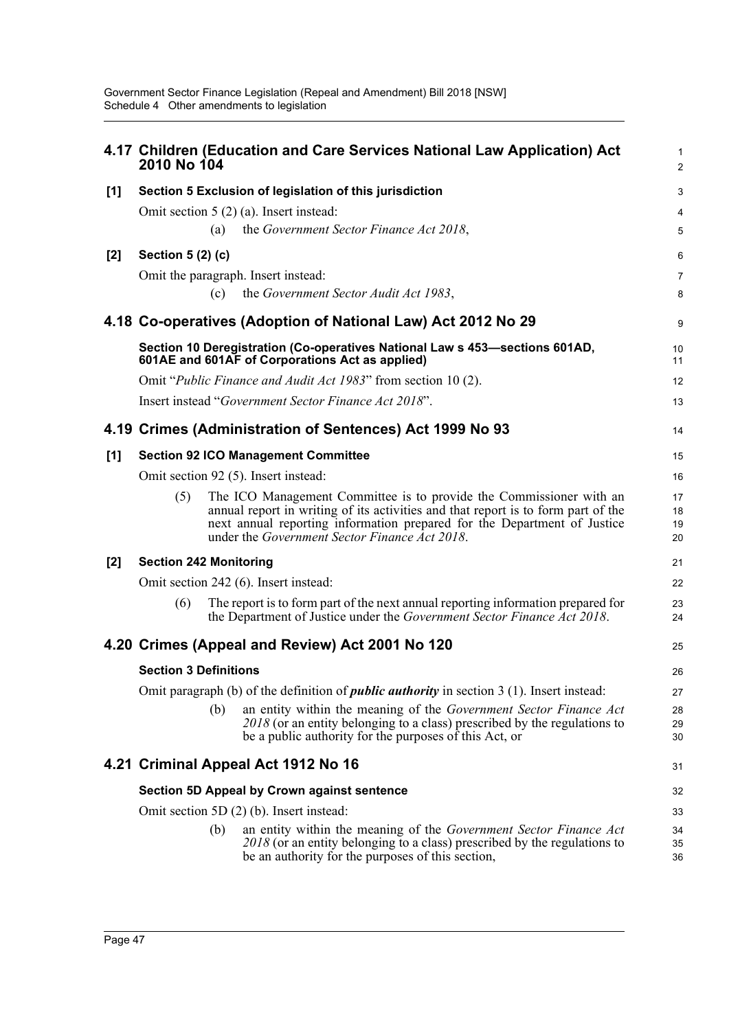|       | 2010 No 104                   |     | 4.17 Children (Education and Care Services National Law Application) Act                                                                                                                                                                                                              | 1<br>$\overline{2}$  |
|-------|-------------------------------|-----|---------------------------------------------------------------------------------------------------------------------------------------------------------------------------------------------------------------------------------------------------------------------------------------|----------------------|
| $[1]$ |                               |     | Section 5 Exclusion of legislation of this jurisdiction                                                                                                                                                                                                                               | 3                    |
|       |                               |     | Omit section $5(2)(a)$ . Insert instead:                                                                                                                                                                                                                                              | 4                    |
|       |                               | (a) | the Government Sector Finance Act 2018,                                                                                                                                                                                                                                               | 5                    |
| $[2]$ | Section 5 (2) (c)             |     |                                                                                                                                                                                                                                                                                       | 6                    |
|       |                               |     | Omit the paragraph. Insert instead:                                                                                                                                                                                                                                                   | $\overline{7}$       |
|       |                               | (c) | the Government Sector Audit Act 1983,                                                                                                                                                                                                                                                 | 8                    |
|       |                               |     | 4.18 Co-operatives (Adoption of National Law) Act 2012 No 29                                                                                                                                                                                                                          | 9                    |
|       |                               |     | Section 10 Deregistration (Co-operatives National Law s 453–sections 601AD,<br>601AE and 601AF of Corporations Act as applied)                                                                                                                                                        | 10<br>11             |
|       |                               |     | Omit "Public Finance and Audit Act 1983" from section 10 (2).                                                                                                                                                                                                                         | 12                   |
|       |                               |     | Insert instead "Government Sector Finance Act 2018".                                                                                                                                                                                                                                  | 13                   |
|       |                               |     | 4.19 Crimes (Administration of Sentences) Act 1999 No 93                                                                                                                                                                                                                              | 14                   |
| [1]   |                               |     | <b>Section 92 ICO Management Committee</b>                                                                                                                                                                                                                                            | 15                   |
|       |                               |     | Omit section 92 (5). Insert instead:                                                                                                                                                                                                                                                  | 16                   |
|       | (5)                           |     | The ICO Management Committee is to provide the Commissioner with an<br>annual report in writing of its activities and that report is to form part of the<br>next annual reporting information prepared for the Department of Justice<br>under the Government Sector Finance Act 2018. | 17<br>18<br>19<br>20 |
| $[2]$ | <b>Section 242 Monitoring</b> |     |                                                                                                                                                                                                                                                                                       | 21                   |
|       |                               |     | Omit section 242 (6). Insert instead:                                                                                                                                                                                                                                                 | 22                   |
|       | (6)                           |     | The report is to form part of the next annual reporting information prepared for<br>the Department of Justice under the Government Sector Finance Act 2018.                                                                                                                           | 23<br>24             |
|       |                               |     | 4.20 Crimes (Appeal and Review) Act 2001 No 120                                                                                                                                                                                                                                       | 25                   |
|       | <b>Section 3 Definitions</b>  |     |                                                                                                                                                                                                                                                                                       | 26                   |
|       |                               |     | Omit paragraph (b) of the definition of <i>public authority</i> in section $3(1)$ . Insert instead:                                                                                                                                                                                   | 27                   |
|       |                               | (b) | an entity within the meaning of the Government Sector Finance Act<br>2018 (or an entity belonging to a class) prescribed by the regulations to<br>be a public authority for the purposes of this Act, or                                                                              | 28<br>29<br>30       |
|       |                               |     | 4.21 Criminal Appeal Act 1912 No 16                                                                                                                                                                                                                                                   | 31                   |
|       |                               |     | <b>Section 5D Appeal by Crown against sentence</b>                                                                                                                                                                                                                                    | 32                   |
|       |                               |     | Omit section 5D (2) (b). Insert instead:                                                                                                                                                                                                                                              | 33                   |
|       |                               | (b) | an entity within the meaning of the Government Sector Finance Act<br>2018 (or an entity belonging to a class) prescribed by the regulations to<br>be an authority for the purposes of this section,                                                                                   | 34<br>35<br>36       |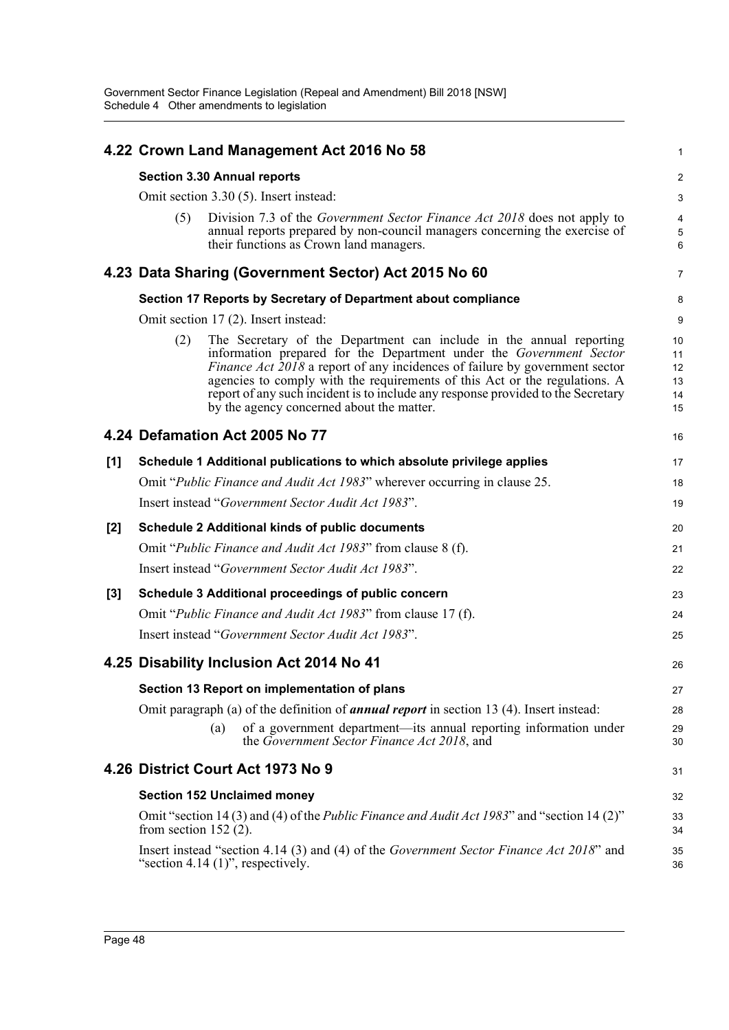|       |                         | 4.22 Crown Land Management Act 2016 No 58                                                                                                                                                                                                                                                                                                                                                                                                | 1                                |
|-------|-------------------------|------------------------------------------------------------------------------------------------------------------------------------------------------------------------------------------------------------------------------------------------------------------------------------------------------------------------------------------------------------------------------------------------------------------------------------------|----------------------------------|
|       |                         | <b>Section 3.30 Annual reports</b>                                                                                                                                                                                                                                                                                                                                                                                                       | 2                                |
|       |                         | Omit section 3.30 (5). Insert instead:                                                                                                                                                                                                                                                                                                                                                                                                   | 3                                |
|       | (5)                     | Division 7.3 of the Government Sector Finance Act 2018 does not apply to<br>annual reports prepared by non-council managers concerning the exercise of<br>their functions as Crown land managers.                                                                                                                                                                                                                                        | 4<br>5<br>$6\phantom{1}6$        |
|       |                         | 4.23 Data Sharing (Government Sector) Act 2015 No 60                                                                                                                                                                                                                                                                                                                                                                                     | $\overline{7}$                   |
|       |                         | Section 17 Reports by Secretary of Department about compliance                                                                                                                                                                                                                                                                                                                                                                           | 8                                |
|       |                         | Omit section 17 (2). Insert instead:                                                                                                                                                                                                                                                                                                                                                                                                     | 9                                |
|       | (2)                     | The Secretary of the Department can include in the annual reporting<br>information prepared for the Department under the Government Sector<br>Finance Act 2018 a report of any incidences of failure by government sector<br>agencies to comply with the requirements of this Act or the regulations. A<br>report of any such incident is to include any response provided to the Secretary<br>by the agency concerned about the matter. | 10<br>11<br>12<br>13<br>14<br>15 |
|       |                         | 4.24 Defamation Act 2005 No 77                                                                                                                                                                                                                                                                                                                                                                                                           | 16                               |
| $[1]$ |                         | Schedule 1 Additional publications to which absolute privilege applies                                                                                                                                                                                                                                                                                                                                                                   | 17                               |
|       |                         | Omit "Public Finance and Audit Act 1983" wherever occurring in clause 25.                                                                                                                                                                                                                                                                                                                                                                | 18                               |
|       |                         | Insert instead "Government Sector Audit Act 1983".                                                                                                                                                                                                                                                                                                                                                                                       | 19                               |
| [2]   |                         | <b>Schedule 2 Additional kinds of public documents</b>                                                                                                                                                                                                                                                                                                                                                                                   | 20                               |
|       |                         | Omit "Public Finance and Audit Act 1983" from clause 8 (f).                                                                                                                                                                                                                                                                                                                                                                              | 21                               |
|       |                         | Insert instead "Government Sector Audit Act 1983".                                                                                                                                                                                                                                                                                                                                                                                       | 22                               |
| [3]   |                         | Schedule 3 Additional proceedings of public concern                                                                                                                                                                                                                                                                                                                                                                                      | 23                               |
|       |                         | Omit "Public Finance and Audit Act 1983" from clause 17 (f).                                                                                                                                                                                                                                                                                                                                                                             | 24                               |
|       |                         | Insert instead "Government Sector Audit Act 1983".                                                                                                                                                                                                                                                                                                                                                                                       | 25                               |
|       |                         | 4.25 Disability Inclusion Act 2014 No 41                                                                                                                                                                                                                                                                                                                                                                                                 | 26                               |
|       |                         | Section 13 Report on implementation of plans                                                                                                                                                                                                                                                                                                                                                                                             | 27                               |
|       |                         | Omit paragraph (a) of the definition of <b>annual report</b> in section 13 (4). Insert instead:                                                                                                                                                                                                                                                                                                                                          | 28                               |
|       |                         | of a government department—its annual reporting information under<br>(a)<br>the Government Sector Finance Act 2018, and                                                                                                                                                                                                                                                                                                                  | 29<br>30                         |
|       |                         | 4.26 District Court Act 1973 No 9                                                                                                                                                                                                                                                                                                                                                                                                        | 31                               |
|       |                         | <b>Section 152 Unclaimed money</b>                                                                                                                                                                                                                                                                                                                                                                                                       | 32                               |
|       | from section $152$ (2). | Omit "section 14 (3) and (4) of the <i>Public Finance and Audit Act 1983</i> " and "section 14 (2)"                                                                                                                                                                                                                                                                                                                                      | 33<br>34                         |
|       |                         | Insert instead "section 4.14 (3) and (4) of the Government Sector Finance Act 2018" and<br>"section 4.14 $(1)$ ", respectively.                                                                                                                                                                                                                                                                                                          | 35<br>36                         |
|       |                         |                                                                                                                                                                                                                                                                                                                                                                                                                                          |                                  |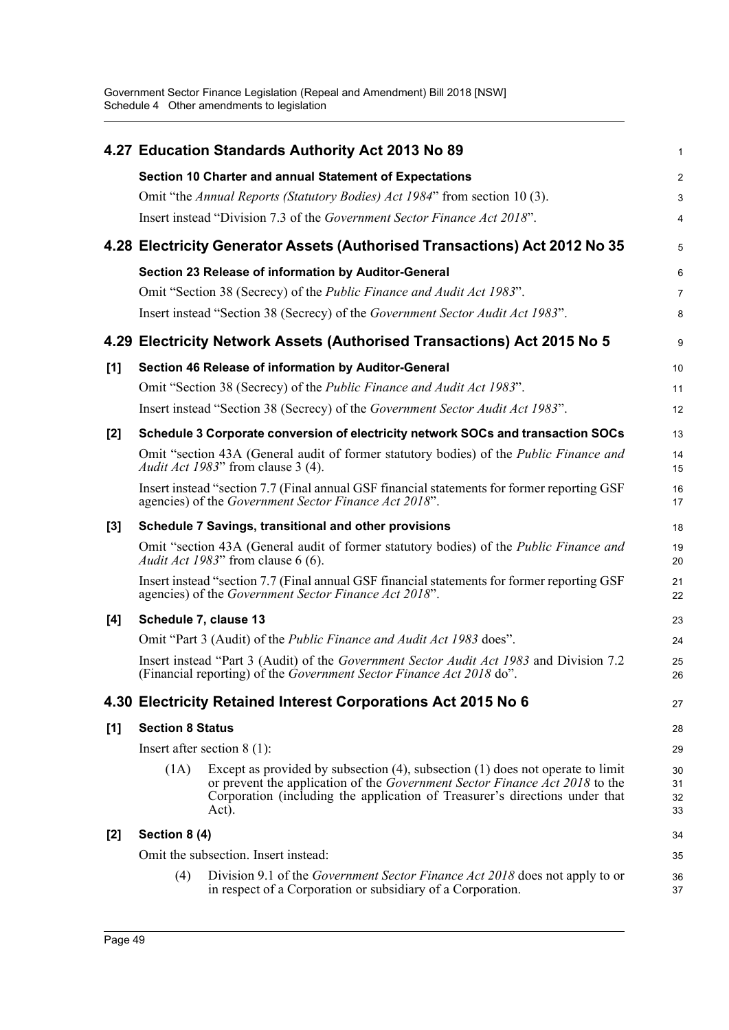|       |                         | 4.27 Education Standards Authority Act 2013 No 89                                                                                                                                                                                                                 | 1                    |
|-------|-------------------------|-------------------------------------------------------------------------------------------------------------------------------------------------------------------------------------------------------------------------------------------------------------------|----------------------|
|       |                         | Section 10 Charter and annual Statement of Expectations                                                                                                                                                                                                           | $\overline{c}$       |
|       |                         | Omit "the Annual Reports (Statutory Bodies) Act 1984" from section 10(3).                                                                                                                                                                                         | 3                    |
|       |                         | Insert instead "Division 7.3 of the Government Sector Finance Act 2018".                                                                                                                                                                                          | 4                    |
|       |                         | 4.28 Electricity Generator Assets (Authorised Transactions) Act 2012 No 35                                                                                                                                                                                        | 5                    |
|       |                         | Section 23 Release of information by Auditor-General                                                                                                                                                                                                              | 6                    |
|       |                         | Omit "Section 38 (Secrecy) of the <i>Public Finance and Audit Act 1983</i> ".                                                                                                                                                                                     | 7                    |
|       |                         | Insert instead "Section 38 (Secrecy) of the Government Sector Audit Act 1983".                                                                                                                                                                                    | 8                    |
|       |                         | 4.29 Electricity Network Assets (Authorised Transactions) Act 2015 No 5                                                                                                                                                                                           | 9                    |
| [1]   |                         | Section 46 Release of information by Auditor-General                                                                                                                                                                                                              | 10                   |
|       |                         | Omit "Section 38 (Secrecy) of the <i>Public Finance and Audit Act 1983</i> ".                                                                                                                                                                                     | 11                   |
|       |                         | Insert instead "Section 38 (Secrecy) of the Government Sector Audit Act 1983".                                                                                                                                                                                    | 12                   |
| [2]   |                         | Schedule 3 Corporate conversion of electricity network SOCs and transaction SOCs                                                                                                                                                                                  | 13                   |
|       |                         | Omit "section 43A (General audit of former statutory bodies) of the <i>Public Finance and</i><br><i>Audit Act 1983</i> " from clause 3 (4).                                                                                                                       | 14<br>15             |
|       |                         | Insert instead "section 7.7 (Final annual GSF financial statements for former reporting GSF<br>agencies) of the Government Sector Finance Act 2018".                                                                                                              | 16<br>17             |
| $[3]$ |                         | Schedule 7 Savings, transitional and other provisions                                                                                                                                                                                                             | 18                   |
|       |                         | Omit "section 43A (General audit of former statutory bodies) of the <i>Public Finance and</i><br>Audit Act 1983" from clause 6 (6).                                                                                                                               | 19<br>20             |
|       |                         | Insert instead "section 7.7 (Final annual GSF financial statements for former reporting GSF<br>agencies) of the Government Sector Finance Act 2018".                                                                                                              | 21<br>22             |
| [4]   | Schedule 7, clause 13   |                                                                                                                                                                                                                                                                   | 23                   |
|       |                         | Omit "Part 3 (Audit) of the <i>Public Finance and Audit Act 1983</i> does".                                                                                                                                                                                       | 24                   |
|       |                         | Insert instead "Part 3 (Audit) of the Government Sector Audit Act 1983 and Division 7.2<br>(Financial reporting) of the Government Sector Finance Act 2018 do".                                                                                                   | 25<br>26             |
|       |                         | 4.30 Electricity Retained Interest Corporations Act 2015 No 6                                                                                                                                                                                                     | 27                   |
| [1]   | <b>Section 8 Status</b> |                                                                                                                                                                                                                                                                   | 28                   |
|       |                         | Insert after section $8(1)$ :                                                                                                                                                                                                                                     | 29                   |
|       | (1A)                    | Except as provided by subsection $(4)$ , subsection $(1)$ does not operate to limit<br>or prevent the application of the <i>Government Sector Finance Act 2018</i> to the<br>Corporation (including the application of Treasurer's directions under that<br>Act). | 30<br>31<br>32<br>33 |
| [2]   | Section 8 (4)           |                                                                                                                                                                                                                                                                   | 34                   |
|       |                         | Omit the subsection. Insert instead:                                                                                                                                                                                                                              | 35                   |
|       | (4)                     | Division 9.1 of the <i>Government Sector Finance Act 2018</i> does not apply to or<br>in respect of a Corporation or subsidiary of a Corporation.                                                                                                                 | 36<br>37             |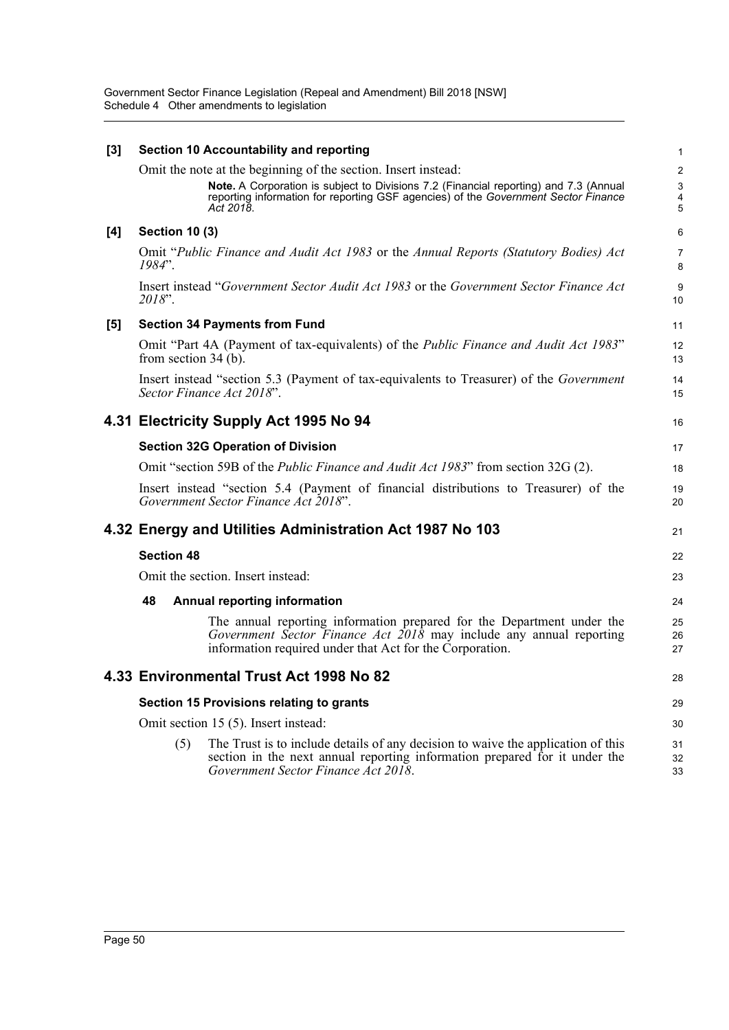| [3] |                        | Section 10 Accountability and reporting                                                                                                                                                                                                                    | 1                                       |
|-----|------------------------|------------------------------------------------------------------------------------------------------------------------------------------------------------------------------------------------------------------------------------------------------------|-----------------------------------------|
|     |                        | Omit the note at the beginning of the section. Insert instead:<br>Note. A Corporation is subject to Divisions 7.2 (Financial reporting) and 7.3 (Annual<br>reporting information for reporting GSF agencies) of the Government Sector Finance<br>Act 2018. | $\boldsymbol{2}$<br>3<br>$\pmb{4}$<br>5 |
| [4] | <b>Section 10 (3)</b>  |                                                                                                                                                                                                                                                            | 6                                       |
|     | $1984"$ .              | Omit "Public Finance and Audit Act 1983 or the Annual Reports (Statutory Bodies) Act                                                                                                                                                                       | $\overline{7}$<br>8                     |
|     | 2018".                 | Insert instead "Government Sector Audit Act 1983 or the Government Sector Finance Act                                                                                                                                                                      | 9<br>10                                 |
| [5] |                        | <b>Section 34 Payments from Fund</b>                                                                                                                                                                                                                       | 11                                      |
|     | from section $34(b)$ . | Omit "Part 4A (Payment of tax-equivalents) of the <i>Public Finance and Audit Act 1983</i> "                                                                                                                                                               | 12<br>13                                |
|     |                        | Insert instead "section 5.3 (Payment of tax-equivalents to Treasurer) of the <i>Government</i><br>Sector Finance Act 2018".                                                                                                                                | 14<br>15                                |
|     |                        | 4.31 Electricity Supply Act 1995 No 94                                                                                                                                                                                                                     | 16                                      |
|     |                        | <b>Section 32G Operation of Division</b>                                                                                                                                                                                                                   | 17                                      |
|     |                        | Omit "section 59B of the Public Finance and Audit Act 1983" from section 32G (2).                                                                                                                                                                          | 18                                      |
|     |                        | Insert instead "section 5.4 (Payment of financial distributions to Treasurer) of the<br>Government Sector Finance Act 2018".                                                                                                                               | 19<br>20                                |
|     |                        | 4.32 Energy and Utilities Administration Act 1987 No 103                                                                                                                                                                                                   | 21                                      |
|     | <b>Section 48</b>      |                                                                                                                                                                                                                                                            | 22                                      |
|     |                        | Omit the section. Insert instead:                                                                                                                                                                                                                          | 23                                      |
|     | 48                     | <b>Annual reporting information</b>                                                                                                                                                                                                                        | 24                                      |
|     |                        | The annual reporting information prepared for the Department under the<br>Government Sector Finance Act 2018 may include any annual reporting<br>information required under that Act for the Corporation.                                                  | 25<br>26<br>27                          |
|     |                        | 4.33 Environmental Trust Act 1998 No 82                                                                                                                                                                                                                    | 28                                      |
|     |                        | Section 15 Provisions relating to grants                                                                                                                                                                                                                   | 29                                      |
|     |                        | Omit section 15 (5). Insert instead:                                                                                                                                                                                                                       | 30                                      |
|     | (5)                    | The Trust is to include details of any decision to waive the application of this<br>section in the next annual reporting information prepared for it under the<br>Government Sector Finance Act 2018.                                                      | 31<br>32<br>33                          |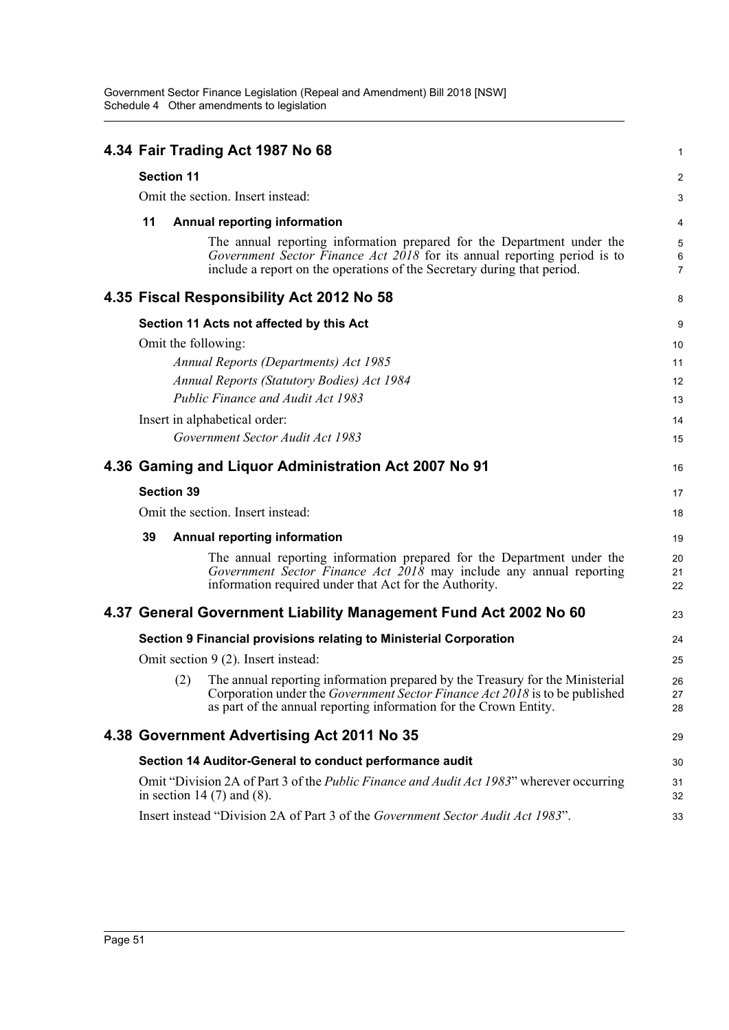|                     | 4.34 Fair Trading Act 1987 No 68                                                                                                                                                                                                      | 1                   |
|---------------------|---------------------------------------------------------------------------------------------------------------------------------------------------------------------------------------------------------------------------------------|---------------------|
| <b>Section 11</b>   |                                                                                                                                                                                                                                       | $\overline{c}$      |
|                     | Omit the section. Insert instead:                                                                                                                                                                                                     | 3                   |
| 11                  | <b>Annual reporting information</b>                                                                                                                                                                                                   | 4                   |
|                     | The annual reporting information prepared for the Department under the                                                                                                                                                                | 5                   |
|                     | Government Sector Finance Act 2018 for its annual reporting period is to<br>include a report on the operations of the Secretary during that period.                                                                                   | 6<br>$\overline{7}$ |
|                     | 4.35 Fiscal Responsibility Act 2012 No 58                                                                                                                                                                                             | 8                   |
|                     | Section 11 Acts not affected by this Act                                                                                                                                                                                              | 9                   |
| Omit the following: |                                                                                                                                                                                                                                       | 10                  |
|                     | Annual Reports (Departments) Act 1985                                                                                                                                                                                                 | 11                  |
|                     | <b>Annual Reports (Statutory Bodies) Act 1984</b>                                                                                                                                                                                     | 12                  |
|                     | Public Finance and Audit Act 1983                                                                                                                                                                                                     | 13                  |
|                     | Insert in alphabetical order:                                                                                                                                                                                                         | 14                  |
|                     | Government Sector Audit Act 1983                                                                                                                                                                                                      | 15                  |
|                     | 4.36 Gaming and Liquor Administration Act 2007 No 91                                                                                                                                                                                  | 16                  |
| <b>Section 39</b>   |                                                                                                                                                                                                                                       | 17                  |
|                     | Omit the section. Insert instead:                                                                                                                                                                                                     | 18                  |
| 39                  | <b>Annual reporting information</b>                                                                                                                                                                                                   | 19                  |
|                     | The annual reporting information prepared for the Department under the<br>Government Sector Finance Act $2018$ may include any annual reporting<br>information required under that Act for the Authority.                             | 20<br>21<br>22      |
|                     | 4.37 General Government Liability Management Fund Act 2002 No 60                                                                                                                                                                      | 23                  |
|                     | Section 9 Financial provisions relating to Ministerial Corporation                                                                                                                                                                    | 24                  |
|                     | Omit section 9 (2). Insert instead:                                                                                                                                                                                                   | 25                  |
|                     | (2) The annual reporting information prepared by the Treasury for the Ministerial<br>Corporation under the Government Sector Finance Act 2018 is to be published<br>as part of the annual reporting information for the Crown Entity. | 26<br>27<br>28      |
|                     | 4.38 Government Advertising Act 2011 No 35                                                                                                                                                                                            | 29                  |
|                     | Section 14 Auditor-General to conduct performance audit                                                                                                                                                                               | 30                  |
|                     | Omit "Division 2A of Part 3 of the <i>Public Finance and Audit Act 1983</i> " wherever occurring<br>in section 14 $(7)$ and $(8)$ .                                                                                                   | 31<br>32            |
|                     | Insert instead "Division 2A of Part 3 of the Government Sector Audit Act 1983".                                                                                                                                                       | 33                  |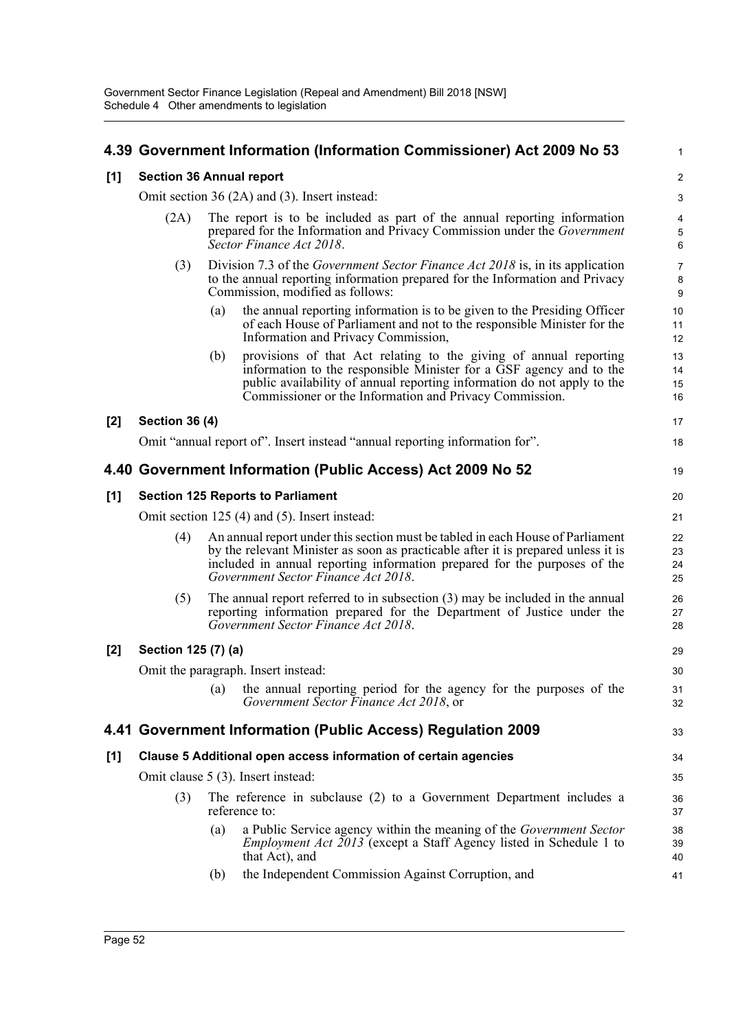|       |                                                                             |     | 4.39 Government Information (Information Commissioner) Act 2009 No 53                                                                                                                                                                                                                   | 1                                           |
|-------|-----------------------------------------------------------------------------|-----|-----------------------------------------------------------------------------------------------------------------------------------------------------------------------------------------------------------------------------------------------------------------------------------------|---------------------------------------------|
| [1]   | <b>Section 36 Annual report</b>                                             |     |                                                                                                                                                                                                                                                                                         | $\overline{c}$                              |
|       |                                                                             |     | Omit section 36 (2A) and (3). Insert instead:                                                                                                                                                                                                                                           | 3                                           |
|       | (2A)                                                                        |     | The report is to be included as part of the annual reporting information<br>prepared for the Information and Privacy Commission under the <i>Government</i><br>Sector Finance Act 2018.                                                                                                 | $\overline{\mathbf{4}}$<br>$\mathbf 5$<br>6 |
|       | (3)                                                                         |     | Division 7.3 of the <i>Government Sector Finance Act 2018</i> is, in its application<br>to the annual reporting information prepared for the Information and Privacy<br>Commission, modified as follows:                                                                                | $\overline{7}$<br>8<br>9                    |
|       |                                                                             | (a) | the annual reporting information is to be given to the Presiding Officer<br>of each House of Parliament and not to the responsible Minister for the<br>Information and Privacy Commission,                                                                                              | 10<br>11<br>12                              |
|       |                                                                             | (b) | provisions of that Act relating to the giving of annual reporting<br>information to the responsible Minister for a GSF agency and to the<br>public availability of annual reporting information do not apply to the<br>Commissioner or the Information and Privacy Commission.          | 13<br>14<br>15<br>16                        |
| [2]   | <b>Section 36 (4)</b>                                                       |     |                                                                                                                                                                                                                                                                                         | 17                                          |
|       | Omit "annual report of". Insert instead "annual reporting information for". |     |                                                                                                                                                                                                                                                                                         |                                             |
|       | 4.40 Government Information (Public Access) Act 2009 No 52                  |     |                                                                                                                                                                                                                                                                                         |                                             |
| [1]   |                                                                             |     | <b>Section 125 Reports to Parliament</b>                                                                                                                                                                                                                                                | 20                                          |
|       |                                                                             |     | Omit section $125(4)$ and $(5)$ . Insert instead:                                                                                                                                                                                                                                       | 21                                          |
|       | (4)                                                                         |     | An annual report under this section must be tabled in each House of Parliament<br>by the relevant Minister as soon as practicable after it is prepared unless it is<br>included in annual reporting information prepared for the purposes of the<br>Government Sector Finance Act 2018. | 22<br>23<br>24<br>25                        |
|       | (5)                                                                         |     | The annual report referred to in subsection $(3)$ may be included in the annual<br>reporting information prepared for the Department of Justice under the<br>Government Sector Finance Act 2018.                                                                                        | 26<br>27<br>28                              |
| $[2]$ | Section 125 (7) (a)                                                         |     |                                                                                                                                                                                                                                                                                         | 29                                          |
|       |                                                                             |     | Omit the paragraph. Insert instead:                                                                                                                                                                                                                                                     | 30                                          |
|       |                                                                             | (a) | the annual reporting period for the agency for the purposes of the<br>Government Sector Finance Act 2018, or                                                                                                                                                                            | 31<br>32                                    |
|       |                                                                             |     | 4.41 Government Information (Public Access) Regulation 2009                                                                                                                                                                                                                             | 33                                          |
| [1]   |                                                                             |     | Clause 5 Additional open access information of certain agencies                                                                                                                                                                                                                         | 34                                          |
|       |                                                                             |     | Omit clause 5 (3). Insert instead:                                                                                                                                                                                                                                                      | 35                                          |
|       | (3)                                                                         |     | The reference in subclause (2) to a Government Department includes a<br>reference to:                                                                                                                                                                                                   | 36<br>37                                    |
|       |                                                                             | (a) | a Public Service agency within the meaning of the <i>Government Sector</i><br><i>Employment Act 2013</i> (except a Staff Agency listed in Schedule 1 to<br>that Act), and                                                                                                               | 38<br>39<br>40                              |
|       |                                                                             | (b) | the Independent Commission Against Corruption, and                                                                                                                                                                                                                                      | 41                                          |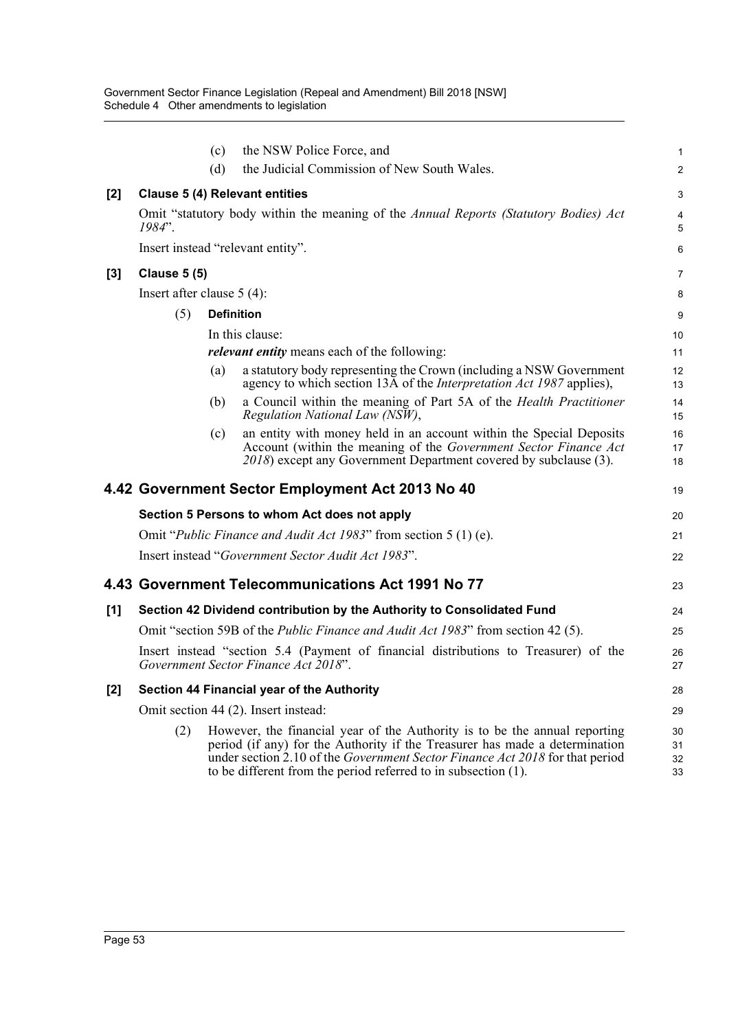|       |                                                                           | (c)               | the NSW Police Force, and                                                                                                                                                                                                                                                                                   | 1                    |  |  |  |  |
|-------|---------------------------------------------------------------------------|-------------------|-------------------------------------------------------------------------------------------------------------------------------------------------------------------------------------------------------------------------------------------------------------------------------------------------------------|----------------------|--|--|--|--|
|       |                                                                           | (d)               | the Judicial Commission of New South Wales.                                                                                                                                                                                                                                                                 | 2                    |  |  |  |  |
| $[2]$ |                                                                           |                   | <b>Clause 5 (4) Relevant entities</b>                                                                                                                                                                                                                                                                       | 3                    |  |  |  |  |
|       | $1984"$ .                                                                 |                   | Omit "statutory body within the meaning of the Annual Reports (Statutory Bodies) Act                                                                                                                                                                                                                        | 4<br>5               |  |  |  |  |
|       |                                                                           |                   | Insert instead "relevant entity".                                                                                                                                                                                                                                                                           | 6                    |  |  |  |  |
| [3]   | <b>Clause 5 (5)</b>                                                       |                   |                                                                                                                                                                                                                                                                                                             | 7                    |  |  |  |  |
|       | Insert after clause $5(4)$ :                                              |                   |                                                                                                                                                                                                                                                                                                             |                      |  |  |  |  |
|       | (5)                                                                       | <b>Definition</b> |                                                                                                                                                                                                                                                                                                             | 9                    |  |  |  |  |
|       |                                                                           |                   | In this clause:                                                                                                                                                                                                                                                                                             | 10                   |  |  |  |  |
|       |                                                                           |                   | <i>relevant entity</i> means each of the following:                                                                                                                                                                                                                                                         | 11                   |  |  |  |  |
|       |                                                                           | (a)               | a statutory body representing the Crown (including a NSW Government<br>agency to which section 13A of the <i>Interpretation Act 1987</i> applies),                                                                                                                                                          | 12<br>13             |  |  |  |  |
|       |                                                                           | (b)               | a Council within the meaning of Part 5A of the Health Practitioner<br>Regulation National Law (NSW),                                                                                                                                                                                                        | 14<br>15             |  |  |  |  |
|       |                                                                           | (c)               | an entity with money held in an account within the Special Deposits<br>Account (within the meaning of the Government Sector Finance Act<br>2018) except any Government Department covered by subclause (3).                                                                                                 | 16<br>17<br>18       |  |  |  |  |
|       |                                                                           |                   | 4.42 Government Sector Employment Act 2013 No 40                                                                                                                                                                                                                                                            | 19                   |  |  |  |  |
|       |                                                                           |                   | Section 5 Persons to whom Act does not apply                                                                                                                                                                                                                                                                | 20                   |  |  |  |  |
|       | Omit " <i>Public Finance and Audit Act 1983</i> " from section 5 (1) (e). |                   |                                                                                                                                                                                                                                                                                                             |                      |  |  |  |  |
|       |                                                                           |                   | Insert instead "Government Sector Audit Act 1983".                                                                                                                                                                                                                                                          | 22                   |  |  |  |  |
|       |                                                                           |                   | 4.43 Government Telecommunications Act 1991 No 77                                                                                                                                                                                                                                                           | 23                   |  |  |  |  |
| [1]   |                                                                           |                   | Section 42 Dividend contribution by the Authority to Consolidated Fund                                                                                                                                                                                                                                      | 24                   |  |  |  |  |
|       |                                                                           |                   | Omit "section 59B of the <i>Public Finance and Audit Act 1983</i> " from section 42 (5).                                                                                                                                                                                                                    | 25                   |  |  |  |  |
|       |                                                                           |                   | Insert instead "section 5.4 (Payment of financial distributions to Treasurer) of the<br>Government Sector Finance Act 2018".                                                                                                                                                                                | 26<br>27             |  |  |  |  |
| [2]   |                                                                           |                   | Section 44 Financial year of the Authority                                                                                                                                                                                                                                                                  | 28                   |  |  |  |  |
|       |                                                                           |                   | Omit section 44 (2). Insert instead:                                                                                                                                                                                                                                                                        | 29                   |  |  |  |  |
|       | (2)                                                                       |                   | However, the financial year of the Authority is to be the annual reporting<br>period (if any) for the Authority if the Treasurer has made a determination<br>under section 2.10 of the Government Sector Finance Act 2018 for that period<br>to be different from the period referred to in subsection (1). | 30<br>31<br>32<br>33 |  |  |  |  |
|       |                                                                           |                   |                                                                                                                                                                                                                                                                                                             |                      |  |  |  |  |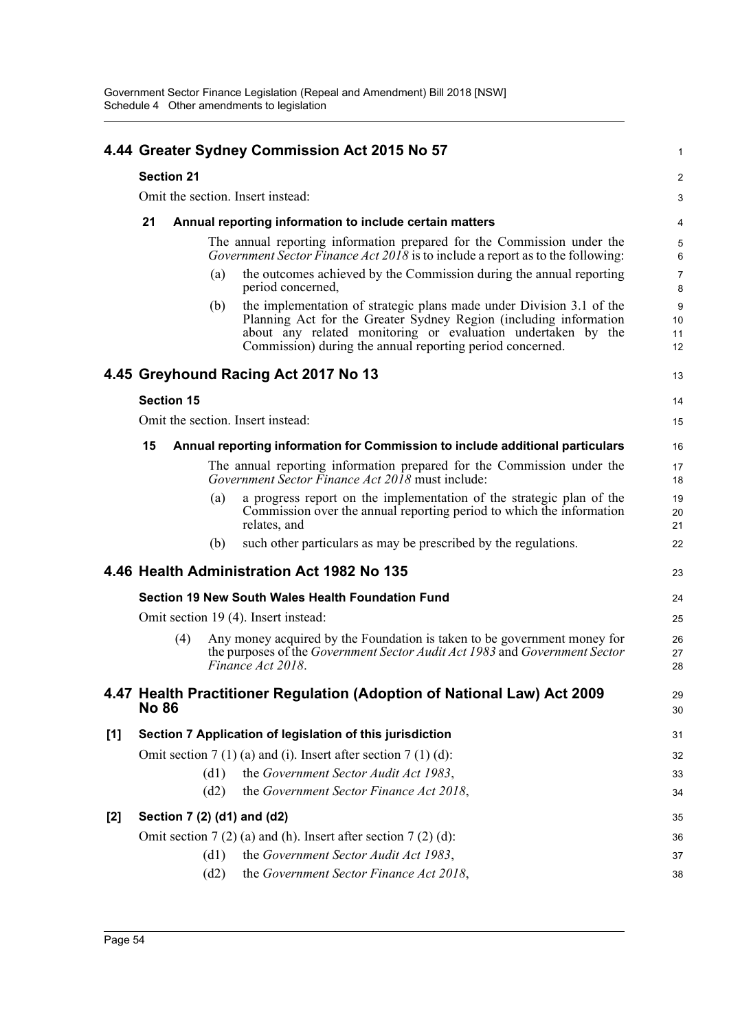|                                                                                     |              |                   |      | 4.44 Greater Sydney Commission Act 2015 No 57                                                                                                                                                                                                                          | 1                   |
|-------------------------------------------------------------------------------------|--------------|-------------------|------|------------------------------------------------------------------------------------------------------------------------------------------------------------------------------------------------------------------------------------------------------------------------|---------------------|
|                                                                                     |              | <b>Section 21</b> |      |                                                                                                                                                                                                                                                                        | $\overline{c}$      |
|                                                                                     |              |                   |      | Omit the section. Insert instead:                                                                                                                                                                                                                                      | 3                   |
|                                                                                     | 21           |                   |      | Annual reporting information to include certain matters                                                                                                                                                                                                                | 4                   |
|                                                                                     |              |                   |      | The annual reporting information prepared for the Commission under the<br>Government Sector Finance Act $20\overline{18}$ is to include a report as to the following:                                                                                                  | 5<br>6              |
|                                                                                     |              |                   | (a)  | the outcomes achieved by the Commission during the annual reporting<br>period concerned,                                                                                                                                                                               | 7<br>8              |
|                                                                                     |              |                   | (b)  | the implementation of strategic plans made under Division 3.1 of the<br>Planning Act for the Greater Sydney Region (including information<br>about any related monitoring or evaluation undertaken by the<br>Commission) during the annual reporting period concerned. | 9<br>10<br>11<br>12 |
|                                                                                     |              |                   |      | 4.45 Greyhound Racing Act 2017 No 13                                                                                                                                                                                                                                   | 13                  |
|                                                                                     |              | <b>Section 15</b> |      |                                                                                                                                                                                                                                                                        | 14                  |
|                                                                                     |              |                   |      | Omit the section. Insert instead:                                                                                                                                                                                                                                      | 15                  |
| 15<br>Annual reporting information for Commission to include additional particulars |              |                   |      |                                                                                                                                                                                                                                                                        |                     |
|                                                                                     |              |                   |      | The annual reporting information prepared for the Commission under the<br><i>Government Sector Finance Act 2018</i> must include:                                                                                                                                      | 17<br>18            |
|                                                                                     |              |                   | (a)  | a progress report on the implementation of the strategic plan of the<br>Commission over the annual reporting period to which the information<br>relates, and                                                                                                           | 19<br>20<br>21      |
|                                                                                     |              |                   | (b)  | such other particulars as may be prescribed by the regulations.                                                                                                                                                                                                        | 22                  |
|                                                                                     |              |                   |      | 4.46 Health Administration Act 1982 No 135                                                                                                                                                                                                                             | 23                  |
|                                                                                     |              |                   |      | Section 19 New South Wales Health Foundation Fund                                                                                                                                                                                                                      | 24                  |
|                                                                                     |              |                   |      | Omit section 19 (4). Insert instead:                                                                                                                                                                                                                                   | 25                  |
|                                                                                     |              | (4)               |      | Any money acquired by the Foundation is taken to be government money for<br>the purposes of the Government Sector Audit Act 1983 and Government Sector<br>Finance Act 2018.                                                                                            | 26<br>27<br>28      |
|                                                                                     | <b>No 86</b> |                   |      | 4.47 Health Practitioner Regulation (Adoption of National Law) Act 2009                                                                                                                                                                                                | 29<br>30            |
| [1]                                                                                 |              |                   |      | Section 7 Application of legislation of this jurisdiction                                                                                                                                                                                                              | 31                  |
|                                                                                     |              |                   |      | Omit section $7(1)(a)$ and (i). Insert after section $7(1)(d)$ :                                                                                                                                                                                                       | 32                  |
|                                                                                     |              |                   | (d1) | the Government Sector Audit Act 1983,                                                                                                                                                                                                                                  | 33                  |
|                                                                                     |              |                   | (d2) | the Government Sector Finance Act 2018,                                                                                                                                                                                                                                | 34                  |
| [2]                                                                                 |              |                   |      | Section 7 (2) (d1) and (d2)                                                                                                                                                                                                                                            | 35                  |
|                                                                                     |              |                   |      | Omit section $7(2)$ (a) and (h). Insert after section $7(2)$ (d):                                                                                                                                                                                                      | 36                  |
|                                                                                     |              |                   | (d1) | the Government Sector Audit Act 1983,                                                                                                                                                                                                                                  | 37                  |
|                                                                                     |              |                   | (d2) | the Government Sector Finance Act 2018,                                                                                                                                                                                                                                | 38                  |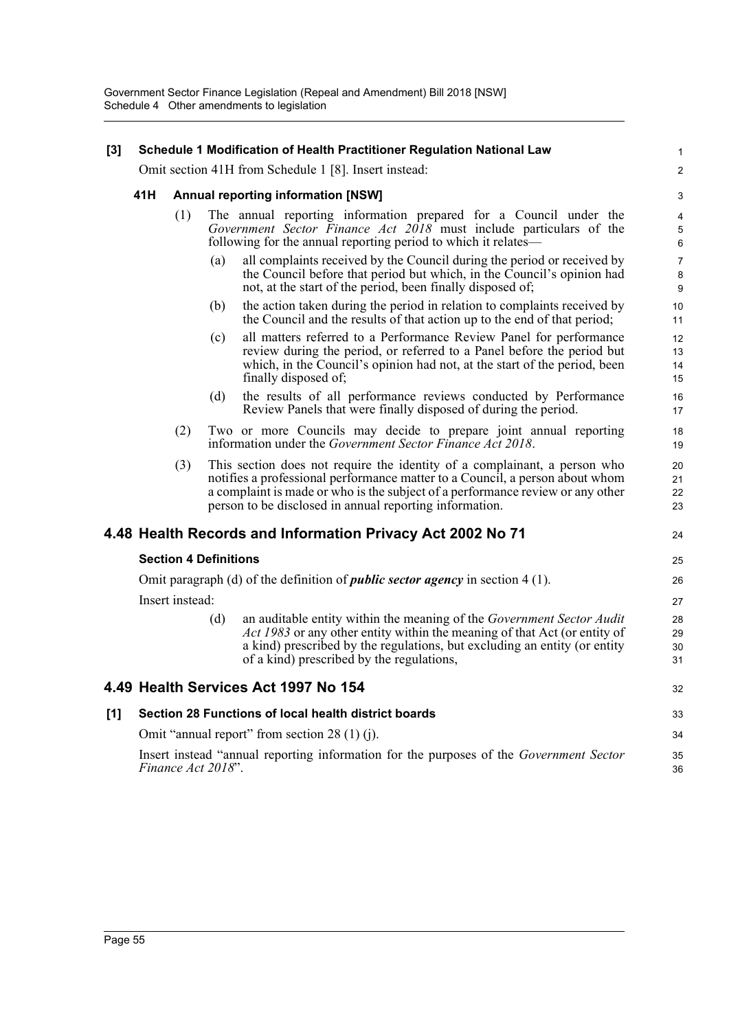| $[3]$ |     |                              |     | Schedule 1 Modification of Health Practitioner Regulation National Law                                                                                                                                                                                                                                 | 1                       |
|-------|-----|------------------------------|-----|--------------------------------------------------------------------------------------------------------------------------------------------------------------------------------------------------------------------------------------------------------------------------------------------------------|-------------------------|
|       |     |                              |     | Omit section 41H from Schedule 1 [8]. Insert instead:                                                                                                                                                                                                                                                  | $\overline{\mathbf{c}}$ |
|       | 41H |                              |     | <b>Annual reporting information [NSW]</b>                                                                                                                                                                                                                                                              | 3                       |
|       |     | (1)                          |     | The annual reporting information prepared for a Council under the<br>Government Sector Finance Act 2018 must include particulars of the<br>following for the annual reporting period to which it relates—                                                                                              | 4<br>5<br>6             |
|       |     |                              | (a) | all complaints received by the Council during the period or received by<br>the Council before that period but which, in the Council's opinion had<br>not, at the start of the period, been finally disposed of;                                                                                        | 7<br>8<br>9             |
|       |     |                              | (b) | the action taken during the period in relation to complaints received by<br>the Council and the results of that action up to the end of that period;                                                                                                                                                   | 10<br>11                |
|       |     |                              | (c) | all matters referred to a Performance Review Panel for performance<br>review during the period, or referred to a Panel before the period but<br>which, in the Council's opinion had not, at the start of the period, been<br>finally disposed of;                                                      | 12<br>13<br>14<br>15    |
|       |     |                              | (d) | the results of all performance reviews conducted by Performance<br>Review Panels that were finally disposed of during the period.                                                                                                                                                                      | 16<br>17                |
|       |     | (2)                          |     | Two or more Councils may decide to prepare joint annual reporting<br>information under the <i>Government Sector Finance Act 2018</i> .                                                                                                                                                                 | 18<br>19                |
|       |     | (3)                          |     | This section does not require the identity of a complainant, a person who<br>notifies a professional performance matter to a Council, a person about whom<br>a complaint is made or who is the subject of a performance review or any other<br>person to be disclosed in annual reporting information. | 20<br>21<br>22<br>23    |
|       |     |                              |     | 4.48 Health Records and Information Privacy Act 2002 No 71                                                                                                                                                                                                                                             | 24                      |
|       |     | <b>Section 4 Definitions</b> |     |                                                                                                                                                                                                                                                                                                        | 25                      |
|       |     |                              |     | Omit paragraph (d) of the definition of <i>public sector agency</i> in section $4(1)$ .                                                                                                                                                                                                                | 26                      |
|       |     | Insert instead:              |     |                                                                                                                                                                                                                                                                                                        | 27                      |
|       |     |                              | (d) | an auditable entity within the meaning of the Government Sector Audit<br>Act 1983 or any other entity within the meaning of that Act (or entity of<br>a kind) prescribed by the regulations, but excluding an entity (or entity<br>of a kind) prescribed by the regulations,                           | 28<br>29<br>30<br>31    |
|       |     |                              |     | 4.49 Health Services Act 1997 No 154                                                                                                                                                                                                                                                                   | 32                      |
| $[1]$ |     |                              |     | Section 28 Functions of local health district boards                                                                                                                                                                                                                                                   | 33                      |
|       |     |                              |     | Omit "annual report" from section 28 (1) (j).                                                                                                                                                                                                                                                          | 34                      |
|       |     | Finance Act 2018".           |     | Insert instead "annual reporting information for the purposes of the Government Sector                                                                                                                                                                                                                 | 35<br>36                |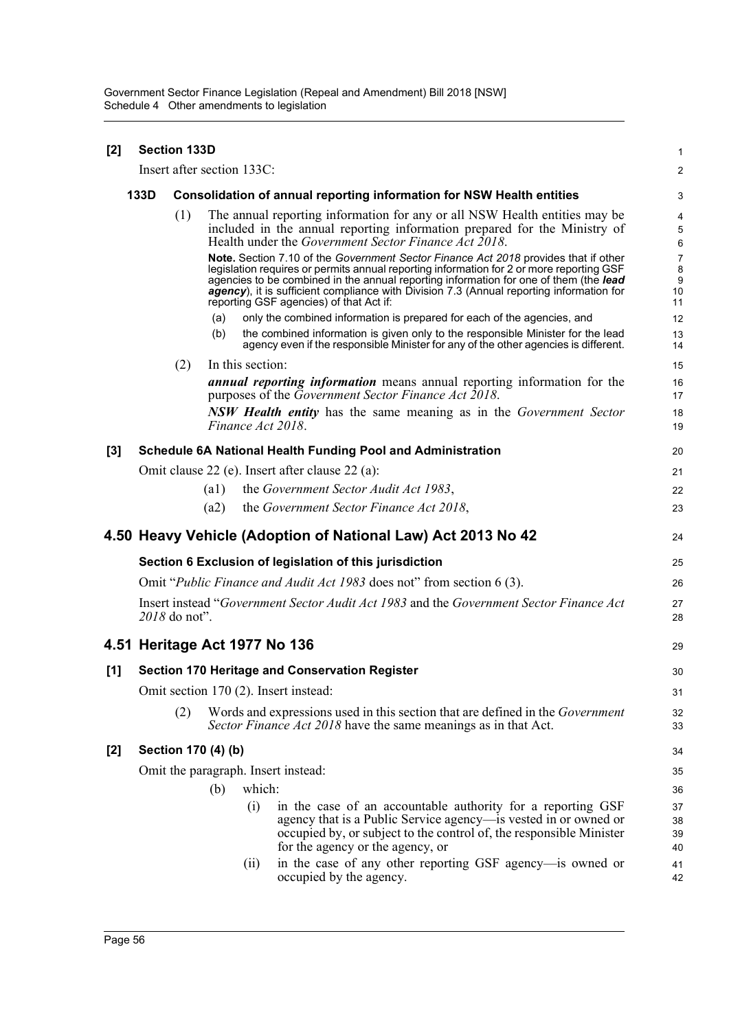| [2]   | <b>Section 133D</b> |               |                     |                                                                                                                                                                                                                                                                                                                                                                                                                 |                                      |
|-------|---------------------|---------------|---------------------|-----------------------------------------------------------------------------------------------------------------------------------------------------------------------------------------------------------------------------------------------------------------------------------------------------------------------------------------------------------------------------------------------------------------|--------------------------------------|
|       |                     |               |                     | Insert after section 133C:                                                                                                                                                                                                                                                                                                                                                                                      | $\overline{2}$                       |
|       | 133D                |               |                     | Consolidation of annual reporting information for NSW Health entities                                                                                                                                                                                                                                                                                                                                           | 3                                    |
|       |                     | (1)           |                     | The annual reporting information for any or all NSW Health entities may be<br>included in the annual reporting information prepared for the Ministry of<br>Health under the Government Sector Finance Act 2018.                                                                                                                                                                                                 | 4<br>5<br>6                          |
|       |                     |               |                     | Note. Section 7.10 of the Government Sector Finance Act 2018 provides that if other<br>legislation requires or permits annual reporting information for 2 or more reporting GSF<br>agencies to be combined in the annual reporting information for one of them (the lead<br>agency), it is sufficient compliance with Division 7.3 (Annual reporting information for<br>reporting GSF agencies) of that Act if: | $\overline{7}$<br>8<br>9<br>10<br>11 |
|       |                     |               | (a)                 | only the combined information is prepared for each of the agencies, and                                                                                                                                                                                                                                                                                                                                         | 12                                   |
|       |                     |               | (b)                 | the combined information is given only to the responsible Minister for the lead<br>agency even if the responsible Minister for any of the other agencies is different.                                                                                                                                                                                                                                          | 13<br>14                             |
|       |                     | (2)           |                     | In this section:                                                                                                                                                                                                                                                                                                                                                                                                | 15                                   |
|       |                     |               |                     | <i>annual reporting information</i> means annual reporting information for the<br>purposes of the Government Sector Finance Act 2018.                                                                                                                                                                                                                                                                           | 16<br>17                             |
|       |                     |               |                     | <b>NSW Health entity</b> has the same meaning as in the Government Sector<br>Finance Act 2018.                                                                                                                                                                                                                                                                                                                  | 18<br>19                             |
| [3]   |                     |               |                     | <b>Schedule 6A National Health Funding Pool and Administration</b>                                                                                                                                                                                                                                                                                                                                              | 20                                   |
|       |                     |               |                     | Omit clause 22 (e). Insert after clause 22 (a):                                                                                                                                                                                                                                                                                                                                                                 | 21                                   |
|       |                     |               | $\left( a1\right)$  | the Government Sector Audit Act 1983,                                                                                                                                                                                                                                                                                                                                                                           | 22                                   |
|       |                     |               | (a2)                | the Government Sector Finance Act 2018,                                                                                                                                                                                                                                                                                                                                                                         | 23                                   |
|       |                     |               |                     | 4.50 Heavy Vehicle (Adoption of National Law) Act 2013 No 42                                                                                                                                                                                                                                                                                                                                                    | 24                                   |
|       |                     |               |                     | Section 6 Exclusion of legislation of this jurisdiction                                                                                                                                                                                                                                                                                                                                                         | 25                                   |
|       |                     |               |                     | Omit " <i>Public Finance and Audit Act 1983</i> does not" from section 6 (3).                                                                                                                                                                                                                                                                                                                                   | 26                                   |
|       |                     | 2018 do not". |                     | Insert instead "Government Sector Audit Act 1983 and the Government Sector Finance Act                                                                                                                                                                                                                                                                                                                          | 27<br>28                             |
|       |                     |               |                     | 4.51 Heritage Act 1977 No 136                                                                                                                                                                                                                                                                                                                                                                                   | 29                                   |
| [1]   |                     |               |                     | <b>Section 170 Heritage and Conservation Register</b>                                                                                                                                                                                                                                                                                                                                                           | 30                                   |
|       |                     |               |                     | Omit section 170 (2). Insert instead:                                                                                                                                                                                                                                                                                                                                                                           | 31                                   |
|       |                     | (2)           |                     | Words and expressions used in this section that are defined in the <i>Government</i><br>Sector Finance Act 2018 have the same meanings as in that Act.                                                                                                                                                                                                                                                          | 32<br>33                             |
| $[2]$ |                     |               | Section 170 (4) (b) |                                                                                                                                                                                                                                                                                                                                                                                                                 | 34                                   |
|       |                     |               |                     | Omit the paragraph. Insert instead:                                                                                                                                                                                                                                                                                                                                                                             | 35                                   |
|       |                     |               | (b)                 | which:                                                                                                                                                                                                                                                                                                                                                                                                          | 36                                   |
|       |                     |               |                     | (i)<br>in the case of an accountable authority for a reporting GSF                                                                                                                                                                                                                                                                                                                                              | 37                                   |
|       |                     |               |                     | agency that is a Public Service agency—is vested in or owned or                                                                                                                                                                                                                                                                                                                                                 | 38                                   |
|       |                     |               |                     | occupied by, or subject to the control of, the responsible Minister<br>for the agency or the agency, or                                                                                                                                                                                                                                                                                                         | 39<br>40                             |
|       |                     |               |                     | in the case of any other reporting GSF agency-is owned or<br>(ii)                                                                                                                                                                                                                                                                                                                                               | 41                                   |
|       |                     |               |                     | occupied by the agency.                                                                                                                                                                                                                                                                                                                                                                                         | 42                                   |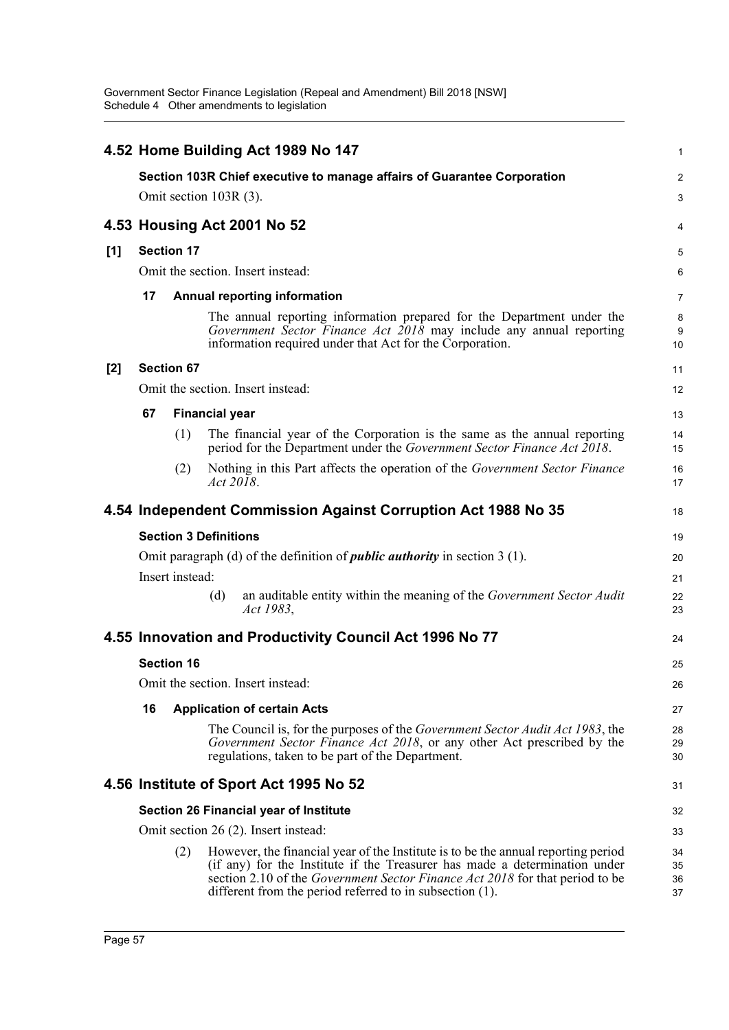|     |                             |                   |                                      | 4.52 Home Building Act 1989 No 147                                                                                                                                                                                                                                                                          | 1                    |  |  |  |  |
|-----|-----------------------------|-------------------|--------------------------------------|-------------------------------------------------------------------------------------------------------------------------------------------------------------------------------------------------------------------------------------------------------------------------------------------------------------|----------------------|--|--|--|--|
|     |                             |                   |                                      | Section 103R Chief executive to manage affairs of Guarantee Corporation                                                                                                                                                                                                                                     | $\overline{2}$       |  |  |  |  |
|     |                             |                   | Omit section 103R (3).               |                                                                                                                                                                                                                                                                                                             | 3                    |  |  |  |  |
|     | 4.53 Housing Act 2001 No 52 |                   |                                      |                                                                                                                                                                                                                                                                                                             |                      |  |  |  |  |
| [1] |                             | <b>Section 17</b> |                                      |                                                                                                                                                                                                                                                                                                             | 5                    |  |  |  |  |
|     |                             |                   | Omit the section. Insert instead:    |                                                                                                                                                                                                                                                                                                             | 6                    |  |  |  |  |
|     | 17                          |                   |                                      | <b>Annual reporting information</b>                                                                                                                                                                                                                                                                         | $\overline{7}$       |  |  |  |  |
|     |                             |                   |                                      | The annual reporting information prepared for the Department under the<br>Government Sector Finance Act $2018$ may include any annual reporting<br>information required under that Act for the Corporation.                                                                                                 | 8<br>9<br>10         |  |  |  |  |
| [2] |                             | <b>Section 67</b> |                                      |                                                                                                                                                                                                                                                                                                             | 11                   |  |  |  |  |
|     |                             |                   | Omit the section. Insert instead:    |                                                                                                                                                                                                                                                                                                             | 12                   |  |  |  |  |
|     | 67                          |                   | <b>Financial year</b>                |                                                                                                                                                                                                                                                                                                             | 13                   |  |  |  |  |
|     |                             | (1)               |                                      | The financial year of the Corporation is the same as the annual reporting<br>period for the Department under the Government Sector Finance Act 2018.                                                                                                                                                        | 14<br>15             |  |  |  |  |
|     |                             | (2)               | Act 2018.                            | Nothing in this Part affects the operation of the Government Sector Finance                                                                                                                                                                                                                                 | 16<br>17             |  |  |  |  |
|     |                             |                   |                                      | 4.54 Independent Commission Against Corruption Act 1988 No 35                                                                                                                                                                                                                                               | 18                   |  |  |  |  |
|     |                             |                   | <b>Section 3 Definitions</b>         |                                                                                                                                                                                                                                                                                                             | 19                   |  |  |  |  |
|     |                             |                   |                                      | Omit paragraph (d) of the definition of <i>public authority</i> in section $3(1)$ .                                                                                                                                                                                                                         | 20                   |  |  |  |  |
|     |                             | Insert instead:   |                                      |                                                                                                                                                                                                                                                                                                             | 21                   |  |  |  |  |
|     |                             |                   | (d)<br>Act 1983,                     | an auditable entity within the meaning of the Government Sector Audit                                                                                                                                                                                                                                       | 22<br>23             |  |  |  |  |
|     |                             |                   |                                      | 4.55 Innovation and Productivity Council Act 1996 No 77                                                                                                                                                                                                                                                     | 24                   |  |  |  |  |
|     |                             | <b>Section 16</b> |                                      |                                                                                                                                                                                                                                                                                                             | 25                   |  |  |  |  |
|     |                             |                   | Omit the section. Insert instead:    |                                                                                                                                                                                                                                                                                                             | 26                   |  |  |  |  |
|     | 16                          |                   | <b>Application of certain Acts</b>   |                                                                                                                                                                                                                                                                                                             | 27                   |  |  |  |  |
|     |                             |                   |                                      | The Council is, for the purposes of the <i>Government Sector Audit Act 1983</i> , the<br>Government Sector Finance Act 2018, or any other Act prescribed by the<br>regulations, taken to be part of the Department.                                                                                         | 28<br>29<br>30       |  |  |  |  |
|     |                             |                   |                                      | 4.56 Institute of Sport Act 1995 No 52                                                                                                                                                                                                                                                                      | 31                   |  |  |  |  |
|     |                             |                   |                                      | Section 26 Financial year of Institute                                                                                                                                                                                                                                                                      | 32                   |  |  |  |  |
|     |                             |                   | Omit section 26 (2). Insert instead: |                                                                                                                                                                                                                                                                                                             | 33                   |  |  |  |  |
|     |                             | (2)               |                                      | However, the financial year of the Institute is to be the annual reporting period<br>(if any) for the Institute if the Treasurer has made a determination under<br>section 2.10 of the Government Sector Finance Act 2018 for that period to be<br>different from the period referred to in subsection (1). | 34<br>35<br>36<br>37 |  |  |  |  |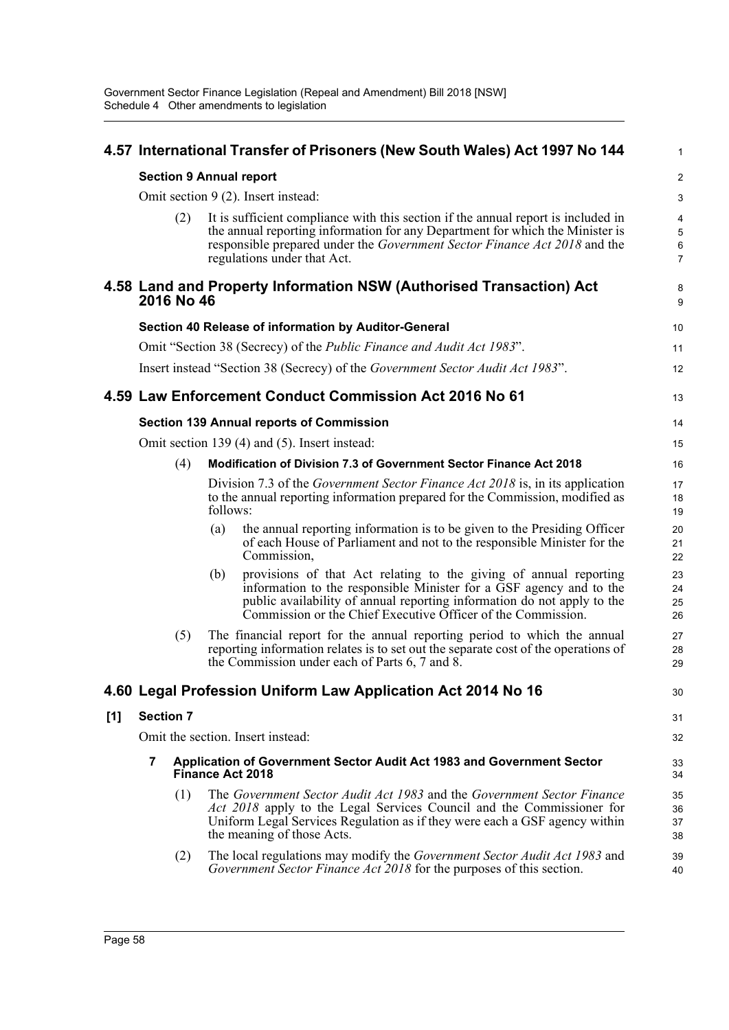|     |                                |          | 4.57 International Transfer of Prisoners (New South Wales) Act 1997 No 144                                                                                                                                                                                                          | 1                                                                |
|-----|--------------------------------|----------|-------------------------------------------------------------------------------------------------------------------------------------------------------------------------------------------------------------------------------------------------------------------------------------|------------------------------------------------------------------|
|     | <b>Section 9 Annual report</b> |          |                                                                                                                                                                                                                                                                                     | $\boldsymbol{2}$                                                 |
|     |                                |          | Omit section 9 (2). Insert instead:                                                                                                                                                                                                                                                 | 3                                                                |
|     | (2)                            |          | It is sufficient compliance with this section if the annual report is included in<br>the annual reporting information for any Department for which the Minister is<br>responsible prepared under the Government Sector Finance Act 2018 and the<br>regulations under that Act.      | $\overline{\mathbf{4}}$<br>$\overline{5}$<br>6<br>$\overline{7}$ |
|     | 2016 No 46                     |          | 4.58 Land and Property Information NSW (Authorised Transaction) Act                                                                                                                                                                                                                 | 8<br>9                                                           |
|     |                                |          | Section 40 Release of information by Auditor-General                                                                                                                                                                                                                                | 10                                                               |
|     |                                |          | Omit "Section 38 (Secrecy) of the <i>Public Finance and Audit Act 1983</i> ".                                                                                                                                                                                                       | 11                                                               |
|     |                                |          | Insert instead "Section 38 (Secrecy) of the Government Sector Audit Act 1983".                                                                                                                                                                                                      | 12                                                               |
|     |                                |          | 4.59 Law Enforcement Conduct Commission Act 2016 No 61                                                                                                                                                                                                                              | 13                                                               |
|     |                                |          | <b>Section 139 Annual reports of Commission</b>                                                                                                                                                                                                                                     | 14                                                               |
|     |                                |          | Omit section 139 (4) and (5). Insert instead:                                                                                                                                                                                                                                       | 15                                                               |
|     | (4)                            |          | <b>Modification of Division 7.3 of Government Sector Finance Act 2018</b>                                                                                                                                                                                                           | 16                                                               |
|     |                                | follows: | Division 7.3 of the Government Sector Finance Act 2018 is, in its application<br>to the annual reporting information prepared for the Commission, modified as                                                                                                                       | 17<br>18<br>19                                                   |
|     |                                | (a)      | the annual reporting information is to be given to the Presiding Officer<br>of each House of Parliament and not to the responsible Minister for the<br>Commission,                                                                                                                  | 20<br>21<br>22                                                   |
|     |                                | (b)      | provisions of that Act relating to the giving of annual reporting<br>information to the responsible Minister for a GSF agency and to the<br>public availability of annual reporting information do not apply to the<br>Commission or the Chief Executive Officer of the Commission. | 23<br>24<br>25<br>26                                             |
|     | (5)                            |          | The financial report for the annual reporting period to which the annual<br>reporting information relates is to set out the separate cost of the operations of<br>the Commission under each of Parts 6, 7 and 8.                                                                    | 27<br>28<br>29                                                   |
|     |                                |          | 4.60 Legal Profession Uniform Law Application Act 2014 No 16                                                                                                                                                                                                                        | 30                                                               |
| [1] | <b>Section 7</b>               |          |                                                                                                                                                                                                                                                                                     | 31                                                               |
|     |                                |          | Omit the section. Insert instead:                                                                                                                                                                                                                                                   | 32                                                               |
|     | 7                              |          | Application of Government Sector Audit Act 1983 and Government Sector<br><b>Finance Act 2018</b>                                                                                                                                                                                    | 33<br>34                                                         |
|     | (1)                            |          | The Government Sector Audit Act 1983 and the Government Sector Finance<br>Act 2018 apply to the Legal Services Council and the Commissioner for<br>Uniform Legal Services Regulation as if they were each a GSF agency within<br>the meaning of those Acts.                         | 35<br>36<br>37<br>38                                             |
|     | (2)                            |          | The local regulations may modify the Government Sector Audit Act 1983 and<br>Government Sector Finance Act 2018 for the purposes of this section.                                                                                                                                   | 39<br>40                                                         |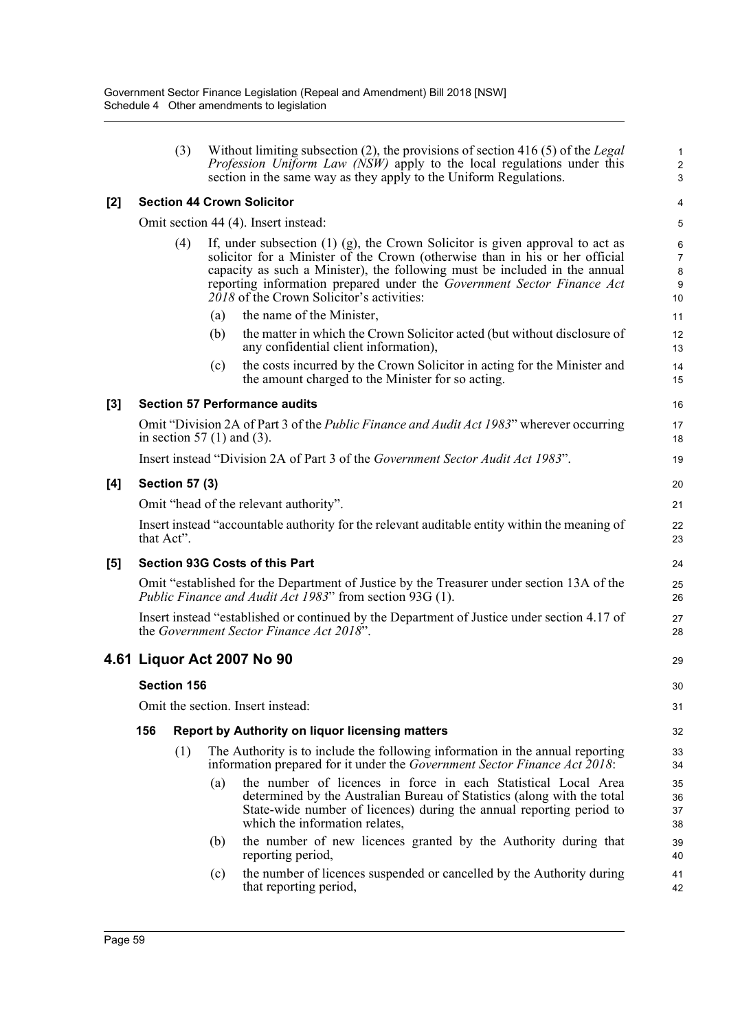|       |            | (3)                   |     | Without limiting subsection $(2)$ , the provisions of section 416 $(5)$ of the Legal<br>Profession Uniform Law (NSW) apply to the local regulations under this<br>section in the same way as they apply to the Uniform Regulations.                                                                                                                                       | 1<br>$\overline{\mathbf{c}}$<br>3 |
|-------|------------|-----------------------|-----|---------------------------------------------------------------------------------------------------------------------------------------------------------------------------------------------------------------------------------------------------------------------------------------------------------------------------------------------------------------------------|-----------------------------------|
| $[2]$ |            |                       |     | <b>Section 44 Crown Solicitor</b>                                                                                                                                                                                                                                                                                                                                         | 4                                 |
|       |            |                       |     | Omit section 44 (4). Insert instead:                                                                                                                                                                                                                                                                                                                                      | 5                                 |
|       |            | (4)                   |     | If, under subsection $(1)$ $(g)$ , the Crown Solicitor is given approval to act as<br>solicitor for a Minister of the Crown (otherwise than in his or her official<br>capacity as such a Minister), the following must be included in the annual<br>reporting information prepared under the Government Sector Finance Act<br>$2018$ of the Crown Solicitor's activities: | 6<br>7<br>8<br>9<br>10            |
|       |            |                       | (a) | the name of the Minister,                                                                                                                                                                                                                                                                                                                                                 | 11                                |
|       |            |                       | (b) | the matter in which the Crown Solicitor acted (but without disclosure of<br>any confidential client information),                                                                                                                                                                                                                                                         | 12<br>13                          |
|       |            |                       | (c) | the costs incurred by the Crown Solicitor in acting for the Minister and<br>the amount charged to the Minister for so acting.                                                                                                                                                                                                                                             | 14<br>15                          |
| [3]   |            |                       |     | <b>Section 57 Performance audits</b>                                                                                                                                                                                                                                                                                                                                      | 16                                |
|       |            |                       |     | Omit "Division 2A of Part 3 of the Public Finance and Audit Act 1983" wherever occurring<br>in section 57 $(1)$ and $(3)$ .                                                                                                                                                                                                                                               | 17<br>18                          |
|       |            |                       |     | Insert instead "Division 2A of Part 3 of the Government Sector Audit Act 1983".                                                                                                                                                                                                                                                                                           | 19                                |
| [4]   |            | <b>Section 57 (3)</b> |     |                                                                                                                                                                                                                                                                                                                                                                           | 20                                |
|       |            |                       |     | Omit "head of the relevant authority".                                                                                                                                                                                                                                                                                                                                    | 21                                |
|       | that Act". |                       |     | Insert instead "accountable authority for the relevant auditable entity within the meaning of                                                                                                                                                                                                                                                                             | 22<br>23                          |
| [5]   |            |                       |     | <b>Section 93G Costs of this Part</b>                                                                                                                                                                                                                                                                                                                                     | 24                                |
|       |            |                       |     | Omit "established for the Department of Justice by the Treasurer under section 13A of the<br>Public Finance and Audit Act 1983" from section 93G (1).                                                                                                                                                                                                                     | 25<br>26                          |
|       |            |                       |     | Insert instead "established or continued by the Department of Justice under section 4.17 of<br>the Government Sector Finance Act 2018".                                                                                                                                                                                                                                   | 27<br>28                          |
|       |            |                       |     | 4.61 Liquor Act 2007 No 90                                                                                                                                                                                                                                                                                                                                                | 29                                |
|       |            | <b>Section 156</b>    |     |                                                                                                                                                                                                                                                                                                                                                                           | 30                                |
|       |            |                       |     | Omit the section. Insert instead:                                                                                                                                                                                                                                                                                                                                         | 31                                |
|       | 156        |                       |     | Report by Authority on liquor licensing matters                                                                                                                                                                                                                                                                                                                           | 32                                |
|       |            | (1)                   |     | The Authority is to include the following information in the annual reporting<br>information prepared for it under the Government Sector Finance Act 2018:                                                                                                                                                                                                                | 33<br>34                          |
|       |            |                       | (a) | the number of licences in force in each Statistical Local Area<br>determined by the Australian Bureau of Statistics (along with the total<br>State-wide number of licences) during the annual reporting period to<br>which the information relates,                                                                                                                       | 35<br>36<br>37<br>38              |
|       |            |                       | (b) | the number of new licences granted by the Authority during that<br>reporting period,                                                                                                                                                                                                                                                                                      | 39<br>40                          |
|       |            |                       | (c) | the number of licences suspended or cancelled by the Authority during<br>that reporting period,                                                                                                                                                                                                                                                                           | 41<br>42                          |
|       |            |                       |     |                                                                                                                                                                                                                                                                                                                                                                           |                                   |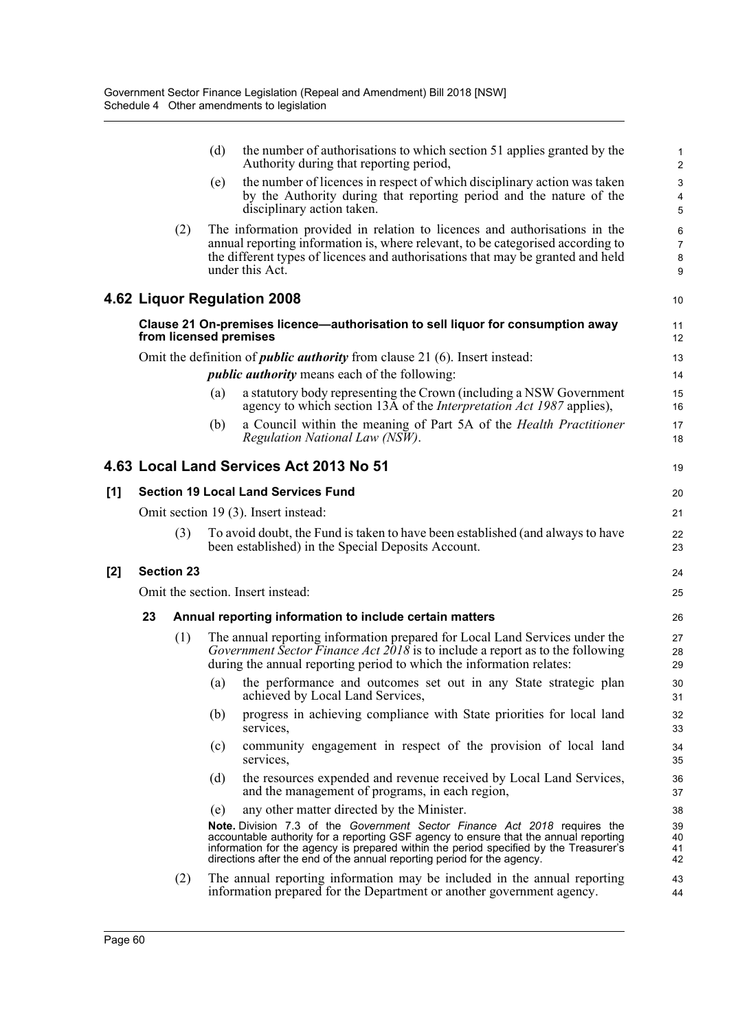|     |    |                   | (d)<br>the number of authorisations to which section 51 applies granted by the<br>Authority during that reporting period,                                                                                                                                                                                                             | $\mathbf{1}$<br>$\overline{2}$ |
|-----|----|-------------------|---------------------------------------------------------------------------------------------------------------------------------------------------------------------------------------------------------------------------------------------------------------------------------------------------------------------------------------|--------------------------------|
|     |    |                   | the number of licences in respect of which disciplinary action was taken<br>(e)<br>by the Authority during that reporting period and the nature of the<br>disciplinary action taken.                                                                                                                                                  | $\mathbf{3}$<br>4<br>5         |
|     |    | (2)               | The information provided in relation to licences and authorisations in the<br>annual reporting information is, where relevant, to be categorised according to<br>the different types of licences and authorisations that may be granted and held<br>under this Act.                                                                   | 6<br>$\overline{7}$<br>8<br>9  |
|     |    |                   | 4.62 Liquor Regulation 2008                                                                                                                                                                                                                                                                                                           | 10                             |
|     |    |                   | Clause 21 On-premises licence—authorisation to sell liquor for consumption away<br>from licensed premises                                                                                                                                                                                                                             | 11<br>12                       |
|     |    |                   | Omit the definition of <i>public authority</i> from clause 21 (6). Insert instead:                                                                                                                                                                                                                                                    | 13                             |
|     |    |                   | <i>public authority</i> means each of the following:                                                                                                                                                                                                                                                                                  | 14                             |
|     |    |                   | a statutory body representing the Crown (including a NSW Government<br>(a)<br>agency to which section 13A of the <i>Interpretation Act 1987</i> applies),                                                                                                                                                                             | 15<br>16                       |
|     |    |                   | a Council within the meaning of Part 5A of the Health Practitioner<br>(b)<br>Regulation National Law (NSW).                                                                                                                                                                                                                           | 17<br>18                       |
|     |    |                   | 4.63 Local Land Services Act 2013 No 51                                                                                                                                                                                                                                                                                               | 19                             |
| [1] |    |                   | <b>Section 19 Local Land Services Fund</b>                                                                                                                                                                                                                                                                                            | 20                             |
|     |    |                   | Omit section 19 (3). Insert instead:                                                                                                                                                                                                                                                                                                  | 21                             |
|     |    | (3)               | To avoid doubt, the Fund is taken to have been established (and always to have<br>been established) in the Special Deposits Account.                                                                                                                                                                                                  | 22<br>23                       |
| [2] |    | <b>Section 23</b> |                                                                                                                                                                                                                                                                                                                                       | 24                             |
|     |    |                   | Omit the section. Insert instead:                                                                                                                                                                                                                                                                                                     | 25                             |
|     | 23 |                   | Annual reporting information to include certain matters                                                                                                                                                                                                                                                                               | 26                             |
|     |    | (1)               | The annual reporting information prepared for Local Land Services under the<br>Government Sector Finance Act 2018 is to include a report as to the following<br>during the annual reporting period to which the information relates:                                                                                                  | 27<br>28<br>29                 |
|     |    |                   | the performance and outcomes set out in any State strategic plan<br>(a)<br>achieved by Local Land Services,                                                                                                                                                                                                                           | 30<br>31                       |
|     |    |                   | progress in achieving compliance with State priorities for local land<br>(b)<br>services,                                                                                                                                                                                                                                             | 32<br>33                       |
|     |    |                   | community engagement in respect of the provision of local land<br>(c)<br>services,                                                                                                                                                                                                                                                    | 34<br>35                       |
|     |    |                   | the resources expended and revenue received by Local Land Services,<br>(d)<br>and the management of programs, in each region,                                                                                                                                                                                                         | 36<br>37                       |
|     |    |                   | any other matter directed by the Minister.<br>(e)                                                                                                                                                                                                                                                                                     | 38                             |
|     |    |                   | Note. Division 7.3 of the Government Sector Finance Act 2018 requires the<br>accountable authority for a reporting GSF agency to ensure that the annual reporting<br>information for the agency is prepared within the period specified by the Treasurer's<br>directions after the end of the annual reporting period for the agency. | 39<br>40<br>41<br>42           |
|     |    | (2)               | The annual reporting information may be included in the annual reporting<br>information prepared for the Department or another government agency.                                                                                                                                                                                     | 43<br>44                       |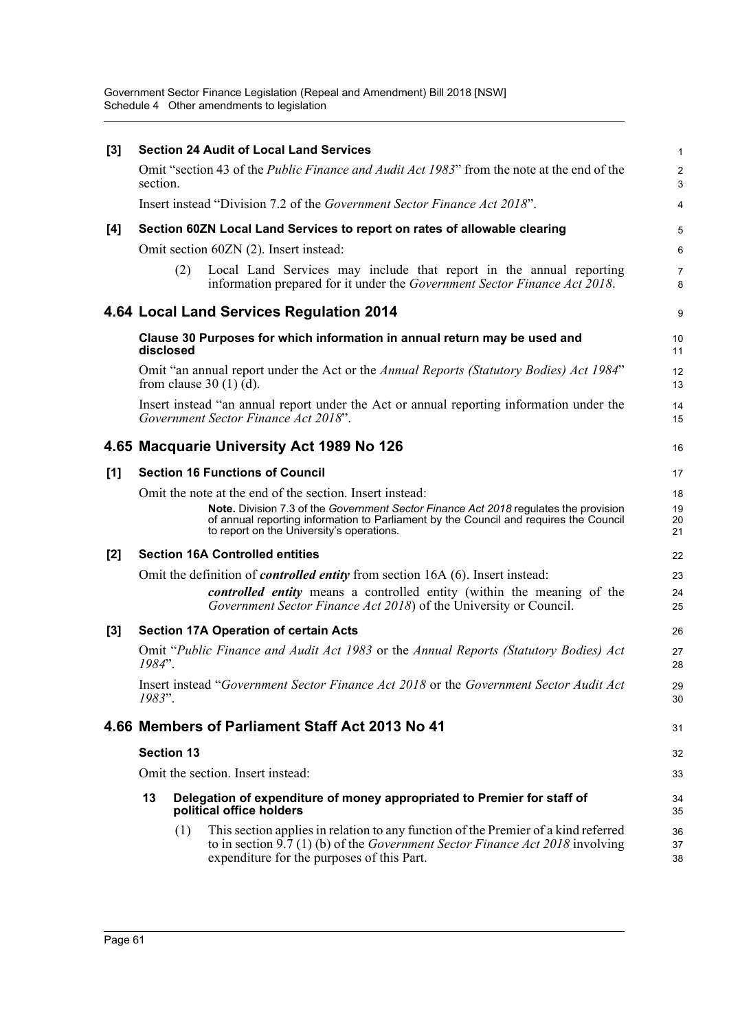| $[3]$ |           |                   | <b>Section 24 Audit of Local Land Services</b>                                                                                                                                                                                                                                         | $\mathbf{1}$         |
|-------|-----------|-------------------|----------------------------------------------------------------------------------------------------------------------------------------------------------------------------------------------------------------------------------------------------------------------------------------|----------------------|
|       | section.  |                   | Omit "section 43 of the <i>Public Finance and Audit Act 1983</i> " from the note at the end of the                                                                                                                                                                                     | $\sqrt{2}$<br>3      |
|       |           |                   | Insert instead "Division 7.2 of the Government Sector Finance Act 2018".                                                                                                                                                                                                               | 4                    |
| [4]   |           |                   | Section 60ZN Local Land Services to report on rates of allowable clearing                                                                                                                                                                                                              | 5                    |
|       |           |                   | Omit section 60ZN (2). Insert instead:                                                                                                                                                                                                                                                 | 6                    |
|       |           | (2)               | Local Land Services may include that report in the annual reporting<br>information prepared for it under the Government Sector Finance Act 2018.                                                                                                                                       | $\overline{7}$<br>8  |
|       |           |                   | 4.64 Local Land Services Regulation 2014                                                                                                                                                                                                                                               | 9                    |
|       | disclosed |                   | Clause 30 Purposes for which information in annual return may be used and                                                                                                                                                                                                              | 10<br>11             |
|       |           |                   | Omit "an annual report under the Act or the Annual Reports (Statutory Bodies) Act 1984"<br>from clause $30(1)(d)$ .                                                                                                                                                                    | 12<br>13             |
|       |           |                   | Insert instead "an annual report under the Act or annual reporting information under the<br>Government Sector Finance Act 2018".                                                                                                                                                       | 14<br>15             |
|       |           |                   | 4.65 Macquarie University Act 1989 No 126                                                                                                                                                                                                                                              | 16                   |
| [1]   |           |                   | <b>Section 16 Functions of Council</b>                                                                                                                                                                                                                                                 | 17                   |
|       |           |                   | Omit the note at the end of the section. Insert instead:<br>Note. Division 7.3 of the Government Sector Finance Act 2018 regulates the provision<br>of annual reporting information to Parliament by the Council and requires the Council<br>to report on the University's operations. | 18<br>19<br>20<br>21 |
| $[2]$ |           |                   | <b>Section 16A Controlled entities</b>                                                                                                                                                                                                                                                 | 22                   |
|       |           |                   | Omit the definition of <i>controlled entity</i> from section 16A (6). Insert instead:                                                                                                                                                                                                  | 23                   |
|       |           |                   | controlled entity means a controlled entity (within the meaning of the<br>Government Sector Finance Act 2018) of the University or Council.                                                                                                                                            | 24<br>25             |
| $[3]$ |           |                   | <b>Section 17A Operation of certain Acts</b>                                                                                                                                                                                                                                           | 26                   |
|       | 1984".    |                   | Omit "Public Finance and Audit Act 1983 or the Annual Reports (Statutory Bodies) Act                                                                                                                                                                                                   | 27<br>28             |
|       | 1983".    |                   | Insert instead "Government Sector Finance Act 2018 or the Government Sector Audit Act                                                                                                                                                                                                  | 29<br>30             |
|       |           |                   | 4.66 Members of Parliament Staff Act 2013 No 41                                                                                                                                                                                                                                        | 31                   |
|       |           | <b>Section 13</b> |                                                                                                                                                                                                                                                                                        | 32                   |
|       |           |                   | Omit the section. Insert instead:                                                                                                                                                                                                                                                      | 33                   |
|       | 13        |                   | Delegation of expenditure of money appropriated to Premier for staff of<br>political office holders                                                                                                                                                                                    | 34<br>35             |
|       |           | (1)               | This section applies in relation to any function of the Premier of a kind referred<br>to in section $9.7(1)$ (b) of the <i>Government Sector Finance Act 2018</i> involving<br>expenditure for the purposes of this Part.                                                              | 36<br>37<br>38       |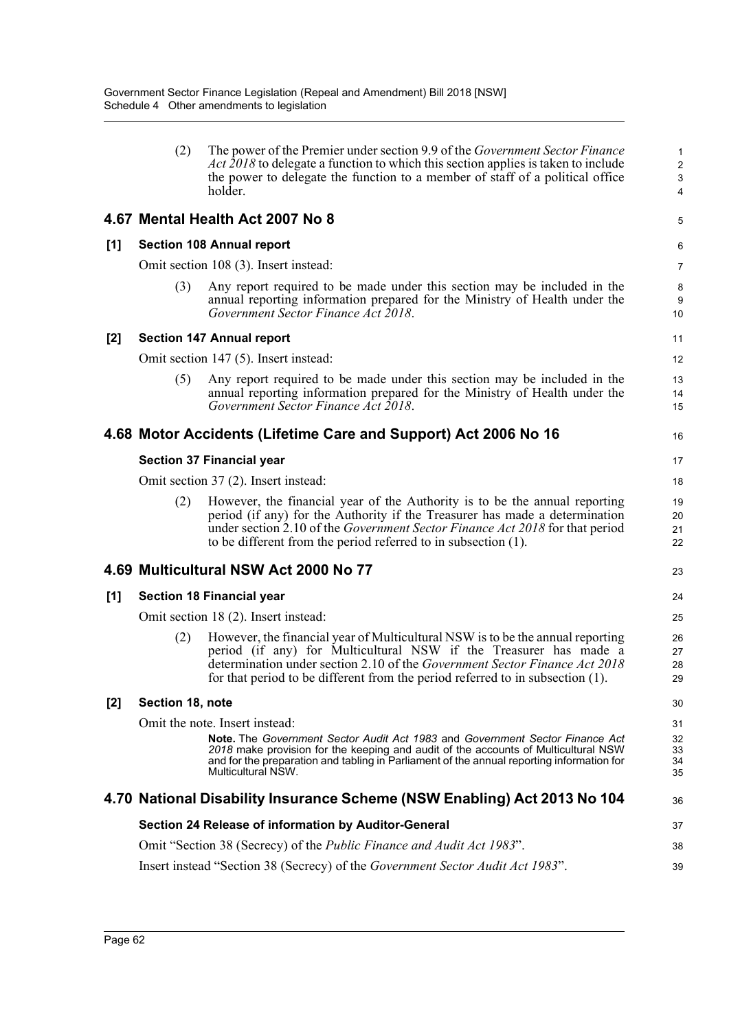|                | (2)              | The power of the Premier under section 9.9 of the <i>Government Sector Finance</i><br><i>Act 2018</i> to delegate a function to which this section applies is taken to include<br>the power to delegate the function to a member of staff of a political office<br>holder.                                          | $\mathbf{1}$<br>$\overline{c}$<br>$\ensuremath{\mathsf{3}}$<br>4 |
|----------------|------------------|---------------------------------------------------------------------------------------------------------------------------------------------------------------------------------------------------------------------------------------------------------------------------------------------------------------------|------------------------------------------------------------------|
|                |                  | 4.67 Mental Health Act 2007 No 8                                                                                                                                                                                                                                                                                    | 5                                                                |
| [1]            |                  | <b>Section 108 Annual report</b>                                                                                                                                                                                                                                                                                    | 6                                                                |
|                |                  | Omit section 108 (3). Insert instead:                                                                                                                                                                                                                                                                               | 7                                                                |
|                | (3)              | Any report required to be made under this section may be included in the<br>annual reporting information prepared for the Ministry of Health under the<br>Government Sector Finance Act 2018.                                                                                                                       | 8<br>9<br>10                                                     |
| [2]            |                  | <b>Section 147 Annual report</b>                                                                                                                                                                                                                                                                                    | 11                                                               |
|                |                  | Omit section 147 (5). Insert instead:                                                                                                                                                                                                                                                                               | 12                                                               |
|                | (5)              | Any report required to be made under this section may be included in the<br>annual reporting information prepared for the Ministry of Health under the<br>Government Sector Finance Act 2018.                                                                                                                       | 13<br>14<br>15                                                   |
|                |                  | 4.68 Motor Accidents (Lifetime Care and Support) Act 2006 No 16                                                                                                                                                                                                                                                     | 16                                                               |
|                |                  | <b>Section 37 Financial year</b>                                                                                                                                                                                                                                                                                    | 17                                                               |
|                |                  | Omit section 37 (2). Insert instead:                                                                                                                                                                                                                                                                                | 18                                                               |
|                | (2)              | However, the financial year of the Authority is to be the annual reporting<br>period (if any) for the Authority if the Treasurer has made a determination<br>under section 2.10 of the Government Sector Finance Act 2018 for that period<br>to be different from the period referred to in subsection (1).         | 19<br>20<br>21<br>22                                             |
|                |                  | 4.69 Multicultural NSW Act 2000 No 77                                                                                                                                                                                                                                                                               | 23                                                               |
| [1]            |                  | <b>Section 18 Financial year</b>                                                                                                                                                                                                                                                                                    | 24                                                               |
|                |                  | Omit section 18 (2). Insert instead:                                                                                                                                                                                                                                                                                | 25                                                               |
|                | (2)              | However, the financial year of Multicultural NSW is to be the annual reporting<br>period (if any) for Multicultural NSW if the Treasurer has made a<br>determination under section 2.10 of the Government Sector Finance Act 2018<br>for that period to be different from the period referred to in subsection (1). | 26<br>27<br>28<br>29                                             |
| $\mathbf{[2]}$ | Section 18, note |                                                                                                                                                                                                                                                                                                                     | 30                                                               |
|                |                  | Omit the note. Insert instead:                                                                                                                                                                                                                                                                                      | 31                                                               |
|                |                  | Note. The Government Sector Audit Act 1983 and Government Sector Finance Act<br>2018 make provision for the keeping and audit of the accounts of Multicultural NSW<br>and for the preparation and tabling in Parliament of the annual reporting information for<br>Multicultural NSW.                               | 32<br>33<br>34<br>35                                             |
|                |                  | 4.70 National Disability Insurance Scheme (NSW Enabling) Act 2013 No 104                                                                                                                                                                                                                                            | 36                                                               |
|                |                  | Section 24 Release of information by Auditor-General                                                                                                                                                                                                                                                                | 37                                                               |
|                |                  | Omit "Section 38 (Secrecy) of the <i>Public Finance and Audit Act 1983</i> ".                                                                                                                                                                                                                                       | 38                                                               |
|                |                  | Insert instead "Section 38 (Secrecy) of the Government Sector Audit Act 1983".                                                                                                                                                                                                                                      | 39                                                               |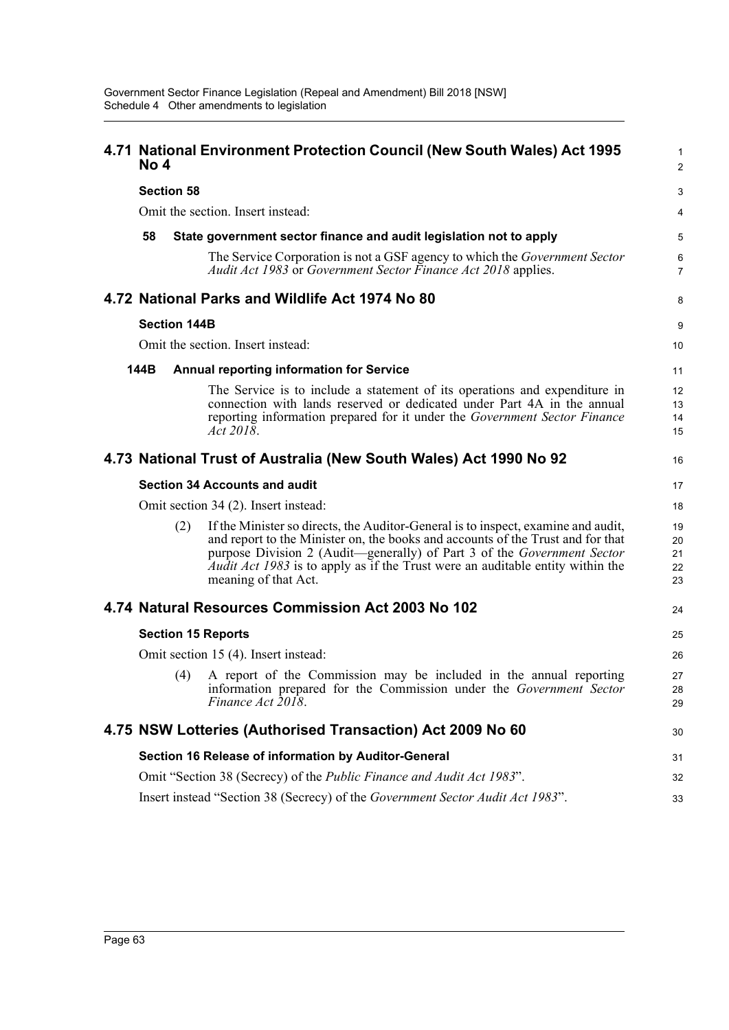| No 4 |                     | 4.71 National Environment Protection Council (New South Wales) Act 1995                                                                                                                                                                                                                                                                                          | 1<br>$\overline{2}$        |
|------|---------------------|------------------------------------------------------------------------------------------------------------------------------------------------------------------------------------------------------------------------------------------------------------------------------------------------------------------------------------------------------------------|----------------------------|
|      | <b>Section 58</b>   |                                                                                                                                                                                                                                                                                                                                                                  | 3                          |
|      |                     | Omit the section. Insert instead:                                                                                                                                                                                                                                                                                                                                | 4                          |
| 58   |                     | State government sector finance and audit legislation not to apply                                                                                                                                                                                                                                                                                               | 5                          |
|      |                     | The Service Corporation is not a GSF agency to which the <i>Government Sector</i><br>Audit Act 1983 or Government Sector Finance Act 2018 applies.                                                                                                                                                                                                               | 6<br>$\overline{7}$        |
|      |                     | 4.72 National Parks and Wildlife Act 1974 No 80                                                                                                                                                                                                                                                                                                                  | 8                          |
|      | <b>Section 144B</b> |                                                                                                                                                                                                                                                                                                                                                                  | 9                          |
|      |                     | Omit the section. Insert instead:                                                                                                                                                                                                                                                                                                                                | 10                         |
| 144B |                     | <b>Annual reporting information for Service</b>                                                                                                                                                                                                                                                                                                                  | 11                         |
|      |                     | The Service is to include a statement of its operations and expenditure in<br>connection with lands reserved or dedicated under Part 4A in the annual<br>reporting information prepared for it under the Government Sector Finance<br>Act 2018.                                                                                                                  | 12<br>13<br>14<br>15       |
|      |                     | 4.73 National Trust of Australia (New South Wales) Act 1990 No 92                                                                                                                                                                                                                                                                                                | 16                         |
|      |                     | <b>Section 34 Accounts and audit</b>                                                                                                                                                                                                                                                                                                                             | 17                         |
|      |                     | Omit section 34 (2). Insert instead:                                                                                                                                                                                                                                                                                                                             | 18                         |
|      | (2)                 | If the Minister so directs, the Auditor-General is to inspect, examine and audit,<br>and report to the Minister on, the books and accounts of the Trust and for that<br>purpose Division 2 (Audit—generally) of Part 3 of the Government Sector<br><i>Audit Act 1983</i> is to apply as if the Trust were an auditable entity within the<br>meaning of that Act. | 19<br>20<br>21<br>22<br>23 |
|      |                     | 4.74 Natural Resources Commission Act 2003 No 102                                                                                                                                                                                                                                                                                                                | 24                         |
|      |                     | <b>Section 15 Reports</b>                                                                                                                                                                                                                                                                                                                                        | 25                         |
|      |                     | Omit section 15 (4). Insert instead:                                                                                                                                                                                                                                                                                                                             | 26                         |
|      | (4)                 | A report of the Commission may be included in the annual reporting<br>information prepared for the Commission under the Government Sector<br>Finance Act 2018.                                                                                                                                                                                                   | 27<br>28<br>29             |
|      |                     | 4.75 NSW Lotteries (Authorised Transaction) Act 2009 No 60                                                                                                                                                                                                                                                                                                       | 30                         |
|      |                     | Section 16 Release of information by Auditor-General                                                                                                                                                                                                                                                                                                             | 31                         |
|      |                     | Omit "Section 38 (Secrecy) of the Public Finance and Audit Act 1983".                                                                                                                                                                                                                                                                                            | 32                         |
|      |                     | Insert instead "Section 38 (Secrecy) of the Government Sector Audit Act 1983".                                                                                                                                                                                                                                                                                   | 33                         |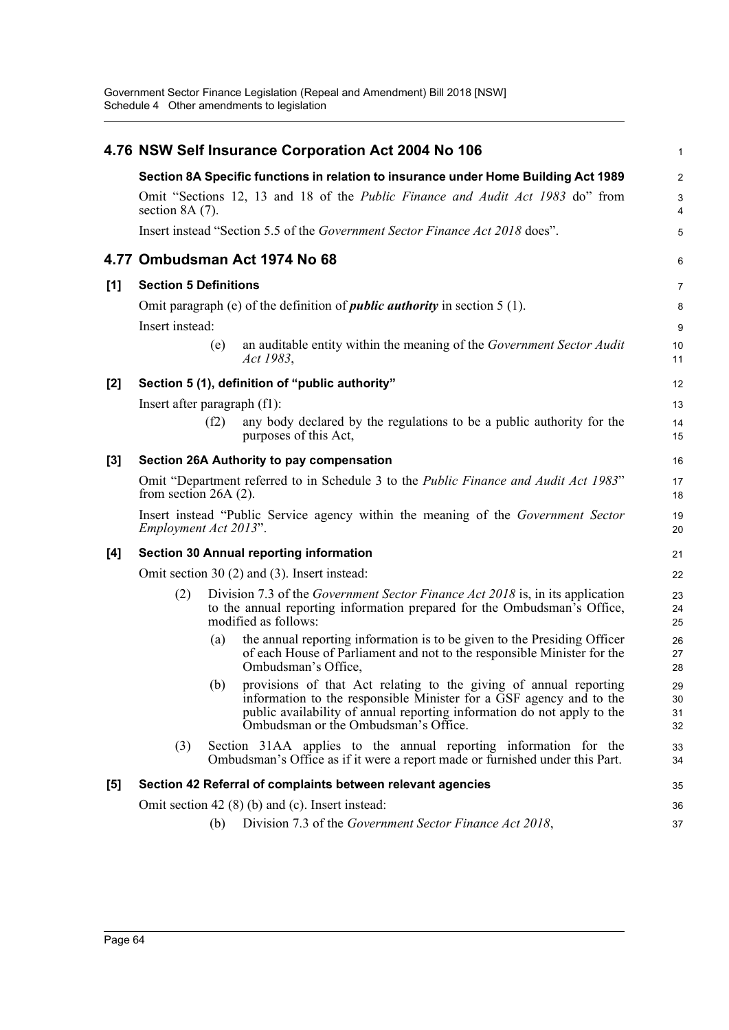|     |                              |      | 4.76 NSW Self Insurance Corporation Act 2004 No 106                                                                                                                                                                                                             | $\mathbf{1}$         |
|-----|------------------------------|------|-----------------------------------------------------------------------------------------------------------------------------------------------------------------------------------------------------------------------------------------------------------------|----------------------|
|     |                              |      | Section 8A Specific functions in relation to insurance under Home Building Act 1989                                                                                                                                                                             | $\boldsymbol{2}$     |
|     | section $8A(7)$ .            |      | Omit "Sections 12, 13 and 18 of the <i>Public Finance and Audit Act 1983</i> do" from                                                                                                                                                                           | 3<br>4               |
|     |                              |      | Insert instead "Section 5.5 of the Government Sector Finance Act 2018 does".                                                                                                                                                                                    | 5                    |
|     |                              |      | 4.77 Ombudsman Act 1974 No 68                                                                                                                                                                                                                                   | 6                    |
| [1] | <b>Section 5 Definitions</b> |      |                                                                                                                                                                                                                                                                 | 7                    |
|     | Insert instead:              |      | Omit paragraph (e) of the definition of <i>public authority</i> in section $5(1)$ .                                                                                                                                                                             | 8<br>9               |
|     |                              | (e)  | an auditable entity within the meaning of the Government Sector Audit<br>Act 1983,                                                                                                                                                                              | 10<br>11             |
| [2] |                              |      | Section 5 (1), definition of "public authority"                                                                                                                                                                                                                 | 12                   |
|     | Insert after paragraph (f1): |      |                                                                                                                                                                                                                                                                 | 13                   |
|     |                              | (f2) | any body declared by the regulations to be a public authority for the<br>purposes of this Act,                                                                                                                                                                  | 14<br>15             |
| [3] |                              |      | Section 26A Authority to pay compensation                                                                                                                                                                                                                       | 16                   |
|     | from section $26A(2)$ .      |      | Omit "Department referred to in Schedule 3 to the <i>Public Finance and Audit Act 1983</i> "                                                                                                                                                                    | 17<br>18             |
|     | Employment Act 2013".        |      | Insert instead "Public Service agency within the meaning of the Government Sector                                                                                                                                                                               | 19<br>20             |
| [4] |                              |      | <b>Section 30 Annual reporting information</b>                                                                                                                                                                                                                  | 21                   |
|     |                              |      | Omit section 30 (2) and (3). Insert instead:                                                                                                                                                                                                                    | 22                   |
|     | (2)                          |      | Division 7.3 of the <i>Government Sector Finance Act 2018</i> is, in its application<br>to the annual reporting information prepared for the Ombudsman's Office,<br>modified as follows:                                                                        | 23<br>24<br>25       |
|     |                              | (a)  | the annual reporting information is to be given to the Presiding Officer<br>of each House of Parliament and not to the responsible Minister for the<br>Ombudsman's Office,                                                                                      | 26<br>27<br>28       |
|     |                              |      | (b) provisions of that Act relating to the giving of annual reporting<br>information to the responsible Minister for a GSF agency and to the<br>public availability of annual reporting information do not apply to the<br>Ombudsman or the Ombudsman's Office. | 29<br>30<br>31<br>32 |
|     | (3)                          |      | Section 31AA applies to the annual reporting information for the<br>Ombudsman's Office as if it were a report made or furnished under this Part.                                                                                                                | 33<br>34             |
| [5] |                              |      | Section 42 Referral of complaints between relevant agencies                                                                                                                                                                                                     | 35                   |
|     |                              |      | Omit section 42 $(8)$ (b) and (c). Insert instead:                                                                                                                                                                                                              | 36                   |
|     |                              | (b)  | Division 7.3 of the Government Sector Finance Act 2018,                                                                                                                                                                                                         | 37                   |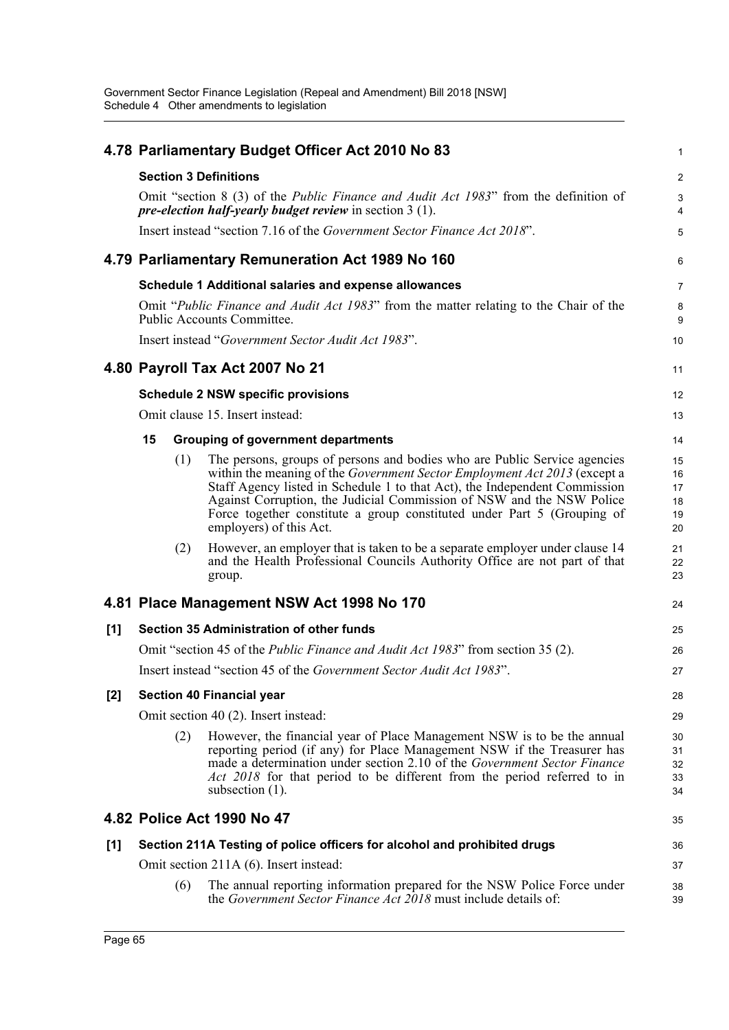|       |    |     | 4.78 Parliamentary Budget Officer Act 2010 No 83                                                                                                                                                                                                                                                                                                                                                                    | 1                                |
|-------|----|-----|---------------------------------------------------------------------------------------------------------------------------------------------------------------------------------------------------------------------------------------------------------------------------------------------------------------------------------------------------------------------------------------------------------------------|----------------------------------|
|       |    |     | <b>Section 3 Definitions</b>                                                                                                                                                                                                                                                                                                                                                                                        | 2                                |
|       |    |     | Omit "section 8 (3) of the <i>Public Finance and Audit Act 1983</i> " from the definition of<br><i>pre-election half-yearly budget review</i> in section $3(1)$ .                                                                                                                                                                                                                                                   | 3<br>4                           |
|       |    |     | Insert instead "section 7.16 of the Government Sector Finance Act 2018".                                                                                                                                                                                                                                                                                                                                            | 5                                |
|       |    |     | 4.79 Parliamentary Remuneration Act 1989 No 160                                                                                                                                                                                                                                                                                                                                                                     | $6\phantom{1}6$                  |
|       |    |     | Schedule 1 Additional salaries and expense allowances                                                                                                                                                                                                                                                                                                                                                               | 7                                |
|       |    |     | Omit "Public Finance and Audit Act 1983" from the matter relating to the Chair of the<br>Public Accounts Committee.                                                                                                                                                                                                                                                                                                 | 8<br>9                           |
|       |    |     | Insert instead "Government Sector Audit Act 1983".                                                                                                                                                                                                                                                                                                                                                                  | 10                               |
|       |    |     | 4.80 Payroll Tax Act 2007 No 21                                                                                                                                                                                                                                                                                                                                                                                     | 11                               |
|       |    |     | <b>Schedule 2 NSW specific provisions</b>                                                                                                                                                                                                                                                                                                                                                                           | 12                               |
|       |    |     | Omit clause 15. Insert instead:                                                                                                                                                                                                                                                                                                                                                                                     | 13                               |
|       | 15 |     | <b>Grouping of government departments</b>                                                                                                                                                                                                                                                                                                                                                                           | 14                               |
|       |    | (1) | The persons, groups of persons and bodies who are Public Service agencies<br>within the meaning of the Government Sector Employment Act 2013 (except a<br>Staff Agency listed in Schedule 1 to that Act), the Independent Commission<br>Against Corruption, the Judicial Commission of NSW and the NSW Police<br>Force together constitute a group constituted under Part 5 (Grouping of<br>employers) of this Act. | 15<br>16<br>17<br>18<br>19<br>20 |
|       |    | (2) | However, an employer that is taken to be a separate employer under clause 14<br>and the Health Professional Councils Authority Office are not part of that<br>group.                                                                                                                                                                                                                                                | 21<br>22<br>23                   |
|       |    |     | 4.81 Place Management NSW Act 1998 No 170                                                                                                                                                                                                                                                                                                                                                                           | 24                               |
| [1]   |    |     | <b>Section 35 Administration of other funds</b>                                                                                                                                                                                                                                                                                                                                                                     | 25                               |
|       |    |     | Omit "section 45 of the <i>Public Finance and Audit Act 1983</i> " from section 35 (2).                                                                                                                                                                                                                                                                                                                             | 26                               |
|       |    |     | Insert instead "section 45 of the Government Sector Audit Act 1983".                                                                                                                                                                                                                                                                                                                                                | 27                               |
| $[2]$ |    |     | <b>Section 40 Financial year</b>                                                                                                                                                                                                                                                                                                                                                                                    | 28                               |
|       |    |     | Omit section 40 (2). Insert instead:                                                                                                                                                                                                                                                                                                                                                                                | 29                               |
|       |    | (2) | However, the financial year of Place Management NSW is to be the annual<br>reporting period (if any) for Place Management NSW if the Treasurer has<br>made a determination under section 2.10 of the <i>Government Sector Finance</i><br>Act 2018 for that period to be different from the period referred to in<br>subsection $(1)$ .                                                                              | 30<br>31<br>32<br>33<br>34       |
|       |    |     | 4.82 Police Act 1990 No 47                                                                                                                                                                                                                                                                                                                                                                                          | 35                               |
| [1]   |    |     | Section 211A Testing of police officers for alcohol and prohibited drugs                                                                                                                                                                                                                                                                                                                                            | 36                               |
|       |    |     | Omit section 211A (6). Insert instead:                                                                                                                                                                                                                                                                                                                                                                              | 37                               |
|       |    | (6) | The annual reporting information prepared for the NSW Police Force under<br>the Government Sector Finance Act 2018 must include details of:                                                                                                                                                                                                                                                                         | 38<br>39                         |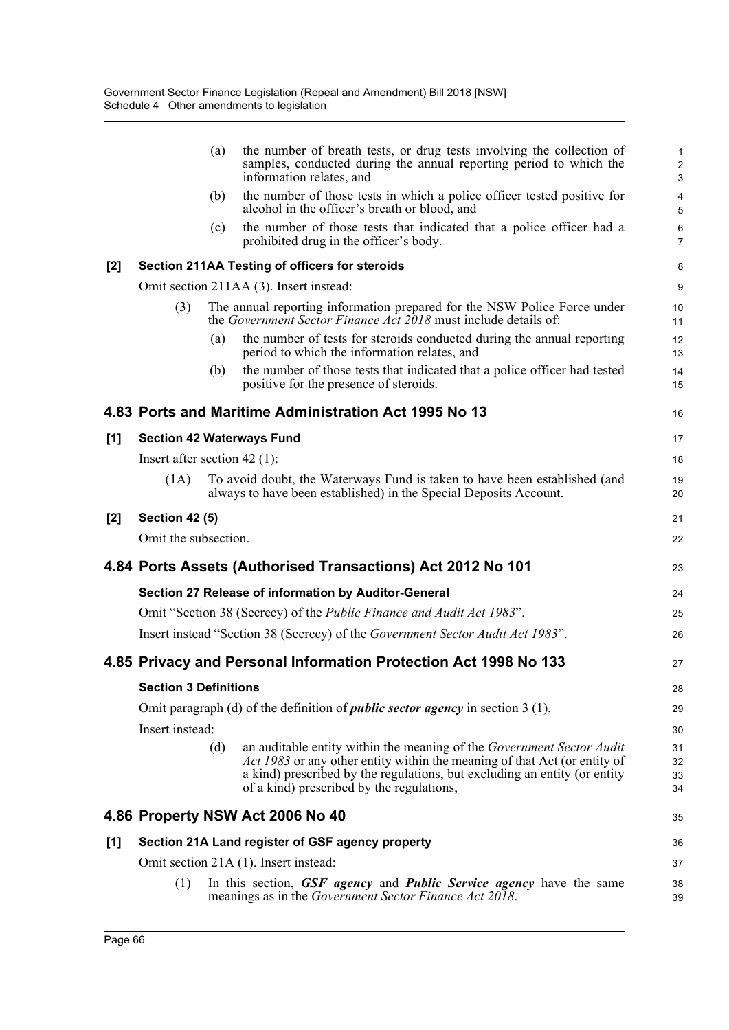|       |                                | (a) | the number of breath tests, or drug tests involving the collection of<br>samples, conducted during the annual reporting period to which the<br>information relates, and                                                                                                             | $\mathbf{1}$<br>$\overline{2}$<br>3 |
|-------|--------------------------------|-----|-------------------------------------------------------------------------------------------------------------------------------------------------------------------------------------------------------------------------------------------------------------------------------------|-------------------------------------|
|       |                                | (b) | the number of those tests in which a police officer tested positive for<br>alcohol in the officer's breath or blood, and                                                                                                                                                            | 4<br>5                              |
|       |                                | (c) | the number of those tests that indicated that a police officer had a<br>prohibited drug in the officer's body.                                                                                                                                                                      | 6<br>$\overline{7}$                 |
| $[2]$ |                                |     | Section 211AA Testing of officers for steroids                                                                                                                                                                                                                                      | 8                                   |
|       |                                |     | Omit section 211AA (3). Insert instead:                                                                                                                                                                                                                                             | 9                                   |
|       | (3)                            |     | The annual reporting information prepared for the NSW Police Force under<br>the Government Sector Finance Act 2018 must include details of:                                                                                                                                         | 10<br>11                            |
|       |                                | (a) | the number of tests for steroids conducted during the annual reporting<br>period to which the information relates, and                                                                                                                                                              | 12<br>13                            |
|       |                                | (b) | the number of those tests that indicated that a police officer had tested<br>positive for the presence of steroids.                                                                                                                                                                 | 14<br>15                            |
|       |                                |     | 4.83 Ports and Maritime Administration Act 1995 No 13                                                                                                                                                                                                                               | 16                                  |
| [1]   |                                |     | <b>Section 42 Waterways Fund</b>                                                                                                                                                                                                                                                    | 17                                  |
|       | Insert after section $42$ (1): |     |                                                                                                                                                                                                                                                                                     | 18                                  |
|       | (1A)                           |     | To avoid doubt, the Waterways Fund is taken to have been established (and<br>always to have been established) in the Special Deposits Account.                                                                                                                                      | 19<br>20                            |
| $[2]$ | <b>Section 42 (5)</b>          |     |                                                                                                                                                                                                                                                                                     | 21                                  |
|       | Omit the subsection.           |     |                                                                                                                                                                                                                                                                                     | 22                                  |
|       |                                |     | 4.84 Ports Assets (Authorised Transactions) Act 2012 No 101                                                                                                                                                                                                                         | 23                                  |
|       |                                |     | Section 27 Release of information by Auditor-General                                                                                                                                                                                                                                | 24                                  |
|       |                                |     | Omit "Section 38 (Secrecy) of the <i>Public Finance and Audit Act 1983</i> ".                                                                                                                                                                                                       | 25                                  |
|       |                                |     | Insert instead "Section 38 (Secrecy) of the Government Sector Audit Act 1983".                                                                                                                                                                                                      | 26                                  |
|       |                                |     | 4.85 Privacy and Personal Information Protection Act 1998 No 133                                                                                                                                                                                                                    | 27                                  |
|       | <b>Section 3 Definitions</b>   |     |                                                                                                                                                                                                                                                                                     | 28                                  |
|       |                                |     | Omit paragraph (d) of the definition of <i>public sector agency</i> in section $3(1)$ .                                                                                                                                                                                             | 29                                  |
|       | Insert instead:                |     |                                                                                                                                                                                                                                                                                     | 30                                  |
|       |                                | (d) | an auditable entity within the meaning of the <i>Government Sector Audit</i><br>Act 1983 or any other entity within the meaning of that Act (or entity of<br>a kind) prescribed by the regulations, but excluding an entity (or entity<br>of a kind) prescribed by the regulations, | 31<br>32<br>33<br>34                |
|       |                                |     | 4.86 Property NSW Act 2006 No 40                                                                                                                                                                                                                                                    | 35                                  |
| [1]   |                                |     | Section 21A Land register of GSF agency property                                                                                                                                                                                                                                    | 36                                  |
|       |                                |     | Omit section 21A (1). Insert instead:                                                                                                                                                                                                                                               | 37                                  |
|       | (1)                            |     | In this section, GSF agency and Public Service agency have the same<br>meanings as in the Government Sector Finance Act 2018.                                                                                                                                                       | 38<br>39                            |
|       |                                |     |                                                                                                                                                                                                                                                                                     |                                     |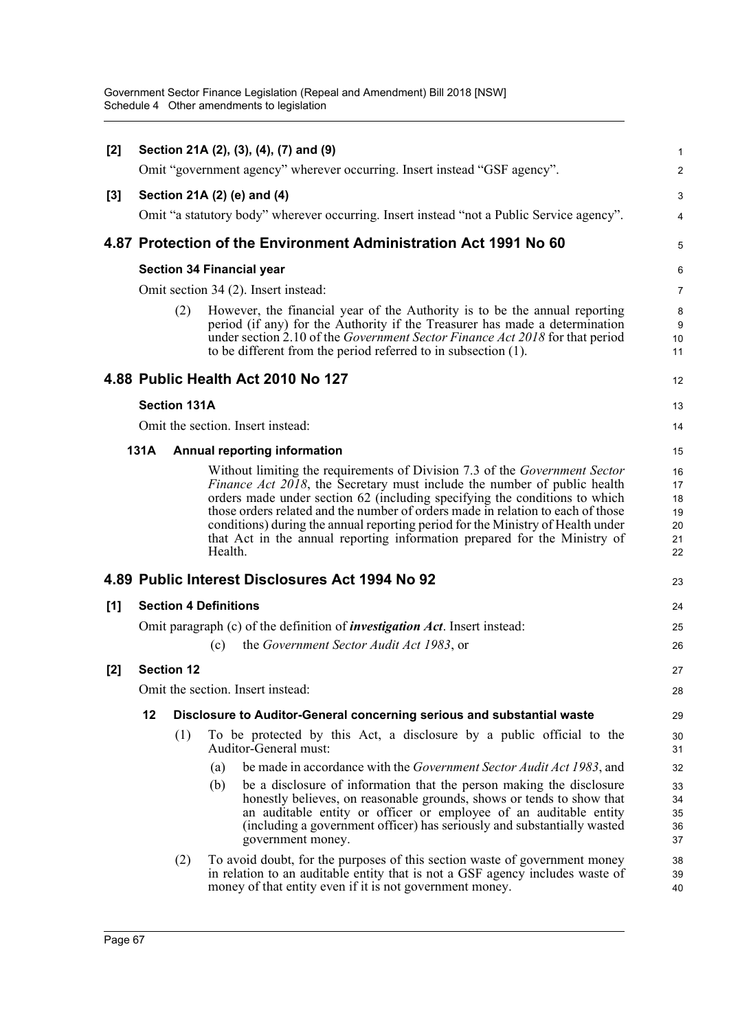| [2]   |      |                     | Section 21A (2), (3), (4), (7) and (9)                                                                                                                                                                                                                                                                                                                                                                                                                                                             | 1                                      |
|-------|------|---------------------|----------------------------------------------------------------------------------------------------------------------------------------------------------------------------------------------------------------------------------------------------------------------------------------------------------------------------------------------------------------------------------------------------------------------------------------------------------------------------------------------------|----------------------------------------|
|       |      |                     | Omit "government agency" wherever occurring. Insert instead "GSF agency".                                                                                                                                                                                                                                                                                                                                                                                                                          | 2                                      |
| $[3]$ |      |                     | Section 21A (2) (e) and (4)                                                                                                                                                                                                                                                                                                                                                                                                                                                                        | 3                                      |
|       |      |                     | Omit "a statutory body" wherever occurring. Insert instead "not a Public Service agency".                                                                                                                                                                                                                                                                                                                                                                                                          | 4                                      |
|       |      |                     |                                                                                                                                                                                                                                                                                                                                                                                                                                                                                                    |                                        |
|       |      |                     | 4.87 Protection of the Environment Administration Act 1991 No 60                                                                                                                                                                                                                                                                                                                                                                                                                                   | 5                                      |
|       |      |                     | <b>Section 34 Financial year</b>                                                                                                                                                                                                                                                                                                                                                                                                                                                                   | 6                                      |
|       |      |                     | Omit section 34 (2). Insert instead:                                                                                                                                                                                                                                                                                                                                                                                                                                                               | 7                                      |
|       |      | (2)                 | However, the financial year of the Authority is to be the annual reporting<br>period (if any) for the Authority if the Treasurer has made a determination<br>under section 2.10 of the Government Sector Finance Act 2018 for that period<br>to be different from the period referred to in subsection (1).                                                                                                                                                                                        | 8<br>9<br>10<br>11                     |
|       |      |                     | 4.88 Public Health Act 2010 No 127                                                                                                                                                                                                                                                                                                                                                                                                                                                                 | 12                                     |
|       |      | <b>Section 131A</b> |                                                                                                                                                                                                                                                                                                                                                                                                                                                                                                    | 13                                     |
|       |      |                     | Omit the section. Insert instead:                                                                                                                                                                                                                                                                                                                                                                                                                                                                  | 14                                     |
|       | 131A |                     | <b>Annual reporting information</b>                                                                                                                                                                                                                                                                                                                                                                                                                                                                | 15                                     |
|       |      |                     | Without limiting the requirements of Division 7.3 of the Government Sector<br>Finance Act 2018, the Secretary must include the number of public health<br>orders made under section 62 (including specifying the conditions to which<br>those orders related and the number of orders made in relation to each of those<br>conditions) during the annual reporting period for the Ministry of Health under<br>that Act in the annual reporting information prepared for the Ministry of<br>Health. | 16<br>17<br>18<br>19<br>20<br>21<br>22 |
|       |      |                     | 4.89 Public Interest Disclosures Act 1994 No 92                                                                                                                                                                                                                                                                                                                                                                                                                                                    | 23                                     |
| [1]   |      |                     | <b>Section 4 Definitions</b>                                                                                                                                                                                                                                                                                                                                                                                                                                                                       | 24                                     |
|       |      |                     | Omit paragraph (c) of the definition of <i>investigation Act</i> . Insert instead:                                                                                                                                                                                                                                                                                                                                                                                                                 | 25                                     |
|       |      |                     | the Government Sector Audit Act 1983, or<br>(c)                                                                                                                                                                                                                                                                                                                                                                                                                                                    | 26                                     |
| [2]   |      | <b>Section 12</b>   |                                                                                                                                                                                                                                                                                                                                                                                                                                                                                                    | 27                                     |
|       |      |                     | Omit the section. Insert instead:                                                                                                                                                                                                                                                                                                                                                                                                                                                                  | 28                                     |
|       | 12   |                     | Disclosure to Auditor-General concerning serious and substantial waste                                                                                                                                                                                                                                                                                                                                                                                                                             | 29                                     |
|       |      | (1)                 | To be protected by this Act, a disclosure by a public official to the<br>Auditor-General must:                                                                                                                                                                                                                                                                                                                                                                                                     | 30<br>31                               |
|       |      |                     | be made in accordance with the <i>Government Sector Audit Act 1983</i> , and<br>(a)                                                                                                                                                                                                                                                                                                                                                                                                                | 32                                     |
|       |      |                     | be a disclosure of information that the person making the disclosure<br>(b)<br>honestly believes, on reasonable grounds, shows or tends to show that<br>an auditable entity or officer or employee of an auditable entity<br>(including a government officer) has seriously and substantially wasted<br>government money.                                                                                                                                                                          | 33<br>34<br>35<br>36<br>37             |
|       |      | (2)                 | To avoid doubt, for the purposes of this section waste of government money<br>in relation to an auditable entity that is not a GSF agency includes waste of<br>money of that entity even if it is not government money.                                                                                                                                                                                                                                                                            | 38<br>39<br>40                         |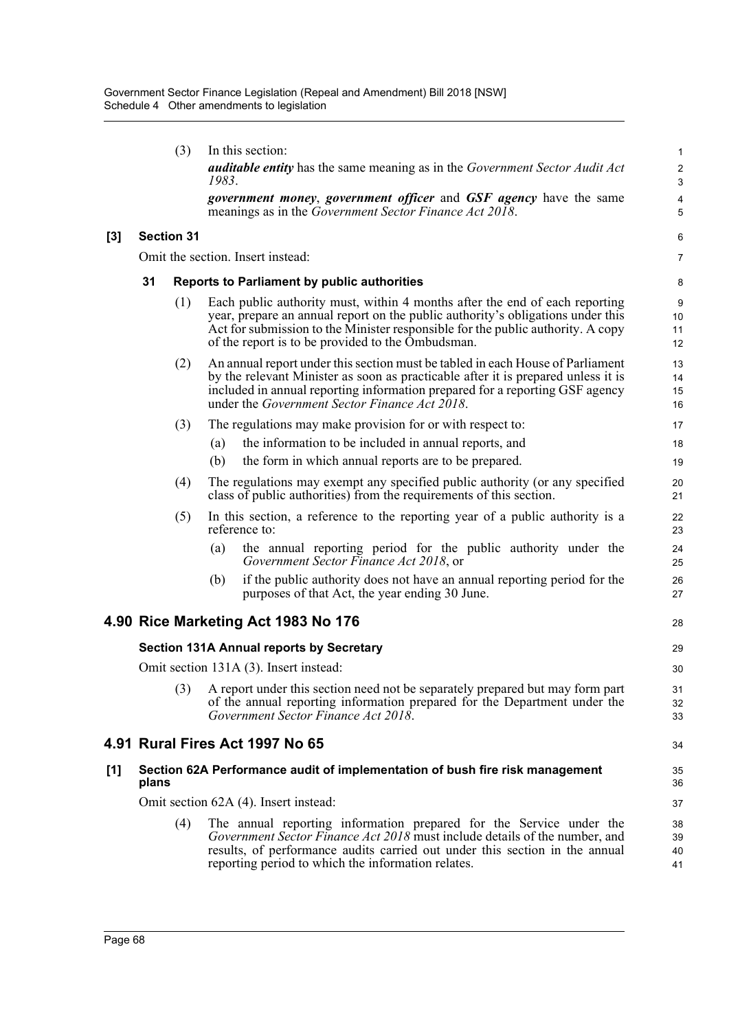|    |     | <b>auditable entity</b> has the same meaning as in the Government Sector Audit Act<br>1983.                                                                                                                                                                                                                  | 2<br>3                                                                                                                                                                                                                                                                                                                                                                                                                                                                                                                                                                                                                                                                                   |
|----|-----|--------------------------------------------------------------------------------------------------------------------------------------------------------------------------------------------------------------------------------------------------------------------------------------------------------------|------------------------------------------------------------------------------------------------------------------------------------------------------------------------------------------------------------------------------------------------------------------------------------------------------------------------------------------------------------------------------------------------------------------------------------------------------------------------------------------------------------------------------------------------------------------------------------------------------------------------------------------------------------------------------------------|
|    |     | meanings as in the Government Sector Finance Act 2018.                                                                                                                                                                                                                                                       | 4<br>5                                                                                                                                                                                                                                                                                                                                                                                                                                                                                                                                                                                                                                                                                   |
|    |     |                                                                                                                                                                                                                                                                                                              | 6                                                                                                                                                                                                                                                                                                                                                                                                                                                                                                                                                                                                                                                                                        |
|    |     |                                                                                                                                                                                                                                                                                                              | $\overline{7}$                                                                                                                                                                                                                                                                                                                                                                                                                                                                                                                                                                                                                                                                           |
| 31 |     |                                                                                                                                                                                                                                                                                                              | 8                                                                                                                                                                                                                                                                                                                                                                                                                                                                                                                                                                                                                                                                                        |
|    | (1) | Each public authority must, within 4 months after the end of each reporting<br>year, prepare an annual report on the public authority's obligations under this<br>Act for submission to the Minister responsible for the public authority. A copy<br>of the report is to be provided to the Ombudsman.       | 9<br>10<br>11<br>12                                                                                                                                                                                                                                                                                                                                                                                                                                                                                                                                                                                                                                                                      |
|    | (2) | An annual report under this section must be tabled in each House of Parliament<br>by the relevant Minister as soon as practicable after it is prepared unless it is<br>included in annual reporting information prepared for a reporting GSF agency<br>under the <i>Government Sector Finance Act 2018</i> . | 13<br>14<br>15<br>16                                                                                                                                                                                                                                                                                                                                                                                                                                                                                                                                                                                                                                                                     |
|    | (3) | The regulations may make provision for or with respect to:                                                                                                                                                                                                                                                   | 17                                                                                                                                                                                                                                                                                                                                                                                                                                                                                                                                                                                                                                                                                       |
|    |     | the information to be included in annual reports, and<br>(a)                                                                                                                                                                                                                                                 | 18                                                                                                                                                                                                                                                                                                                                                                                                                                                                                                                                                                                                                                                                                       |
|    |     |                                                                                                                                                                                                                                                                                                              | 19                                                                                                                                                                                                                                                                                                                                                                                                                                                                                                                                                                                                                                                                                       |
|    | (4) | class of public authorities) from the requirements of this section.                                                                                                                                                                                                                                          | 20<br>21                                                                                                                                                                                                                                                                                                                                                                                                                                                                                                                                                                                                                                                                                 |
|    | (5) | In this section, a reference to the reporting year of a public authority is a<br>reference to:                                                                                                                                                                                                               | 22<br>23                                                                                                                                                                                                                                                                                                                                                                                                                                                                                                                                                                                                                                                                                 |
|    |     | the annual reporting period for the public authority under the<br>(a)<br>Government Sector Finance Act 2018, or                                                                                                                                                                                              | 24<br>25                                                                                                                                                                                                                                                                                                                                                                                                                                                                                                                                                                                                                                                                                 |
|    |     | if the public authority does not have an annual reporting period for the<br>(b)<br>purposes of that Act, the year ending 30 June.                                                                                                                                                                            | 26<br>27                                                                                                                                                                                                                                                                                                                                                                                                                                                                                                                                                                                                                                                                                 |
|    |     |                                                                                                                                                                                                                                                                                                              | 28                                                                                                                                                                                                                                                                                                                                                                                                                                                                                                                                                                                                                                                                                       |
|    |     |                                                                                                                                                                                                                                                                                                              | 29                                                                                                                                                                                                                                                                                                                                                                                                                                                                                                                                                                                                                                                                                       |
|    |     |                                                                                                                                                                                                                                                                                                              | 30                                                                                                                                                                                                                                                                                                                                                                                                                                                                                                                                                                                                                                                                                       |
|    |     | of the annual reporting information prepared for the Department under the<br>Government Sector Finance Act 2018.                                                                                                                                                                                             | 31<br>32<br>33                                                                                                                                                                                                                                                                                                                                                                                                                                                                                                                                                                                                                                                                           |
|    |     |                                                                                                                                                                                                                                                                                                              | 34                                                                                                                                                                                                                                                                                                                                                                                                                                                                                                                                                                                                                                                                                       |
|    |     |                                                                                                                                                                                                                                                                                                              | 35<br>36                                                                                                                                                                                                                                                                                                                                                                                                                                                                                                                                                                                                                                                                                 |
|    |     |                                                                                                                                                                                                                                                                                                              | 37                                                                                                                                                                                                                                                                                                                                                                                                                                                                                                                                                                                                                                                                                       |
|    | (4) | The annual reporting information prepared for the Service under the<br>Government Sector Finance Act 2018 must include details of the number, and<br>results, of performance audits carried out under this section in the annual<br>reporting period to which the information relates.                       | 38<br>39<br>40<br>41                                                                                                                                                                                                                                                                                                                                                                                                                                                                                                                                                                                                                                                                     |
|    |     | <b>Section 31</b><br>plans                                                                                                                                                                                                                                                                                   | government money, government officer and GSF agency have the same<br>Omit the section. Insert instead:<br>Reports to Parliament by public authorities<br>(b)<br>the form in which annual reports are to be prepared.<br>The regulations may exempt any specified public authority (or any specified<br>4.90 Rice Marketing Act 1983 No 176<br><b>Section 131A Annual reports by Secretary</b><br>Omit section 131A (3). Insert instead:<br>(3) A report under this section need not be separately prepared but may form part<br>4.91 Rural Fires Act 1997 No 65<br>Section 62A Performance audit of implementation of bush fire risk management<br>Omit section 62A (4). Insert instead: |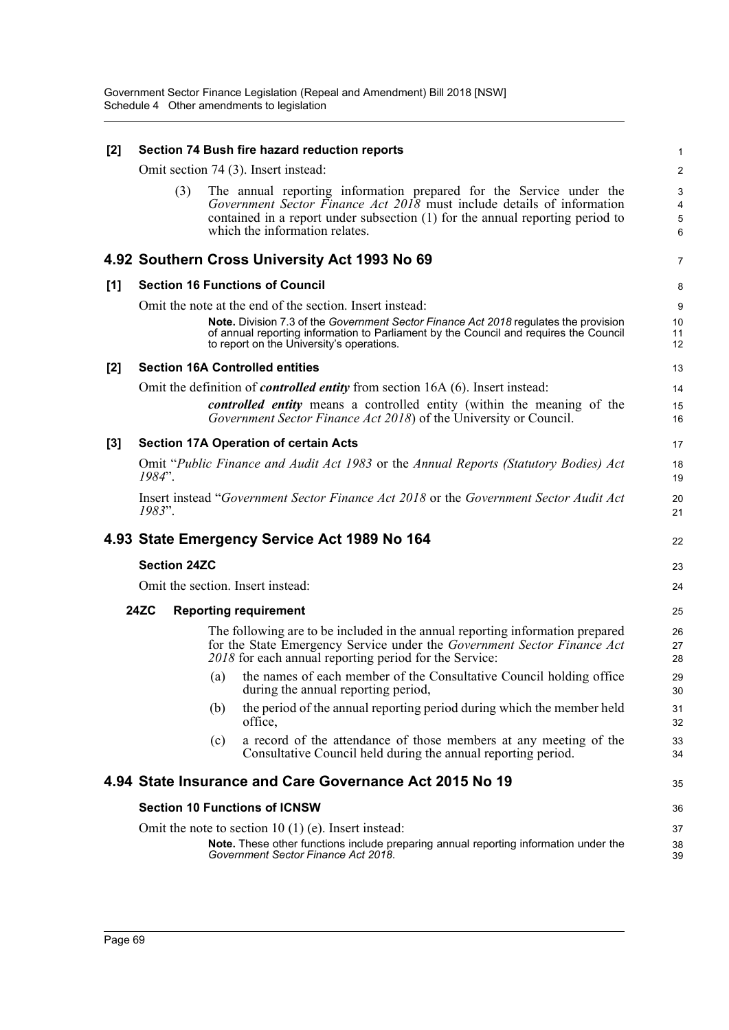| [2]   | Section 74 Bush fire hazard reduction reports                                                                                                                                                                                                                           | 1                |
|-------|-------------------------------------------------------------------------------------------------------------------------------------------------------------------------------------------------------------------------------------------------------------------------|------------------|
|       | Omit section 74 (3). Insert instead:                                                                                                                                                                                                                                    | 2                |
|       | The annual reporting information prepared for the Service under the<br>(3)<br>Government Sector Finance Act 2018 must include details of information<br>contained in a report under subsection (1) for the annual reporting period to<br>which the information relates. | 3<br>4<br>5<br>6 |
|       | 4.92 Southern Cross University Act 1993 No 69                                                                                                                                                                                                                           | $\overline{7}$   |
| [1]   | <b>Section 16 Functions of Council</b>                                                                                                                                                                                                                                  | 8                |
|       | Omit the note at the end of the section. Insert instead:                                                                                                                                                                                                                | 9                |
|       | Note. Division 7.3 of the Government Sector Finance Act 2018 regulates the provision<br>of annual reporting information to Parliament by the Council and requires the Council<br>to report on the University's operations.                                              | 10<br>11<br>12   |
| $[2]$ | <b>Section 16A Controlled entities</b>                                                                                                                                                                                                                                  | 13               |
|       | Omit the definition of <i>controlled entity</i> from section 16A (6). Insert instead:                                                                                                                                                                                   | 14               |
|       | controlled entity means a controlled entity (within the meaning of the<br>Government Sector Finance Act 2018) of the University or Council.                                                                                                                             | 15<br>16         |
| $[3]$ | <b>Section 17A Operation of certain Acts</b>                                                                                                                                                                                                                            | 17               |
|       | Omit "Public Finance and Audit Act 1983 or the Annual Reports (Statutory Bodies) Act<br>1984".                                                                                                                                                                          | 18<br>19         |
|       | Insert instead "Government Sector Finance Act 2018 or the Government Sector Audit Act<br>1983".                                                                                                                                                                         | 20<br>21         |
|       | 4.93 State Emergency Service Act 1989 No 164                                                                                                                                                                                                                            | 22               |
|       | <b>Section 24ZC</b>                                                                                                                                                                                                                                                     | 23               |
|       | Omit the section. Insert instead:                                                                                                                                                                                                                                       | 24               |
|       | <b>24ZC</b><br><b>Reporting requirement</b>                                                                                                                                                                                                                             | 25               |
|       | The following are to be included in the annual reporting information prepared<br>for the State Emergency Service under the Government Sector Finance Act<br>2018 for each annual reporting period for the Service:                                                      | 26<br>27<br>28   |
|       | the names of each member of the Consultative Council holding office<br>(a)<br>during the annual reporting period,                                                                                                                                                       | 29<br>30         |
|       | the period of the annual reporting period during which the member held<br>(b)<br>office,                                                                                                                                                                                | 31<br>32         |
|       | a record of the attendance of those members at any meeting of the<br>(c)<br>Consultative Council held during the annual reporting period.                                                                                                                               | 33<br>34         |
|       | 4.94 State Insurance and Care Governance Act 2015 No 19                                                                                                                                                                                                                 | 35               |
|       | <b>Section 10 Functions of ICNSW</b>                                                                                                                                                                                                                                    | 36               |
|       | Omit the note to section $10(1)(e)$ . Insert instead:                                                                                                                                                                                                                   | 37               |
|       | Note. These other functions include preparing annual reporting information under the<br>Government Sector Finance Act 2018.                                                                                                                                             | 38<br>39         |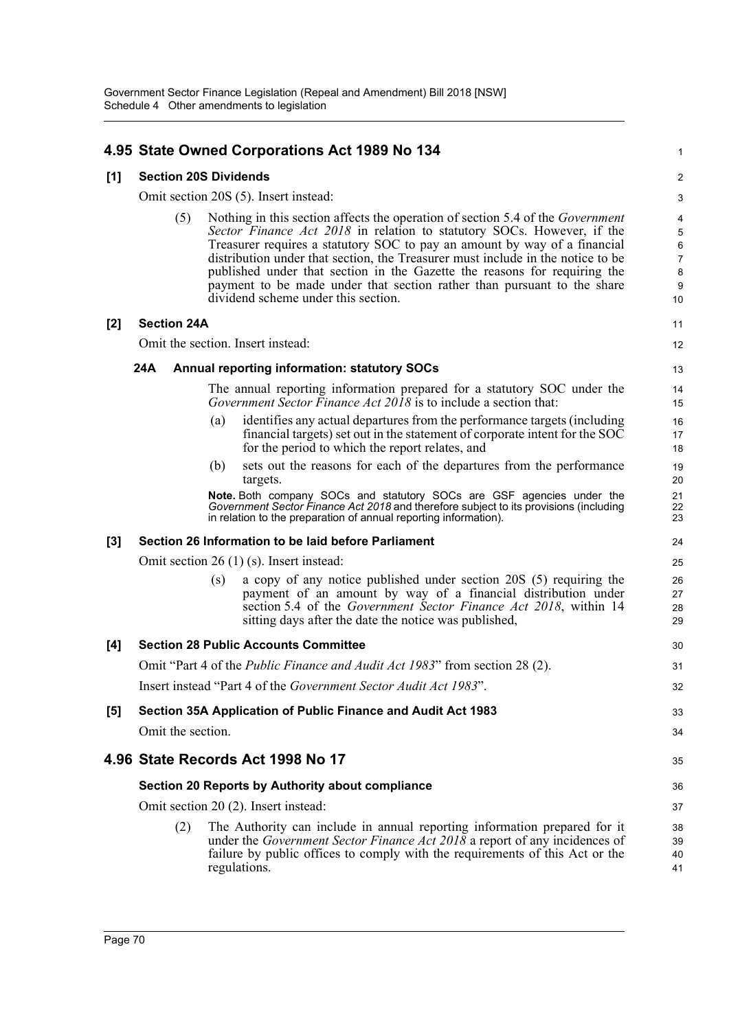## **4.95 State Owned Corporations Act 1989 No 134**

### **[1] Section 20S Dividends**

Omit section 20S (5). Insert instead:

(5) Nothing in this section affects the operation of section 5.4 of the *Government Sector Finance Act 2018* in relation to statutory SOCs. However, if the Treasurer requires a statutory SOC to pay an amount by way of a financial distribution under that section, the Treasurer must include in the notice to be published under that section in the Gazette the reasons for requiring the payment to be made under that section rather than pursuant to the share dividend scheme under this section.

1

11 12

33 34

35

#### **[2] Section 24A**

Omit the section. Insert instead:

#### **24A Annual reporting information: statutory SOCs**

The annual reporting information prepared for a statutory SOC under the *Government Sector Finance Act 2018* is to include a section that:

- (a) identifies any actual departures from the performance targets (including financial targets) set out in the statement of corporate intent for the SOC for the period to which the report relates, and
- (b) sets out the reasons for each of the departures from the performance targets.

**Note.** Both company SOCs and statutory SOCs are GSF agencies under the *Government Sector Finance Act 2018* and therefore subject to its provisions (including in relation to the preparation of annual reporting information).

#### **[3] Section 26 Information to be laid before Parliament**

Omit section 26 (1) (s). Insert instead:

(s) a copy of any notice published under section 20S (5) requiring the payment of an amount by way of a financial distribution under section 5.4 of the *Government Sector Finance Act 2018*, within 14 sitting days after the date the notice was published,

# **[4] Section 28 Public Accounts Committee** Omit "Part 4 of the *Public Finance and Audit Act 1983*" from section 28 (2). Insert instead "Part 4 of the *Government Sector Audit Act 1983*". **[5] Section 35A Application of Public Finance and Audit Act 1983**

Omit the section.

# **4.96 State Records Act 1998 No 17**

## **Section 20 Reports by Authority about compliance**

Omit section 20 (2). Insert instead:

(2) The Authority can include in annual reporting information prepared for it under the *Government Sector Finance Act 2018* a report of any incidences of failure by public offices to comply with the requirements of this Act or the regulations.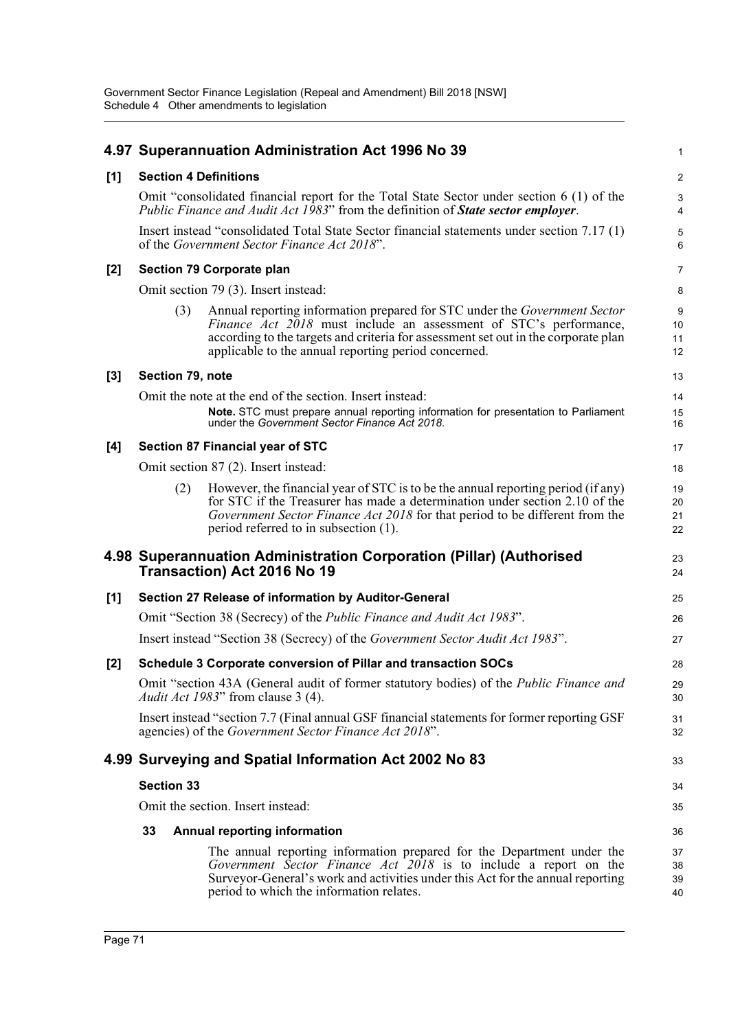|       |                   |                                         | 4.97 Superannuation Administration Act 1996 No 39                                                                                                                                                                                                                                                   | 1                       |  |  |  |
|-------|-------------------|-----------------------------------------|-----------------------------------------------------------------------------------------------------------------------------------------------------------------------------------------------------------------------------------------------------------------------------------------------------|-------------------------|--|--|--|
| [1]   |                   |                                         | <b>Section 4 Definitions</b>                                                                                                                                                                                                                                                                        | $\overline{\mathbf{c}}$ |  |  |  |
|       |                   |                                         | Omit "consolidated financial report for the Total State Sector under section 6 (1) of the<br><i>Public Finance and Audit Act 1983</i> " from the definition of <b><i>State sector employer</i></b> .                                                                                                | 3<br>4                  |  |  |  |
|       |                   |                                         | Insert instead "consolidated Total State Sector financial statements under section 7.17 (1)<br>of the Government Sector Finance Act 2018".                                                                                                                                                          | 5<br>6                  |  |  |  |
| [2]   |                   |                                         | Section 79 Corporate plan                                                                                                                                                                                                                                                                           | 7                       |  |  |  |
|       |                   |                                         | Omit section 79 (3). Insert instead:                                                                                                                                                                                                                                                                | 8                       |  |  |  |
|       |                   | (3)                                     | Annual reporting information prepared for STC under the <i>Government Sector</i><br>Finance Act 2018 must include an assessment of STC's performance,<br>according to the targets and criteria for assessment set out in the corporate plan<br>applicable to the annual reporting period concerned. | 9<br>10<br>11<br>12     |  |  |  |
| $[3]$ | Section 79, note  |                                         |                                                                                                                                                                                                                                                                                                     | 13                      |  |  |  |
|       |                   |                                         | Omit the note at the end of the section. Insert instead:                                                                                                                                                                                                                                            | 14                      |  |  |  |
|       |                   |                                         | Note. STC must prepare annual reporting information for presentation to Parliament<br>under the Government Sector Finance Act 2018.                                                                                                                                                                 | 15<br>16                |  |  |  |
| [4]   |                   | <b>Section 87 Financial year of STC</b> |                                                                                                                                                                                                                                                                                                     |                         |  |  |  |
|       |                   |                                         | Omit section 87 (2). Insert instead:                                                                                                                                                                                                                                                                | 18                      |  |  |  |
|       |                   | (2)                                     | However, the financial year of STC is to be the annual reporting period (if any)<br>for STC if the Treasurer has made a determination under section 2.10 of the<br>Government Sector Finance Act 2018 for that period to be different from the<br>period referred to in subsection (1).             | 19<br>20<br>21<br>22    |  |  |  |
|       |                   |                                         | 4.98 Superannuation Administration Corporation (Pillar) (Authorised<br>Transaction) Act 2016 No 19                                                                                                                                                                                                  | 23<br>24                |  |  |  |
| [1]   |                   |                                         | Section 27 Release of information by Auditor-General                                                                                                                                                                                                                                                | 25                      |  |  |  |
|       |                   |                                         | Omit "Section 38 (Secrecy) of the <i>Public Finance and Audit Act 1983</i> ".                                                                                                                                                                                                                       | 26                      |  |  |  |
|       |                   |                                         | Insert instead "Section 38 (Secrecy) of the Government Sector Audit Act 1983".                                                                                                                                                                                                                      | 27                      |  |  |  |
| $[2]$ |                   |                                         | Schedule 3 Corporate conversion of Pillar and transaction SOCs                                                                                                                                                                                                                                      | 28                      |  |  |  |
|       |                   |                                         | Omit "section 43A (General audit of former statutory bodies) of the <i>Public Finance and</i><br>Audit Act 1983" from clause 3 (4).                                                                                                                                                                 | 29<br>30                |  |  |  |
|       |                   |                                         | Insert instead "section 7.7 (Final annual GSF financial statements for former reporting GSF<br>agencies) of the Government Sector Finance Act 2018".                                                                                                                                                | 31<br>32                |  |  |  |
|       |                   |                                         | 4.99 Surveying and Spatial Information Act 2002 No 83                                                                                                                                                                                                                                               | 33                      |  |  |  |
|       | <b>Section 33</b> |                                         |                                                                                                                                                                                                                                                                                                     | 34                      |  |  |  |
|       |                   |                                         | Omit the section. Insert instead:                                                                                                                                                                                                                                                                   | 35                      |  |  |  |
|       | 33                |                                         | <b>Annual reporting information</b>                                                                                                                                                                                                                                                                 | 36                      |  |  |  |
|       |                   |                                         | The annual reporting information prepared for the Department under the<br>Government Sector Finance Act 2018 is to include a report on the<br>Surveyor-General's work and activities under this Act for the annual reporting<br>period to which the information relates.                            | 37<br>38<br>39<br>40    |  |  |  |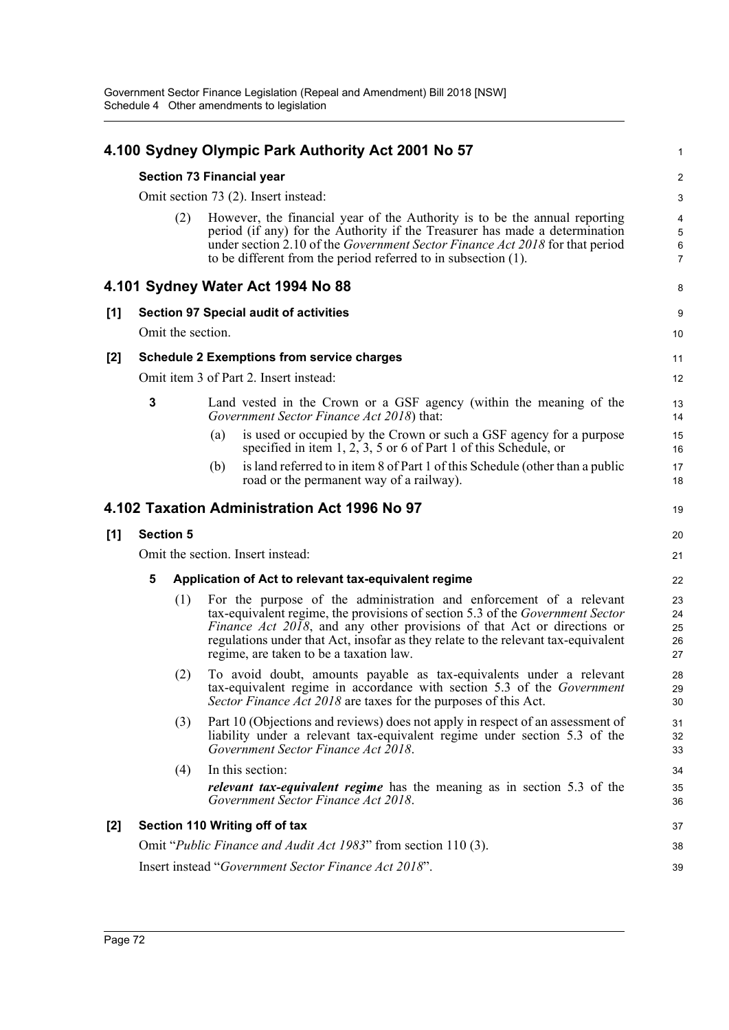|       |                                   |                   | 4.100 Sydney Olympic Park Authority Act 2001 No 57                                                                                                                                                                                                                                                                                                              | 1                                                   |  |
|-------|-----------------------------------|-------------------|-----------------------------------------------------------------------------------------------------------------------------------------------------------------------------------------------------------------------------------------------------------------------------------------------------------------------------------------------------------------|-----------------------------------------------------|--|
|       |                                   |                   | Section 73 Financial year                                                                                                                                                                                                                                                                                                                                       | $\overline{c}$                                      |  |
|       |                                   |                   | Omit section 73 (2). Insert instead:                                                                                                                                                                                                                                                                                                                            | 3                                                   |  |
|       |                                   | (2)               | However, the financial year of the Authority is to be the annual reporting<br>period (if any) for the Authority if the Treasurer has made a determination<br>under section 2.10 of the Government Sector Finance Act 2018 for that period<br>to be different from the period referred to in subsection (1).                                                     | $\overline{\mathbf{4}}$<br>5<br>6<br>$\overline{7}$ |  |
|       |                                   |                   | 4.101 Sydney Water Act 1994 No 88                                                                                                                                                                                                                                                                                                                               | 8                                                   |  |
| [1]   |                                   |                   | <b>Section 97 Special audit of activities</b>                                                                                                                                                                                                                                                                                                                   | 9                                                   |  |
|       |                                   | Omit the section. |                                                                                                                                                                                                                                                                                                                                                                 | 10                                                  |  |
| $[2]$ |                                   |                   | <b>Schedule 2 Exemptions from service charges</b>                                                                                                                                                                                                                                                                                                               | 11                                                  |  |
|       |                                   |                   | Omit item 3 of Part 2. Insert instead:                                                                                                                                                                                                                                                                                                                          | 12                                                  |  |
|       | 3                                 |                   | Land vested in the Crown or a GSF agency (within the meaning of the<br>Government Sector Finance Act 2018) that:                                                                                                                                                                                                                                                | 13<br>14                                            |  |
|       |                                   |                   | is used or occupied by the Crown or such a GSF agency for a purpose<br>(a)<br>specified in item $1, 2, 3, 5$ or 6 of Part 1 of this Schedule, or                                                                                                                                                                                                                | 15<br>16                                            |  |
|       |                                   |                   | is land referred to in item 8 of Part 1 of this Schedule (other than a public<br>(b)<br>road or the permanent way of a railway).                                                                                                                                                                                                                                | 17<br>18                                            |  |
|       |                                   |                   | 4.102 Taxation Administration Act 1996 No 97                                                                                                                                                                                                                                                                                                                    | 19                                                  |  |
| [1]   | <b>Section 5</b>                  |                   |                                                                                                                                                                                                                                                                                                                                                                 | 20                                                  |  |
|       | Omit the section. Insert instead: |                   |                                                                                                                                                                                                                                                                                                                                                                 |                                                     |  |
|       | 5                                 |                   | Application of Act to relevant tax-equivalent regime                                                                                                                                                                                                                                                                                                            |                                                     |  |
|       |                                   | (1)               | For the purpose of the administration and enforcement of a relevant<br>tax-equivalent regime, the provisions of section 5.3 of the Government Sector<br>Finance Act 2018, and any other provisions of that Act or directions or<br>regulations under that Act, insofar as they relate to the relevant tax-equivalent<br>regime, are taken to be a taxation law. | 23<br>24<br>25<br>26<br>27                          |  |
|       |                                   | (2)               | To avoid doubt, amounts payable as tax-equivalents under a relevant<br>tax-equivalent regime in accordance with section 5.3 of the Government<br>Sector Finance Act 2018 are taxes for the purposes of this Act.                                                                                                                                                | 28<br>29<br>30                                      |  |
|       |                                   | (3)               | Part 10 (Objections and reviews) does not apply in respect of an assessment of<br>liability under a relevant tax-equivalent regime under section 5.3 of the<br>Government Sector Finance Act 2018.                                                                                                                                                              | 31<br>32<br>33                                      |  |
|       |                                   | (4)               | In this section:                                                                                                                                                                                                                                                                                                                                                | 34                                                  |  |
|       |                                   |                   | <i>relevant tax-equivalent regime</i> has the meaning as in section 5.3 of the<br>Government Sector Finance Act 2018.                                                                                                                                                                                                                                           | 35<br>36                                            |  |
| $[2]$ |                                   |                   | Section 110 Writing off of tax                                                                                                                                                                                                                                                                                                                                  | 37                                                  |  |
|       |                                   |                   | Omit "Public Finance and Audit Act 1983" from section 110 (3).                                                                                                                                                                                                                                                                                                  | 38                                                  |  |
|       |                                   |                   | Insert instead "Government Sector Finance Act 2018".                                                                                                                                                                                                                                                                                                            | 39                                                  |  |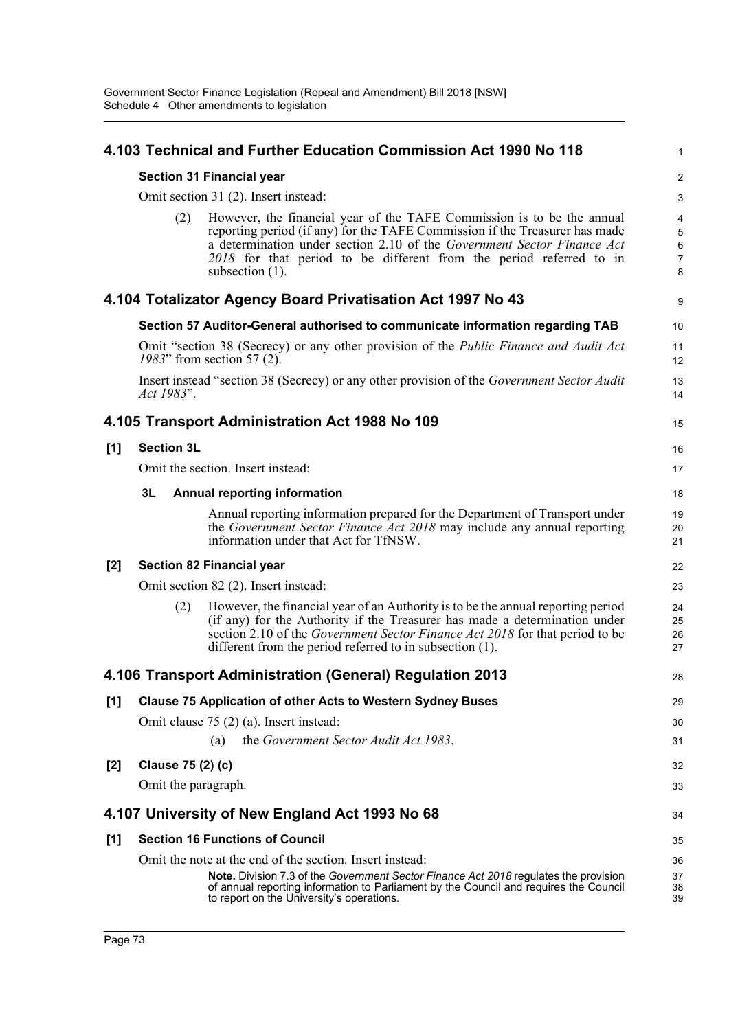|       |                                      | 4.103 Technical and Further Education Commission Act 1990 No 118                                                                                                                                                                                                                                                              | 1                     |  |  |  |
|-------|--------------------------------------|-------------------------------------------------------------------------------------------------------------------------------------------------------------------------------------------------------------------------------------------------------------------------------------------------------------------------------|-----------------------|--|--|--|
|       |                                      | <b>Section 31 Financial year</b>                                                                                                                                                                                                                                                                                              | $\overline{a}$        |  |  |  |
|       | Omit section 31 (2). Insert instead: |                                                                                                                                                                                                                                                                                                                               |                       |  |  |  |
|       | (2)                                  | However, the financial year of the TAFE Commission is to be the annual<br>reporting period (if any) for the TAFE Commission if the Treasurer has made<br>a determination under section 2.10 of the Government Sector Finance Act<br>2018 for that period to be different from the period referred to in<br>subsection $(1)$ . | 4<br>5<br>6<br>7<br>8 |  |  |  |
|       |                                      | 4.104 Totalizator Agency Board Privatisation Act 1997 No 43                                                                                                                                                                                                                                                                   | 9                     |  |  |  |
|       |                                      | Section 57 Auditor-General authorised to communicate information regarding TAB                                                                                                                                                                                                                                                | 10                    |  |  |  |
|       |                                      | Omit "section 38 (Secrecy) or any other provision of the <i>Public Finance and Audit Act</i><br>1983" from section 57 (2).                                                                                                                                                                                                    | 11<br>12              |  |  |  |
|       | Act 1983".                           | Insert instead "section 38 (Secrecy) or any other provision of the Government Sector Audit                                                                                                                                                                                                                                    | 13<br>14              |  |  |  |
|       |                                      | 4.105 Transport Administration Act 1988 No 109                                                                                                                                                                                                                                                                                | 15                    |  |  |  |
| [1]   | <b>Section 3L</b>                    |                                                                                                                                                                                                                                                                                                                               | 16                    |  |  |  |
|       |                                      | Omit the section. Insert instead:                                                                                                                                                                                                                                                                                             | 17                    |  |  |  |
|       | 3L                                   | <b>Annual reporting information</b>                                                                                                                                                                                                                                                                                           | 18                    |  |  |  |
|       |                                      | Annual reporting information prepared for the Department of Transport under<br>the Government Sector Finance Act 2018 may include any annual reporting<br>information under that Act for TfNSW.                                                                                                                               | 19<br>20<br>21        |  |  |  |
| $[2]$ |                                      | <b>Section 82 Financial year</b>                                                                                                                                                                                                                                                                                              | 22                    |  |  |  |
|       |                                      | Omit section 82 (2). Insert instead:                                                                                                                                                                                                                                                                                          | 23                    |  |  |  |
|       | (2)                                  | However, the financial year of an Authority is to be the annual reporting period<br>(if any) for the Authority if the Treasurer has made a determination under<br>section 2.10 of the <i>Government Sector Finance Act 2018</i> for that period to be<br>different from the period referred to in subsection (1).             | 24<br>25<br>26<br>27  |  |  |  |
|       |                                      | 4.106 Transport Administration (General) Regulation 2013                                                                                                                                                                                                                                                                      | 28                    |  |  |  |
| [1]   |                                      | <b>Clause 75 Application of other Acts to Western Sydney Buses</b>                                                                                                                                                                                                                                                            | 29                    |  |  |  |
|       |                                      | Omit clause $75(2)$ (a). Insert instead:                                                                                                                                                                                                                                                                                      | 30                    |  |  |  |
|       |                                      | the Government Sector Audit Act 1983,<br>(a)                                                                                                                                                                                                                                                                                  | 31                    |  |  |  |
| $[2]$ | Clause 75 (2) (c)                    |                                                                                                                                                                                                                                                                                                                               | 32                    |  |  |  |
|       | Omit the paragraph.                  |                                                                                                                                                                                                                                                                                                                               | 33                    |  |  |  |
|       |                                      | 4.107 University of New England Act 1993 No 68                                                                                                                                                                                                                                                                                | 34                    |  |  |  |
| [1]   |                                      | <b>Section 16 Functions of Council</b>                                                                                                                                                                                                                                                                                        | 35                    |  |  |  |
|       |                                      | Omit the note at the end of the section. Insert instead:                                                                                                                                                                                                                                                                      | 36                    |  |  |  |
|       |                                      | <b>Note.</b> Division 7.3 of the Government Sector Finance Act 2018 regulates the provision<br>of annual reporting information to Parliament by the Council and requires the Council<br>to report on the University's operations.                                                                                             | 37<br>38<br>39        |  |  |  |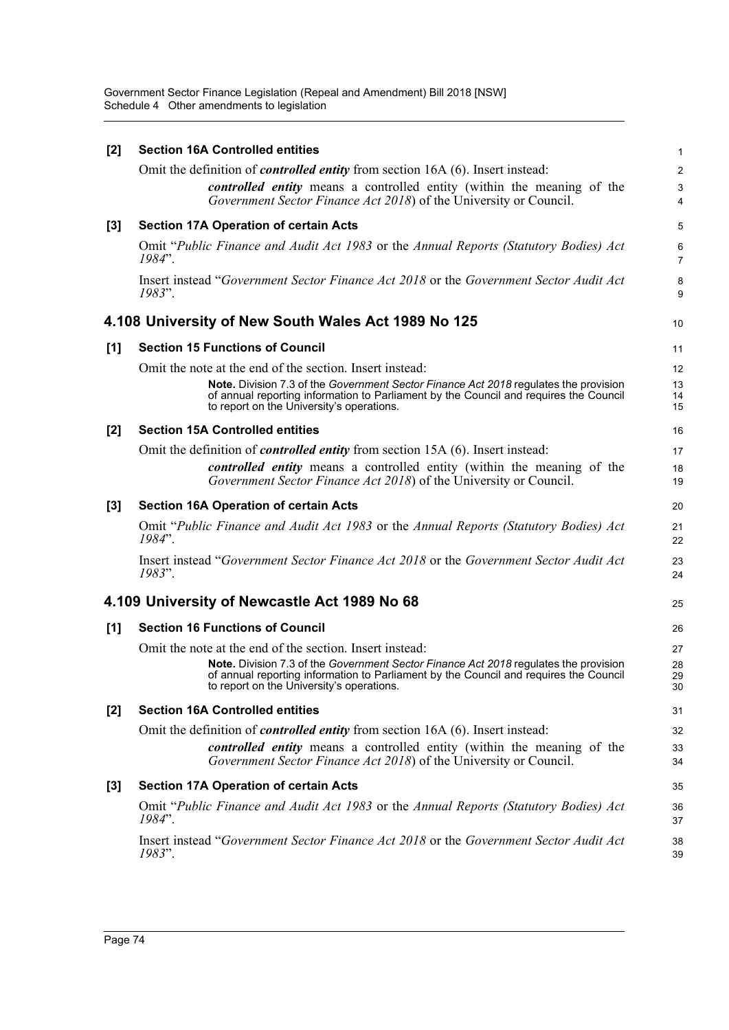Government Sector Finance Legislation (Repeal and Amendment) Bill 2018 [NSW] Schedule 4 Other amendments to legislation

| [2] | <b>Section 16A Controlled entities</b>                                                                                                                                                                                     | 1                       |
|-----|----------------------------------------------------------------------------------------------------------------------------------------------------------------------------------------------------------------------------|-------------------------|
|     | Omit the definition of <i>controlled entity</i> from section 16A (6). Insert instead:                                                                                                                                      | $\overline{\mathbf{c}}$ |
|     | controlled entity means a controlled entity (within the meaning of the<br>Government Sector Finance Act 2018) of the University or Council.                                                                                | $\mathbf{3}$<br>4       |
| [3] | <b>Section 17A Operation of certain Acts</b>                                                                                                                                                                               | 5                       |
|     | Omit "Public Finance and Audit Act 1983 or the Annual Reports (Statutory Bodies) Act<br>1984".                                                                                                                             | 6<br>$\overline{7}$     |
|     | Insert instead "Government Sector Finance Act 2018 or the Government Sector Audit Act<br>1983".                                                                                                                            | 8<br>9                  |
|     | 4.108 University of New South Wales Act 1989 No 125                                                                                                                                                                        | 10                      |
| [1] | <b>Section 15 Functions of Council</b>                                                                                                                                                                                     | 11                      |
|     | Omit the note at the end of the section. Insert instead:                                                                                                                                                                   | 12                      |
|     | Note. Division 7.3 of the Government Sector Finance Act 2018 regulates the provision<br>of annual reporting information to Parliament by the Council and requires the Council<br>to report on the University's operations. | 13<br>14<br>15          |
| [2] | <b>Section 15A Controlled entities</b>                                                                                                                                                                                     | 16                      |
|     | Omit the definition of <i>controlled entity</i> from section 15A (6). Insert instead:                                                                                                                                      | 17                      |
|     | <i>controlled entity</i> means a controlled entity (within the meaning of the<br>Government Sector Finance Act 2018) of the University or Council.                                                                         | 18<br>19                |
| [3] | <b>Section 16A Operation of certain Acts</b>                                                                                                                                                                               | 20                      |
|     | Omit "Public Finance and Audit Act 1983 or the Annual Reports (Statutory Bodies) Act<br>1984".                                                                                                                             | 21<br>22                |
|     | Insert instead "Government Sector Finance Act 2018 or the Government Sector Audit Act<br>1983".                                                                                                                            | 23<br>24                |
|     | 4.109 University of Newcastle Act 1989 No 68                                                                                                                                                                               | 25                      |
| [1] | <b>Section 16 Functions of Council</b>                                                                                                                                                                                     | 26                      |
|     | Omit the note at the end of the section. Insert instead:                                                                                                                                                                   | 27                      |
|     | Note. Division 7.3 of the Government Sector Finance Act 2018 regulates the provision<br>of annual reporting information to Parliament by the Council and requires the Council<br>to report on the University's operations. | 28<br>29<br>30          |
| [2] | <b>Section 16A Controlled entities</b>                                                                                                                                                                                     | 31                      |
|     | Omit the definition of <i>controlled entity</i> from section 16A (6). Insert instead:                                                                                                                                      | 32                      |
|     | controlled entity means a controlled entity (within the meaning of the<br>Government Sector Finance Act 2018) of the University or Council.                                                                                | 33<br>34                |
| [3] | <b>Section 17A Operation of certain Acts</b>                                                                                                                                                                               | 35                      |
|     | Omit "Public Finance and Audit Act 1983 or the Annual Reports (Statutory Bodies) Act<br>1984".                                                                                                                             | 36<br>37                |
|     | Insert instead "Government Sector Finance Act 2018 or the Government Sector Audit Act<br>1983".                                                                                                                            | 38<br>39                |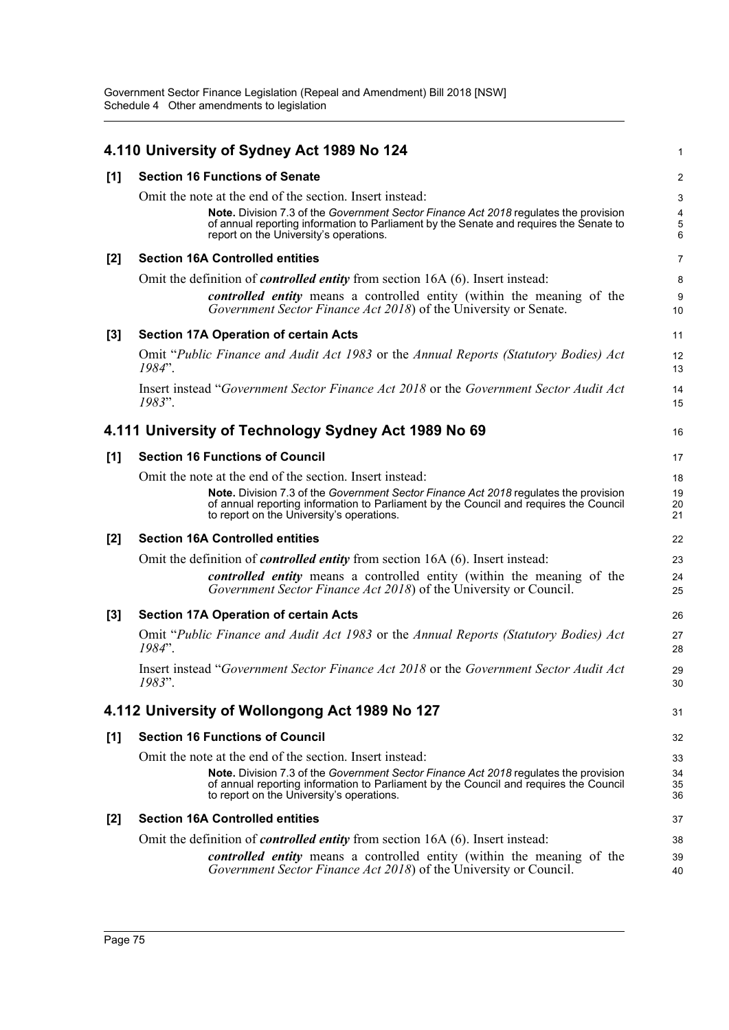|       | 4.110 University of Sydney Act 1989 No 124                                                                                                                                                                                                 | 1                     |
|-------|--------------------------------------------------------------------------------------------------------------------------------------------------------------------------------------------------------------------------------------------|-----------------------|
| [1]   | <b>Section 16 Functions of Senate</b>                                                                                                                                                                                                      | 2                     |
|       | Omit the note at the end of the section. Insert instead:<br>Note. Division 7.3 of the Government Sector Finance Act 2018 regulates the provision<br>of annual reporting information to Parliament by the Senate and requires the Senate to | 3<br>4<br>$\mathbf 5$ |
|       | report on the University's operations.                                                                                                                                                                                                     | 6                     |
| $[2]$ | <b>Section 16A Controlled entities</b>                                                                                                                                                                                                     | $\overline{7}$        |
|       | Omit the definition of <i>controlled entity</i> from section 16A (6). Insert instead:                                                                                                                                                      | 8                     |
|       | <i>controlled entity</i> means a controlled entity (within the meaning of the<br>Government Sector Finance Act 2018) of the University or Senate.                                                                                          | 9<br>10               |
| $[3]$ | <b>Section 17A Operation of certain Acts</b>                                                                                                                                                                                               | 11                    |
|       | Omit "Public Finance and Audit Act 1983 or the Annual Reports (Statutory Bodies) Act<br>1984".                                                                                                                                             | 12<br>13              |
|       | Insert instead "Government Sector Finance Act 2018 or the Government Sector Audit Act<br>1983".                                                                                                                                            | 14<br>15              |
|       | 4.111 University of Technology Sydney Act 1989 No 69                                                                                                                                                                                       | 16                    |
| [1]   | <b>Section 16 Functions of Council</b>                                                                                                                                                                                                     | 17                    |
|       | Omit the note at the end of the section. Insert instead:                                                                                                                                                                                   | 18                    |
|       | Note. Division 7.3 of the Government Sector Finance Act 2018 regulates the provision<br>of annual reporting information to Parliament by the Council and requires the Council<br>to report on the University's operations.                 | 19<br>20<br>21        |
| $[2]$ | <b>Section 16A Controlled entities</b>                                                                                                                                                                                                     | 22                    |
|       | Omit the definition of <i>controlled entity</i> from section 16A (6). Insert instead:                                                                                                                                                      | 23                    |
|       | controlled entity means a controlled entity (within the meaning of the<br>Government Sector Finance Act 2018) of the University or Council.                                                                                                | 24<br>25              |
| $[3]$ | <b>Section 17A Operation of certain Acts</b>                                                                                                                                                                                               | 26                    |
|       | Omit "Public Finance and Audit Act 1983 or the Annual Reports (Statutory Bodies) Act<br>1984".                                                                                                                                             | 27<br>28              |
|       | Insert instead "Government Sector Finance Act 2018 or the Government Sector Audit Act<br>1983".                                                                                                                                            | 29<br>30              |
|       | 4.112 University of Wollongong Act 1989 No 127                                                                                                                                                                                             | 31                    |
| [1]   | <b>Section 16 Functions of Council</b>                                                                                                                                                                                                     | 32                    |
|       | Omit the note at the end of the section. Insert instead:                                                                                                                                                                                   | 33                    |
|       | Note. Division 7.3 of the Government Sector Finance Act 2018 regulates the provision<br>of annual reporting information to Parliament by the Council and requires the Council<br>to report on the University's operations.                 | 34<br>35<br>36        |
| $[2]$ | <b>Section 16A Controlled entities</b>                                                                                                                                                                                                     | 37                    |
|       | Omit the definition of <i>controlled entity</i> from section 16A (6). Insert instead:                                                                                                                                                      | 38                    |
|       | controlled entity means a controlled entity (within the meaning of the<br>Government Sector Finance Act 2018) of the University or Council.                                                                                                | 39<br>40              |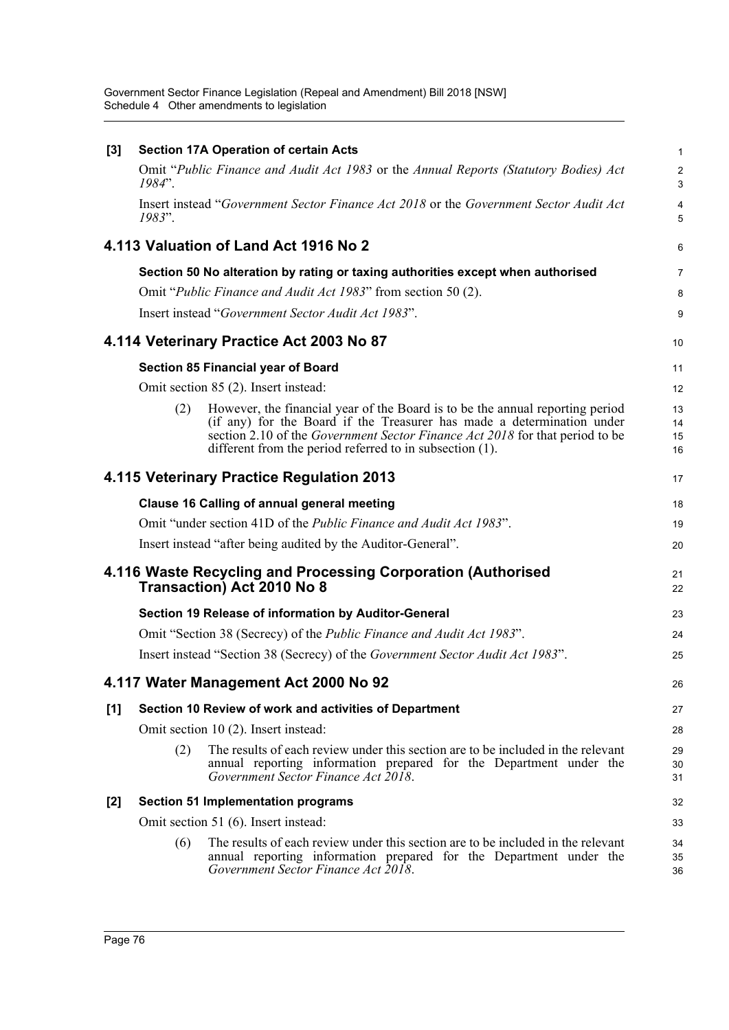Government Sector Finance Legislation (Repeal and Amendment) Bill 2018 [NSW] Schedule 4 Other amendments to legislation

| $[3]$ |           | <b>Section 17A Operation of certain Acts</b>                                                                                                                                                                                                                                                               | $\mathbf{1}$         |
|-------|-----------|------------------------------------------------------------------------------------------------------------------------------------------------------------------------------------------------------------------------------------------------------------------------------------------------------------|----------------------|
|       | $1984"$ . | Omit "Public Finance and Audit Act 1983 or the Annual Reports (Statutory Bodies) Act                                                                                                                                                                                                                       | 2<br>3               |
|       | 1983".    | Insert instead "Government Sector Finance Act 2018 or the Government Sector Audit Act                                                                                                                                                                                                                      | 4<br>5               |
|       |           | 4.113 Valuation of Land Act 1916 No 2                                                                                                                                                                                                                                                                      | 6                    |
|       |           | Section 50 No alteration by rating or taxing authorities except when authorised                                                                                                                                                                                                                            | $\overline{7}$       |
|       |           | Omit "Public Finance and Audit Act 1983" from section 50 (2).                                                                                                                                                                                                                                              | 8                    |
|       |           | Insert instead "Government Sector Audit Act 1983".                                                                                                                                                                                                                                                         | 9                    |
|       |           | 4.114 Veterinary Practice Act 2003 No 87                                                                                                                                                                                                                                                                   | 10                   |
|       |           | <b>Section 85 Financial year of Board</b>                                                                                                                                                                                                                                                                  | 11                   |
|       |           | Omit section 85 (2). Insert instead:                                                                                                                                                                                                                                                                       | 12                   |
|       | (2)       | However, the financial year of the Board is to be the annual reporting period<br>(if any) for the Board if the Treasurer has made a determination under<br>section 2.10 of the <i>Government Sector Finance Act 2018</i> for that period to be<br>different from the period referred to in subsection (1). | 13<br>14<br>15<br>16 |
|       |           | 4.115 Veterinary Practice Regulation 2013                                                                                                                                                                                                                                                                  | 17                   |
|       |           | <b>Clause 16 Calling of annual general meeting</b>                                                                                                                                                                                                                                                         | 18                   |
|       |           | Omit "under section 41D of the Public Finance and Audit Act 1983".                                                                                                                                                                                                                                         | 19                   |
|       |           | Insert instead "after being audited by the Auditor-General".                                                                                                                                                                                                                                               | 20                   |
|       |           | 4.116 Waste Recycling and Processing Corporation (Authorised<br><b>Transaction) Act 2010 No 8</b>                                                                                                                                                                                                          | 21<br>22             |
|       |           | Section 19 Release of information by Auditor-General                                                                                                                                                                                                                                                       | 23                   |
|       |           | Omit "Section 38 (Secrecy) of the <i>Public Finance and Audit Act 1983</i> ".                                                                                                                                                                                                                              | 24                   |
|       |           | Insert instead "Section 38 (Secrecy) of the Government Sector Audit Act 1983".                                                                                                                                                                                                                             | 25                   |
|       |           | 4.117 Water Management Act 2000 No 92                                                                                                                                                                                                                                                                      | 26                   |
| [1]   |           | Section 10 Review of work and activities of Department                                                                                                                                                                                                                                                     | 27                   |
|       |           | Omit section 10 (2). Insert instead:                                                                                                                                                                                                                                                                       | 28                   |
|       | (2)       | The results of each review under this section are to be included in the relevant<br>annual reporting information prepared for the Department under the<br>Government Sector Finance Act 2018.                                                                                                              | 29<br>30<br>31       |
| [2]   |           | <b>Section 51 Implementation programs</b>                                                                                                                                                                                                                                                                  | 32                   |
|       |           | Omit section 51 (6). Insert instead:                                                                                                                                                                                                                                                                       | 33                   |
|       | (6)       | The results of each review under this section are to be included in the relevant<br>annual reporting information prepared for the Department under the<br>Government Sector Finance Act 2018.                                                                                                              | 34<br>35<br>36       |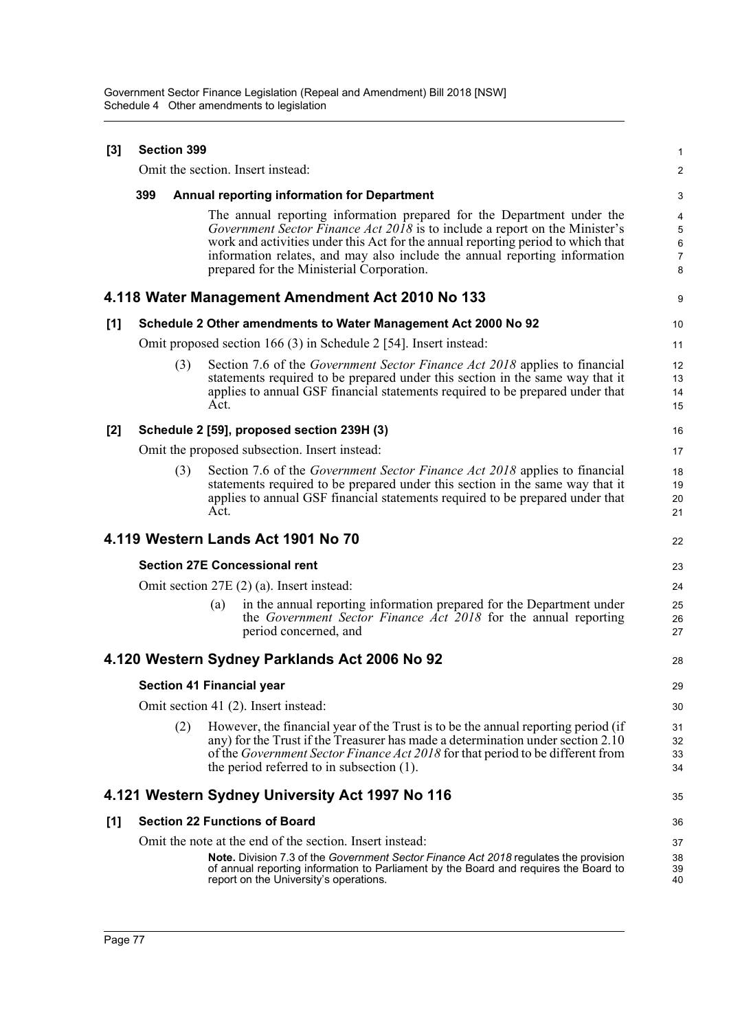| [3] | <b>Section 399</b>                   |     |      |                                                                                                                                                                                                                                                                                                                                                                      |                                             |  |
|-----|--------------------------------------|-----|------|----------------------------------------------------------------------------------------------------------------------------------------------------------------------------------------------------------------------------------------------------------------------------------------------------------------------------------------------------------------------|---------------------------------------------|--|
|     | Omit the section. Insert instead:    |     |      |                                                                                                                                                                                                                                                                                                                                                                      |                                             |  |
|     | 399                                  |     |      | <b>Annual reporting information for Department</b>                                                                                                                                                                                                                                                                                                                   | 3                                           |  |
|     |                                      |     |      | The annual reporting information prepared for the Department under the<br>Government Sector Finance Act 2018 is to include a report on the Minister's<br>work and activities under this Act for the annual reporting period to which that<br>information relates, and may also include the annual reporting information<br>prepared for the Ministerial Corporation. | 4<br>$\sqrt{5}$<br>6<br>$\overline{7}$<br>8 |  |
|     |                                      |     |      | 4.118 Water Management Amendment Act 2010 No 133                                                                                                                                                                                                                                                                                                                     | 9                                           |  |
| [1] |                                      |     |      | Schedule 2 Other amendments to Water Management Act 2000 No 92                                                                                                                                                                                                                                                                                                       | 10                                          |  |
|     |                                      |     |      | Omit proposed section 166 (3) in Schedule 2 [54]. Insert instead:                                                                                                                                                                                                                                                                                                    | 11                                          |  |
|     |                                      | (3) | Act. | Section 7.6 of the <i>Government Sector Finance Act 2018</i> applies to financial<br>statements required to be prepared under this section in the same way that it<br>applies to annual GSF financial statements required to be prepared under that                                                                                                                  | 12<br>13<br>14<br>15                        |  |
| [2] |                                      |     |      | Schedule 2 [59], proposed section 239H (3)                                                                                                                                                                                                                                                                                                                           | 16                                          |  |
|     |                                      |     |      | Omit the proposed subsection. Insert instead:                                                                                                                                                                                                                                                                                                                        | 17                                          |  |
|     |                                      | (3) | Act. | Section 7.6 of the <i>Government Sector Finance Act 2018</i> applies to financial<br>statements required to be prepared under this section in the same way that it<br>applies to annual GSF financial statements required to be prepared under that                                                                                                                  | 18<br>19<br>20<br>21                        |  |
|     |                                      |     |      | 4.119 Western Lands Act 1901 No 70                                                                                                                                                                                                                                                                                                                                   | 22                                          |  |
|     |                                      |     |      | <b>Section 27E Concessional rent</b>                                                                                                                                                                                                                                                                                                                                 | 23                                          |  |
|     |                                      |     |      | Omit section 27E (2) (a). Insert instead:                                                                                                                                                                                                                                                                                                                            | 24                                          |  |
|     |                                      |     | (a)  | in the annual reporting information prepared for the Department under<br>the Government Sector Finance Act 2018 for the annual reporting<br>period concerned, and                                                                                                                                                                                                    | 25<br>26<br>27                              |  |
|     |                                      |     |      | 4.120 Western Sydney Parklands Act 2006 No 92                                                                                                                                                                                                                                                                                                                        | 28                                          |  |
|     |                                      |     |      | <b>Section 41 Financial year</b>                                                                                                                                                                                                                                                                                                                                     | 29                                          |  |
|     | Omit section 41 (2). Insert instead: |     |      |                                                                                                                                                                                                                                                                                                                                                                      |                                             |  |
|     |                                      | (2) |      | However, the financial year of the Trust is to be the annual reporting period (if<br>any) for the Trust if the Treasurer has made a determination under section 2.10<br>of the <i>Government Sector Finance Act 2018</i> for that period to be different from<br>the period referred to in subsection $(1)$ .                                                        | 31<br>32<br>33<br>34                        |  |
|     |                                      |     |      | 4.121 Western Sydney University Act 1997 No 116                                                                                                                                                                                                                                                                                                                      | 35                                          |  |
| [1] |                                      |     |      | <b>Section 22 Functions of Board</b>                                                                                                                                                                                                                                                                                                                                 | 36                                          |  |
|     |                                      |     |      | Omit the note at the end of the section. Insert instead:                                                                                                                                                                                                                                                                                                             | 37                                          |  |
|     |                                      |     |      | <b>Note.</b> Division 7.3 of the Government Sector Finance Act 2018 regulates the provision<br>of annual reporting information to Parliament by the Board and requires the Board to<br>report on the University's operations.                                                                                                                                        | 38<br>39<br>40                              |  |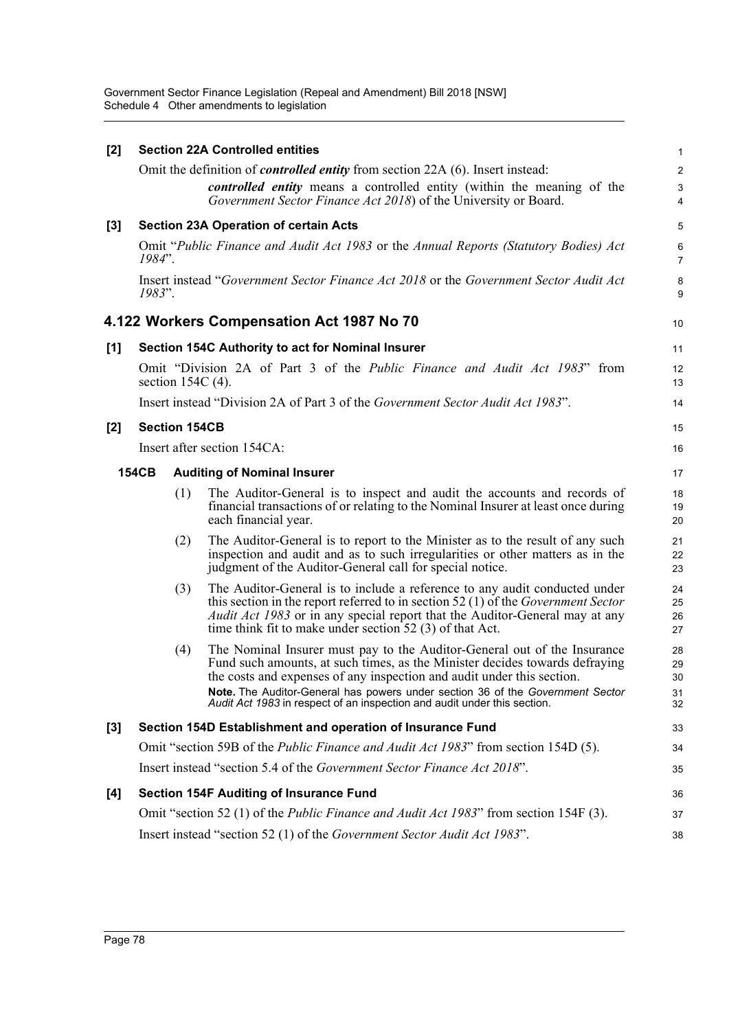Government Sector Finance Legislation (Repeal and Amendment) Bill 2018 [NSW] Schedule 4 Other amendments to legislation

| [2]              |                                                                                            |                      | <b>Section 22A Controlled entities</b>                                                                                                                                                                                                                                                                                                                                                          | $\mathbf{1}$                          |  |  |
|------------------|--------------------------------------------------------------------------------------------|----------------------|-------------------------------------------------------------------------------------------------------------------------------------------------------------------------------------------------------------------------------------------------------------------------------------------------------------------------------------------------------------------------------------------------|---------------------------------------|--|--|
|                  |                                                                                            |                      | Omit the definition of <i>controlled entity</i> from section 22A (6). Insert instead:<br>controlled entity means a controlled entity (within the meaning of the<br>Government Sector Finance Act 2018) of the University or Board.                                                                                                                                                              | $\boldsymbol{2}$<br>$\mathbf{3}$<br>4 |  |  |
| [3]              |                                                                                            |                      | <b>Section 23A Operation of certain Acts</b>                                                                                                                                                                                                                                                                                                                                                    | 5                                     |  |  |
|                  | $1984"$ .                                                                                  |                      | Omit "Public Finance and Audit Act 1983 or the Annual Reports (Statutory Bodies) Act                                                                                                                                                                                                                                                                                                            | 6<br>$\overline{7}$                   |  |  |
|                  | 1983".                                                                                     |                      | Insert instead "Government Sector Finance Act 2018 or the Government Sector Audit Act                                                                                                                                                                                                                                                                                                           | 8<br>9                                |  |  |
|                  |                                                                                            |                      | 4.122 Workers Compensation Act 1987 No 70                                                                                                                                                                                                                                                                                                                                                       | 10                                    |  |  |
| [1]              |                                                                                            |                      | Section 154C Authority to act for Nominal Insurer                                                                                                                                                                                                                                                                                                                                               | 11                                    |  |  |
|                  |                                                                                            |                      | Omit "Division 2A of Part 3 of the <i>Public Finance and Audit Act 1983</i> " from<br>section $154C(4)$ .                                                                                                                                                                                                                                                                                       | 12<br>13                              |  |  |
|                  |                                                                                            |                      | Insert instead "Division 2A of Part 3 of the Government Sector Audit Act 1983".                                                                                                                                                                                                                                                                                                                 | 14                                    |  |  |
| [2]              |                                                                                            | <b>Section 154CB</b> |                                                                                                                                                                                                                                                                                                                                                                                                 | 15                                    |  |  |
|                  |                                                                                            |                      | Insert after section 154CA:                                                                                                                                                                                                                                                                                                                                                                     | 16                                    |  |  |
|                  | <b>154CB</b>                                                                               |                      | <b>Auditing of Nominal Insurer</b>                                                                                                                                                                                                                                                                                                                                                              | 17                                    |  |  |
|                  |                                                                                            | (1)                  | The Auditor-General is to inspect and audit the accounts and records of<br>financial transactions of or relating to the Nominal Insurer at least once during<br>each financial year.                                                                                                                                                                                                            | 18<br>19<br>20                        |  |  |
|                  |                                                                                            | (2)                  | The Auditor-General is to report to the Minister as to the result of any such<br>inspection and audit and as to such irregularities or other matters as in the<br>judgment of the Auditor-General call for special notice.                                                                                                                                                                      | 21<br>22<br>23                        |  |  |
|                  |                                                                                            | (3)                  | The Auditor-General is to include a reference to any audit conducted under<br>this section in the report referred to in section 52 $(1)$ of the <i>Government Sector</i><br>Audit Act 1983 or in any special report that the Auditor-General may at any<br>time think fit to make under section $52(3)$ of that Act.                                                                            | 24<br>25<br>26<br>27                  |  |  |
|                  |                                                                                            | (4)                  | The Nominal Insurer must pay to the Auditor-General out of the Insurance<br>Fund such amounts, at such times, as the Minister decides towards defraying<br>the costs and expenses of any inspection and audit under this section.<br>Note. The Auditor-General has powers under section 36 of the Government Sector<br>Audit Act 1983 in respect of an inspection and audit under this section. | 28<br>29<br>30<br>31<br>32            |  |  |
| $\left[3\right]$ |                                                                                            |                      | Section 154D Establishment and operation of Insurance Fund                                                                                                                                                                                                                                                                                                                                      | 33                                    |  |  |
|                  | Omit "section 59B of the <i>Public Finance and Audit Act 1983</i> " from section 154D (5). |                      |                                                                                                                                                                                                                                                                                                                                                                                                 |                                       |  |  |
|                  |                                                                                            |                      | Insert instead "section 5.4 of the Government Sector Finance Act 2018".                                                                                                                                                                                                                                                                                                                         | 35                                    |  |  |
| [4]              |                                                                                            |                      | <b>Section 154F Auditing of Insurance Fund</b>                                                                                                                                                                                                                                                                                                                                                  | 36                                    |  |  |
|                  |                                                                                            |                      | Omit "section 52 (1) of the <i>Public Finance and Audit Act 1983</i> " from section 154F (3).                                                                                                                                                                                                                                                                                                   | 37                                    |  |  |
|                  |                                                                                            |                      | Insert instead "section 52 (1) of the Government Sector Audit Act 1983".                                                                                                                                                                                                                                                                                                                        | 38                                    |  |  |